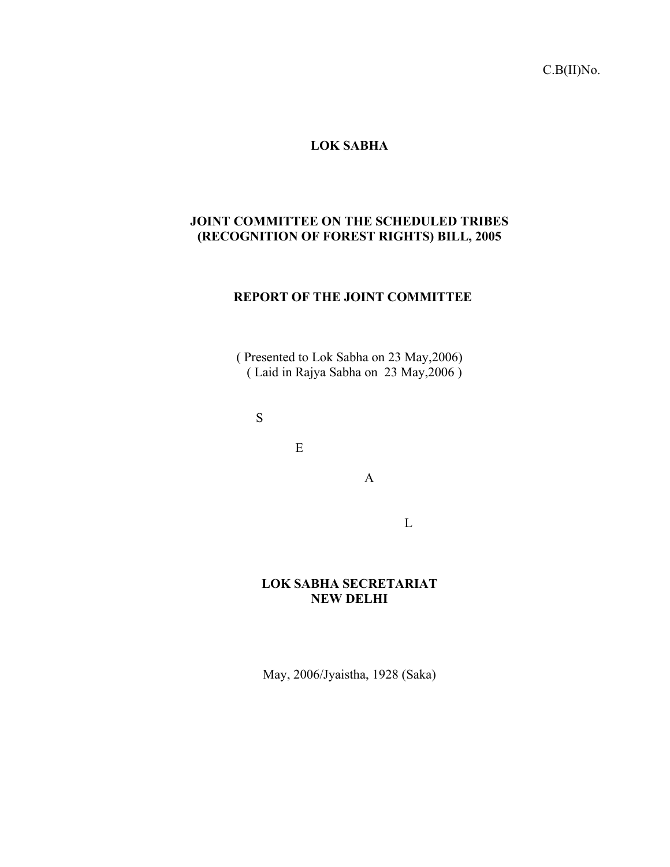C.B(II)No.

# **LOK SABHA**

# **JOINT COMMITTEE ON THE SCHEDULED TRIBES (RECOGNITION OF FOREST RIGHTS) BILL, 2005**

# **REPORT OF THE JOINT COMMITTEE**

( Presented to Lok Sabha on 23 May,2006) ( Laid in Rajya Sabha on 23 May,2006 )

S

E

A

L

# **LOK SABHA SECRETARIAT NEW DELHI**

May, 2006/Jyaistha, 1928 (Saka)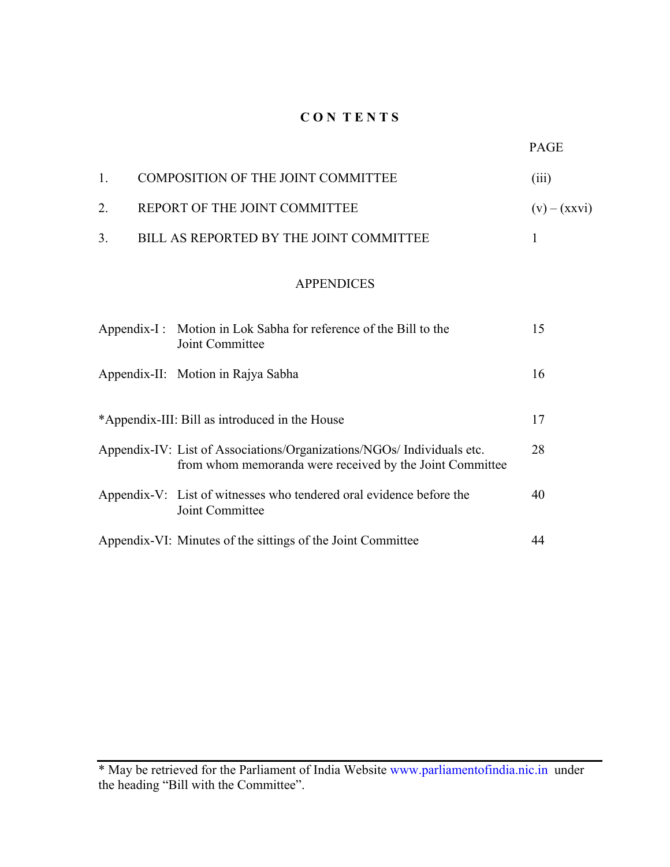# **C O N T E N T S**

| COMPOSITION OF THE JOINT COMMITTEE      | (111)          |
|-----------------------------------------|----------------|
| REPORT OF THE JOINT COMMITTEE           | $(v) - (xxvi)$ |
| BILL AS REPORTED BY THE JOINT COMMITTEE |                |

# APPENDICES

| Appendix-I: Motion in Lok Sabha for reference of the Bill to the<br>Joint Committee                                                | 15 |
|------------------------------------------------------------------------------------------------------------------------------------|----|
| Appendix-II: Motion in Rajya Sabha                                                                                                 | 16 |
| *Appendix-III: Bill as introduced in the House                                                                                     | 17 |
| Appendix-IV: List of Associations/Organizations/NGOs/ Individuals etc.<br>from whom memoranda were received by the Joint Committee | 28 |
| Appendix-V: List of witnesses who tendered oral evidence before the<br>Joint Committee                                             | 40 |
| Appendix-VI: Minutes of the sittings of the Joint Committee                                                                        | 44 |

<sup>\*</sup> May be retrieved for the Parliament of India Website [www.parliamentofindia.nic.in](http://www.parliamentofindia.nic.in/) under the heading "Bill with the Committee".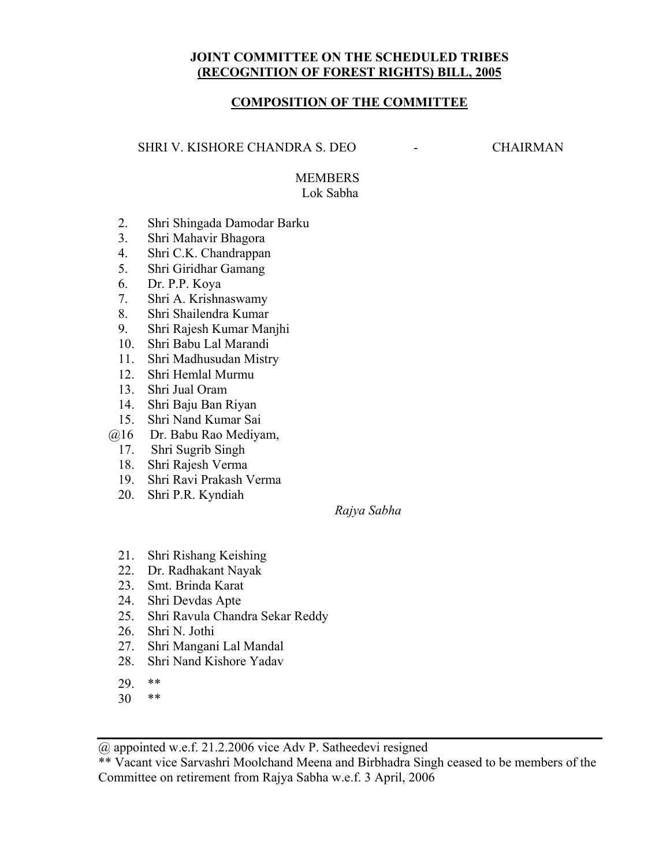# **JOINT COMMITTEE ON THE SCHEDULED TRIBES (RECOGNITION OF FOREST RIGHTS) BILL, 2005**

# **COMPOSITION OF THE COMMITTEE**

SHRI V. KISHORE CHANDRA S. DEO - CHAIRMAN

# **MEMBERS** Lok Sabha

- 2. Shri Shingada Damodar Barku
- 3. Shri Mahavir Bhagora
- 4. Shri C.K. Chandrappan
- 5. Shri Giridhar Gamang
- 6. Dr. P.P. Koya
- 7. Shri A. Krishnaswamy
- 8. Shri Shailendra Kumar
- 9. Shri Rajesh Kumar Manjhi
- 10. Shri Babu Lal Marandi
- 11. Shri Madhusudan Mistry
- 12. Shri Hemlal Murmu
- 13. Shri Jual Oram
- 14. Shri Baju Ban Riyan
- 15. Shri Nand Kumar Sai
- @16 Dr. Babu Rao Mediyam,
	- 17. Shri Sugrib Singh
	- 18. Shri Rajesh Verma
	- 19. Shri Ravi Prakash Verma
	- 20. Shri P.R. Kyndiah

*Rajya Sabha* 

- 21. Shri Rishang Keishing
- 22. Dr. Radhakant Nayak
- 23. Smt. Brinda Karat
- 24. Shri Devdas Apte
- 25. Shri Ravula Chandra Sekar Reddy
- 26. Shri N. Jothi
- 27. Shri Mangani Lal Mandal
- 28. Shri Nand Kishore Yadav
- 29. \*\*
- 30 \*\*

@ appointed w.e.f. 21.2.2006 vice Adv P. Satheedevi resigned

\*\* Vacant vice Sarvashri Moolchand Meena and Birbhadra Singh ceased to be members of the Committee on retirement from Rajya Sabha w.e.f. 3 April, 2006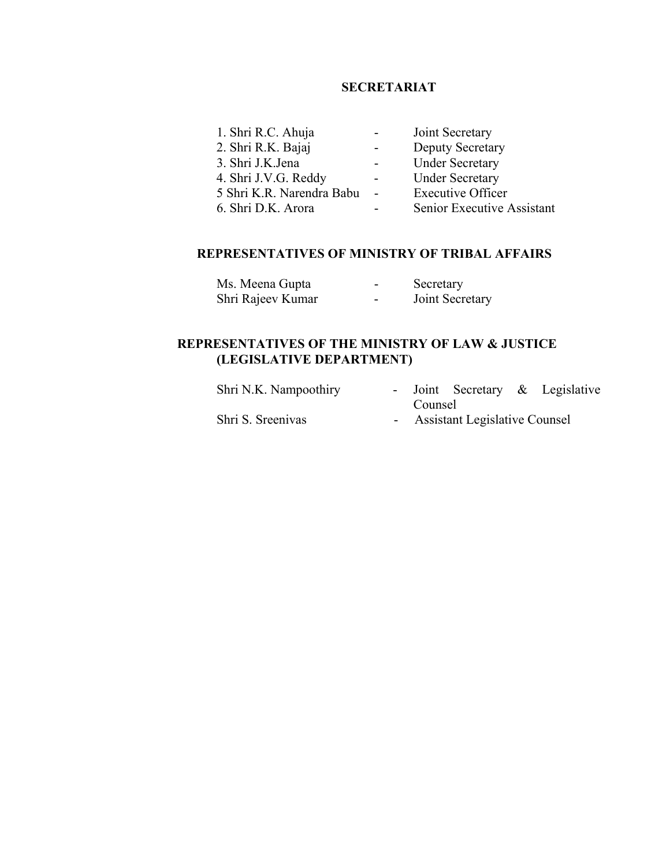# **SECRETARIAT**

| 1. Shri R.C. Ahuja          | $\sim$           | Joint Secretary            |
|-----------------------------|------------------|----------------------------|
| 2. Shri R.K. Bajaj          | $\sim$ 100 $\mu$ | <b>Deputy Secretary</b>    |
| 3. Shri J.K.Jena            | $\sim$ 100 $\mu$ | <b>Under Secretary</b>     |
| 4. Shri J.V.G. Reddy        | $\sim 100$       | <b>Under Secretary</b>     |
| 5 Shri K.R. Narendra Babu - |                  | <b>Executive Officer</b>   |
| 6. Shri D.K. Arora          | -                | Senior Executive Assistant |

# **REPRESENTATIVES OF MINISTRY OF TRIBAL AFFAIRS**

| Ms. Meena Gupta   | $\overline{\phantom{0}}$ | Secretary       |
|-------------------|--------------------------|-----------------|
| Shri Rajeev Kumar | $\overline{\phantom{a}}$ | Joint Secretary |

# **REPRESENTATIVES OF THE MINISTRY OF LAW & JUSTICE (LEGISLATIVE DEPARTMENT)**

| Shri N.K. Nampoothiry |                                 |  |  | - Joint Secretary $\&$ Legislative |
|-----------------------|---------------------------------|--|--|------------------------------------|
|                       | Counsel                         |  |  |                                    |
| Shri S. Sreeniyas     | - Assistant Legislative Counsel |  |  |                                    |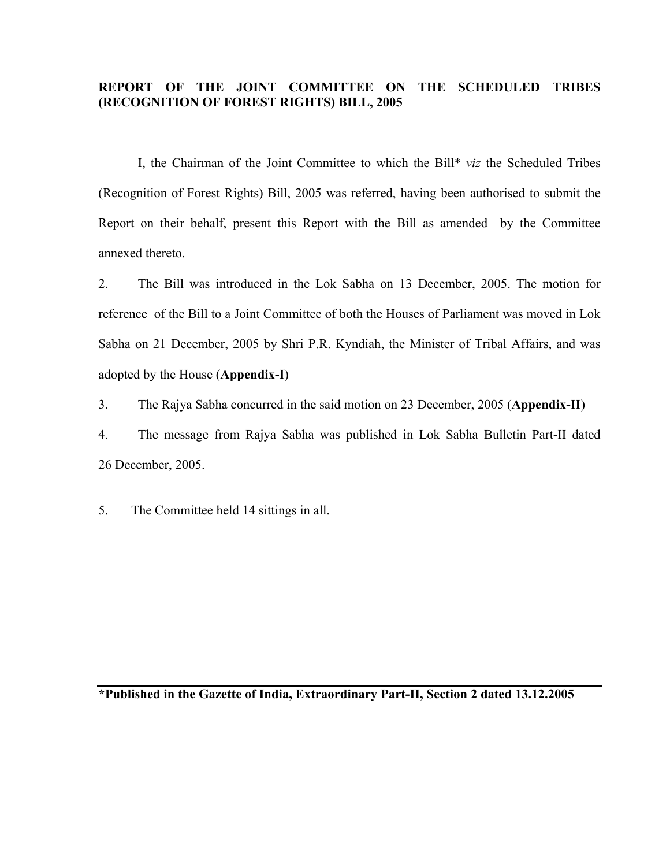# **REPORT OF THE JOINT COMMITTEE ON THE SCHEDULED TRIBES (RECOGNITION OF FOREST RIGHTS) BILL, 2005**

 I, the Chairman of the Joint Committee to which the Bill\* *viz* the Scheduled Tribes (Recognition of Forest Rights) Bill, 2005 was referred, having been authorised to submit the Report on their behalf, present this Report with the Bill as amended by the Committee annexed thereto.

2. The Bill was introduced in the Lok Sabha on 13 December, 2005. The motion for reference of the Bill to a Joint Committee of both the Houses of Parliament was moved in Lok Sabha on 21 December, 2005 by Shri P.R. Kyndiah, the Minister of Tribal Affairs, and was adopted by the House (**Appendix-I**)

3. The Rajya Sabha concurred in the said motion on 23 December, 2005 (**Appendix-II**)

4. The message from Rajya Sabha was published in Lok Sabha Bulletin Part-II dated 26 December, 2005.

5. The Committee held 14 sittings in all.

**\*Published in the Gazette of India, Extraordinary Part-II, Section 2 dated 13.12.2005**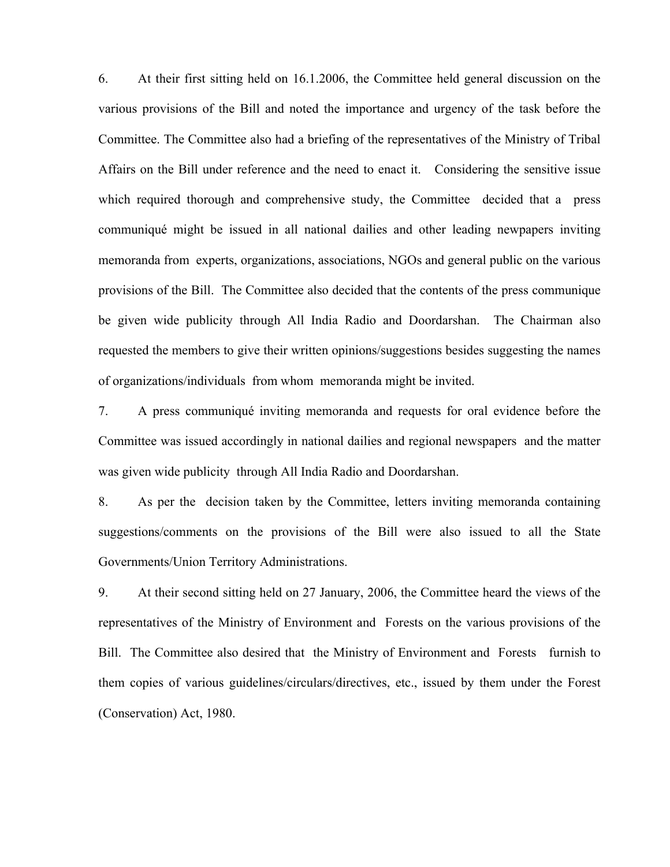6. At their first sitting held on 16.1.2006, the Committee held general discussion on the various provisions of the Bill and noted the importance and urgency of the task before the Committee. The Committee also had a briefing of the representatives of the Ministry of Tribal Affairs on the Bill under reference and the need to enact it. Considering the sensitive issue which required thorough and comprehensive study, the Committee decided that a press communiqué might be issued in all national dailies and other leading newpapers inviting memoranda from experts, organizations, associations, NGOs and general public on the various provisions of the Bill. The Committee also decided that the contents of the press communique be given wide publicity through All India Radio and Doordarshan. The Chairman also requested the members to give their written opinions/suggestions besides suggesting the names of organizations/individuals from whom memoranda might be invited.

7. A press communiqué inviting memoranda and requests for oral evidence before the Committee was issued accordingly in national dailies and regional newspapers and the matter was given wide publicity through All India Radio and Doordarshan.

8. As per the decision taken by the Committee, letters inviting memoranda containing suggestions/comments on the provisions of the Bill were also issued to all the State Governments/Union Territory Administrations.

9. At their second sitting held on 27 January, 2006, the Committee heard the views of the representatives of the Ministry of Environment and Forests on the various provisions of the Bill. The Committee also desired that the Ministry of Environment and Forests furnish to them copies of various guidelines/circulars/directives, etc., issued by them under the Forest (Conservation) Act, 1980.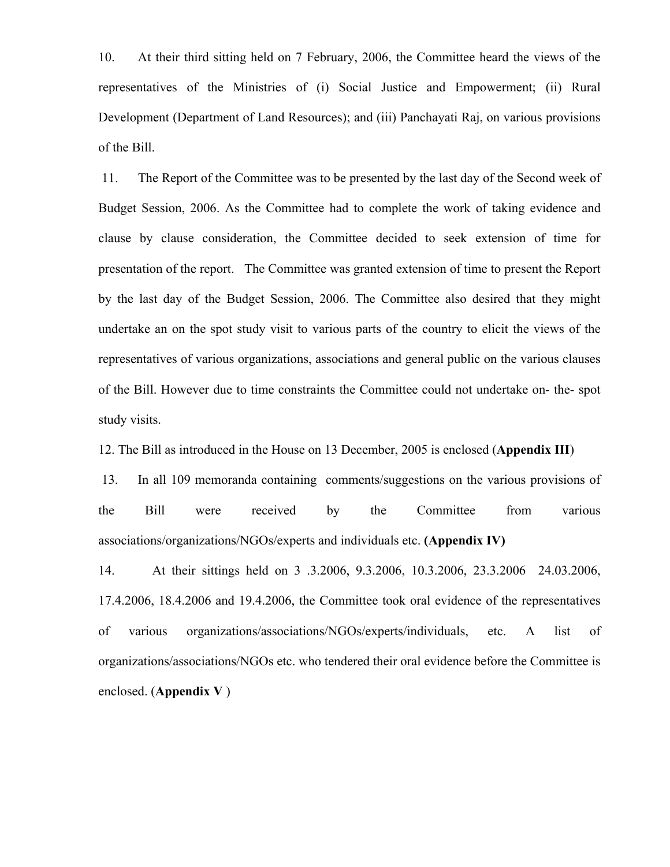10. At their third sitting held on 7 February, 2006, the Committee heard the views of the representatives of the Ministries of (i) Social Justice and Empowerment; (ii) Rural Development (Department of Land Resources); and (iii) Panchayati Raj, on various provisions of the Bill.

 11. The Report of the Committee was to be presented by the last day of the Second week of Budget Session, 2006. As the Committee had to complete the work of taking evidence and clause by clause consideration, the Committee decided to seek extension of time for presentation of the report. The Committee was granted extension of time to present the Report by the last day of the Budget Session, 2006. The Committee also desired that they might undertake an on the spot study visit to various parts of the country to elicit the views of the representatives of various organizations, associations and general public on the various clauses of the Bill. However due to time constraints the Committee could not undertake on- the- spot study visits.

12. The Bill as introduced in the House on 13 December, 2005 is enclosed (**Appendix III**)

 13. In all 109 memoranda containing comments/suggestions on the various provisions of the Bill were received by the Committee from various associations/organizations/NGOs/experts and individuals etc. **(Appendix IV)**

14. At their sittings held on 3 .3.2006, 9.3.2006, 10.3.2006, 23.3.2006 24.03.2006, 17.4.2006, 18.4.2006 and 19.4.2006, the Committee took oral evidence of the representatives of various organizations/associations/NGOs/experts/individuals, etc. A list of organizations/associations/NGOs etc. who tendered their oral evidence before the Committee is enclosed. (**Appendix V** )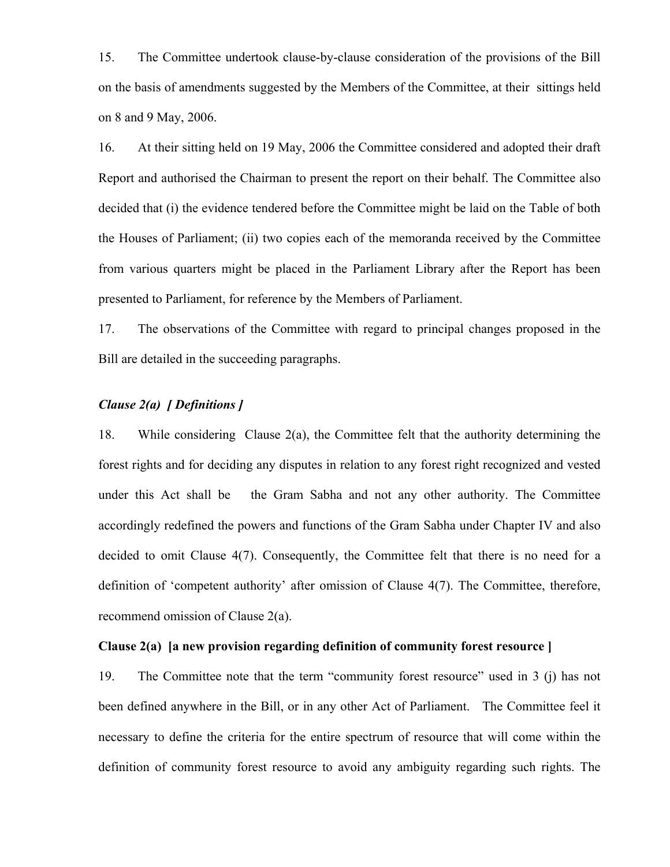15. The Committee undertook clause-by-clause consideration of the provisions of the Bill on the basis of amendments suggested by the Members of the Committee, at their sittings held on 8 and 9 May, 2006.

16. At their sitting held on 19 May, 2006 the Committee considered and adopted their draft Report and authorised the Chairman to present the report on their behalf. The Committee also decided that (i) the evidence tendered before the Committee might be laid on the Table of both the Houses of Parliament; (ii) two copies each of the memoranda received by the Committee from various quarters might be placed in the Parliament Library after the Report has been presented to Parliament, for reference by the Members of Parliament.

17. The observations of the Committee with regard to principal changes proposed in the Bill are detailed in the succeeding paragraphs.

# *Clause 2(a) [ Definitions ]*

18. While considering Clause  $2(a)$ , the Committee felt that the authority determining the forest rights and for deciding any disputes in relation to any forest right recognized and vested under this Act shall be the Gram Sabha and not any other authority. The Committee accordingly redefined the powers and functions of the Gram Sabha under Chapter IV and also decided to omit Clause 4(7). Consequently, the Committee felt that there is no need for a definition of 'competent authority' after omission of Clause 4(7). The Committee, therefore, recommend omission of Clause 2(a).

# **Clause 2(a) [a new provision regarding definition of community forest resource ]**

19. The Committee note that the term "community forest resource" used in 3 (j) has not been defined anywhere in the Bill, or in any other Act of Parliament. The Committee feel it necessary to define the criteria for the entire spectrum of resource that will come within the definition of community forest resource to avoid any ambiguity regarding such rights. The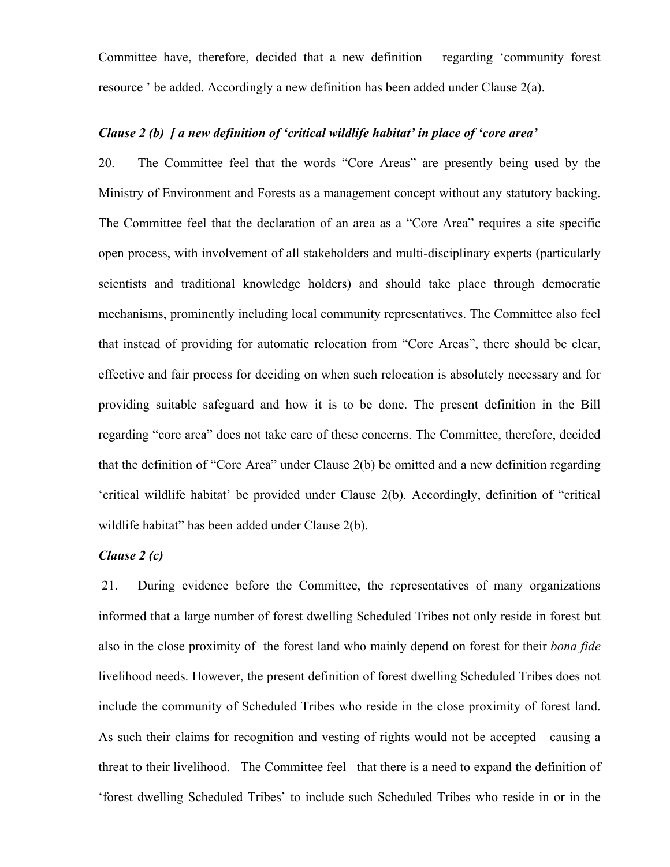Committee have, therefore, decided that a new definition regarding 'community forest resource ' be added. Accordingly a new definition has been added under Clause 2(a).

# *Clause 2 (b) [ a new definition of 'critical wildlife habitat' in place of 'core area'*

20. The Committee feel that the words "Core Areas" are presently being used by the Ministry of Environment and Forests as a management concept without any statutory backing. The Committee feel that the declaration of an area as a "Core Area" requires a site specific open process, with involvement of all stakeholders and multi-disciplinary experts (particularly scientists and traditional knowledge holders) and should take place through democratic mechanisms, prominently including local community representatives. The Committee also feel that instead of providing for automatic relocation from "Core Areas", there should be clear, effective and fair process for deciding on when such relocation is absolutely necessary and for providing suitable safeguard and how it is to be done. The present definition in the Bill regarding "core area" does not take care of these concerns. The Committee, therefore, decided that the definition of "Core Area" under Clause 2(b) be omitted and a new definition regarding 'critical wildlife habitat' be provided under Clause 2(b). Accordingly, definition of "critical wildlife habitat" has been added under Clause 2(b).

# *Clause 2 (c)*

21. During evidence before the Committee, the representatives of many organizations informed that a large number of forest dwelling Scheduled Tribes not only reside in forest but also in the close proximity of the forest land who mainly depend on forest for their *bona fide* livelihood needs. However, the present definition of forest dwelling Scheduled Tribes does not include the community of Scheduled Tribes who reside in the close proximity of forest land. As such their claims for recognition and vesting of rights would not be accepted causing a threat to their livelihood. The Committee feel that there is a need to expand the definition of 'forest dwelling Scheduled Tribes' to include such Scheduled Tribes who reside in or in the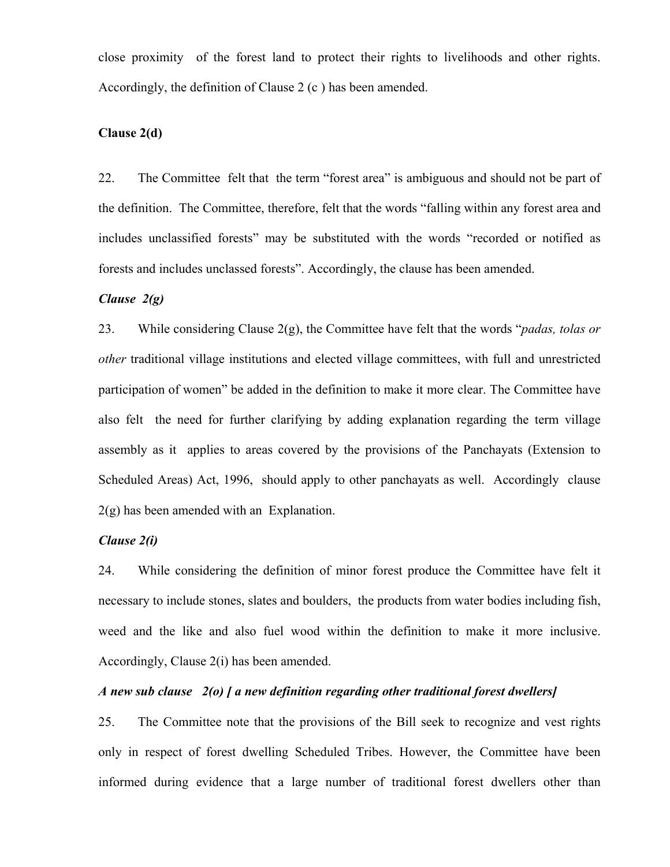close proximity of the forest land to protect their rights to livelihoods and other rights. Accordingly, the definition of Clause 2 (c ) has been amended.

# **Clause 2(d)**

22. The Committee felt that the term "forest area" is ambiguous and should not be part of the definition. The Committee, therefore, felt that the words "falling within any forest area and includes unclassified forests" may be substituted with the words "recorded or notified as forests and includes unclassed forests". Accordingly, the clause has been amended.

#### *Clause 2(g)*

23. While considering Clause 2(g), the Committee have felt that the words "*padas, tolas or other* traditional village institutions and elected village committees, with full and unrestricted participation of women" be added in the definition to make it more clear. The Committee have also felt the need for further clarifying by adding explanation regarding the term village assembly as it applies to areas covered by the provisions of the Panchayats (Extension to Scheduled Areas) Act, 1996, should apply to other panchayats as well. Accordingly clause 2(g) has been amended with an Explanation.

#### *Clause 2(i)*

24. While considering the definition of minor forest produce the Committee have felt it necessary to include stones, slates and boulders, the products from water bodies including fish, weed and the like and also fuel wood within the definition to make it more inclusive. Accordingly, Clause 2(i) has been amended.

#### *A new sub clause 2(o) [ a new definition regarding other traditional forest dwellers]*

25. The Committee note that the provisions of the Bill seek to recognize and vest rights only in respect of forest dwelling Scheduled Tribes. However, the Committee have been informed during evidence that a large number of traditional forest dwellers other than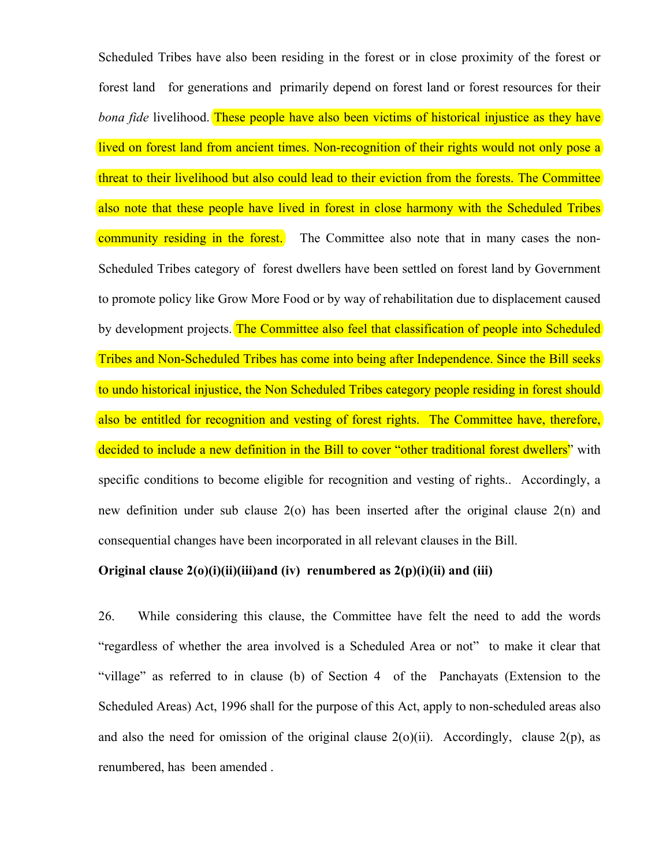Scheduled Tribes have also been residing in the forest or in close proximity of the forest or forest land for generations and primarily depend on forest land or forest resources for their *bona fide* livelihood. These people have also been victims of historical injustice as they have lived on forest land from ancient times. Non-recognition of their rights would not only pose a threat to their livelihood but also could lead to their eviction from the forests. The Committee also note that these people have lived in forest in close harmony with the Scheduled Tribes community residing in the forest. The Committee also note that in many cases the non-Scheduled Tribes category of forest dwellers have been settled on forest land by Government to promote policy like Grow More Food or by way of rehabilitation due to displacement caused by development projects. The Committee also feel that classification of people into Scheduled Tribes and Non-Scheduled Tribes has come into being after Independence. Since the Bill seeks to undo historical injustice, the Non Scheduled Tribes category people residing in forest should also be entitled for recognition and vesting of forest rights. The Committee have, therefore, decided to include a new definition in the Bill to cover "other traditional forest dwellers" with specific conditions to become eligible for recognition and vesting of rights.. Accordingly, a new definition under sub clause 2(o) has been inserted after the original clause 2(n) and consequential changes have been incorporated in all relevant clauses in the Bill.

#### **Original clause 2(o)(i)(ii)(iii)and (iv) renumbered as 2(p)(i)(ii) and (iii)**

26. While considering this clause, the Committee have felt the need to add the words "regardless of whether the area involved is a Scheduled Area or not" to make it clear that "village" as referred to in clause (b) of Section 4 of the Panchayats (Extension to the Scheduled Areas) Act, 1996 shall for the purpose of this Act, apply to non-scheduled areas also and also the need for omission of the original clause  $2(o)(ii)$ . Accordingly, clause  $2(p)$ , as renumbered, has been amended .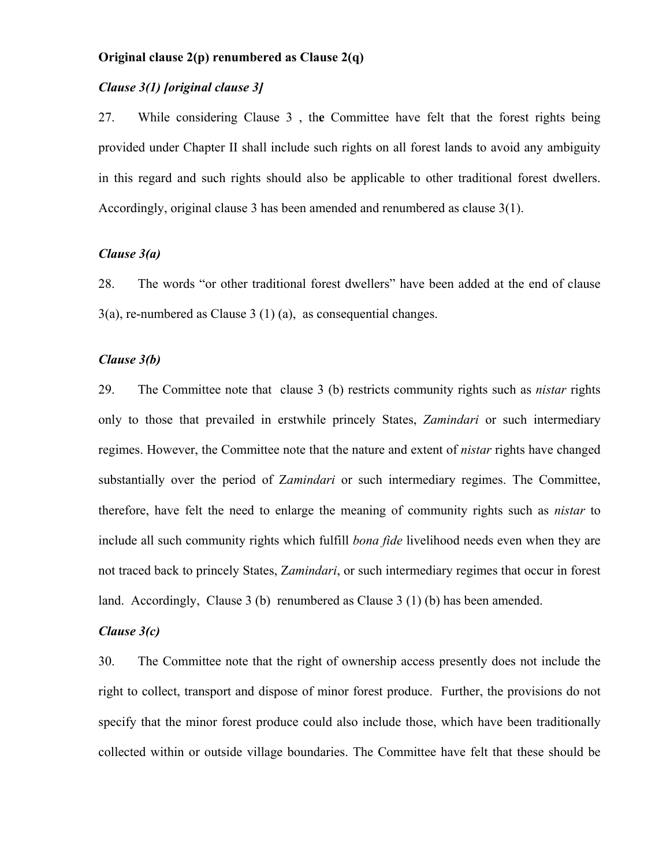## **Original clause 2(p) renumbered as Clause 2(q)**

# *Clause 3(1) [original clause 3]*

27. While considering Clause 3 , th**e** Committee have felt that the forest rights being provided under Chapter II shall include such rights on all forest lands to avoid any ambiguity in this regard and such rights should also be applicable to other traditional forest dwellers. Accordingly, original clause 3 has been amended and renumbered as clause 3(1).

# *Clause 3(a)*

28. The words "or other traditional forest dwellers" have been added at the end of clause  $3(a)$ , re-numbered as Clause  $3(1)(a)$ , as consequential changes.

## *Clause 3(b)*

29. The Committee note that clause 3 (b) restricts community rights such as *nistar* rights only to those that prevailed in erstwhile princely States, *Zamindari* or such intermediary regimes. However, the Committee note that the nature and extent of *nistar* rights have changed substantially over the period of Z*amindari* or such intermediary regimes. The Committee, therefore, have felt the need to enlarge the meaning of community rights such as *nistar* to include all such community rights which fulfill *bona fide* livelihood needs even when they are not traced back to princely States, Z*amindari*, or such intermediary regimes that occur in forest land. Accordingly, Clause 3 (b) renumbered as Clause 3 (1) (b) has been amended.

# *Clause 3(c)*

30. The Committee note that the right of ownership access presently does not include the right to collect, transport and dispose of minor forest produce. Further, the provisions do not specify that the minor forest produce could also include those, which have been traditionally collected within or outside village boundaries. The Committee have felt that these should be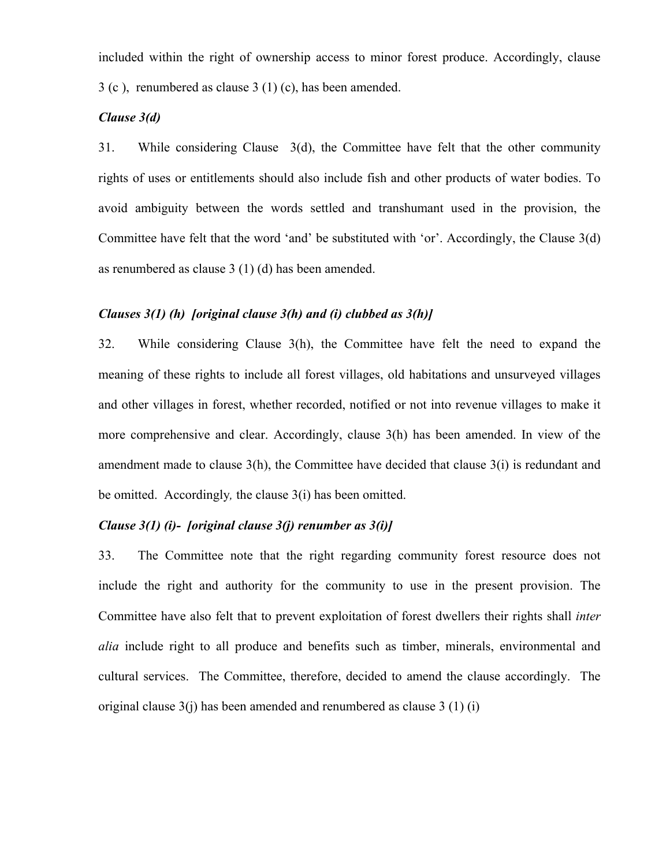included within the right of ownership access to minor forest produce. Accordingly, clause 3 (c ), renumbered as clause 3 (1) (c), has been amended.

## *Clause 3(d)*

31. While considering Clause 3(d), the Committee have felt that the other community rights of uses or entitlements should also include fish and other products of water bodies. To avoid ambiguity between the words settled and transhumant used in the provision, the Committee have felt that the word 'and' be substituted with 'or'. Accordingly, the Clause 3(d) as renumbered as clause 3 (1) (d) has been amended.

# *Clauses 3(1) (h) [original clause 3(h) and (i) clubbed as 3(h)]*

32. While considering Clause 3(h), the Committee have felt the need to expand the meaning of these rights to include all forest villages, old habitations and unsurveyed villages and other villages in forest, whether recorded, notified or not into revenue villages to make it more comprehensive and clear. Accordingly, clause 3(h) has been amended. In view of the amendment made to clause  $3(h)$ , the Committee have decided that clause  $3(i)$  is redundant and be omitted. Accordingly*,* the clause 3(i) has been omitted.

# *Clause 3(1) (i)- [original clause 3(j) renumber as 3(i)]*

33. The Committee note that the right regarding community forest resource does not include the right and authority for the community to use in the present provision. The Committee have also felt that to prevent exploitation of forest dwellers their rights shall *inter alia* include right to all produce and benefits such as timber, minerals, environmental and cultural services. The Committee, therefore, decided to amend the clause accordingly. The original clause  $3(i)$  has been amended and renumbered as clause  $3(1)(i)$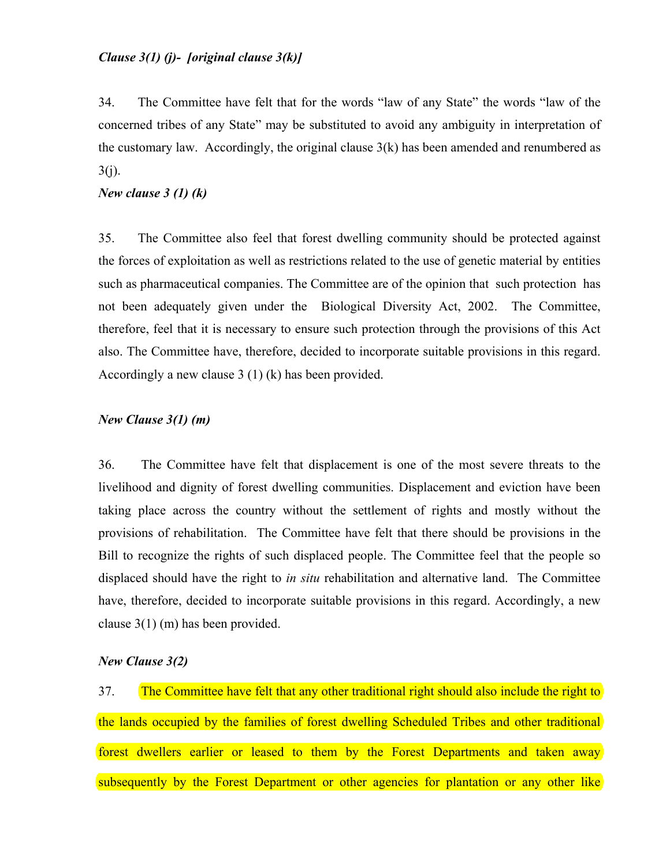# *Clause 3(1) (j)- [original clause 3(k)]*

34. The Committee have felt that for the words "law of any State" the words "law of the concerned tribes of any State" may be substituted to avoid any ambiguity in interpretation of the customary law. Accordingly, the original clause  $3(k)$  has been amended and renumbered as  $3(j)$ .

## *New clause 3 (1) (k)*

35. The Committee also feel that forest dwelling community should be protected against the forces of exploitation as well as restrictions related to the use of genetic material by entities such as pharmaceutical companies. The Committee are of the opinion that such protection has not been adequately given under the Biological Diversity Act, 2002. The Committee, therefore, feel that it is necessary to ensure such protection through the provisions of this Act also. The Committee have, therefore, decided to incorporate suitable provisions in this regard. Accordingly a new clause 3 (1) (k) has been provided.

## *New Clause 3(1) (m)*

36. The Committee have felt that displacement is one of the most severe threats to the livelihood and dignity of forest dwelling communities. Displacement and eviction have been taking place across the country without the settlement of rights and mostly without the provisions of rehabilitation. The Committee have felt that there should be provisions in the Bill to recognize the rights of such displaced people. The Committee feel that the people so displaced should have the right to *in situ* rehabilitation and alternative land. The Committee have, therefore, decided to incorporate suitable provisions in this regard. Accordingly, a new clause 3(1) (m) has been provided.

#### *New Clause 3(2)*

37. The Committee have felt that any other traditional right should also include the right to the lands occupied by the families of forest dwelling Scheduled Tribes and other traditional forest dwellers earlier or leased to them by the Forest Departments and taken away subsequently by the Forest Department or other agencies for plantation or any other like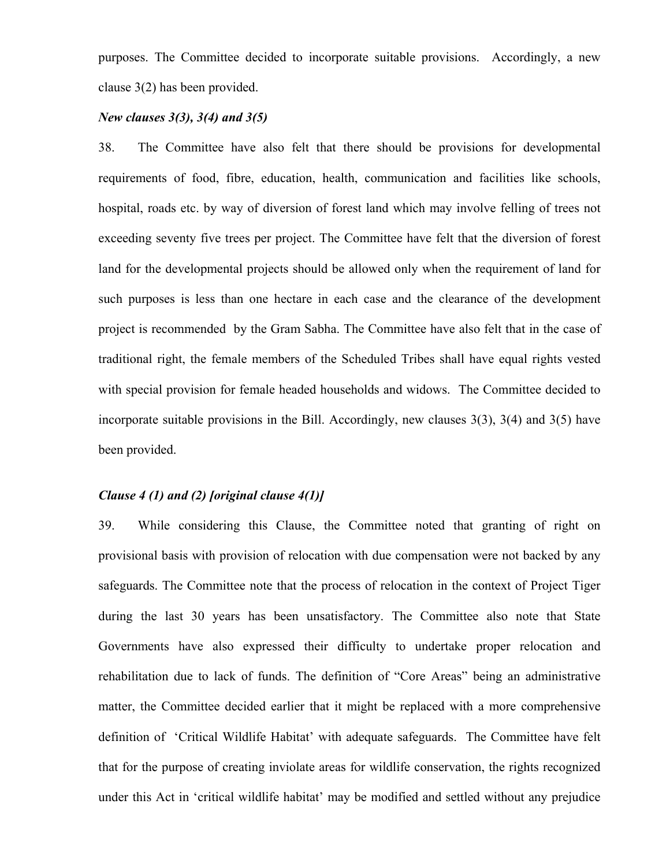purposes. The Committee decided to incorporate suitable provisions. Accordingly, a new clause 3(2) has been provided.

# *New clauses 3(3), 3(4) and 3(5)*

38. The Committee have also felt that there should be provisions for developmental requirements of food, fibre, education, health, communication and facilities like schools, hospital, roads etc. by way of diversion of forest land which may involve felling of trees not exceeding seventy five trees per project. The Committee have felt that the diversion of forest land for the developmental projects should be allowed only when the requirement of land for such purposes is less than one hectare in each case and the clearance of the development project is recommended by the Gram Sabha. The Committee have also felt that in the case of traditional right, the female members of the Scheduled Tribes shall have equal rights vested with special provision for female headed households and widows. The Committee decided to incorporate suitable provisions in the Bill. Accordingly, new clauses 3(3), 3(4) and 3(5) have been provided.

## *Clause 4 (1) and (2) [original clause 4(1)]*

39. While considering this Clause, the Committee noted that granting of right on provisional basis with provision of relocation with due compensation were not backed by any safeguards. The Committee note that the process of relocation in the context of Project Tiger during the last 30 years has been unsatisfactory. The Committee also note that State Governments have also expressed their difficulty to undertake proper relocation and rehabilitation due to lack of funds. The definition of "Core Areas" being an administrative matter, the Committee decided earlier that it might be replaced with a more comprehensive definition of 'Critical Wildlife Habitat' with adequate safeguards. The Committee have felt that for the purpose of creating inviolate areas for wildlife conservation, the rights recognized under this Act in 'critical wildlife habitat' may be modified and settled without any prejudice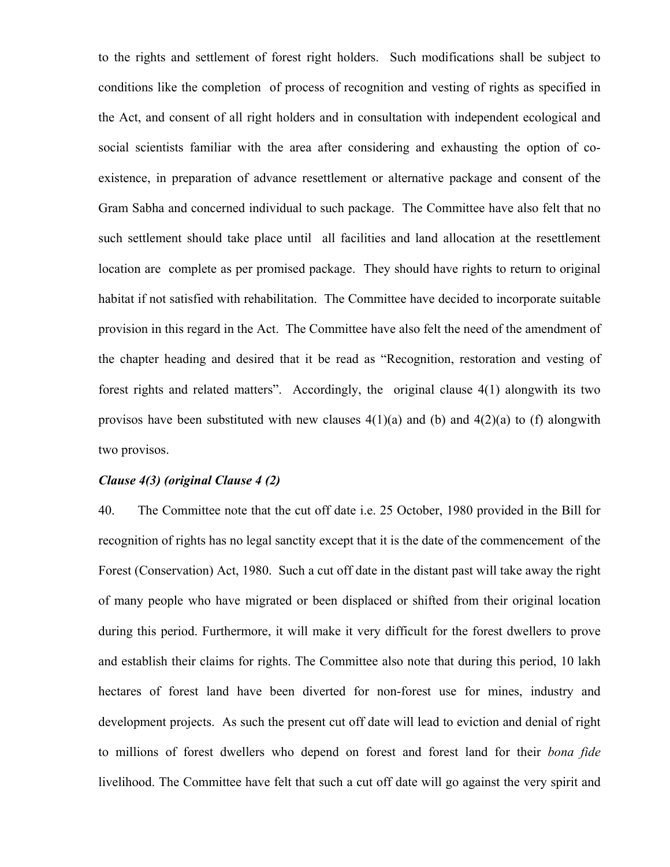to the rights and settlement of forest right holders. Such modifications shall be subject to conditions like the completion of process of recognition and vesting of rights as specified in the Act, and consent of all right holders and in consultation with independent ecological and social scientists familiar with the area after considering and exhausting the option of coexistence, in preparation of advance resettlement or alternative package and consent of the Gram Sabha and concerned individual to such package. The Committee have also felt that no such settlement should take place until all facilities and land allocation at the resettlement location are complete as per promised package. They should have rights to return to original habitat if not satisfied with rehabilitation. The Committee have decided to incorporate suitable provision in this regard in the Act. The Committee have also felt the need of the amendment of the chapter heading and desired that it be read as "Recognition, restoration and vesting of forest rights and related matters". Accordingly, the original clause 4(1) alongwith its two provisos have been substituted with new clauses  $4(1)(a)$  and  $(b)$  and  $4(2)(a)$  to (f) alongwith two provisos.

#### *Clause 4(3) (original Clause 4 (2)*

40. The Committee note that the cut off date i.e. 25 October, 1980 provided in the Bill for recognition of rights has no legal sanctity except that it is the date of the commencement of the Forest (Conservation) Act, 1980. Such a cut off date in the distant past will take away the right of many people who have migrated or been displaced or shifted from their original location during this period. Furthermore, it will make it very difficult for the forest dwellers to prove and establish their claims for rights. The Committee also note that during this period, 10 lakh hectares of forest land have been diverted for non-forest use for mines, industry and development projects. As such the present cut off date will lead to eviction and denial of right to millions of forest dwellers who depend on forest and forest land for their *bona fide* livelihood. The Committee have felt that such a cut off date will go against the very spirit and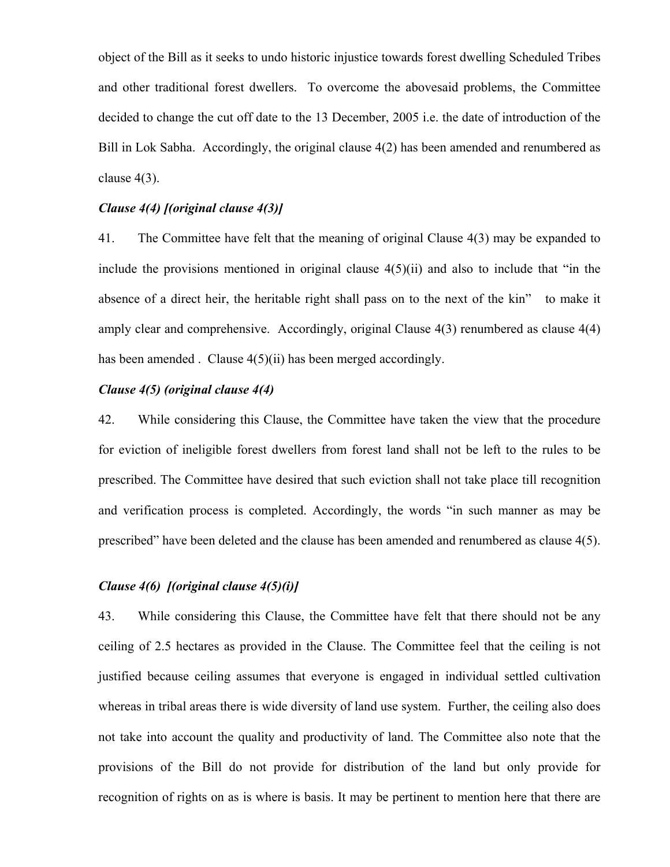object of the Bill as it seeks to undo historic injustice towards forest dwelling Scheduled Tribes and other traditional forest dwellers. To overcome the abovesaid problems, the Committee decided to change the cut off date to the 13 December, 2005 i.e. the date of introduction of the Bill in Lok Sabha. Accordingly, the original clause 4(2) has been amended and renumbered as clause 4(3).

# *Clause 4(4) [(original clause 4(3)]*

41. The Committee have felt that the meaning of original Clause 4(3) may be expanded to include the provisions mentioned in original clause  $4(5)(ii)$  and also to include that "in the absence of a direct heir, the heritable right shall pass on to the next of the kin" to make it amply clear and comprehensive. Accordingly, original Clause 4(3) renumbered as clause 4(4) has been amended . Clause  $4(5)(ii)$  has been merged accordingly.

# *Clause 4(5) (original clause 4(4)*

42. While considering this Clause, the Committee have taken the view that the procedure for eviction of ineligible forest dwellers from forest land shall not be left to the rules to be prescribed. The Committee have desired that such eviction shall not take place till recognition and verification process is completed. Accordingly, the words "in such manner as may be prescribed" have been deleted and the clause has been amended and renumbered as clause 4(5).

# *Clause 4(6) [(original clause 4(5)(i)]*

43. While considering this Clause, the Committee have felt that there should not be any ceiling of 2.5 hectares as provided in the Clause. The Committee feel that the ceiling is not justified because ceiling assumes that everyone is engaged in individual settled cultivation whereas in tribal areas there is wide diversity of land use system. Further, the ceiling also does not take into account the quality and productivity of land. The Committee also note that the provisions of the Bill do not provide for distribution of the land but only provide for recognition of rights on as is where is basis. It may be pertinent to mention here that there are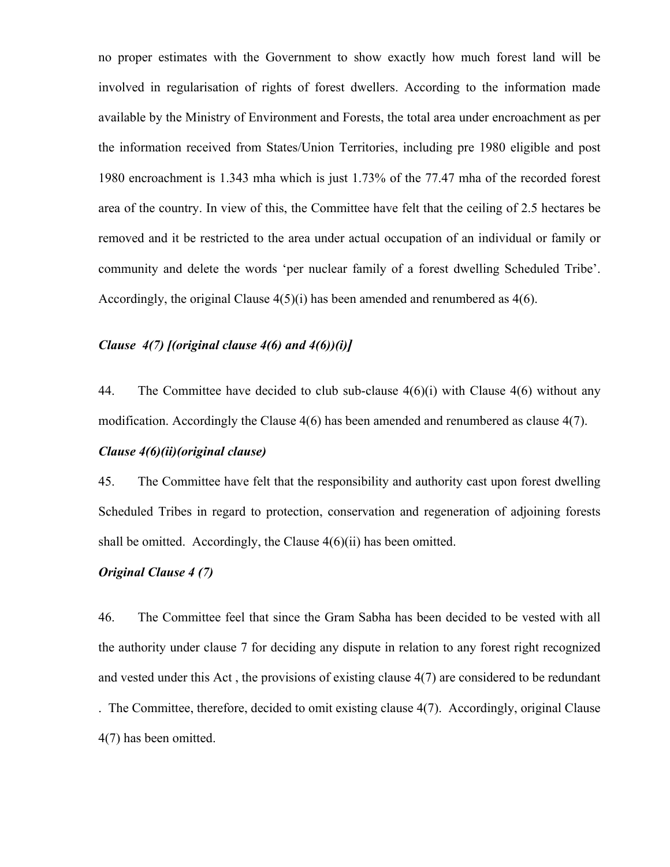no proper estimates with the Government to show exactly how much forest land will be involved in regularisation of rights of forest dwellers. According to the information made available by the Ministry of Environment and Forests, the total area under encroachment as per the information received from States/Union Territories, including pre 1980 eligible and post 1980 encroachment is 1.343 mha which is just 1.73% of the 77.47 mha of the recorded forest area of the country. In view of this, the Committee have felt that the ceiling of 2.5 hectares be removed and it be restricted to the area under actual occupation of an individual or family or community and delete the words 'per nuclear family of a forest dwelling Scheduled Tribe'. Accordingly, the original Clause 4(5)(i) has been amended and renumbered as 4(6).

# *Clause 4(7) [(original clause 4(6) and 4(6))(i)]*

44. The Committee have decided to club sub-clause 4(6)(i) with Clause 4(6) without any modification. Accordingly the Clause 4(6) has been amended and renumbered as clause 4(7).

## *Clause 4(6)(ii)(original clause)*

45. The Committee have felt that the responsibility and authority cast upon forest dwelling Scheduled Tribes in regard to protection, conservation and regeneration of adjoining forests shall be omitted. Accordingly, the Clause 4(6)(ii) has been omitted.

# *Original Clause 4 (7)*

46. The Committee feel that since the Gram Sabha has been decided to be vested with all the authority under clause 7 for deciding any dispute in relation to any forest right recognized and vested under this Act , the provisions of existing clause 4(7) are considered to be redundant . The Committee, therefore, decided to omit existing clause 4(7). Accordingly, original Clause 4(7) has been omitted.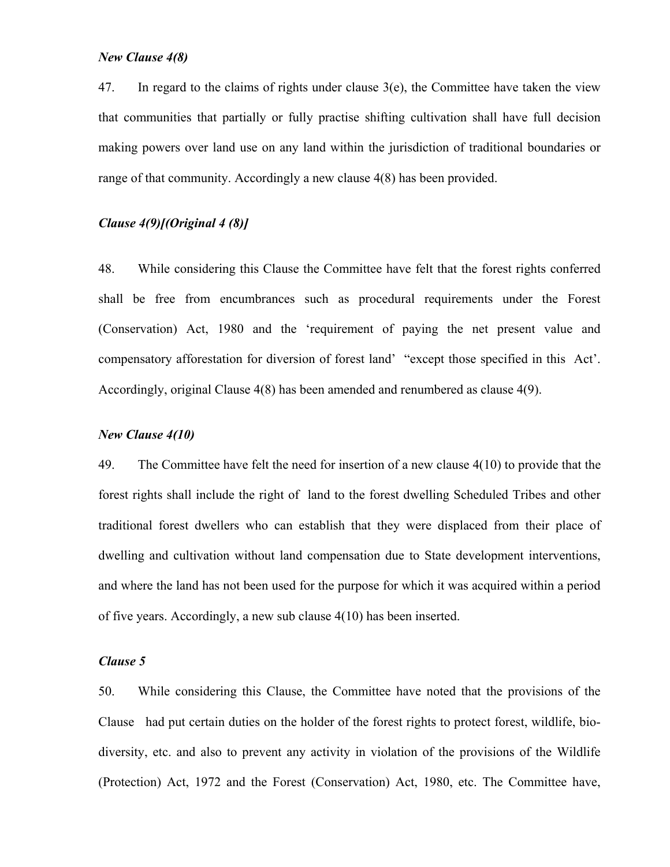#### *New Clause 4(8)*

47. In regard to the claims of rights under clause  $3(e)$ , the Committee have taken the view that communities that partially or fully practise shifting cultivation shall have full decision making powers over land use on any land within the jurisdiction of traditional boundaries or range of that community. Accordingly a new clause 4(8) has been provided.

# *Clause 4(9)[(Original 4 (8)]*

48. While considering this Clause the Committee have felt that the forest rights conferred shall be free from encumbrances such as procedural requirements under the Forest (Conservation) Act, 1980 and the 'requirement of paying the net present value and compensatory afforestation for diversion of forest land' "except those specified in this Act'. Accordingly, original Clause 4(8) has been amended and renumbered as clause 4(9).

### *New Clause 4(10)*

49. The Committee have felt the need for insertion of a new clause 4(10) to provide that the forest rights shall include the right of land to the forest dwelling Scheduled Tribes and other traditional forest dwellers who can establish that they were displaced from their place of dwelling and cultivation without land compensation due to State development interventions, and where the land has not been used for the purpose for which it was acquired within a period of five years. Accordingly, a new sub clause 4(10) has been inserted.

#### *Clause 5*

50. While considering this Clause, the Committee have noted that the provisions of the Clause had put certain duties on the holder of the forest rights to protect forest, wildlife, biodiversity, etc. and also to prevent any activity in violation of the provisions of the Wildlife (Protection) Act, 1972 and the Forest (Conservation) Act, 1980, etc. The Committee have,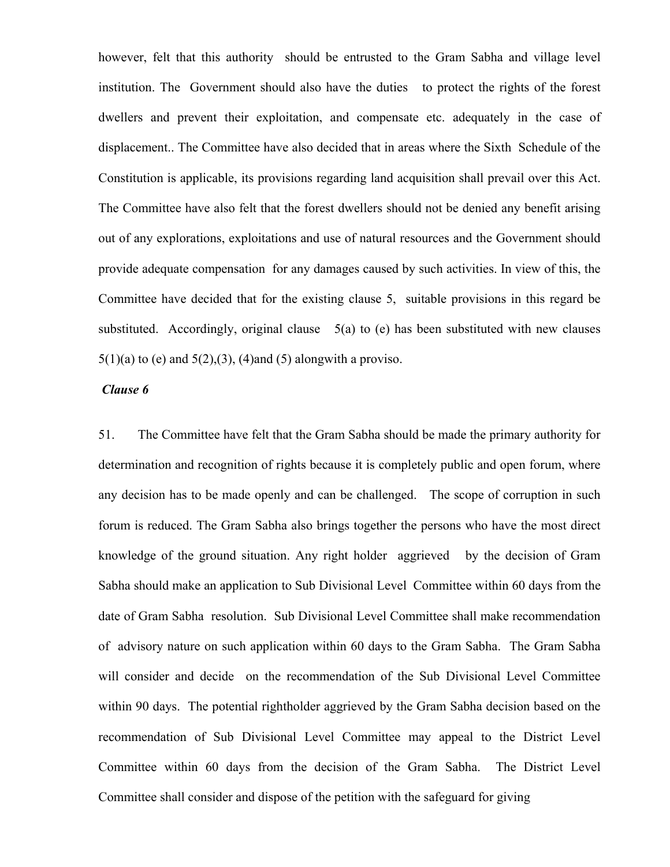however, felt that this authority should be entrusted to the Gram Sabha and village level institution. The Government should also have the duties to protect the rights of the forest dwellers and prevent their exploitation, and compensate etc. adequately in the case of displacement.. The Committee have also decided that in areas where the Sixth Schedule of the Constitution is applicable, its provisions regarding land acquisition shall prevail over this Act. The Committee have also felt that the forest dwellers should not be denied any benefit arising out of any explorations, exploitations and use of natural resources and the Government should provide adequate compensation for any damages caused by such activities. In view of this, the Committee have decided that for the existing clause 5, suitable provisions in this regard be substituted. Accordingly, original clause  $5(a)$  to (e) has been substituted with new clauses  $5(1)(a)$  to (e) and  $5(2),(3)$ , (4)and (5) alongwith a proviso.

#### *Clause 6*

51. The Committee have felt that the Gram Sabha should be made the primary authority for determination and recognition of rights because it is completely public and open forum, where any decision has to be made openly and can be challenged. The scope of corruption in such forum is reduced. The Gram Sabha also brings together the persons who have the most direct knowledge of the ground situation. Any right holder aggrieved by the decision of Gram Sabha should make an application to Sub Divisional Level Committee within 60 days from the date of Gram Sabha resolution. Sub Divisional Level Committee shall make recommendation of advisory nature on such application within 60 days to the Gram Sabha. The Gram Sabha will consider and decide on the recommendation of the Sub Divisional Level Committee within 90 days. The potential rightholder aggrieved by the Gram Sabha decision based on the recommendation of Sub Divisional Level Committee may appeal to the District Level Committee within 60 days from the decision of the Gram Sabha. The District Level Committee shall consider and dispose of the petition with the safeguard for giving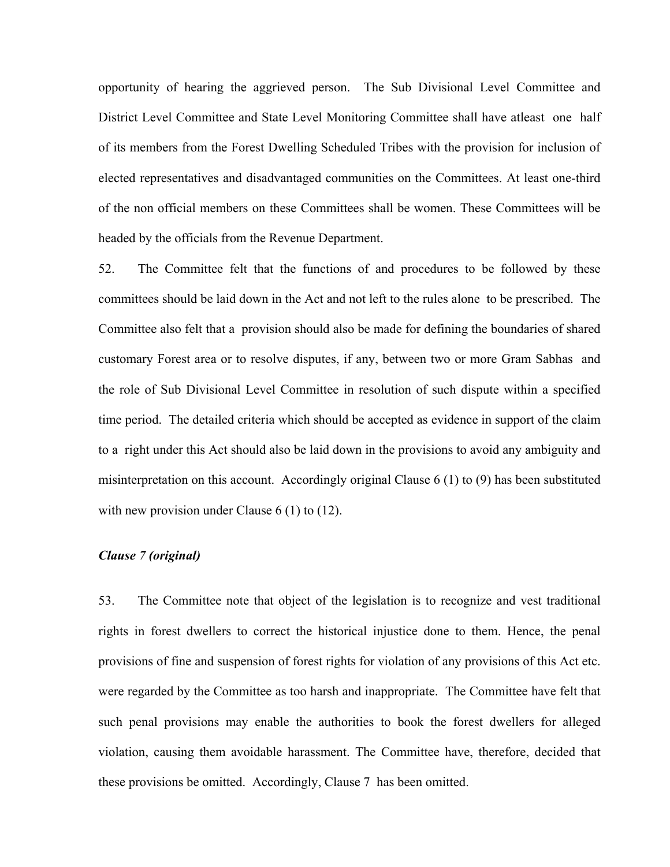opportunity of hearing the aggrieved person. The Sub Divisional Level Committee and District Level Committee and State Level Monitoring Committee shall have atleast one half of its members from the Forest Dwelling Scheduled Tribes with the provision for inclusion of elected representatives and disadvantaged communities on the Committees. At least one-third of the non official members on these Committees shall be women. These Committees will be headed by the officials from the Revenue Department.

52. The Committee felt that the functions of and procedures to be followed by these committees should be laid down in the Act and not left to the rules alone to be prescribed. The Committee also felt that a provision should also be made for defining the boundaries of shared customary Forest area or to resolve disputes, if any, between two or more Gram Sabhas and the role of Sub Divisional Level Committee in resolution of such dispute within a specified time period. The detailed criteria which should be accepted as evidence in support of the claim to a right under this Act should also be laid down in the provisions to avoid any ambiguity and misinterpretation on this account. Accordingly original Clause 6 (1) to (9) has been substituted with new provision under Clause 6 (1) to (12).

### *Clause 7 (original)*

53. The Committee note that object of the legislation is to recognize and vest traditional rights in forest dwellers to correct the historical injustice done to them. Hence, the penal provisions of fine and suspension of forest rights for violation of any provisions of this Act etc. were regarded by the Committee as too harsh and inappropriate. The Committee have felt that such penal provisions may enable the authorities to book the forest dwellers for alleged violation, causing them avoidable harassment. The Committee have, therefore, decided that these provisions be omitted. Accordingly, Clause 7 has been omitted.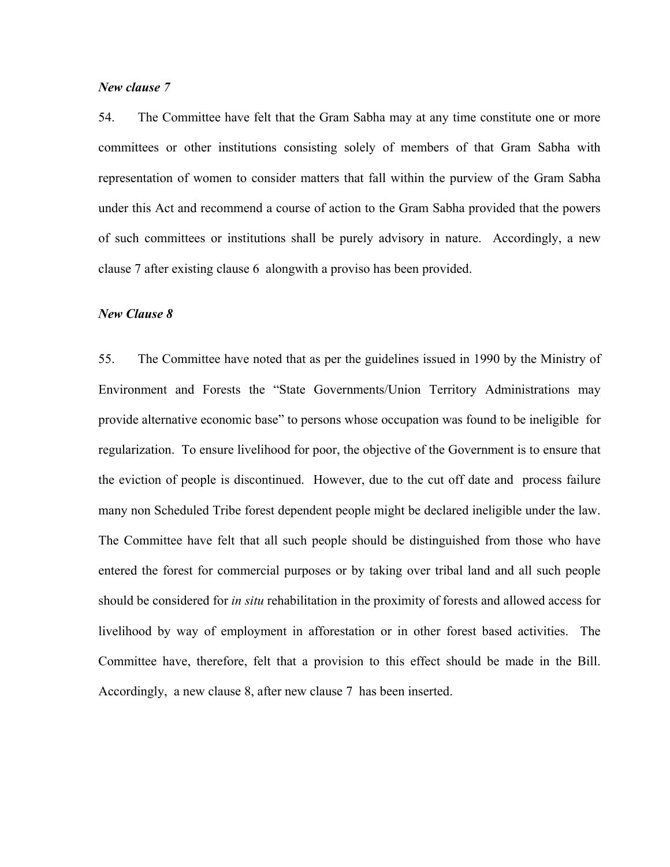#### *New clause 7*

54. The Committee have felt that the Gram Sabha may at any time constitute one or more committees or other institutions consisting solely of members of that Gram Sabha with representation of women to consider matters that fall within the purview of the Gram Sabha under this Act and recommend a course of action to the Gram Sabha provided that the powers of such committees or institutions shall be purely advisory in nature. Accordingly, a new clause 7 after existing clause 6 alongwith a proviso has been provided.

## *New Clause 8*

55. The Committee have noted that as per the guidelines issued in 1990 by the Ministry of Environment and Forests the "State Governments/Union Territory Administrations may provide alternative economic base" to persons whose occupation was found to be ineligible for regularization. To ensure livelihood for poor, the objective of the Government is to ensure that the eviction of people is discontinued. However, due to the cut off date and process failure many non Scheduled Tribe forest dependent people might be declared ineligible under the law. The Committee have felt that all such people should be distinguished from those who have entered the forest for commercial purposes or by taking over tribal land and all such people should be considered for *in situ* rehabilitation in the proximity of forests and allowed access for livelihood by way of employment in afforestation or in other forest based activities. The Committee have, therefore, felt that a provision to this effect should be made in the Bill. Accordingly, a new clause 8, after new clause 7 has been inserted.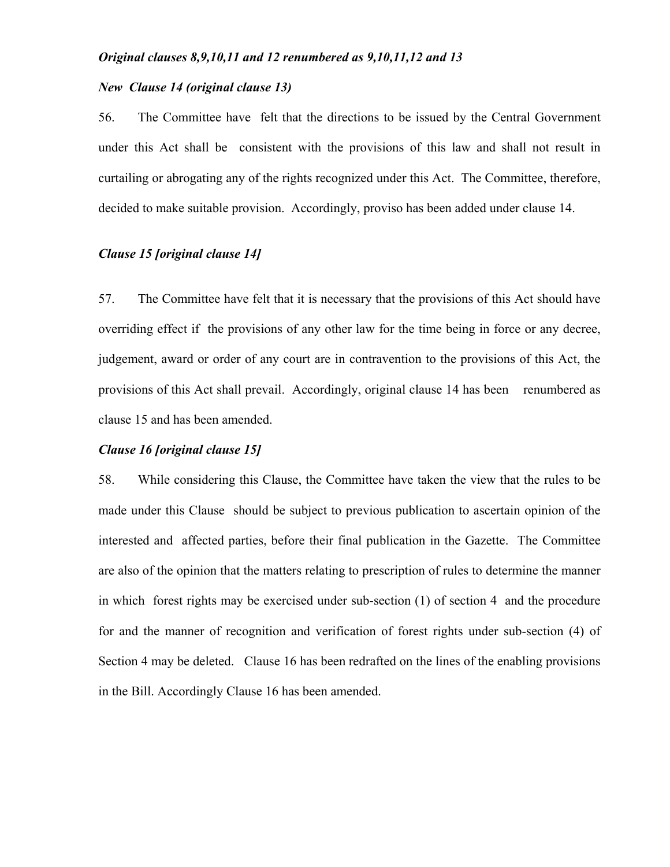#### *Original clauses 8,9,10,11 and 12 renumbered as 9,10,11,12 and 13*

# *New Clause 14 (original clause 13)*

56. The Committee have felt that the directions to be issued by the Central Government under this Act shall be consistent with the provisions of this law and shall not result in curtailing or abrogating any of the rights recognized under this Act. The Committee, therefore, decided to make suitable provision. Accordingly, proviso has been added under clause 14.

# *Clause 15 [original clause 14]*

57. The Committee have felt that it is necessary that the provisions of this Act should have overriding effect if the provisions of any other law for the time being in force or any decree, judgement, award or order of any court are in contravention to the provisions of this Act, the provisions of this Act shall prevail. Accordingly, original clause 14 has been renumbered as clause 15 and has been amended.

#### *Clause 16 [original clause 15]*

58. While considering this Clause, the Committee have taken the view that the rules to be made under this Clause should be subject to previous publication to ascertain opinion of the interested and affected parties, before their final publication in the Gazette. The Committee are also of the opinion that the matters relating to prescription of rules to determine the manner in which forest rights may be exercised under sub-section (1) of section 4 and the procedure for and the manner of recognition and verification of forest rights under sub-section (4) of Section 4 may be deleted. Clause 16 has been redrafted on the lines of the enabling provisions in the Bill. Accordingly Clause 16 has been amended.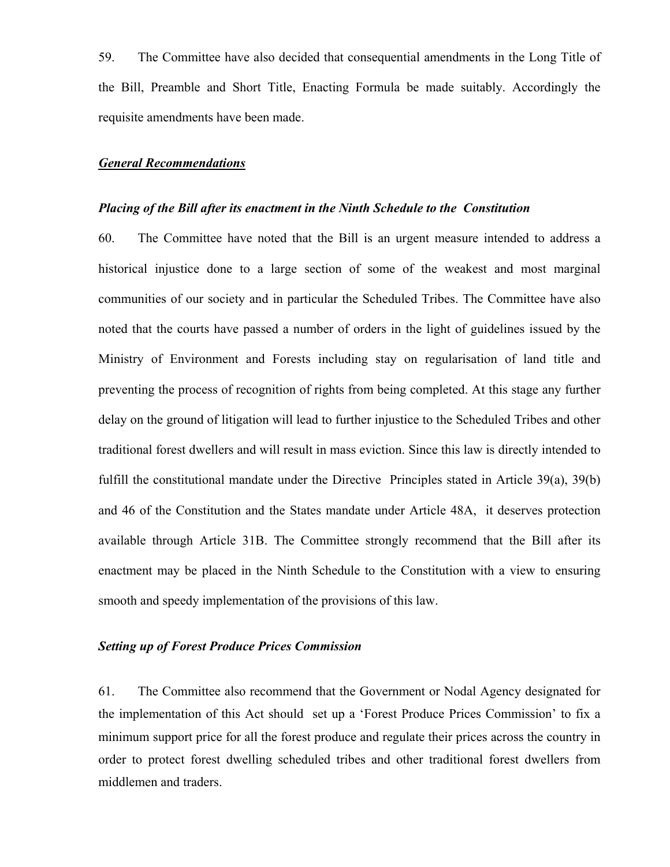59. The Committee have also decided that consequential amendments in the Long Title of the Bill, Preamble and Short Title, Enacting Formula be made suitably. Accordingly the requisite amendments have been made.

#### *General Recommendations*

#### *Placing of the Bill after its enactment in the Ninth Schedule to the Constitution*

60. The Committee have noted that the Bill is an urgent measure intended to address a historical injustice done to a large section of some of the weakest and most marginal communities of our society and in particular the Scheduled Tribes. The Committee have also noted that the courts have passed a number of orders in the light of guidelines issued by the Ministry of Environment and Forests including stay on regularisation of land title and preventing the process of recognition of rights from being completed. At this stage any further delay on the ground of litigation will lead to further injustice to the Scheduled Tribes and other traditional forest dwellers and will result in mass eviction. Since this law is directly intended to fulfill the constitutional mandate under the Directive Principles stated in Article 39(a), 39(b) and 46 of the Constitution and the States mandate under Article 48A, it deserves protection available through Article 31B. The Committee strongly recommend that the Bill after its enactment may be placed in the Ninth Schedule to the Constitution with a view to ensuring smooth and speedy implementation of the provisions of this law.

# *Setting up of Forest Produce Prices Commission*

61. The Committee also recommend that the Government or Nodal Agency designated for the implementation of this Act should set up a 'Forest Produce Prices Commission' to fix a minimum support price for all the forest produce and regulate their prices across the country in order to protect forest dwelling scheduled tribes and other traditional forest dwellers from middlemen and traders.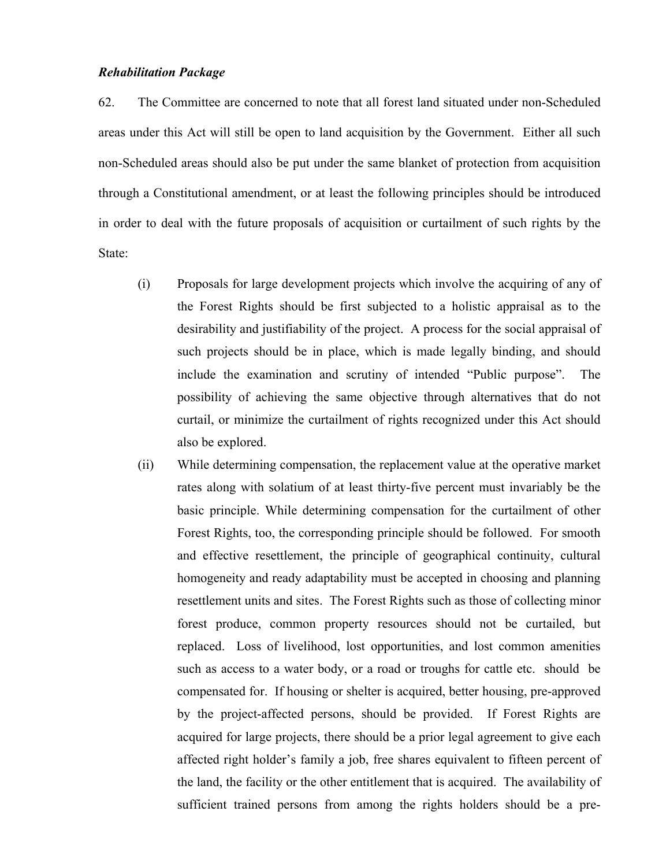#### *Rehabilitation Package*

62. The Committee are concerned to note that all forest land situated under non-Scheduled areas under this Act will still be open to land acquisition by the Government. Either all such non-Scheduled areas should also be put under the same blanket of protection from acquisition through a Constitutional amendment, or at least the following principles should be introduced in order to deal with the future proposals of acquisition or curtailment of such rights by the State:

- (i) Proposals for large development projects which involve the acquiring of any of the Forest Rights should be first subjected to a holistic appraisal as to the desirability and justifiability of the project. A process for the social appraisal of such projects should be in place, which is made legally binding, and should include the examination and scrutiny of intended "Public purpose". The possibility of achieving the same objective through alternatives that do not curtail, or minimize the curtailment of rights recognized under this Act should also be explored.
- (ii) While determining compensation, the replacement value at the operative market rates along with solatium of at least thirty-five percent must invariably be the basic principle. While determining compensation for the curtailment of other Forest Rights, too, the corresponding principle should be followed. For smooth and effective resettlement, the principle of geographical continuity, cultural homogeneity and ready adaptability must be accepted in choosing and planning resettlement units and sites. The Forest Rights such as those of collecting minor forest produce, common property resources should not be curtailed, but replaced. Loss of livelihood, lost opportunities, and lost common amenities such as access to a water body, or a road or troughs for cattle etc. should be compensated for. If housing or shelter is acquired, better housing, pre-approved by the project-affected persons, should be provided. If Forest Rights are acquired for large projects, there should be a prior legal agreement to give each affected right holder's family a job, free shares equivalent to fifteen percent of the land, the facility or the other entitlement that is acquired. The availability of sufficient trained persons from among the rights holders should be a pre-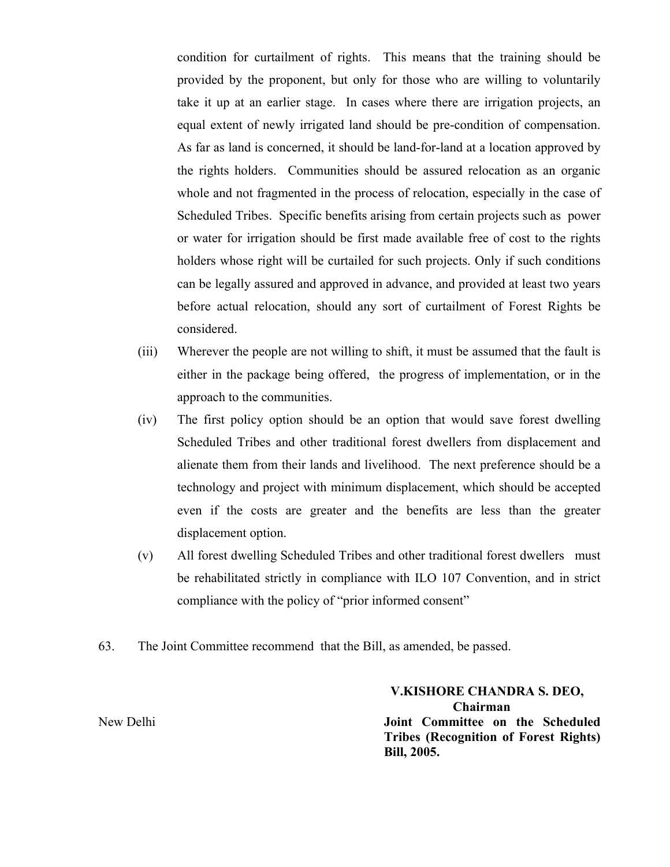condition for curtailment of rights. This means that the training should be provided by the proponent, but only for those who are willing to voluntarily take it up at an earlier stage. In cases where there are irrigation projects, an equal extent of newly irrigated land should be pre-condition of compensation. As far as land is concerned, it should be land-for-land at a location approved by the rights holders. Communities should be assured relocation as an organic whole and not fragmented in the process of relocation, especially in the case of Scheduled Tribes. Specific benefits arising from certain projects such as power or water for irrigation should be first made available free of cost to the rights holders whose right will be curtailed for such projects. Only if such conditions can be legally assured and approved in advance, and provided at least two years before actual relocation, should any sort of curtailment of Forest Rights be considered.

- (iii) Wherever the people are not willing to shift, it must be assumed that the fault is either in the package being offered, the progress of implementation, or in the approach to the communities.
- (iv) The first policy option should be an option that would save forest dwelling Scheduled Tribes and other traditional forest dwellers from displacement and alienate them from their lands and livelihood. The next preference should be a technology and project with minimum displacement, which should be accepted even if the costs are greater and the benefits are less than the greater displacement option.
- (v) All forest dwelling Scheduled Tribes and other traditional forest dwellers must be rehabilitated strictly in compliance with ILO 107 Convention, and in strict compliance with the policy of "prior informed consent"
- 63. The Joint Committee recommend that the Bill, as amended, be passed.

 **V.KISHORE CHANDRA S. DEO, Chairman**  New Delhi **Joint Committee on the Scheduled Tribes (Recognition of Forest Rights) Bill, 2005.**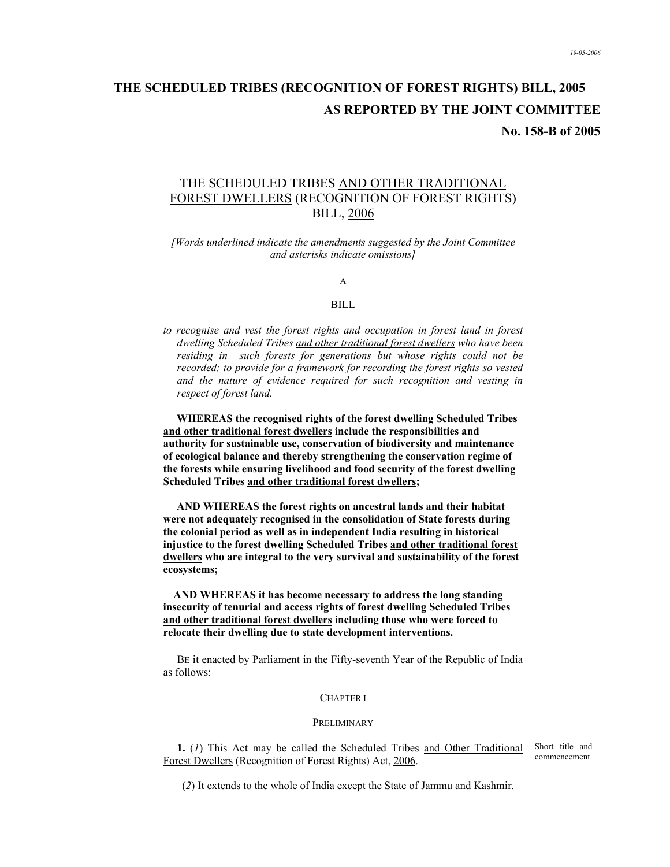# **THE SCHEDULED TRIBES (RECOGNITION OF FOREST RIGHTS) BILL, 2005 AS REPORTED BY THE JOINT COMMITTEE**

**No. 158-B of 2005** 

# THE SCHEDULED TRIBES AND OTHER TRADITIONAL FOREST DWELLERS (RECOGNITION OF FOREST RIGHTS) BILL, 2006

*[Words underlined indicate the amendments suggested by the Joint Committee and asterisks indicate omissions]* 

A

#### BILL

to recognise and vest the forest rights and occupation in forest land in forest *dwelling Scheduled Tribes and other traditional forest dwellers who have been residing in such forests for generations but whose rights could not be recorded; to provide for a framework for recording the forest rights so vested and the nature of evidence required for such recognition and vesting in respect of forest land.*

**WHEREAS the recognised rights of the forest dwelling Scheduled Tribes and other traditional forest dwellers include the responsibilities and authority for sustainable use, conservation of biodiversity and maintenance of ecological balance and thereby strengthening the conservation regime of the forests while ensuring livelihood and food security of the forest dwelling Scheduled Tribes and other traditional forest dwellers;** 

**AND WHEREAS the forest rights on ancestral lands and their habitat were not adequately recognised in the consolidation of State forests during the colonial period as well as in independent India resulting in historical injustice to the forest dwelling Scheduled Tribes and other traditional forest dwellers who are integral to the very survival and sustainability of the forest ecosystems;** 

 **AND WHEREAS it has become necessary to address the long standing insecurity of tenurial and access rights of forest dwelling Scheduled Tribes and other traditional forest dwellers including those who were forced to relocate their dwelling due to state development interventions.** 

BE it enacted by Parliament in the Fifty-seventh Year of the Republic of India as follows:–

#### CHAPTER I

#### PRELIMINARY

**1.** (*1*) This Act may be called the Scheduled Tribes and Other Traditional Forest Dwellers (Recognition of Forest Rights) Act, 2006. Short title and commencement.

(*2*) It extends to the whole of India except the State of Jammu and Kashmir.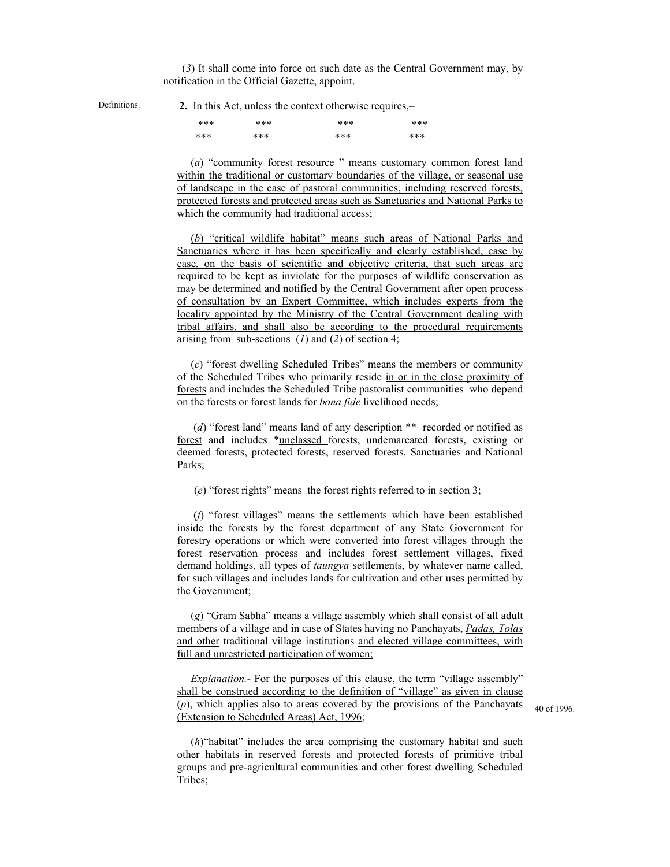(*3*) It shall come into force on such date as the Central Government may, by notification in the Official Gazette, appoint.

Definitions. **2.** In this Act, unless the context otherwise requires,–

| *** | *** | *** | *** |
|-----|-----|-----|-----|
| *** | *** | *** | *** |

(*a*) "community forest resource " means customary common forest land within the traditional or customary boundaries of the village, or seasonal use of landscape in the case of pastoral communities, including reserved forests, protected forests and protected areas such as Sanctuaries and National Parks to which the community had traditional access;

(*b*) "critical wildlife habitat" means such areas of National Parks and Sanctuaries where it has been specifically and clearly established, case by case, on the basis of scientific and objective criteria, that such areas are required to be kept as inviolate for the purposes of wildlife conservation as may be determined and notified by the Central Government after open process of consultation by an Expert Committee, which includes experts from the locality appointed by the Ministry of the Central Government dealing with tribal affairs, and shall also be according to the procedural requirements arising from sub-sections (*1*) and (*2*) of section 4;

(*c*) "forest dwelling Scheduled Tribes" means the members or community of the Scheduled Tribes who primarily reside in or in the close proximity of forests and includes the Scheduled Tribe pastoralist communities who depend on the forests or forest lands for *bona fide* livelihood needs;

 (*d*) "forest land" means land of any description \*\* recorded or notified as forest and includes \*unclassed forests, undemarcated forests, existing or deemed forests, protected forests, reserved forests, Sanctuaries and National Parks;

(*e*) "forest rights" means the forest rights referred to in section 3;

 (*f*) "forest villages" means the settlements which have been established inside the forests by the forest department of any State Government for forestry operations or which were converted into forest villages through the forest reservation process and includes forest settlement villages, fixed demand holdings, all types of *taungya* settlements, by whatever name called, for such villages and includes lands for cultivation and other uses permitted by the Government;

(*g*) "Gram Sabha" means a village assembly which shall consist of all adult members of a village and in case of States having no Panchayats, *Padas, Tolas* and other traditional village institutions and elected village committees, with full and unrestricted participation of women;

*Explanation.*- For the purposes of this clause, the term "village assembly" shall be construed according to the definition of "village" as given in clause (*p*), which applies also to areas covered by the provisions of the Panchayats (Extension to Scheduled Areas) Act, 1996;

40 of 1996.

(*h*)"habitat" includes the area comprising the customary habitat and such other habitats in reserved forests and protected forests of primitive tribal groups and pre-agricultural communities and other forest dwelling Scheduled Tribes;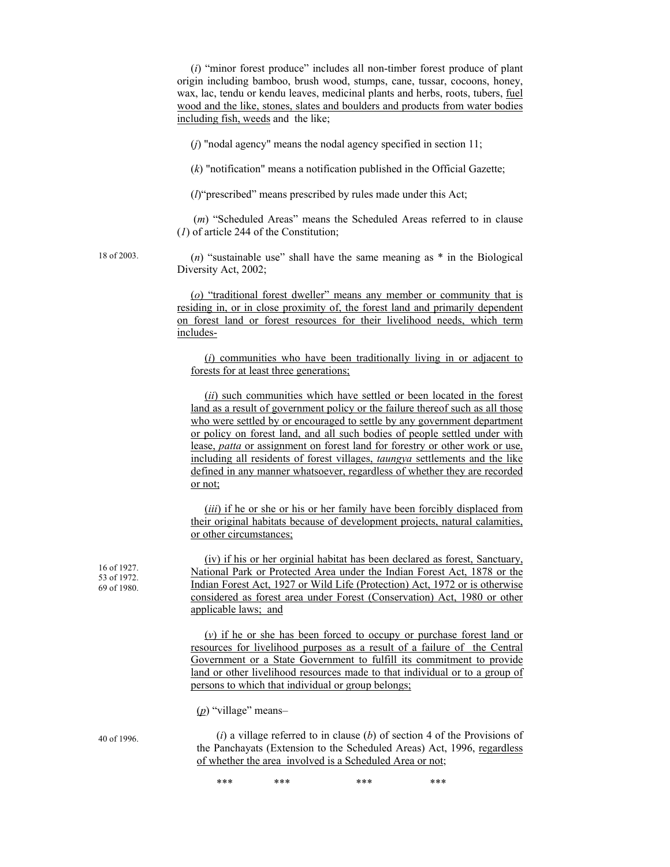(*i*) "minor forest produce" includes all non-timber forest produce of plant origin including bamboo, brush wood, stumps, cane, tussar, cocoons, honey, wax, lac, tendu or kendu leaves, medicinal plants and herbs, roots, tubers, fuel wood and the like, stones, slates and boulders and products from water bodies including fish, weeds and the like;

(*j*) "nodal agency" means the nodal agency specified in section 11;

(*k*) "notification" means a notification published in the Official Gazette;

(*l*)"prescribed" means prescribed by rules made under this Act;

 (*m*) "Scheduled Areas" means the Scheduled Areas referred to in clause (*1*) of article 244 of the Constitution;

18 of 2003.

(*n*) "sustainable use" shall have the same meaning as \* in the Biological Diversity Act, 2002;

(*o*) "traditional forest dweller" means any member or community that is residing in, or in close proximity of, the forest land and primarily dependent on forest land or forest resources for their livelihood needs, which term includes-

(*i*) communities who have been traditionally living in or adjacent to forests for at least three generations;

(*ii*) such communities which have settled or been located in the forest land as a result of government policy or the failure thereof such as all those who were settled by or encouraged to settle by any government department or policy on forest land, and all such bodies of people settled under with lease, *patta* or assignment on forest land for forestry or other work or use, including all residents of forest villages, *taungya* settlements and the like defined in any manner whatsoever, regardless of whether they are recorded or not;

(*iii*) if he or she or his or her family have been forcibly displaced from their original habitats because of development projects, natural calamities, or other circumstances;

(iv) if his or her orginial habitat has been declared as forest, Sanctuary, National Park or Protected Area under the Indian Forest Act, 1878 or the Indian Forest Act, 1927 or Wild Life (Protection) Act, 1972 or is otherwise considered as forest area under Forest (Conservation) Act, 1980 or other applicable laws; and

(*v*) if he or she has been forced to occupy or purchase forest land or resources for livelihood purposes as a result of a failure of the Central Government or a State Government to fulfill its commitment to provide land or other livelihood resources made to that individual or to a group of persons to which that individual or group belongs;

(*p*) "village" means–

(*i*) a village referred to in clause (*b*) of section 4 of the Provisions of the Panchayats (Extension to the Scheduled Areas) Act, 1996, regardless of whether the area involved is a Scheduled Area or not;

\*\*\* \*\*\* \*\*\* \*\*\* \*\*\* \*\*\*

40 of 1996.

16 of 1927. 53 of 1972. 69 of 1980.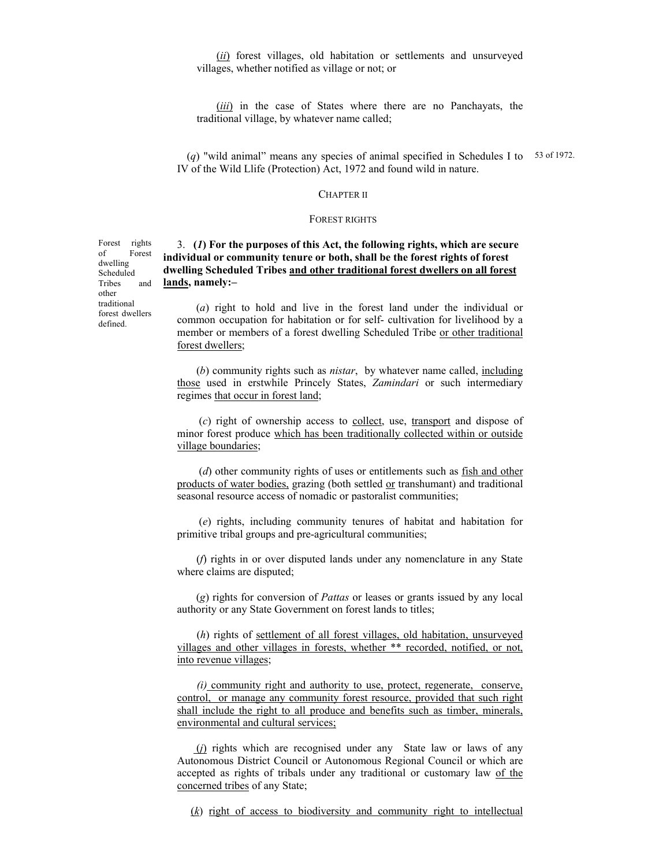(*ii*) forest villages, old habitation or settlements and unsurveyed villages, whether notified as village or not; or

(*iii*) in the case of States where there are no Panchayats, the traditional village, by whatever name called;

(*q*) "wild animal" means any species of animal specified in Schedules I to 53 of 1972. IV of the Wild Llife (Protection) Act, 1972 and found wild in nature.

#### CHAPTER II

#### FOREST RIGHTS

3. **(***1***) For the purposes of this Act, the following rights, which are secure individual or community tenure or both, shall be the forest rights of forest dwelling Scheduled Tribes and other traditional forest dwellers on all forest lands, namely:–** 

 (*a*) right to hold and live in the forest land under the individual or common occupation for habitation or for self- cultivation for livelihood by a member or members of a forest dwelling Scheduled Tribe or other traditional forest dwellers;

 (*b*) community rights such as *nistar*, by whatever name called, including those used in erstwhile Princely States, *Zamindari* or such intermediary regimes that occur in forest land;

 (*c*) right of ownership access to collect, use, transport and dispose of minor forest produce which has been traditionally collected within or outside village boundaries;

 (*d*) other community rights of uses or entitlements such as fish and other products of water bodies, grazing (both settled or transhumant) and traditional seasonal resource access of nomadic or pastoralist communities;

 (*e*) rights, including community tenures of habitat and habitation for primitive tribal groups and pre-agricultural communities;

 (*f*) rights in or over disputed lands under any nomenclature in any State where claims are disputed;

 (*g*) rights for conversion of *Pattas* or leases or grants issued by any local authority or any State Government on forest lands to titles;

 (*h*) rights of settlement of all forest villages, old habitation, unsurveyed villages and other villages in forests, whether \*\* recorded, notified, or not, into revenue villages;

 *(i)* community right and authority to use, protect, regenerate, conserve, control, or manage any community forest resource, provided that such right shall include the right to all produce and benefits such as timber, minerals, environmental and cultural services;

 (*j*) rights which are recognised under any State law or laws of any Autonomous District Council or Autonomous Regional Council or which are accepted as rights of tribals under any traditional or customary law of the concerned tribes of any State;

(*k*) right of access to biodiversity and community right to intellectual

Forest rights of Forest dwelling Scheduled Tribes and other traditional forest dwellers defined.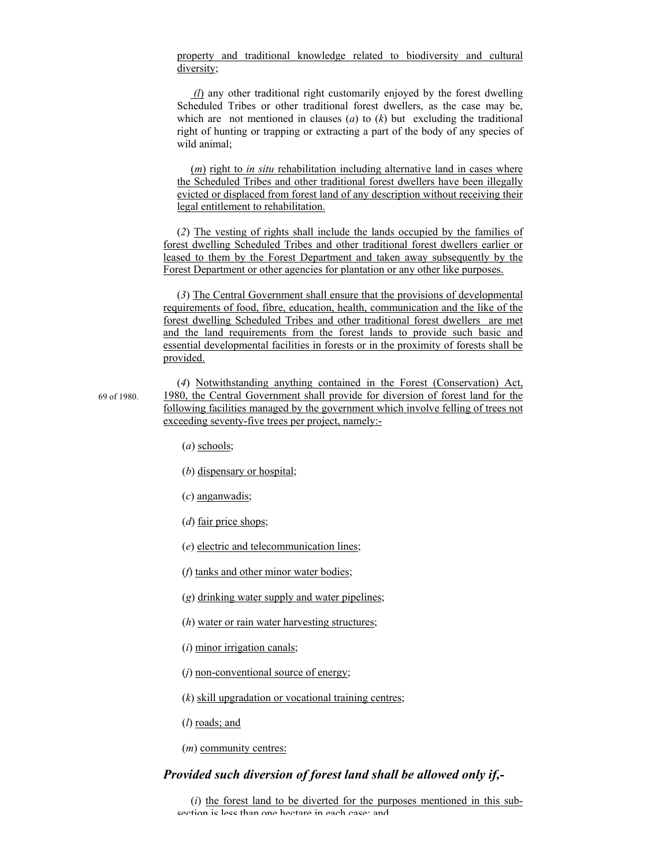property and traditional knowledge related to biodiversity and cultural diversity;

 *(l*) any other traditional right customarily enjoyed by the forest dwelling Scheduled Tribes or other traditional forest dwellers, as the case may be, which are not mentioned in clauses (*a*) to (*k*) but excluding the traditional right of hunting or trapping or extracting a part of the body of any species of wild animal;

(*m*) right to *in situ* rehabilitation including alternative land in cases where the Scheduled Tribes and other traditional forest dwellers have been illegally evicted or displaced from forest land of any description without receiving their legal entitlement to rehabilitation.

(*2*) The vesting of rights shall include the lands occupied by the families of forest dwelling Scheduled Tribes and other traditional forest dwellers earlier or leased to them by the Forest Department and taken away subsequently by the Forest Department or other agencies for plantation or any other like purposes.

(*3*) The Central Government shall ensure that the provisions of developmental requirements of food, fibre, education, health, communication and the like of the forest dwelling Scheduled Tribes and other traditional forest dwellers are met and the land requirements from the forest lands to provide such basic and essential developmental facilities in forests or in the proximity of forests shall be provided.

69 of 1980. (*4*) Notwithstanding anything contained in the Forest (Conservation) Act, 1980, the Central Government shall provide for diversion of forest land for the following facilities managed by the government which involve felling of trees not exceeding seventy-five trees per project, namely:-

- (*a*) schools;
- (*b*) dispensary or hospital;
- (*c*) anganwadis;
- (*d*) fair price shops;
- (*e*) electric and telecommunication lines;
- (*f*) tanks and other minor water bodies;
- (*g*) drinking water supply and water pipelines;
- (*h*) water or rain water harvesting structures;
- (*i*) minor irrigation canals;
- (*j*) non-conventional source of energy;
- (*k*) skill upgradation or vocational training centres;
- (*l*) roads; and
- (*m*) community centres:

#### *Provided such diversion of forest land shall be allowed only if,-*

(*i*) the forest land to be diverted for the purposes mentioned in this subsection is less than one hectare in each case; and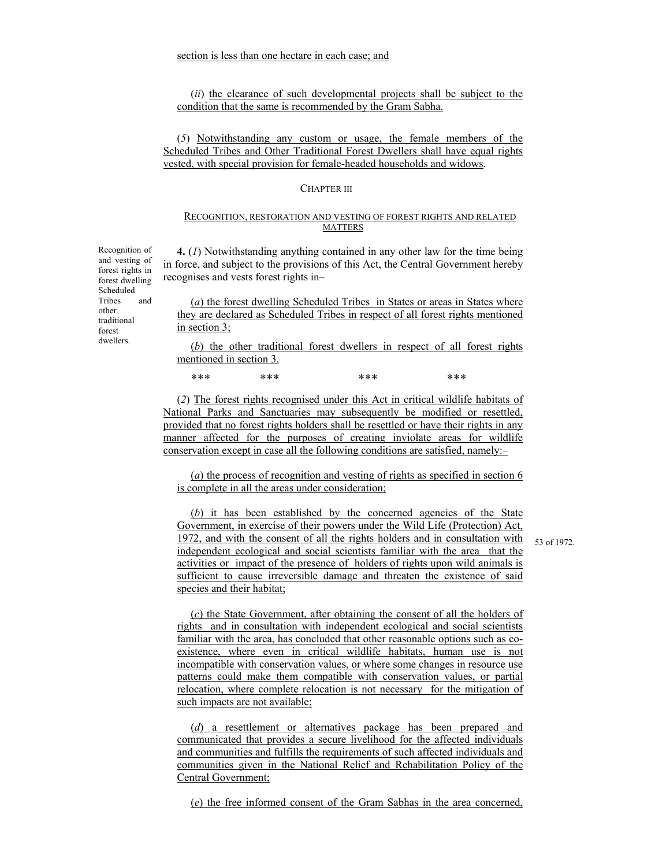(*ii*) the clearance of such developmental projects shall be subject to the condition that the same is recommended by the Gram Sabha.

(*5*) Notwithstanding any custom or usage, the female members of the Scheduled Tribes and Other Traditional Forest Dwellers shall have equal rights vested, with special provision for female-headed households and widows.

#### CHAPTER III

#### RECOGNITION, RESTORATION AND VESTING OF FOREST RIGHTS AND RELATED MATTERS

**4.** (*1*) Notwithstanding anything contained in any other law for the time being in force, and subject to the provisions of this Act, the Central Government hereby recognises and vests forest rights in–

(*a*) the forest dwelling Scheduled Tribes in States or areas in States where they are declared as Scheduled Tribes in respect of all forest rights mentioned in section 3;

(*b*) the other traditional forest dwellers in respect of all forest rights mentioned in section 3.

\*\*\* \*\*\* \*\*\* \*\*\* \*\*\* \*\*\*

(*2*) The forest rights recognised under this Act in critical wildlife habitats of National Parks and Sanctuaries may subsequently be modified or resettled, provided that no forest rights holders shall be resettled or have their rights in any manner affected for the purposes of creating inviolate areas for wildlife conservation except in case all the following conditions are satisfied, namely:–

(*a*) the process of recognition and vesting of rights as specified in section 6 is complete in all the areas under consideration;

(*b*) it has been established by the concerned agencies of the State Government, in exercise of their powers under the Wild Life (Protection) Act, 1972, and with the consent of all the rights holders and in consultation with independent ecological and social scientists familiar with the area that the activities or impact of the presence of holders of rights upon wild animals is sufficient to cause irreversible damage and threaten the existence of said species and their habitat;

53 of 1972.

(*c*) the State Government, after obtaining the consent of all the holders of rights and in consultation with independent ecological and social scientists familiar with the area, has concluded that other reasonable options such as coexistence, where even in critical wildlife habitats, human use is not incompatible with conservation values, or where some changes in resource use patterns could make them compatible with conservation values, or partial relocation, where complete relocation is not necessary for the mitigation of such impacts are not available;

(*d*) a resettlement or alternatives package has been prepared and communicated that provides a secure livelihood for the affected individuals and communities and fulfills the requirements of such affected individuals and communities given in the National Relief and Rehabilitation Policy of the Central Government;

(*e*) the free informed consent of the Gram Sabhas in the area concerned,

Recognition of and vesting of forest rights in forest dwelling Scheduled Tribes and other traditional forest dwellers.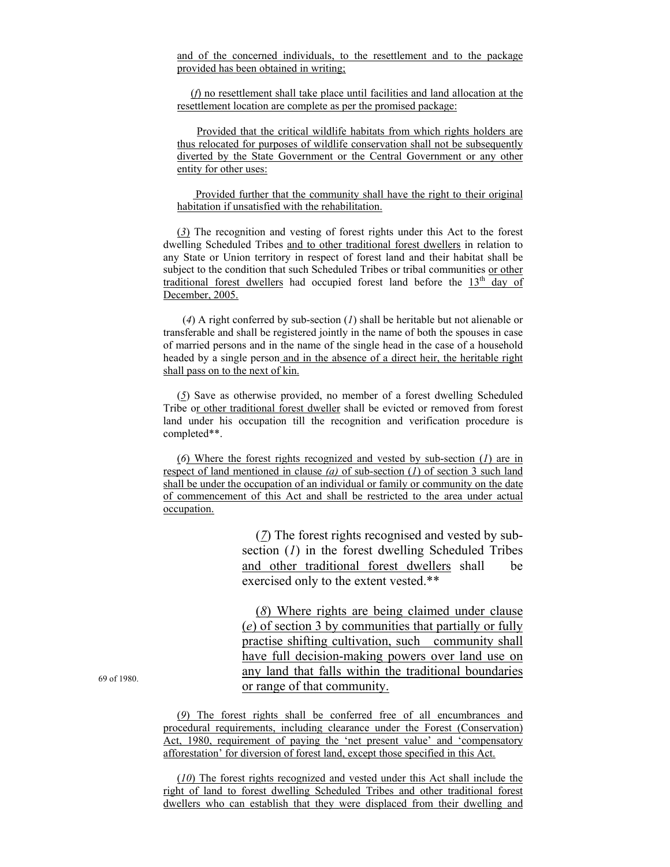and of the concerned individuals, to the resettlement and to the package provided has been obtained in writing;

(*f*) no resettlement shall take place until facilities and land allocation at the resettlement location are complete as per the promised package:

Provided that the critical wildlife habitats from which rights holders are thus relocated for purposes of wildlife conservation shall not be subsequently diverted by the State Government or the Central Government or any other entity for other uses:

 Provided further that the community shall have the right to their original habitation if unsatisfied with the rehabilitation.

(*3*) The recognition and vesting of forest rights under this Act to the forest dwelling Scheduled Tribes and to other traditional forest dwellers in relation to any State or Union territory in respect of forest land and their habitat shall be subject to the condition that such Scheduled Tribes or tribal communities or other traditional forest dwellers had occupied forest land before the  $13<sup>th</sup>$  day of December, 2005.

 (*4*) A right conferred by sub-section (*1*) shall be heritable but not alienable or transferable and shall be registered jointly in the name of both the spouses in case of married persons and in the name of the single head in the case of a household headed by a single person and in the absence of a direct heir, the heritable right shall pass on to the next of kin.

(*5*) Save as otherwise provided, no member of a forest dwelling Scheduled Tribe or other traditional forest dweller shall be evicted or removed from forest land under his occupation till the recognition and verification procedure is completed\*\*.

(*6*) Where the forest rights recognized and vested by sub-section (*1*) are in respect of land mentioned in clause *(a)* of sub-section (*1*) of section 3 such land shall be under the occupation of an individual or family or community on the date of commencement of this Act and shall be restricted to the area under actual occupation.

> (*7*) The forest rights recognised and vested by subsection (*1*) in the forest dwelling Scheduled Tribes and other traditional forest dwellers shall be exercised only to the extent vested.\*\*

> (*8*) Where rights are being claimed under clause (*e*) of section 3 by communities that partially or fully practise shifting cultivation, such community shall have full decision-making powers over land use on any land that falls within the traditional boundaries or range of that community.

(*9*) The forest rights shall be conferred free of all encumbrances and procedural requirements, including clearance under the Forest (Conservation) Act, 1980, requirement of paying the 'net present value' and 'compensatory afforestation' for diversion of forest land, except those specified in this Act.

(*10*) The forest rights recognized and vested under this Act shall include the right of land to forest dwelling Scheduled Tribes and other traditional forest dwellers who can establish that they were displaced from their dwelling and

69 of 1980.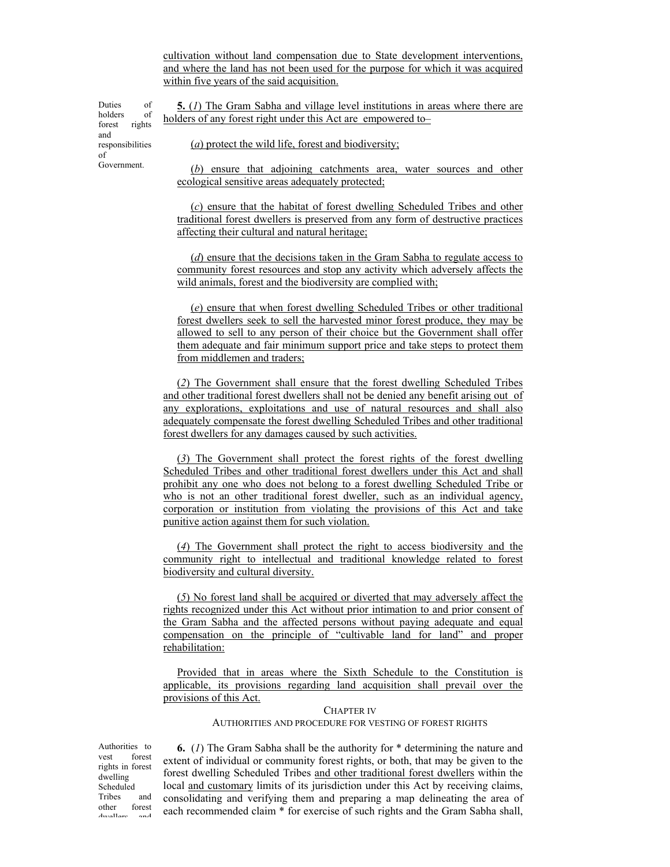cultivation without land compensation due to State development interventions, and where the land has not been used for the purpose for which it was acquired within five years of the said acquisition.

**5.** (*1*) The Gram Sabha and village level institutions in areas where there are holders of any forest right under this Act are empowered to-

Duties of holders of forest rights and responsibilities of Government.

(*a*) protect the wild life, forest and biodiversity;

(*b*) ensure that adjoining catchments area, water sources and other ecological sensitive areas adequately protected;

(*c*) ensure that the habitat of forest dwelling Scheduled Tribes and other traditional forest dwellers is preserved from any form of destructive practices affecting their cultural and natural heritage;

(*d*) ensure that the decisions taken in the Gram Sabha to regulate access to community forest resources and stop any activity which adversely affects the wild animals, forest and the biodiversity are complied with;

(*e*) ensure that when forest dwelling Scheduled Tribes or other traditional forest dwellers seek to sell the harvested minor forest produce, they may be allowed to sell to any person of their choice but the Government shall offer them adequate and fair minimum support price and take steps to protect them from middlemen and traders;

(*2*) The Government shall ensure that the forest dwelling Scheduled Tribes and other traditional forest dwellers shall not be denied any benefit arising out of any explorations, exploitations and use of natural resources and shall also adequately compensate the forest dwelling Scheduled Tribes and other traditional forest dwellers for any damages caused by such activities.

(*3*) The Government shall protect the forest rights of the forest dwelling Scheduled Tribes and other traditional forest dwellers under this Act and shall prohibit any one who does not belong to a forest dwelling Scheduled Tribe or who is not an other traditional forest dweller, such as an individual agency, corporation or institution from violating the provisions of this Act and take punitive action against them for such violation.

(*4*) The Government shall protect the right to access biodiversity and the community right to intellectual and traditional knowledge related to forest biodiversity and cultural diversity.

(*5*) No forest land shall be acquired or diverted that may adversely affect the rights recognized under this Act without prior intimation to and prior consent of the Gram Sabha and the affected persons without paying adequate and equal compensation on the principle of "cultivable land for land" and proper rehabilitation:

Provided that in areas where the Sixth Schedule to the Constitution is applicable, its provisions regarding land acquisition shall prevail over the provisions of this Act.

> CHAPTER IV AUTHORITIES AND PROCEDURE FOR VESTING OF FOREST RIGHTS

Authorities to<br>vest forest forest rights in forest dwelling Scheduled Tribes and other forest dwellers and

**6.** (*1*) The Gram Sabha shall be the authority for \* determining the nature and extent of individual or community forest rights, or both, that may be given to the forest dwelling Scheduled Tribes and other traditional forest dwellers within the local and customary limits of its jurisdiction under this Act by receiving claims, consolidating and verifying them and preparing a map delineating the area of each recommended claim \* for exercise of such rights and the Gram Sabha shall,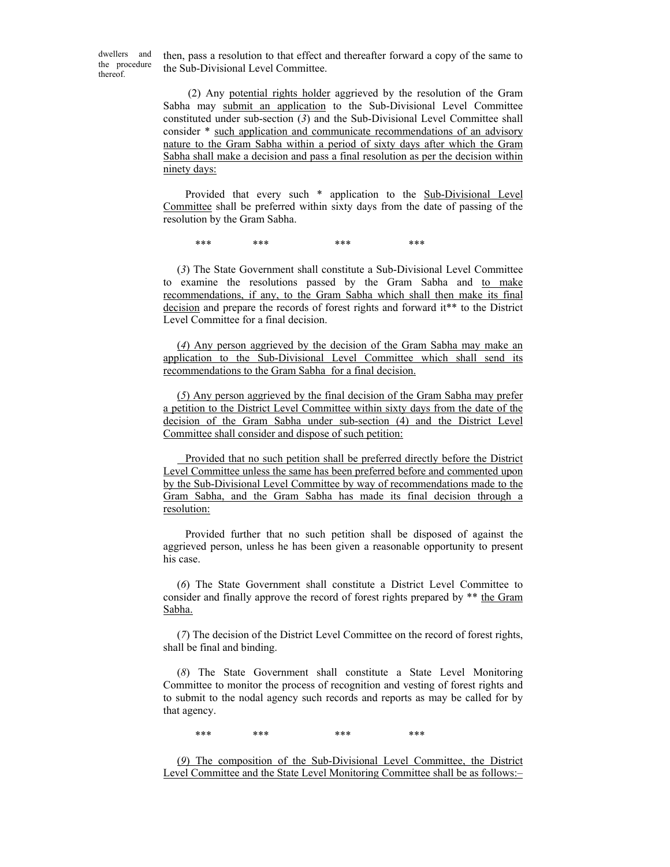dwellers and the procedure thereof.

then, pass a resolution to that effect and thereafter forward a copy of the same to the Sub-Divisional Level Committee.

 (2) Any potential rights holder aggrieved by the resolution of the Gram Sabha may submit an application to the Sub-Divisional Level Committee constituted under sub-section (*3*) and the Sub-Divisional Level Committee shall consider \* such application and communicate recommendations of an advisory nature to the Gram Sabha within a period of sixty days after which the Gram Sabha shall make a decision and pass a final resolution as per the decision within ninety days:

 Provided that every such \* application to the Sub-Divisional Level Committee shall be preferred within sixty days from the date of passing of the resolution by the Gram Sabha.

\*\*\* \*\*\* \*\*\* \*\*\* \*\*\* \*\*\*

(*3*) The State Government shall constitute a Sub-Divisional Level Committee to examine the resolutions passed by the Gram Sabha and to make recommendations, if any, to the Gram Sabha which shall then make its final decision and prepare the records of forest rights and forward it\*\* to the District Level Committee for a final decision.

(*4*) Any person aggrieved by the decision of the Gram Sabha may make an application to the Sub-Divisional Level Committee which shall send its recommendations to the Gram Sabha for a final decision.

(*5*) Any person aggrieved by the final decision of the Gram Sabha may prefer a petition to the District Level Committee within sixty days from the date of the decision of the Gram Sabha under sub-section (4) and the District Level Committee shall consider and dispose of such petition:

 Provided that no such petition shall be preferred directly before the District Level Committee unless the same has been preferred before and commented upon by the Sub-Divisional Level Committee by way of recommendations made to the Gram Sabha, and the Gram Sabha has made its final decision through a resolution:

 Provided further that no such petition shall be disposed of against the aggrieved person, unless he has been given a reasonable opportunity to present his case.

(*6*) The State Government shall constitute a District Level Committee to consider and finally approve the record of forest rights prepared by \*\* the Gram Sabha.

(*7*) The decision of the District Level Committee on the record of forest rights, shall be final and binding.

(*8*) The State Government shall constitute a State Level Monitoring Committee to monitor the process of recognition and vesting of forest rights and to submit to the nodal agency such records and reports as may be called for by that agency.

\*\*\* \*\*\* \*\*\* \*\*\* \*\*\* \*\*\*

(*9*) The composition of the Sub-Divisional Level Committee, the District Level Committee and the State Level Monitoring Committee shall be as follows:–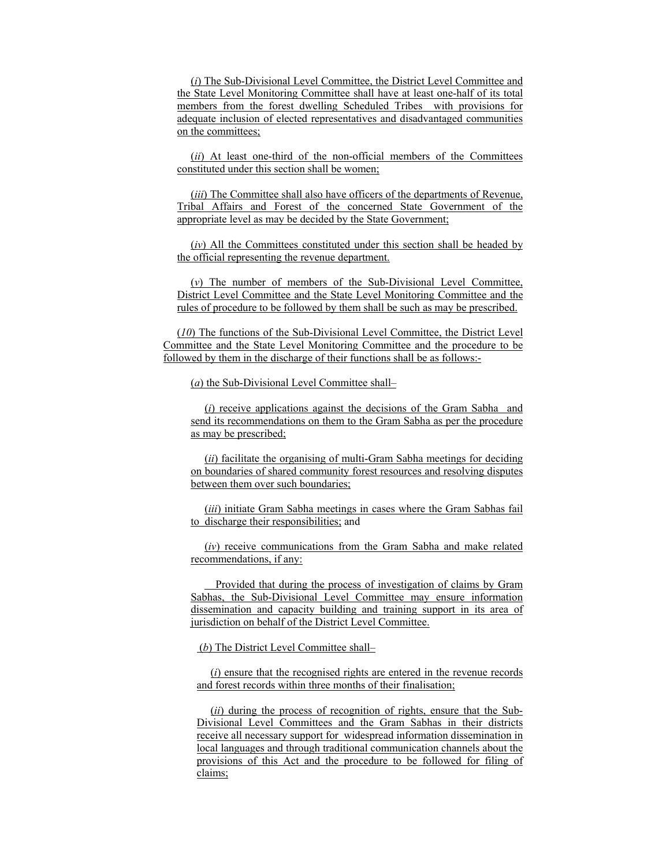(*i*) The Sub-Divisional Level Committee, the District Level Committee and the State Level Monitoring Committee shall have at least one-half of its total members from the forest dwelling Scheduled Tribes with provisions for adequate inclusion of elected representatives and disadvantaged communities on the committees;

(*ii*) At least one-third of the non-official members of the Committees constituted under this section shall be women;

(*iii*) The Committee shall also have officers of the departments of Revenue, Tribal Affairs and Forest of the concerned State Government of the appropriate level as may be decided by the State Government;

(*iv*) All the Committees constituted under this section shall be headed by the official representing the revenue department.

(*v*) The number of members of the Sub-Divisional Level Committee, District Level Committee and the State Level Monitoring Committee and the rules of procedure to be followed by them shall be such as may be prescribed.

(*10*) The functions of the Sub-Divisional Level Committee, the District Level Committee and the State Level Monitoring Committee and the procedure to be followed by them in the discharge of their functions shall be as follows:-

(*a*) the Sub-Divisional Level Committee shall–

(*i*) receive applications against the decisions of the Gram Sabha and send its recommendations on them to the Gram Sabha as per the procedure as may be prescribed;

(*ii*) facilitate the organising of multi-Gram Sabha meetings for deciding on boundaries of shared community forest resources and resolving disputes between them over such boundaries;

(*iii*) initiate Gram Sabha meetings in cases where the Gram Sabhas fail to discharge their responsibilities; and

(*iv*) receive communications from the Gram Sabha and make related recommendations, if any:

 Provided that during the process of investigation of claims by Gram Sabhas, the Sub-Divisional Level Committee may ensure information dissemination and capacity building and training support in its area of jurisdiction on behalf of the District Level Committee.

(*b*) The District Level Committee shall–

(*i*) ensure that the recognised rights are entered in the revenue records and forest records within three months of their finalisation;

(*ii*) during the process of recognition of rights, ensure that the Sub-Divisional Level Committees and the Gram Sabhas in their districts receive all necessary support for widespread information dissemination in local languages and through traditional communication channels about the provisions of this Act and the procedure to be followed for filing of claims;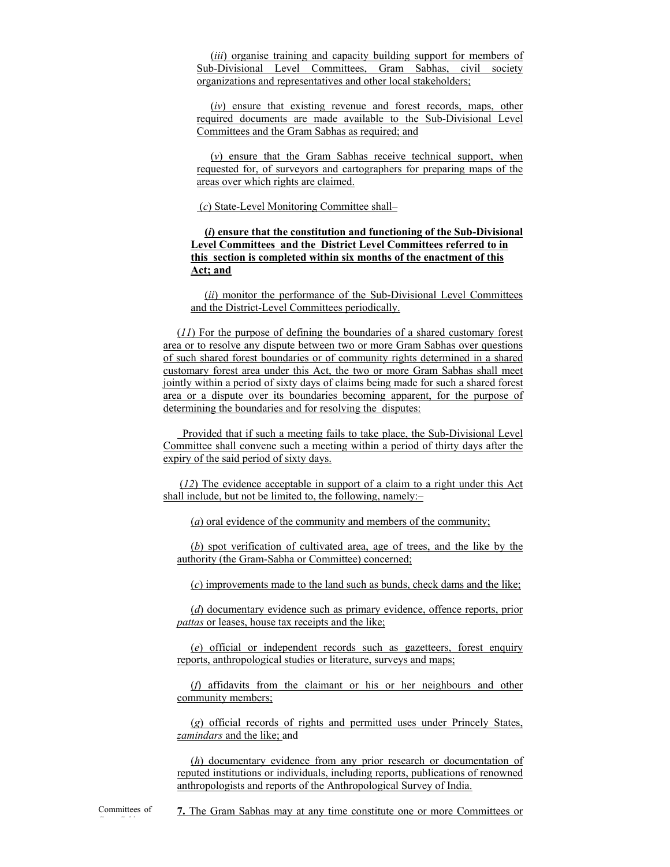(*iii*) organise training and capacity building support for members of Sub-Divisional Level Committees, Gram Sabhas, civil society organizations and representatives and other local stakeholders;

(*iv*) ensure that existing revenue and forest records, maps, other required documents are made available to the Sub-Divisional Level Committees and the Gram Sabhas as required; and

(*v*) ensure that the Gram Sabhas receive technical support, when requested for, of surveyors and cartographers for preparing maps of the areas over which rights are claimed.

(*c*) State-Level Monitoring Committee shall–

#### **(***i***) ensure that the constitution and functioning of the Sub-Divisional Level Committees and the District Level Committees referred to in this section is completed within six months of the enactment of this Act; and**

(*ii*) monitor the performance of the Sub-Divisional Level Committees and the District-Level Committees periodically.

(*11*) For the purpose of defining the boundaries of a shared customary forest area or to resolve any dispute between two or more Gram Sabhas over questions of such shared forest boundaries or of community rights determined in a shared customary forest area under this Act, the two or more Gram Sabhas shall meet jointly within a period of sixty days of claims being made for such a shared forest area or a dispute over its boundaries becoming apparent, for the purpose of determining the boundaries and for resolving the disputes:

 Provided that if such a meeting fails to take place, the Sub-Divisional Level Committee shall convene such a meeting within a period of thirty days after the expiry of the said period of sixty days.

 (*12*) The evidence acceptable in support of a claim to a right under this Act shall include, but not be limited to, the following, namely:–

(*a*) oral evidence of the community and members of the community;

(*b*) spot verification of cultivated area, age of trees, and the like by the authority (the Gram-Sabha or Committee) concerned;

(*c*) improvements made to the land such as bunds, check dams and the like;

(*d*) documentary evidence such as primary evidence, offence reports, prior *pattas* or leases, house tax receipts and the like;

(*e*) official or independent records such as gazetteers, forest enquiry reports, anthropological studies or literature, surveys and maps;

(*f*) affidavits from the claimant or his or her neighbours and other community members;

(*g*) official records of rights and permitted uses under Princely States, *zamindars* and the like; and

(*h*) documentary evidence from any prior research or documentation of reputed institutions or individuals, including reports, publications of renowned anthropologists and reports of the Anthropological Survey of India.

**7.** The Gram Sabhas may at any time constitute one or more Committees or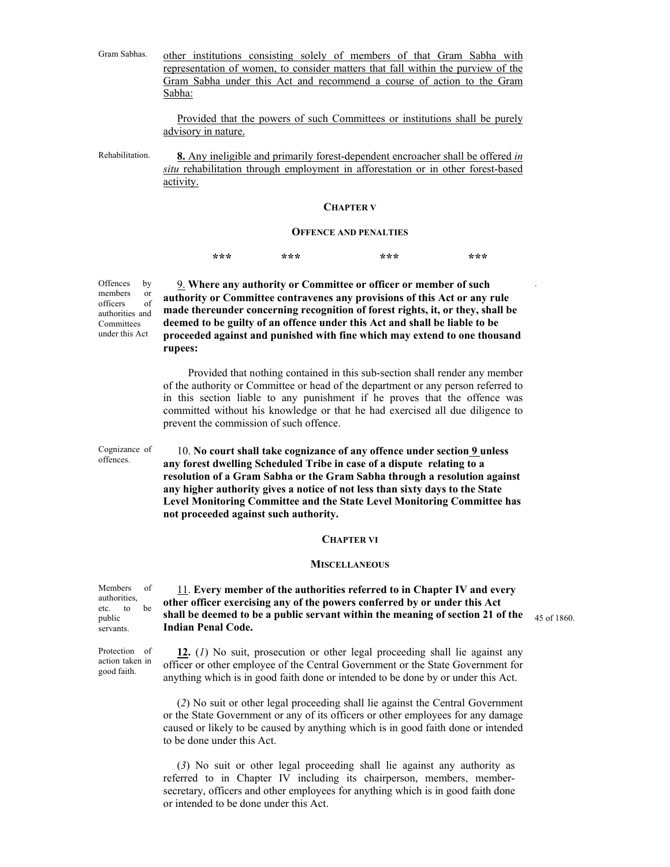| Gram Sabhas. |        | other institutions consisting solely of members of that Gram Sabha with          |  |  |  |  |  |  |  |
|--------------|--------|----------------------------------------------------------------------------------|--|--|--|--|--|--|--|
|              |        | representation of women, to consider matters that fall within the purview of the |  |  |  |  |  |  |  |
|              |        | Gram Sabha under this Act and recommend a course of action to the Gram           |  |  |  |  |  |  |  |
|              | Sabha: |                                                                                  |  |  |  |  |  |  |  |

Provided that the powers of such Committees or institutions shall be purely advisory in nature.

Rehabilitation. **8.** Any ineligible and primarily forest-dependent encroacher shall be offered *in situ* rehabilitation through employment in afforestation or in other forest-based activity.

#### **CHAPTER V**

#### **OFFENCE AND PENALTIES**

**\*\*\* \*\*\* \*\*\* \*\*\*** 

Offences by members or officers of authorities and 9. **Where any authority or Committee or officer or member of such authority or Committee contravenes any provisions of this Act or any rule made thereunder concerning recognition of forest rights, it, or they, shall be deemed to be guilty of an offence under this Act and shall be liable to be proceeded against and punished with fine which may extend to one thousand rupees:** 

> Provided that nothing contained in this sub-section shall render any member of the authority or Committee or head of the department or any person referred to in this section liable to any punishment if he proves that the offence was committed without his knowledge or that he had exercised all due diligence to prevent the commission of such offence.

Cognizance of offences.

**Committees** under this Act

> 10. **No court shall take cognizance of any offence under section 9 unless any forest dwelling Scheduled Tribe in case of a dispute relating to a resolution of a Gram Sabha or the Gram Sabha through a resolution against any higher authority gives a notice of not less than sixty days to the State Level Monitoring Committee and the State Level Monitoring Committee has not proceeded against such authority.**

#### **CHAPTER VI**

#### **MISCELLANEOUS**

| Members of              |    | 11. Every member of the authorities referred to in Chapter IV and every                         |  |
|-------------------------|----|-------------------------------------------------------------------------------------------------|--|
| authorities,<br>etc. to | he | other officer exercising any of the powers conferred by or under this Act                       |  |
| public                  |    | shall be deemed to be a public servant within the meaning of section 21 of the $_{45}$ of 1860. |  |
| servants.               |    | <b>Indian Penal Code.</b>                                                                       |  |

.

**12.** (*1*) No suit, prosecution or other legal proceeding shall lie against any officer or other employee of the Central Government or the State Government for anything which is in good faith done or intended to be done by or under this Act.

(*2*) No suit or other legal proceeding shall lie against the Central Government or the State Government or any of its officers or other employees for any damage caused or likely to be caused by anything which is in good faith done or intended to be done under this Act.

(*3*) No suit or other legal proceeding shall lie against any authority as referred to in Chapter IV including its chairperson, members, membersecretary, officers and other employees for anything which is in good faith done or intended to be done under this Act.

authorities, public servants.

Protection of action taken in good faith.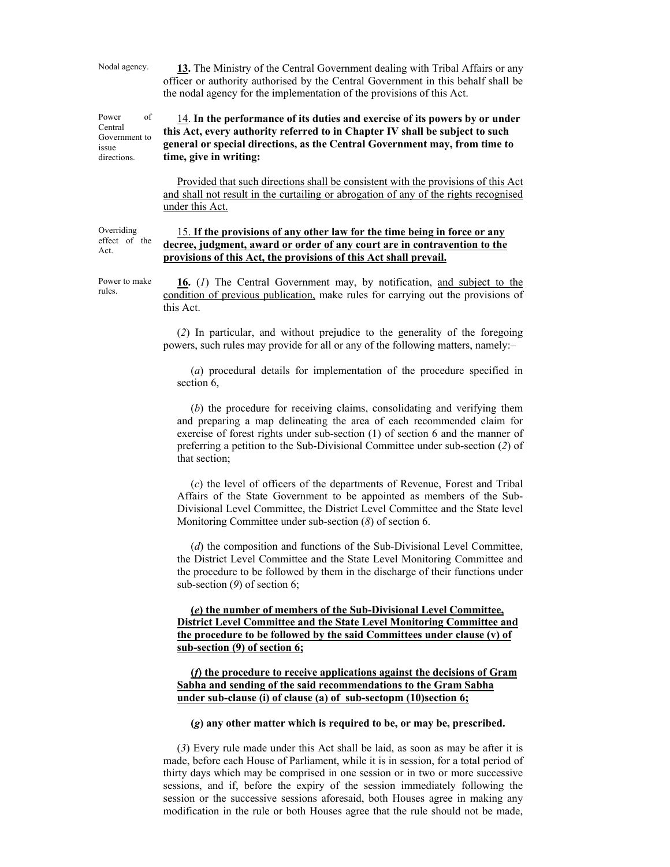Nodal agency. **13.** The Ministry of the Central Government dealing with Tribal Affairs or any officer or authority authorised by the Central Government in this behalf shall be the nodal agency for the implementation of the provisions of this Act.

Power of Government to 14. **In the performance of its duties and exercise of its powers by or under this Act, every authority referred to in Chapter IV shall be subject to such general or special directions, as the Central Government may, from time to time, give in writing:** 

> Provided that such directions shall be consistent with the provisions of this Act and shall not result in the curtailing or abrogation of any of the rights recognised under this Act.

Overriding effect of the Act. 15. **If the provisions of any other law for the time being in force or any decree, judgment, award or order of any court are in contravention to the provisions of this Act, the provisions of this Act shall prevail.**

Power to make rules.

**16.** (*1*) The Central Government may, by notification, and subject to the condition of previous publication, make rules for carrying out the provisions of this Act.

(*2*) In particular, and without prejudice to the generality of the foregoing powers, such rules may provide for all or any of the following matters, namely:–

(*a*) procedural details for implementation of the procedure specified in section 6,

(*b*) the procedure for receiving claims, consolidating and verifying them and preparing a map delineating the area of each recommended claim for exercise of forest rights under sub-section (1) of section 6 and the manner of preferring a petition to the Sub-Divisional Committee under sub-section (*2*) of that section;

(*c*) the level of officers of the departments of Revenue, Forest and Tribal Affairs of the State Government to be appointed as members of the Sub-Divisional Level Committee, the District Level Committee and the State level Monitoring Committee under sub-section (*8*) of section 6.

(*d*) the composition and functions of the Sub-Divisional Level Committee, the District Level Committee and the State Level Monitoring Committee and the procedure to be followed by them in the discharge of their functions under sub-section (*9*) of section 6;

**(***e***) the number of members of the Sub-Divisional Level Committee, District Level Committee and the State Level Monitoring Committee and the procedure to be followed by the said Committees under clause (v) of sub-section (9) of section 6;**

**(***f***) the procedure to receive applications against the decisions of Gram Sabha and sending of the said recommendations to the Gram Sabha under sub-clause (i) of clause (a) of sub-sectopm (10)section 6;**

**(***g***) any other matter which is required to be, or may be, prescribed.** 

(*3*) Every rule made under this Act shall be laid, as soon as may be after it is made, before each House of Parliament, while it is in session, for a total period of thirty days which may be comprised in one session or in two or more successive sessions, and if, before the expiry of the session immediately following the session or the successive sessions aforesaid, both Houses agree in making any modification in the rule or both Houses agree that the rule should not be made,

Central

issue directions.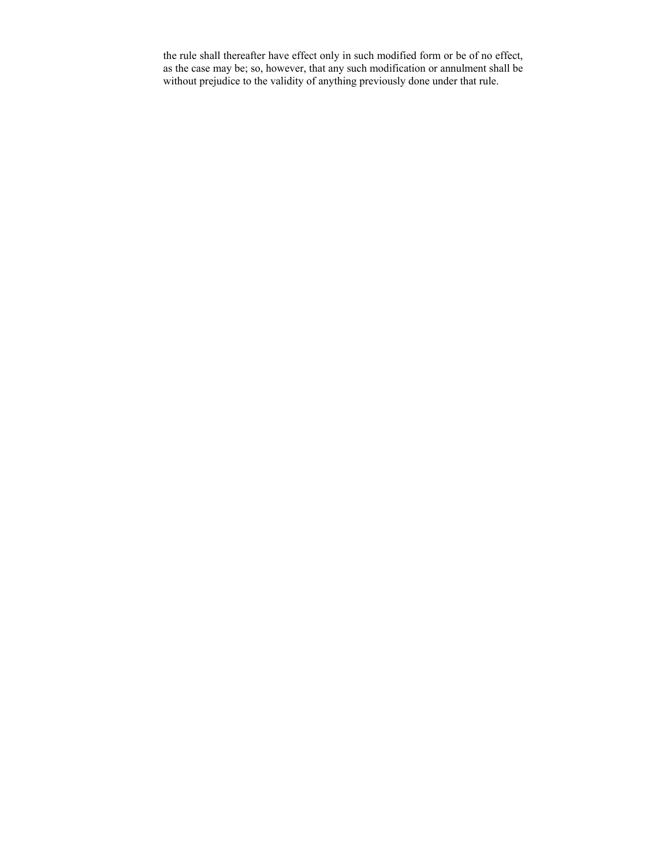the rule shall thereafter have effect only in such modified form or be of no effect, as the case may be; so, however, that any such modification or annulment shall be without prejudice to the validity of anything previously done under that rule.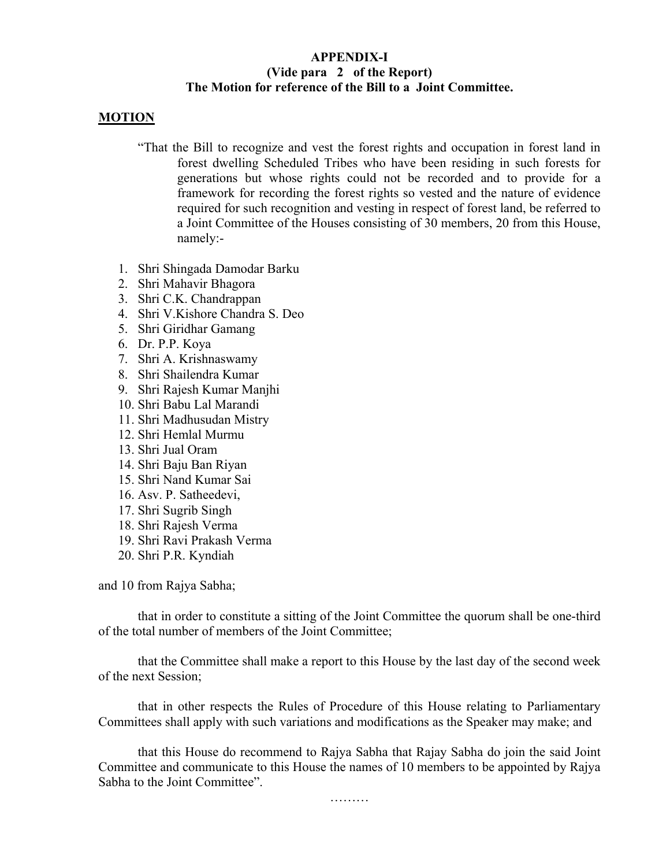## **APPENDIX-I (Vide para 2 of the Report) The Motion for reference of the Bill to a Joint Committee.**

## **MOTION**

- "That the Bill to recognize and vest the forest rights and occupation in forest land in forest dwelling Scheduled Tribes who have been residing in such forests for generations but whose rights could not be recorded and to provide for a framework for recording the forest rights so vested and the nature of evidence required for such recognition and vesting in respect of forest land, be referred to a Joint Committee of the Houses consisting of 30 members, 20 from this House, namely:-
- 1. Shri Shingada Damodar Barku
- 2. Shri Mahavir Bhagora
- 3. Shri C.K. Chandrappan
- 4. Shri V.Kishore Chandra S. Deo
- 5. Shri Giridhar Gamang
- 6. Dr. P.P. Koya
- 7. Shri A. Krishnaswamy
- 8. Shri Shailendra Kumar
- 9. Shri Rajesh Kumar Manjhi
- 10. Shri Babu Lal Marandi
- 11. Shri Madhusudan Mistry
- 12. Shri Hemlal Murmu
- 13. Shri Jual Oram
- 14. Shri Baju Ban Riyan
- 15. Shri Nand Kumar Sai
- 16. Asv. P. Satheedevi,
- 17. Shri Sugrib Singh
- 18. Shri Rajesh Verma
- 19. Shri Ravi Prakash Verma
- 20. Shri P.R. Kyndiah

and 10 from Rajya Sabha;

 that in order to constitute a sitting of the Joint Committee the quorum shall be one-third of the total number of members of the Joint Committee;

 that the Committee shall make a report to this House by the last day of the second week of the next Session;

 that in other respects the Rules of Procedure of this House relating to Parliamentary Committees shall apply with such variations and modifications as the Speaker may make; and

 that this House do recommend to Rajya Sabha that Rajay Sabha do join the said Joint Committee and communicate to this House the names of 10 members to be appointed by Rajya Sabha to the Joint Committee".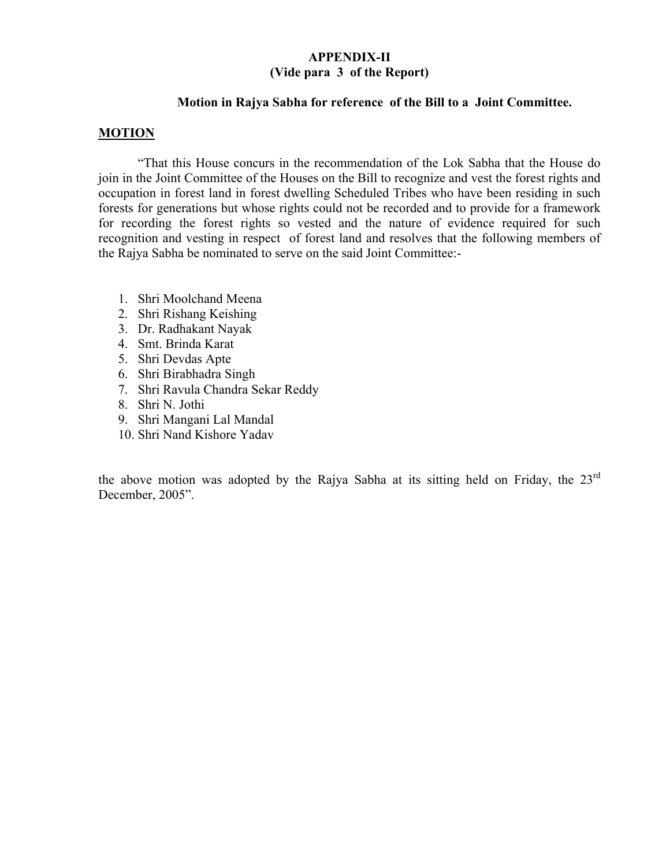## **APPENDIX-II (Vide para 3 of the Report)**

## **Motion in Rajya Sabha for reference of the Bill to a Joint Committee.**

## **MOTION**

"That this House concurs in the recommendation of the Lok Sabha that the House do join in the Joint Committee of the Houses on the Bill to recognize and vest the forest rights and occupation in forest land in forest dwelling Scheduled Tribes who have been residing in such forests for generations but whose rights could not be recorded and to provide for a framework for recording the forest rights so vested and the nature of evidence required for such recognition and vesting in respect of forest land and resolves that the following members of the Rajya Sabha be nominated to serve on the said Joint Committee:-

- 1. Shri Moolchand Meena
- 2. Shri Rishang Keishing
- 3. Dr. Radhakant Nayak
- 4. Smt. Brinda Karat
- 5. Shri Devdas Apte
- 6. Shri Birabhadra Singh
- 7. Shri Ravula Chandra Sekar Reddy
- 8. Shri N. Jothi
- 9. Shri Mangani Lal Mandal
- 10. Shri Nand Kishore Yadav

the above motion was adopted by the Rajya Sabha at its sitting held on Friday, the 23<sup>rd</sup> December, 2005".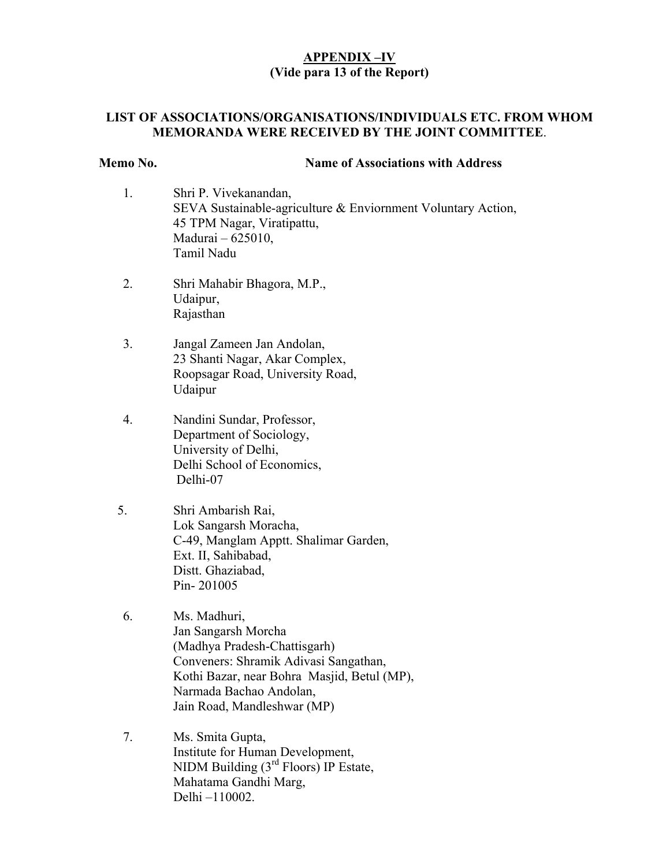## **APPENDIX –IV (Vide para 13 of the Report)**

## **LIST OF ASSOCIATIONS/ORGANISATIONS/INDIVIDUALS ETC. FROM WHOM MEMORANDA WERE RECEIVED BY THE JOINT COMMITTEE**.

## **Memo No. Name of Associations with Address**

- 1. Shri P. Vivekanandan, SEVA Sustainable-agriculture & Enviornment Voluntary Action, 45 TPM Nagar, Viratipattu, Madurai – 625010, Tamil Nadu
- 2. Shri Mahabir Bhagora, M.P., Udaipur, Rajasthan
- 3. Jangal Zameen Jan Andolan, 23 Shanti Nagar, Akar Complex, Roopsagar Road, University Road, Udaipur
- 4. Nandini Sundar, Professor, Department of Sociology, University of Delhi, Delhi School of Economics, Delhi-07
- 5. Shri Ambarish Rai, Lok Sangarsh Moracha, C-49, Manglam Apptt. Shalimar Garden, Ext. II, Sahibabad, Distt. Ghaziabad, Pin- 201005
- 6. Ms. Madhuri, Jan Sangarsh Morcha (Madhya Pradesh-Chattisgarh) Conveners: Shramik Adivasi Sangathan, Kothi Bazar, near Bohra Masjid, Betul (MP), Narmada Bachao Andolan, Jain Road, Mandleshwar (MP)
- 7. Ms. Smita Gupta, Institute for Human Development, NIDM Building (3rd Floors) IP Estate, Mahatama Gandhi Marg, Delhi –110002.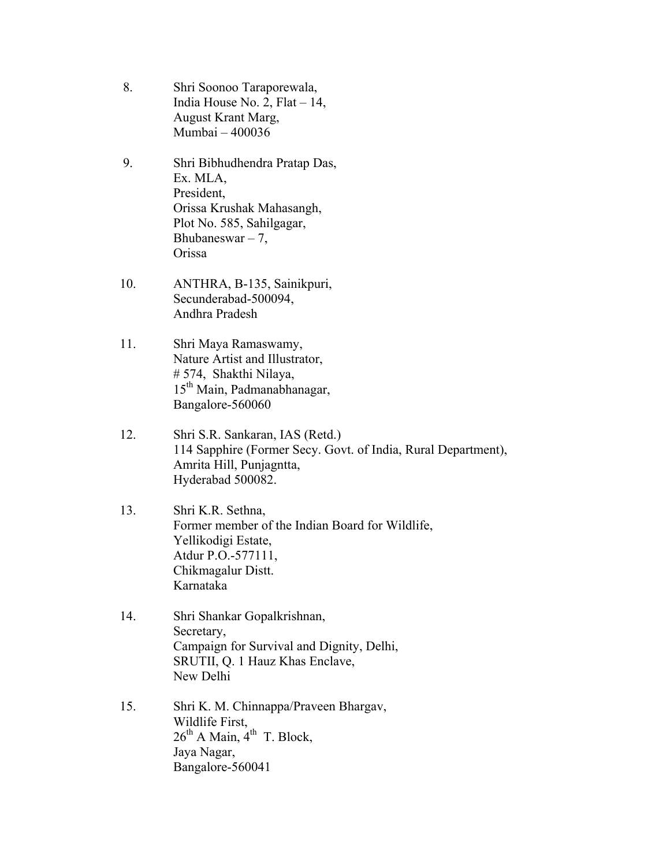- 8. Shri Soonoo Taraporewala, India House No. 2, Flat  $-14$ , August Krant Marg, Mumbai – 400036
- 9. Shri Bibhudhendra Pratap Das, Ex. MLA, President, Orissa Krushak Mahasangh, Plot No. 585, Sahilgagar, Bhubaneswar  $-7$ , Orissa
- 10. ANTHRA, B-135, Sainikpuri, Secunderabad-500094, Andhra Pradesh
- 11. Shri Maya Ramaswamy, Nature Artist and Illustrator, # 574, Shakthi Nilaya, 15<sup>th</sup> Main, Padmanabhanagar, Bangalore-560060
- 12. Shri S.R. Sankaran, IAS (Retd.) 114 Sapphire (Former Secy. Govt. of India, Rural Department), Amrita Hill, Punjagntta, Hyderabad 500082.
- 13. Shri K.R. Sethna, Former member of the Indian Board for Wildlife, Yellikodigi Estate, Atdur P.O.-577111, Chikmagalur Distt. Karnataka
- 14. Shri Shankar Gopalkrishnan, Secretary, Campaign for Survival and Dignity, Delhi, SRUTII, Q. 1 Hauz Khas Enclave, New Delhi
- 15. Shri K. M. Chinnappa/Praveen Bhargav, Wildlife First,  $26<sup>th</sup>$  A Main,  $4<sup>th</sup>$  T. Block, Jaya Nagar, Bangalore-560041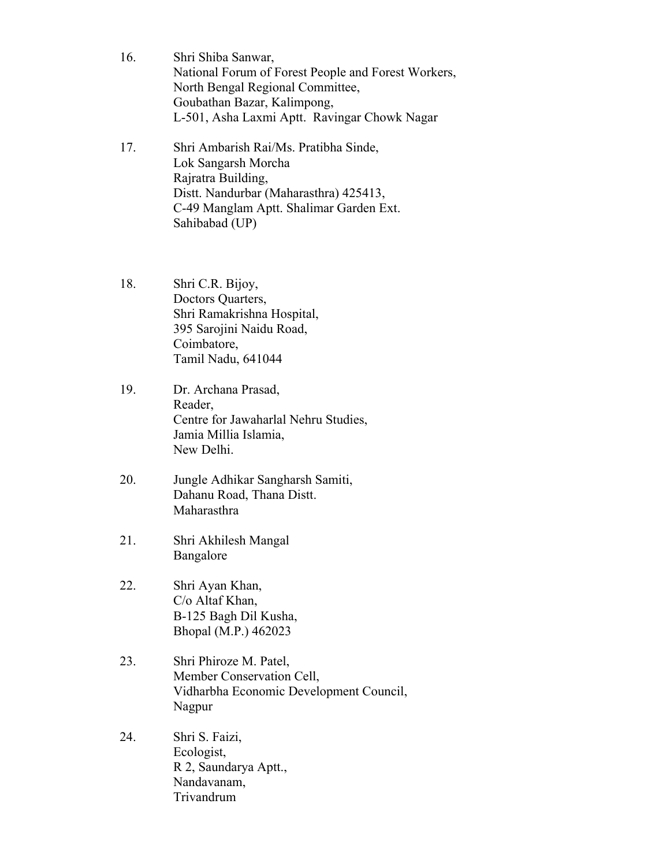- 16. Shri Shiba Sanwar, National Forum of Forest People and Forest Workers, North Bengal Regional Committee, Goubathan Bazar, Kalimpong, L-501, Asha Laxmi Aptt. Ravingar Chowk Nagar
- 17. Shri Ambarish Rai/Ms. Pratibha Sinde, Lok Sangarsh Morcha Rajratra Building, Distt. Nandurbar (Maharasthra) 425413, C-49 Manglam Aptt. Shalimar Garden Ext. Sahibabad (UP)
- 18. Shri C.R. Bijoy, Doctors Quarters, Shri Ramakrishna Hospital, 395 Sarojini Naidu Road, Coimbatore, Tamil Nadu, 641044
- 19. Dr. Archana Prasad, Reader, Centre for Jawaharlal Nehru Studies, Jamia Millia Islamia, New Delhi.
- 20. Jungle Adhikar Sangharsh Samiti, Dahanu Road, Thana Distt. Maharasthra
- 21. Shri Akhilesh Mangal Bangalore
- 22. Shri Ayan Khan, C/o Altaf Khan, B-125 Bagh Dil Kusha, Bhopal (M.P.) 462023
- 23. Shri Phiroze M. Patel, Member Conservation Cell, Vidharbha Economic Development Council, Nagpur
- 24. Shri S. Faizi, Ecologist, R 2, Saundarya Aptt., Nandavanam, Trivandrum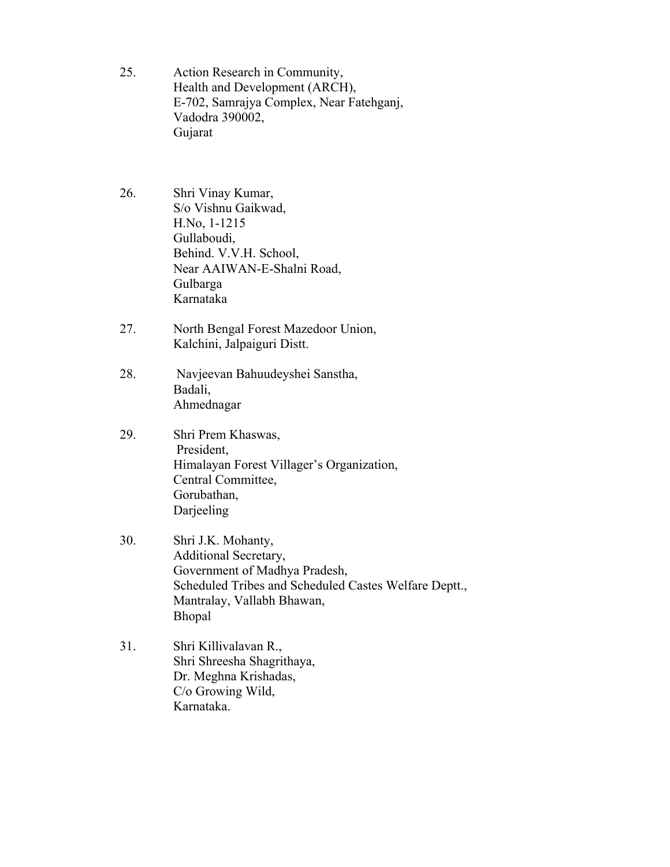- 25. Action Research in Community, Health and Development (ARCH), E-702, Samrajya Complex, Near Fatehganj, Vadodra 390002, Gujarat
- 26. Shri Vinay Kumar, S/o Vishnu Gaikwad, H.No, 1-1215 Gullaboudi, Behind. V.V.H. School, Near AAIWAN-E-Shalni Road, Gulbarga Karnataka
- 27. North Bengal Forest Mazedoor Union, Kalchini, Jalpaiguri Distt.
- 28. Navjeevan Bahuudeyshei Sanstha, Badali, Ahmednagar
- 29. Shri Prem Khaswas, President, Himalayan Forest Villager's Organization, Central Committee, Gorubathan, Darjeeling
- 30. Shri J.K. Mohanty, Additional Secretary, Government of Madhya Pradesh, Scheduled Tribes and Scheduled Castes Welfare Deptt., Mantralay, Vallabh Bhawan, Bhopal
- 31. Shri Killivalavan R., Shri Shreesha Shagrithaya, Dr. Meghna Krishadas, C/o Growing Wild, Karnataka.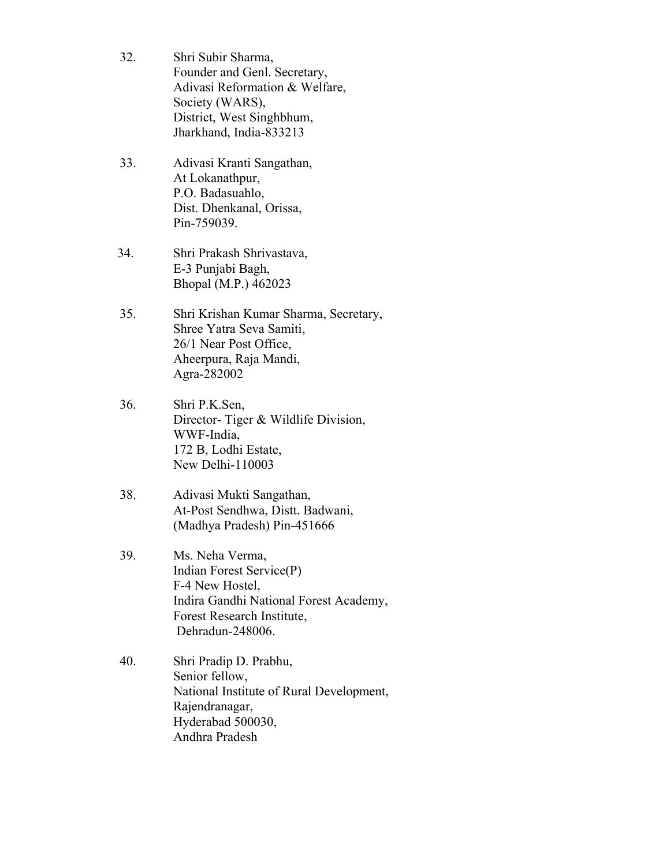- 32. Shri Subir Sharma, Founder and Genl. Secretary, Adivasi Reformation & Welfare, Society (WARS), District, West Singhbhum, Jharkhand, India-833213
- 33. Adivasi Kranti Sangathan, At Lokanathpur, P.O. Badasuahlo, Dist. Dhenkanal, Orissa, Pin-759039.
- 34. Shri Prakash Shrivastava, E-3 Punjabi Bagh, Bhopal (M.P.) 462023
- 35. Shri Krishan Kumar Sharma, Secretary, Shree Yatra Seva Samiti, 26/1 Near Post Office, Aheerpura, Raja Mandi, Agra-282002
- 36. Shri P.K.Sen, Director- Tiger & Wildlife Division, WWF-India, 172 B, Lodhi Estate, New Delhi-110003
- 38. Adivasi Mukti Sangathan, At-Post Sendhwa, Distt. Badwani, (Madhya Pradesh) Pin-451666
- 39. Ms. Neha Verma, Indian Forest Service(P) F-4 New Hostel, Indira Gandhi National Forest Academy, Forest Research Institute, Dehradun-248006.
- 40. Shri Pradip D. Prabhu, Senior fellow, National Institute of Rural Development, Rajendranagar, Hyderabad 500030, Andhra Pradesh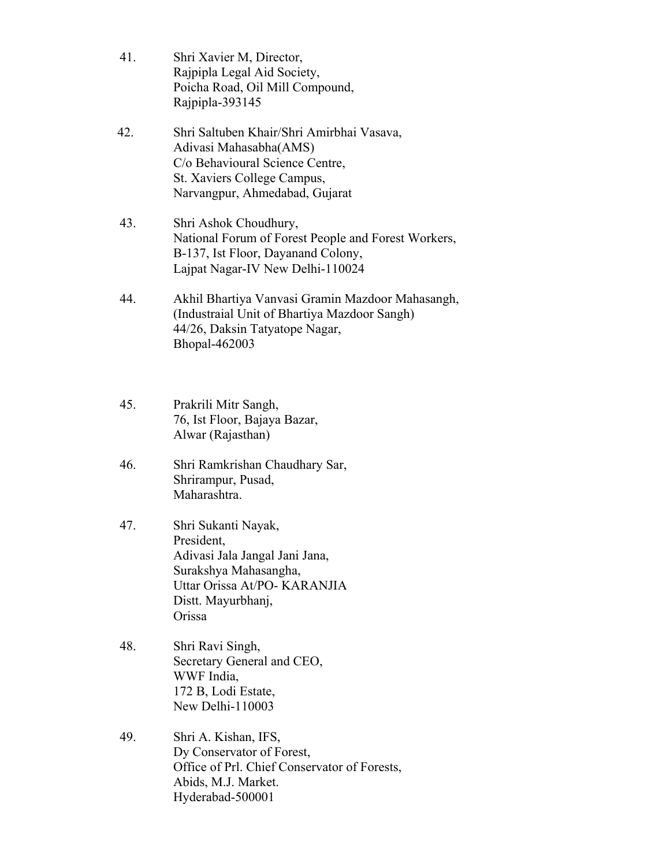- 41. Shri Xavier M, Director, Rajpipla Legal Aid Society, Poicha Road, Oil Mill Compound, Rajpipla-393145
- 42. Shri Saltuben Khair/Shri Amirbhai Vasava, Adivasi Mahasabha(AMS) C/o Behavioural Science Centre, St. Xaviers College Campus, Narvangpur, Ahmedabad, Gujarat
- 43. Shri Ashok Choudhury, National Forum of Forest People and Forest Workers, B-137, Ist Floor, Dayanand Colony, Lajpat Nagar-IV New Delhi-110024
- 44. Akhil Bhartiya Vanvasi Gramin Mazdoor Mahasangh, (Industraial Unit of Bhartiya Mazdoor Sangh) 44/26, Daksin Tatyatope Nagar, Bhopal-462003
- 45. Prakrili Mitr Sangh, 76, Ist Floor, Bajaya Bazar, Alwar (Rajasthan)
- 46. Shri Ramkrishan Chaudhary Sar, Shrirampur, Pusad, Maharashtra.
- 47. Shri Sukanti Nayak, President, Adivasi Jala Jangal Jani Jana, Surakshya Mahasangha, Uttar Orissa At/PO- KARANJIA Distt. Mayurbhanj, Orissa
- 48. Shri Ravi Singh, Secretary General and CEO, WWF India, 172 B, Lodi Estate, New Delhi-110003
- 49. Shri A. Kishan, IFS, Dy Conservator of Forest, Office of Prl. Chief Conservator of Forests, Abids, M.J. Market. Hyderabad-500001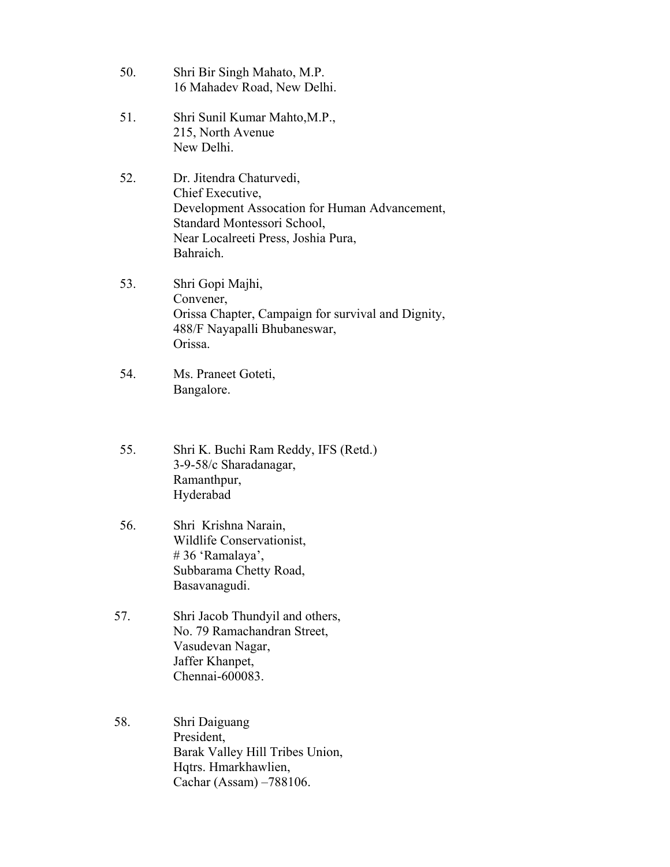- 50. Shri Bir Singh Mahato, M.P. 16 Mahadev Road, New Delhi.
- 51. Shri Sunil Kumar Mahto,M.P., 215, North Avenue New Delhi.
- 52. Dr. Jitendra Chaturvedi, Chief Executive, Development Assocation for Human Advancement, Standard Montessori School, Near Localreeti Press, Joshia Pura, Bahraich.
- 53. Shri Gopi Majhi, Convener, Orissa Chapter, Campaign for survival and Dignity, 488/F Nayapalli Bhubaneswar, Orissa.
- 54. Ms. Praneet Goteti, Bangalore.
- 55. Shri K. Buchi Ram Reddy, IFS (Retd.) 3-9-58/c Sharadanagar, Ramanthpur, Hyderabad
- 56. Shri Krishna Narain, Wildlife Conservationist, # 36 'Ramalaya', Subbarama Chetty Road, Basavanagudi.
- 57. Shri Jacob Thundyil and others, No. 79 Ramachandran Street, Vasudevan Nagar, Jaffer Khanpet, Chennai-600083.
- 58. Shri Daiguang President, Barak Valley Hill Tribes Union, Hqtrs. Hmarkhawlien, Cachar (Assam) –788106.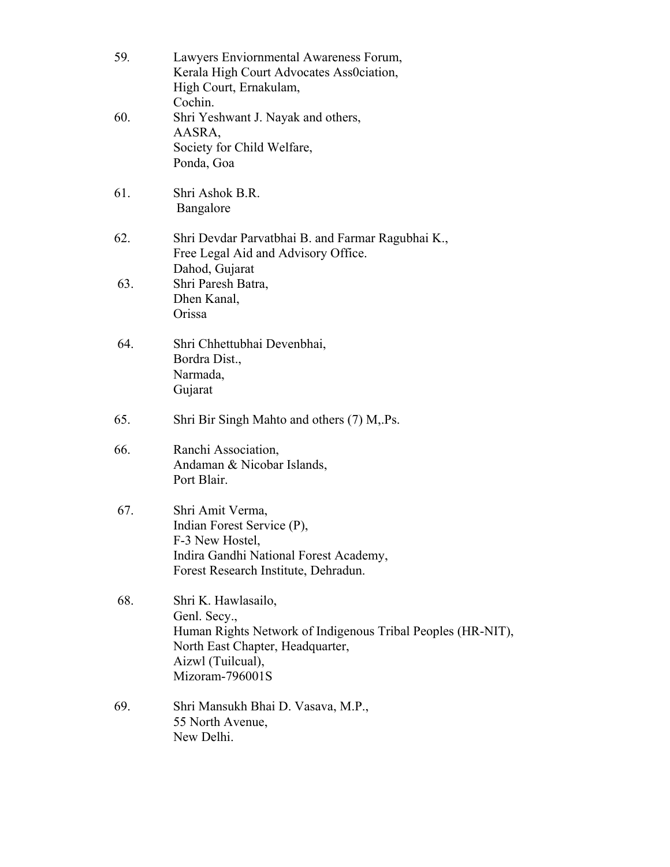| 59. | Lawyers Enviornmental Awareness Forum,<br>Kerala High Court Advocates Ass0ciation,<br>High Court, Ernakulam,<br>Cochin.                                                        |
|-----|--------------------------------------------------------------------------------------------------------------------------------------------------------------------------------|
| 60. | Shri Yeshwant J. Nayak and others,<br>AASRA,<br>Society for Child Welfare,<br>Ponda, Goa                                                                                       |
| 61. | Shri Ashok B.R.<br>Bangalore                                                                                                                                                   |
| 62. | Shri Devdar Parvatbhai B. and Farmar Ragubhai K.,<br>Free Legal Aid and Advisory Office.<br>Dahod, Gujarat                                                                     |
| 63. | Shri Paresh Batra,<br>Dhen Kanal,<br>Orissa                                                                                                                                    |
| 64. | Shri Chhettubhai Devenbhai,<br>Bordra Dist.,<br>Narmada,<br>Gujarat                                                                                                            |
| 65. | Shri Bir Singh Mahto and others (7) M, Ps.                                                                                                                                     |
| 66. | Ranchi Association,<br>Andaman & Nicobar Islands,<br>Port Blair.                                                                                                               |
| 67. | Shri Amit Verma,<br>Indian Forest Service (P),<br>F-3 New Hostel,<br>Indira Gandhi National Forest Academy,<br>Forest Research Institute, Dehradun.                            |
| 68. | Shri K. Hawlasailo,<br>Genl. Secy.,<br>Human Rights Network of Indigenous Tribal Peoples (HR-NIT),<br>North East Chapter, Headquarter,<br>Aizwl (Tuilcual),<br>Mizoram-796001S |
| 69. | Shri Mansukh Bhai D. Vasava, M.P.,<br>55 North Avenue,<br>New Delhi.                                                                                                           |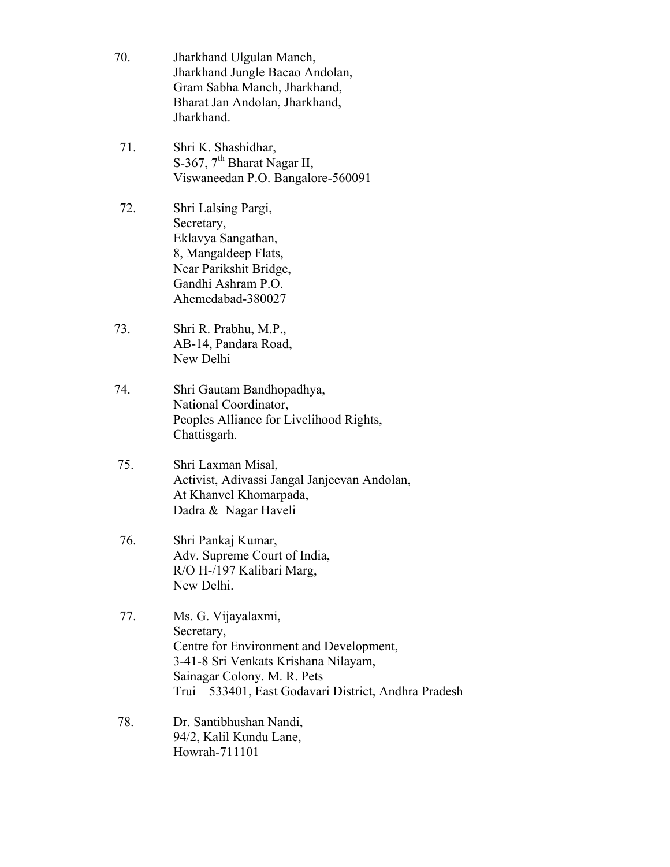- 70. Jharkhand Ulgulan Manch, Jharkhand Jungle Bacao Andolan, Gram Sabha Manch, Jharkhand, Bharat Jan Andolan, Jharkhand, Jharkhand.
- 71. Shri K. Shashidhar, S-367, 7<sup>th</sup> Bharat Nagar II, Viswaneedan P.O. Bangalore-560091
- 72. Shri Lalsing Pargi, Secretary, Eklavya Sangathan, 8, Mangaldeep Flats, Near Parikshit Bridge, Gandhi Ashram P.O. Ahemedabad-380027
- 73. Shri R. Prabhu, M.P., AB-14, Pandara Road, New Delhi
- 74. Shri Gautam Bandhopadhya, National Coordinator, Peoples Alliance for Livelihood Rights, Chattisgarh.
- 75. Shri Laxman Misal, Activist, Adivassi Jangal Janjeevan Andolan, At Khanvel Khomarpada, Dadra & Nagar Haveli
- 76. Shri Pankaj Kumar, Adv. Supreme Court of India, R/O H-/197 Kalibari Marg, New Delhi.
- 77. Ms. G. Vijayalaxmi, Secretary, Centre for Environment and Development, 3-41-8 Sri Venkats Krishana Nilayam, Sainagar Colony. M. R. Pets Trui – 533401, East Godavari District, Andhra Pradesh
- 78. Dr. Santibhushan Nandi, 94/2, Kalil Kundu Lane, Howrah-711101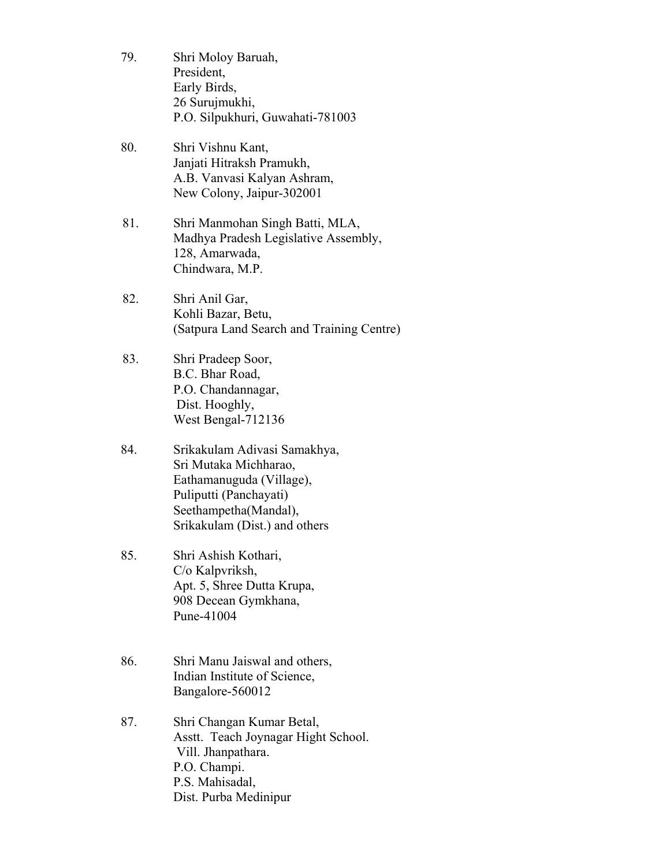- 79. Shri Moloy Baruah, President, Early Birds, 26 Surujmukhi, P.O. Silpukhuri, Guwahati-781003
- 80. Shri Vishnu Kant, Janjati Hitraksh Pramukh, A.B. Vanvasi Kalyan Ashram, New Colony, Jaipur-302001
- 81. Shri Manmohan Singh Batti, MLA, Madhya Pradesh Legislative Assembly, 128, Amarwada, Chindwara, M.P.
- 82. Shri Anil Gar, Kohli Bazar, Betu, (Satpura Land Search and Training Centre)
- 83. Shri Pradeep Soor, B.C. Bhar Road, P.O. Chandannagar, Dist. Hooghly, West Bengal-712136
- 84. Srikakulam Adivasi Samakhya, Sri Mutaka Michharao, Eathamanuguda (Village), Puliputti (Panchayati) Seethampetha(Mandal), Srikakulam (Dist.) and others
- 85. Shri Ashish Kothari, C/o Kalpvriksh, Apt. 5, Shree Dutta Krupa, 908 Decean Gymkhana, Pune-41004
- 86. Shri Manu Jaiswal and others, Indian Institute of Science, Bangalore-560012
- 87. Shri Changan Kumar Betal, Asstt. Teach Joynagar Hight School. Vill. Jhanpathara. P.O. Champi. P.S. Mahisadal, Dist. Purba Medinipur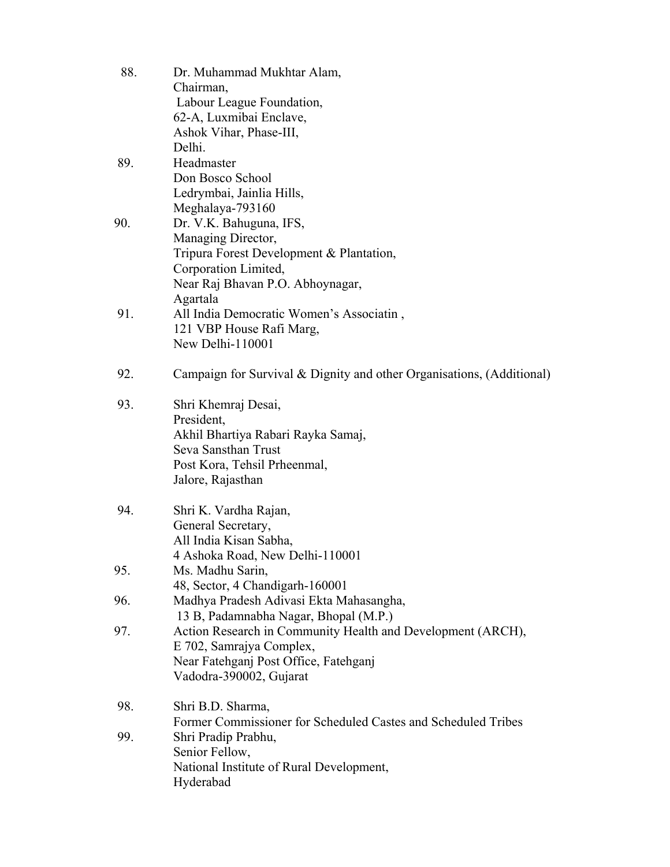| 88. | Dr. Muhammad Mukhtar Alam,                                            |
|-----|-----------------------------------------------------------------------|
|     | Chairman,                                                             |
|     | Labour League Foundation,                                             |
|     | 62-A, Luxmibai Enclave,                                               |
|     | Ashok Vihar, Phase-III,                                               |
|     | Delhi.                                                                |
| 89. | Headmaster                                                            |
|     | Don Bosco School                                                      |
|     | Ledrymbai, Jainlia Hills,                                             |
|     | Meghalaya-793160                                                      |
| 90. | Dr. V.K. Bahuguna, IFS,                                               |
|     | Managing Director,                                                    |
|     | Tripura Forest Development & Plantation,                              |
|     | Corporation Limited,                                                  |
|     | Near Raj Bhavan P.O. Abhoynagar,                                      |
|     | Agartala                                                              |
| 91. | All India Democratic Women's Associatin,                              |
|     | 121 VBP House Rafi Marg,                                              |
|     | New Delhi-110001                                                      |
|     |                                                                       |
| 92. | Campaign for Survival & Dignity and other Organisations, (Additional) |
|     |                                                                       |
| 93. | Shri Khemraj Desai,                                                   |
|     | President,                                                            |
|     | Akhil Bhartiya Rabari Rayka Samaj,                                    |
|     | Seva Sansthan Trust                                                   |
|     | Post Kora, Tehsil Prheenmal,                                          |
|     | Jalore, Rajasthan                                                     |
|     |                                                                       |
| 94. | Shri K. Vardha Rajan,                                                 |
|     | General Secretary,                                                    |
|     | All India Kisan Sabha,                                                |
|     | 4 Ashoka Road, New Delhi-110001                                       |
| 95. | Ms. Madhu Sarin,                                                      |
|     | 48, Sector, 4 Chandigarh-160001                                       |
| 96. | Madhya Pradesh Adivasi Ekta Mahasangha,                               |
|     | 13 B, Padamnabha Nagar, Bhopal (M.P.)                                 |
| 97. | Action Research in Community Health and Development (ARCH),           |
|     | E 702, Samrajya Complex,                                              |
|     | Near Fatehganj Post Office, Fatehganj                                 |
|     | Vadodra-390002, Gujarat                                               |
|     |                                                                       |
| 98. | Shri B.D. Sharma,                                                     |
|     | Former Commissioner for Scheduled Castes and Scheduled Tribes         |
| 99. | Shri Pradip Prabhu,                                                   |
|     | Senior Fellow,                                                        |
|     | National Institute of Rural Development,                              |
|     | Hyderabad                                                             |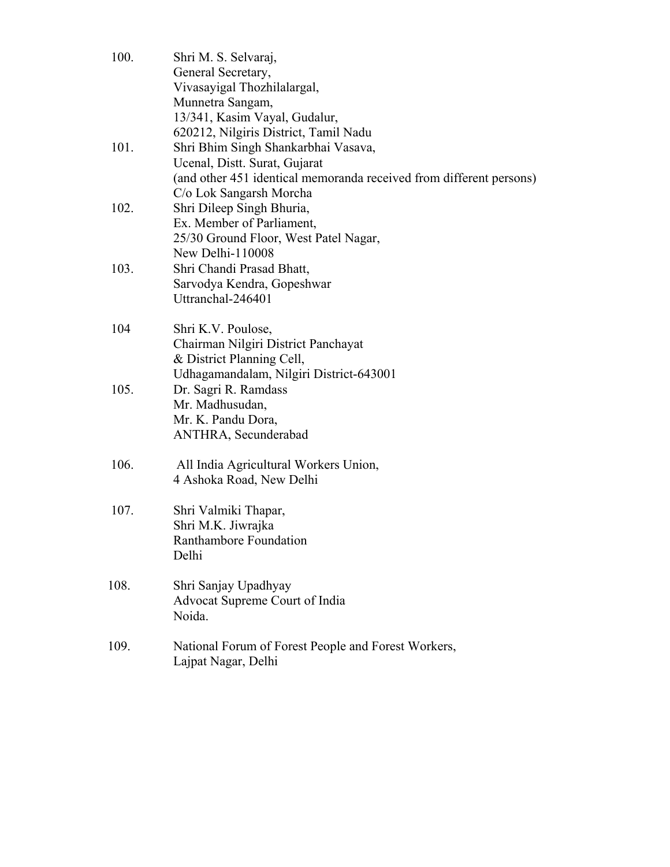| 100. | Shri M. S. Selvaraj,<br>General Secretary,<br>Vivasayigal Thozhilalargal,<br>Munnetra Sangam,                                                                                                     |
|------|---------------------------------------------------------------------------------------------------------------------------------------------------------------------------------------------------|
| 101. | 13/341, Kasim Vayal, Gudalur,<br>620212, Nilgiris District, Tamil Nadu<br>Shri Bhim Singh Shankarbhai Vasava,<br>Ucenal, Distt. Surat, Gujarat                                                    |
| 102. | (and other 451 identical memoranda received from different persons)<br>C/o Lok Sangarsh Morcha<br>Shri Dileep Singh Bhuria,<br>Ex. Member of Parliament,<br>25/30 Ground Floor, West Patel Nagar, |
| 103. | New Delhi-110008<br>Shri Chandi Prasad Bhatt,<br>Sarvodya Kendra, Gopeshwar<br>Uttranchal-246401                                                                                                  |
| 104  | Shri K.V. Poulose,<br>Chairman Nilgiri District Panchayat<br>& District Planning Cell,                                                                                                            |
| 105. | Udhagamandalam, Nilgiri District-643001<br>Dr. Sagri R. Ramdass<br>Mr. Madhusudan,<br>Mr. K. Pandu Dora,<br>ANTHRA, Secunderabad                                                                  |
| 106. | All India Agricultural Workers Union,<br>4 Ashoka Road, New Delhi                                                                                                                                 |
| 107. | Shri Valmiki Thapar,<br>Shri M.K. Jiwrajka<br>Ranthambore Foundation<br>Delhi                                                                                                                     |
| 108. | Shri Sanjay Upadhyay<br>Advocat Supreme Court of India<br>Noida.                                                                                                                                  |
| 109. | National Forum of Forest People and Forest Workers,<br>Lajpat Nagar, Delhi                                                                                                                        |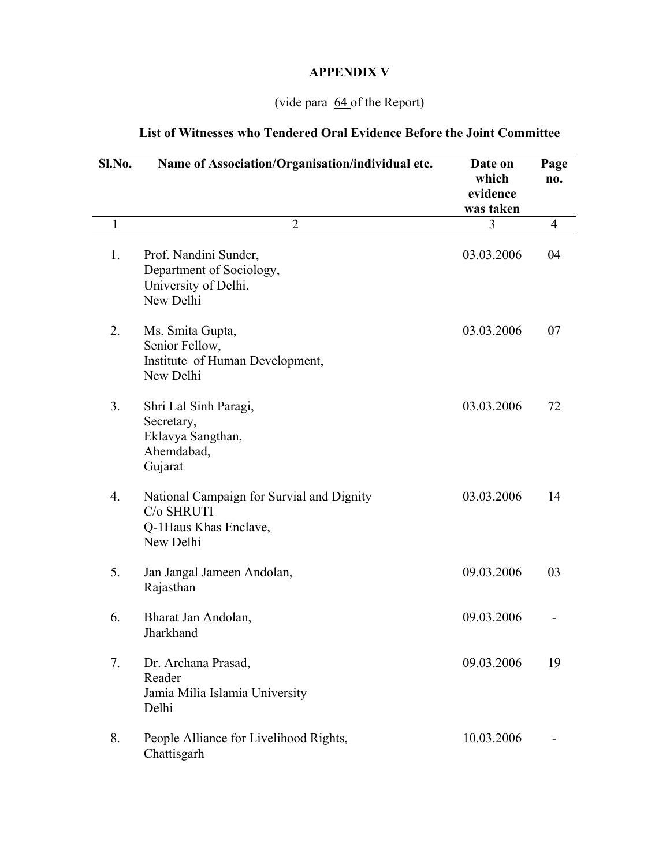# **APPENDIX V**

# (vide para 64 of the Report)

# **List of Witnesses who Tendered Oral Evidence Before the Joint Committee**

| Sl.No.           | Name of Association/Organisation/individual etc.                                              | Date on<br>which<br>evidence<br>was taken | Page<br>no. |
|------------------|-----------------------------------------------------------------------------------------------|-------------------------------------------|-------------|
| $\mathbf{1}$     | $\overline{2}$                                                                                | 3                                         | 4           |
| 1.               | Prof. Nandini Sunder,<br>Department of Sociology,<br>University of Delhi.<br>New Delhi        | 03.03.2006                                | 04          |
| 2.               | Ms. Smita Gupta,<br>Senior Fellow,<br>Institute of Human Development,<br>New Delhi            | 03.03.2006                                | 07          |
| 3.               | Shri Lal Sinh Paragi,<br>Secretary,<br>Eklavya Sangthan,<br>Ahemdabad,<br>Gujarat             | 03.03.2006                                | 72          |
| $\overline{4}$ . | National Campaign for Survial and Dignity<br>C/o SHRUTI<br>Q-1Haus Khas Enclave,<br>New Delhi | 03.03.2006                                | 14          |
| 5.               | Jan Jangal Jameen Andolan,<br>Rajasthan                                                       | 09.03.2006                                | 03          |
| 6.               | Bharat Jan Andolan,<br>Jharkhand                                                              | 09.03.2006                                |             |
| 7.               | Dr. Archana Prasad,<br>Reader<br>Jamia Milia Islamia University<br>Delhi                      | 09.03.2006                                | 19          |
| 8.               | People Alliance for Livelihood Rights,<br>Chattisgarh                                         | 10.03.2006                                |             |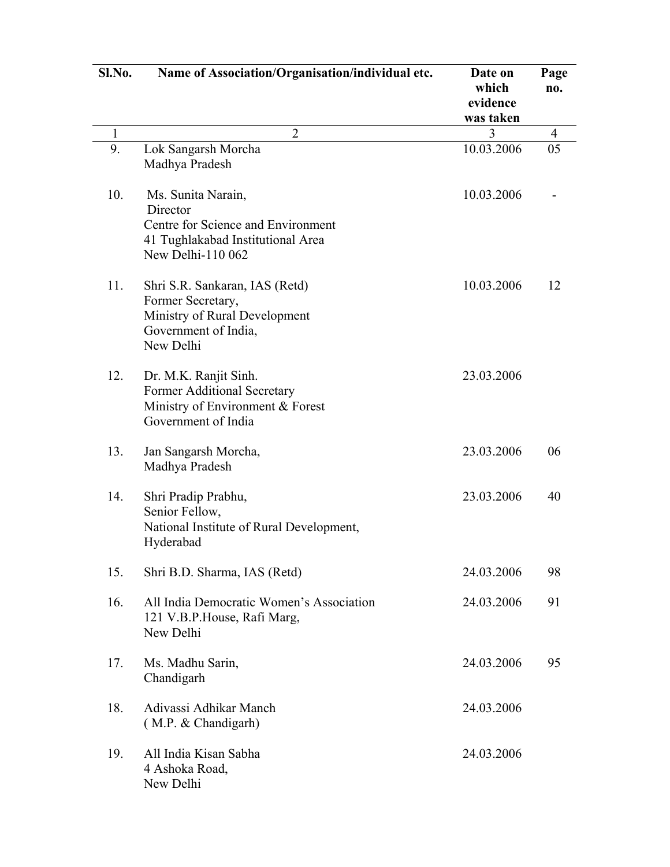| Sl.No. | Name of Association/Organisation/individual etc.                                                                          | Date on<br>which<br>evidence<br>was taken | Page<br>no.    |
|--------|---------------------------------------------------------------------------------------------------------------------------|-------------------------------------------|----------------|
| 1      | $\overline{2}$                                                                                                            | 3                                         | $\overline{4}$ |
| 9.     | Lok Sangarsh Morcha<br>Madhya Pradesh                                                                                     | 10.03.2006                                | 05             |
| 10.    | Ms. Sunita Narain,<br>Director                                                                                            | 10.03.2006                                |                |
|        | Centre for Science and Environment<br>41 Tughlakabad Institutional Area<br>New Delhi-110 062                              |                                           |                |
| 11.    | Shri S.R. Sankaran, IAS (Retd)<br>Former Secretary,<br>Ministry of Rural Development<br>Government of India,<br>New Delhi | 10.03.2006                                | 12             |
| 12.    | Dr. M.K. Ranjit Sinh.<br>Former Additional Secretary<br>Ministry of Environment & Forest<br>Government of India           | 23.03.2006                                |                |
| 13.    | Jan Sangarsh Morcha,<br>Madhya Pradesh                                                                                    | 23.03.2006                                | 06             |
| 14.    | Shri Pradip Prabhu,<br>Senior Fellow,<br>National Institute of Rural Development,<br>Hyderabad                            | 23.03.2006                                | 40             |
| 15.    | Shri B.D. Sharma, IAS (Retd)                                                                                              | 24.03.2006                                | 98             |
| 16.    | All India Democratic Women's Association<br>121 V.B.P.House, Rafi Marg,<br>New Delhi                                      | 24.03.2006                                | 91             |
| 17.    | Ms. Madhu Sarin,<br>Chandigarh                                                                                            | 24.03.2006                                | 95             |
| 18.    | Adivassi Adhikar Manch<br>(M.P. & Chandigarh)                                                                             | 24.03.2006                                |                |
| 19.    | All India Kisan Sabha<br>4 Ashoka Road,<br>New Delhi                                                                      | 24.03.2006                                |                |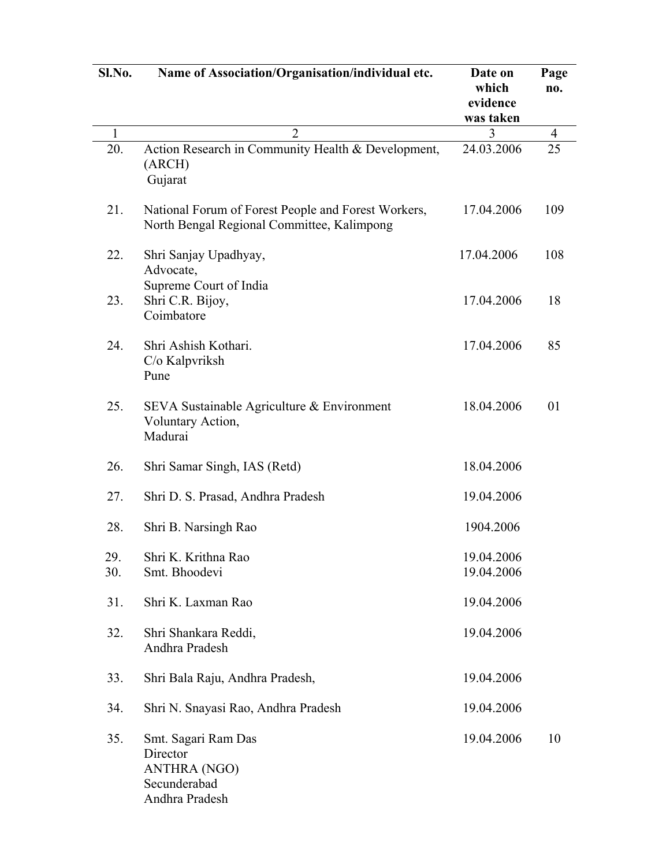| Sl.No.       | Name of Association/Organisation/individual etc.                                                  | Date on<br>which<br>evidence<br>was taken | Page<br>no. |
|--------------|---------------------------------------------------------------------------------------------------|-------------------------------------------|-------------|
| $\mathbf{1}$ | $\overline{2}$                                                                                    | 3                                         | 4           |
| 20.          | Action Research in Community Health & Development,<br>(ARCH)<br>Gujarat                           | 24.03.2006                                | 25          |
| 21.          | National Forum of Forest People and Forest Workers,<br>North Bengal Regional Committee, Kalimpong | 17.04.2006                                | 109         |
| 22.          | Shri Sanjay Upadhyay,<br>Advocate,<br>Supreme Court of India                                      | 17.04.2006                                | 108         |
| 23.          | Shri C.R. Bijoy,<br>Coimbatore                                                                    | 17.04.2006                                | 18          |
| 24.          | Shri Ashish Kothari.<br>C/o Kalpvriksh<br>Pune                                                    | 17.04.2006                                | 85          |
| 25.          | SEVA Sustainable Agriculture & Environment<br>Voluntary Action,<br>Madurai                        | 18.04.2006                                | 01          |
| 26.          | Shri Samar Singh, IAS (Retd)                                                                      | 18.04.2006                                |             |
| 27.          | Shri D. S. Prasad, Andhra Pradesh                                                                 | 19.04.2006                                |             |
| 28.          | Shri B. Narsingh Rao                                                                              | 1904.2006                                 |             |
| 29.<br>30.   | Shri K. Krithna Rao<br>Smt. Bhoodevi                                                              | 19.04.2006<br>19.04.2006                  |             |
| 31.          | Shri K. Laxman Rao                                                                                | 19.04.2006                                |             |
| 32.          | Shri Shankara Reddi,<br>Andhra Pradesh                                                            | 19.04.2006                                |             |
| 33.          | Shri Bala Raju, Andhra Pradesh,                                                                   | 19.04.2006                                |             |
| 34.          | Shri N. Snayasi Rao, Andhra Pradesh                                                               | 19.04.2006                                |             |
| 35.          | Smt. Sagari Ram Das<br>Director<br><b>ANTHRA (NGO)</b><br>Secunderabad<br>Andhra Pradesh          | 19.04.2006                                | 10          |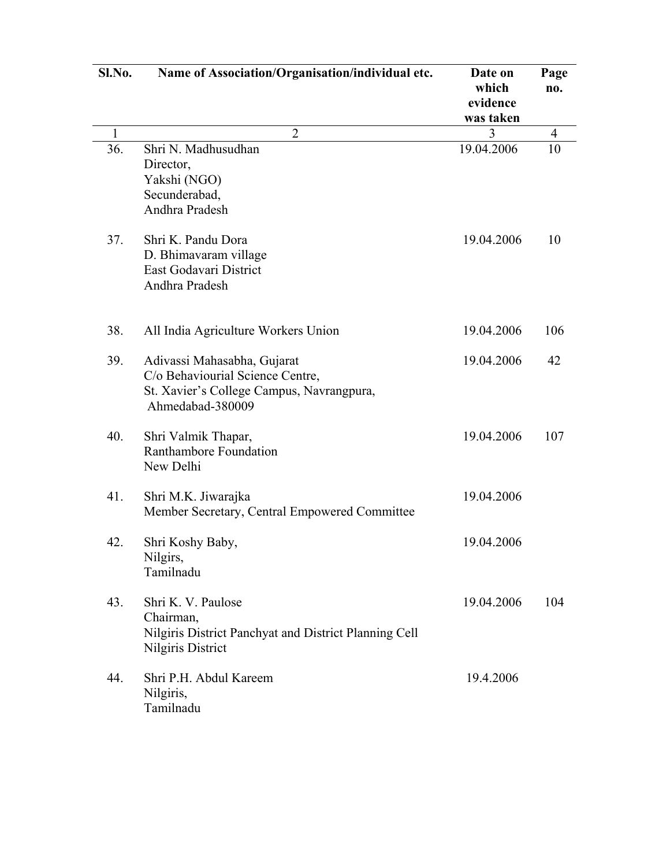| Sl.No.       | Name of Association/Organisation/individual etc.                                                                                 | Date on<br>which<br>evidence<br>was taken | Page<br>no. |
|--------------|----------------------------------------------------------------------------------------------------------------------------------|-------------------------------------------|-------------|
| $\mathbf{1}$ | $\overline{2}$                                                                                                                   | 3                                         | 4           |
| 36.          | Shri N. Madhusudhan<br>Director,<br>Yakshi (NGO)<br>Secunderabad,<br>Andhra Pradesh                                              | 19.04.2006                                | 10          |
| 37.          | Shri K. Pandu Dora<br>D. Bhimavaram village<br>East Godavari District<br>Andhra Pradesh                                          | 19.04.2006                                | 10          |
| 38.          | All India Agriculture Workers Union                                                                                              | 19.04.2006                                | 106         |
| 39.          | Adivassi Mahasabha, Gujarat<br>C/o Behaviourial Science Centre,<br>St. Xavier's College Campus, Navrangpura,<br>Ahmedabad-380009 | 19.04.2006                                | 42          |
| 40.          | Shri Valmik Thapar,<br>Ranthambore Foundation<br>New Delhi                                                                       | 19.04.2006                                | 107         |
| 41.          | Shri M.K. Jiwarajka<br>Member Secretary, Central Empowered Committee                                                             | 19.04.2006                                |             |
| 42.          | Shri Koshy Baby,<br>Nilgirs,<br>Tamilnadu                                                                                        | 19.04.2006                                |             |
| 43.          | Shri K. V. Paulose<br>Chairman,<br>Nilgiris District Panchyat and District Planning Cell<br>Nilgiris District                    | 19.04.2006                                | 104         |
| 44.          | Shri P.H. Abdul Kareem<br>Nilgiris,<br>Tamilnadu                                                                                 | 19.4.2006                                 |             |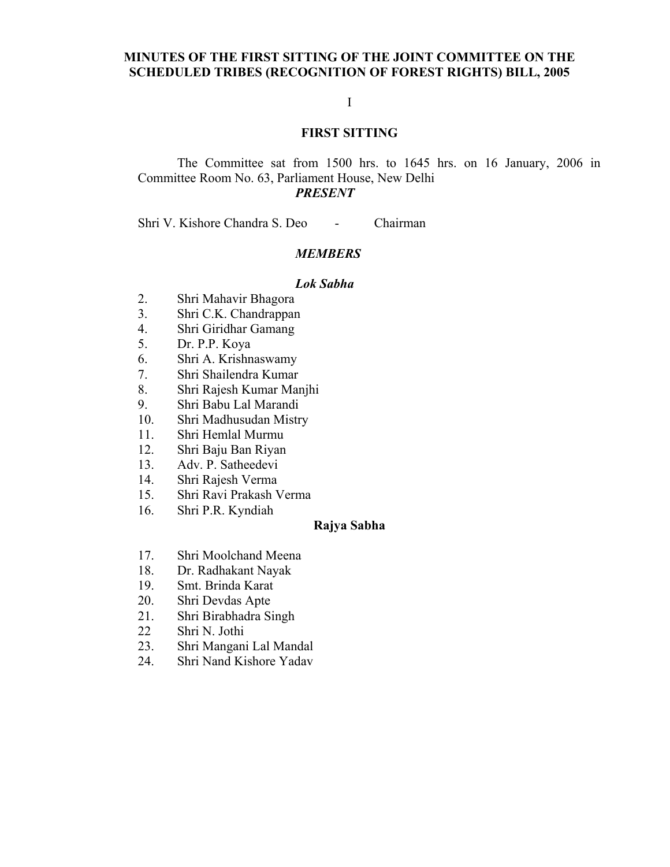## **MINUTES OF THE FIRST SITTING OF THE JOINT COMMITTEE ON THE SCHEDULED TRIBES (RECOGNITION OF FOREST RIGHTS) BILL, 2005**

## I

## **FIRST SITTING**

## The Committee sat from 1500 hrs. to 1645 hrs. on 16 January, 2006 in Committee Room No. 63, Parliament House, New Delhi *PRESENT*

Shri V. Kishore Chandra S. Deo - Chairman

## *MEMBERS*

#### *Lok Sabha*

- 2. Shri Mahavir Bhagora
- 3. Shri C.K. Chandrappan
- 4. Shri Giridhar Gamang
- 5. Dr. P.P. Koya
- 6. Shri A. Krishnaswamy
- 7. Shri Shailendra Kumar
- 8. Shri Rajesh Kumar Manjhi
- 9. Shri Babu Lal Marandi
- 10. Shri Madhusudan Mistry
- 11. Shri Hemlal Murmu
- 12. Shri Baju Ban Riyan
- 13. Adv. P. Satheedevi
- 14. Shri Rajesh Verma
- 15. Shri Ravi Prakash Verma
- 16. Shri P.R. Kyndiah

## **Rajya Sabha**

- 17. Shri Moolchand Meena
- 18. Dr. Radhakant Nayak
- 19. Smt. Brinda Karat
- 20. Shri Devdas Apte
- 21. Shri Birabhadra Singh
- 22 Shri N. Jothi
- 23. Shri Mangani Lal Mandal
- 24. Shri Nand Kishore Yadav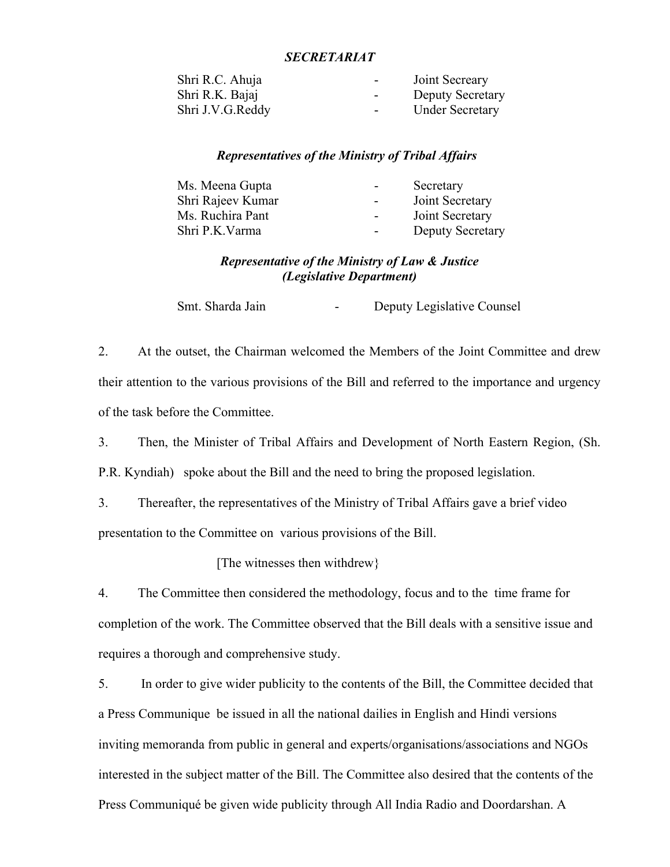## *SECRETARIAT*

| Shri R.C. Ahuja  | $\sim$ 100 $\mu$ | Joint Secreary          |
|------------------|------------------|-------------------------|
| Shri R.K. Bajaj  | $\sim$ 100 $\mu$ | <b>Deputy Secretary</b> |
| Shri J.V.G.Reddy | $\sim$ 100 $\mu$ | <b>Under Secretary</b>  |

#### *Representatives of the Ministry of Tribal Affairs*

| Ms. Meena Gupta   | $\sim$ 100 $\mu$ | Secretary               |
|-------------------|------------------|-------------------------|
| Shri Rajeev Kumar | $\sim$ 10 $\,$   | Joint Secretary         |
| Ms. Ruchira Pant  | $\sim$ 10 $\pm$  | Joint Secretary         |
| Shri P.K. Varma   | $\sim$ 100 $\mu$ | <b>Deputy Secretary</b> |
|                   |                  |                         |

# *Representative of the Ministry of Law & Justice (Legislative Department)*

Smt. Sharda Jain - Deputy Legislative Counsel

2. At the outset, the Chairman welcomed the Members of the Joint Committee and drew their attention to the various provisions of the Bill and referred to the importance and urgency of the task before the Committee.

3. Then, the Minister of Tribal Affairs and Development of North Eastern Region, (Sh. P.R. Kyndiah) spoke about the Bill and the need to bring the proposed legislation.

3. Thereafter, the representatives of the Ministry of Tribal Affairs gave a brief video presentation to the Committee on various provisions of the Bill.

[The witnesses then withdrew}

4. The Committee then considered the methodology, focus and to the time frame for completion of the work. The Committee observed that the Bill deals with a sensitive issue and requires a thorough and comprehensive study.

5. In order to give wider publicity to the contents of the Bill, the Committee decided that a Press Communique be issued in all the national dailies in English and Hindi versions inviting memoranda from public in general and experts/organisations/associations and NGOs interested in the subject matter of the Bill. The Committee also desired that the contents of the Press Communiqué be given wide publicity through All India Radio and Doordarshan. A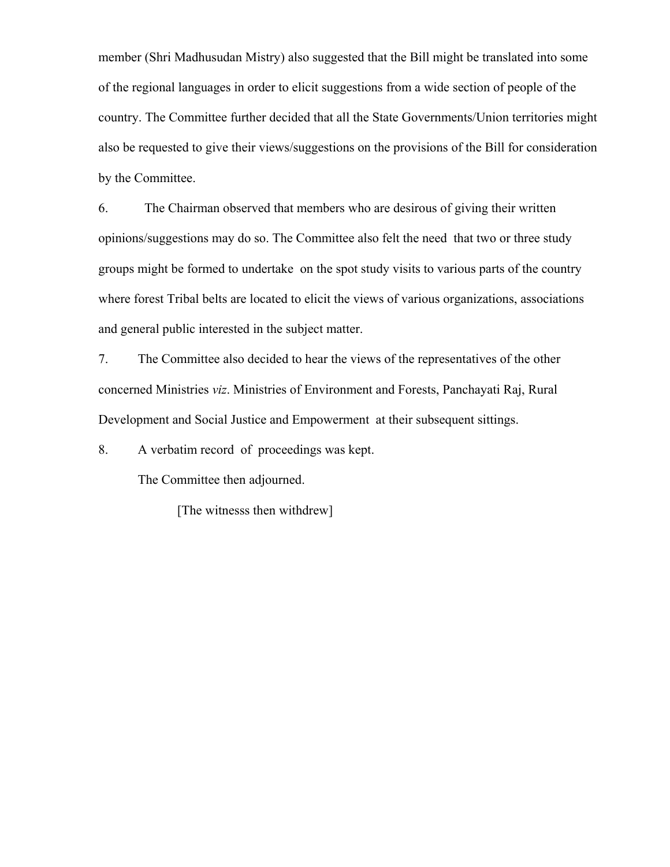member (Shri Madhusudan Mistry) also suggested that the Bill might be translated into some of the regional languages in order to elicit suggestions from a wide section of people of the country. The Committee further decided that all the State Governments/Union territories might also be requested to give their views/suggestions on the provisions of the Bill for consideration by the Committee.

6. The Chairman observed that members who are desirous of giving their written opinions/suggestions may do so. The Committee also felt the need that two or three study groups might be formed to undertake on the spot study visits to various parts of the country where forest Tribal belts are located to elicit the views of various organizations, associations and general public interested in the subject matter.

7. The Committee also decided to hear the views of the representatives of the other concerned Ministries *viz*. Ministries of Environment and Forests, Panchayati Raj, Rural Development and Social Justice and Empowerment at their subsequent sittings.

8. A verbatim record of proceedings was kept.

The Committee then adjourned.

[The witnesss then withdrew]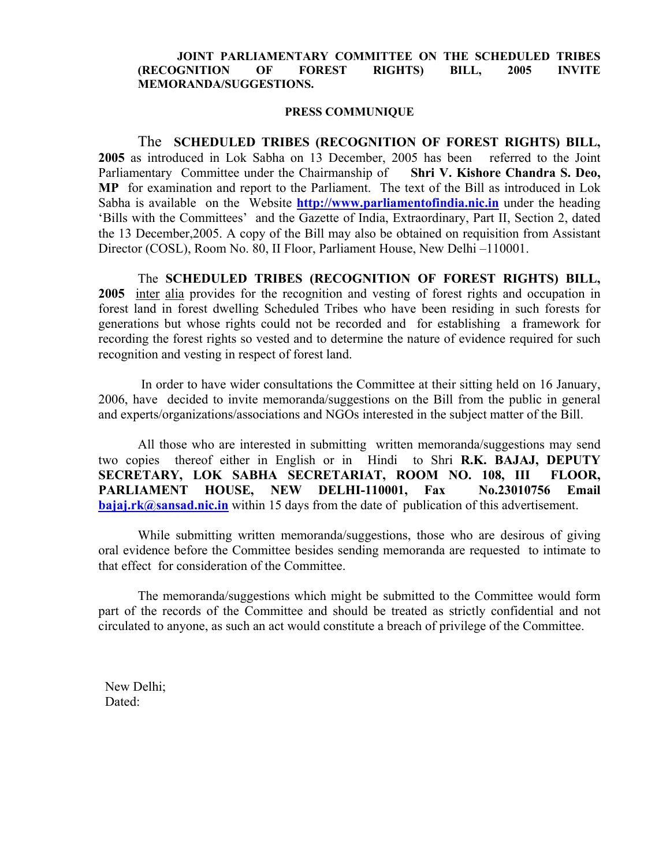#### **JOINT PARLIAMENTARY COMMITTEE ON THE SCHEDULED TRIBES (RECOGNITION OF FOREST RIGHTS) BILL, 2005 INVITE MEMORANDA/SUGGESTIONS.**

#### **PRESS COMMUNIQUE**

 The **SCHEDULED TRIBES (RECOGNITION OF FOREST RIGHTS) BILL, 2005** as introduced in Lok Sabha on 13 December, 2005 has been referred to the Joint Parliamentary Committee under the Chairmanship of **Shri V. Kishore Chandra S. Deo, MP** for examination and report to the Parliament. The text of the Bill as introduced in Lok Sabha is available on the Website **[http://www.parliamentofindia.nic.in](http://www.parliamentofindia.nic.in/)** under the heading 'Bills with the Committees' and the Gazette of India, Extraordinary, Part II, Section 2, dated the 13 December,2005. A copy of the Bill may also be obtained on requisition from Assistant Director (COSL), Room No. 80, II Floor, Parliament House, New Delhi –110001.

The **SCHEDULED TRIBES (RECOGNITION OF FOREST RIGHTS) BILL, 2005** inter alia provides for the recognition and vesting of forest rights and occupation in forest land in forest dwelling Scheduled Tribes who have been residing in such forests for generations but whose rights could not be recorded and for establishing a framework for recording the forest rights so vested and to determine the nature of evidence required for such recognition and vesting in respect of forest land.

 In order to have wider consultations the Committee at their sitting held on 16 January, 2006, have decided to invite memoranda/suggestions on the Bill from the public in general and experts/organizations/associations and NGOs interested in the subject matter of the Bill.

All those who are interested in submitting written memoranda/suggestions may send two copies thereof either in English or in Hindi to Shri **R.K. BAJAJ, DEPUTY SECRETARY, LOK SABHA SECRETARIAT, ROOM NO. 108, III FLOOR, PARLIAMENT HOUSE, NEW DELHI-110001, Fax No.23010756 Email [bajaj.rk@sansad.nic.in](mailto:bajaj.rk@sansad.nic.in)** within 15 days from the date of publication of this advertisement.

While submitting written memoranda/suggestions, those who are desirous of giving oral evidence before the Committee besides sending memoranda are requested to intimate to that effect for consideration of the Committee.

The memoranda/suggestions which might be submitted to the Committee would form part of the records of the Committee and should be treated as strictly confidential and not circulated to anyone, as such an act would constitute a breach of privilege of the Committee.

 New Delhi; Dated: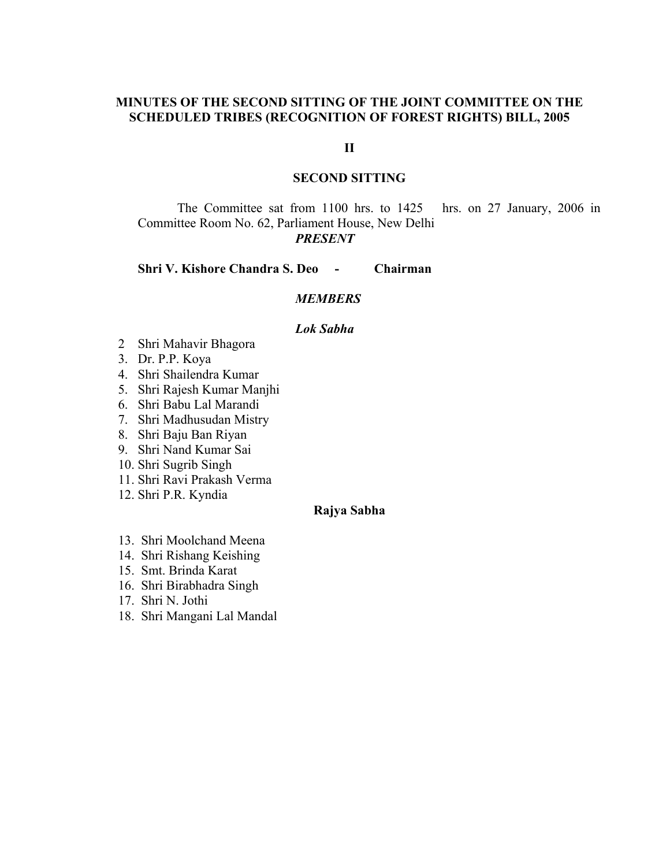## **MINUTES OF THE SECOND SITTING OF THE JOINT COMMITTEE ON THE SCHEDULED TRIBES (RECOGNITION OF FOREST RIGHTS) BILL, 2005**

## **II**

## **SECOND SITTING**

The Committee sat from 1100 hrs. to 1425 hrs. on 27 January, 2006 in Committee Room No. 62, Parliament House, New Delhi *PRESENT* 

**Shri V. Kishore Chandra S. Deo - Chairman** 

#### *MEMBERS*

#### *Lok Sabha*

- 2 Shri Mahavir Bhagora
- 3. Dr. P.P. Koya
- 4. Shri Shailendra Kumar
- 5. Shri Rajesh Kumar Manjhi
- 6. Shri Babu Lal Marandi
- 7. Shri Madhusudan Mistry
- 8. Shri Baju Ban Riyan
- 9. Shri Nand Kumar Sai
- 10. Shri Sugrib Singh
- 11. Shri Ravi Prakash Verma
- 12. Shri P.R. Kyndia

## **Rajya Sabha**

- 13. Shri Moolchand Meena
- 14. Shri Rishang Keishing
- 15. Smt. Brinda Karat
- 16. Shri Birabhadra Singh
- 17. Shri N. Jothi
- 18. Shri Mangani Lal Mandal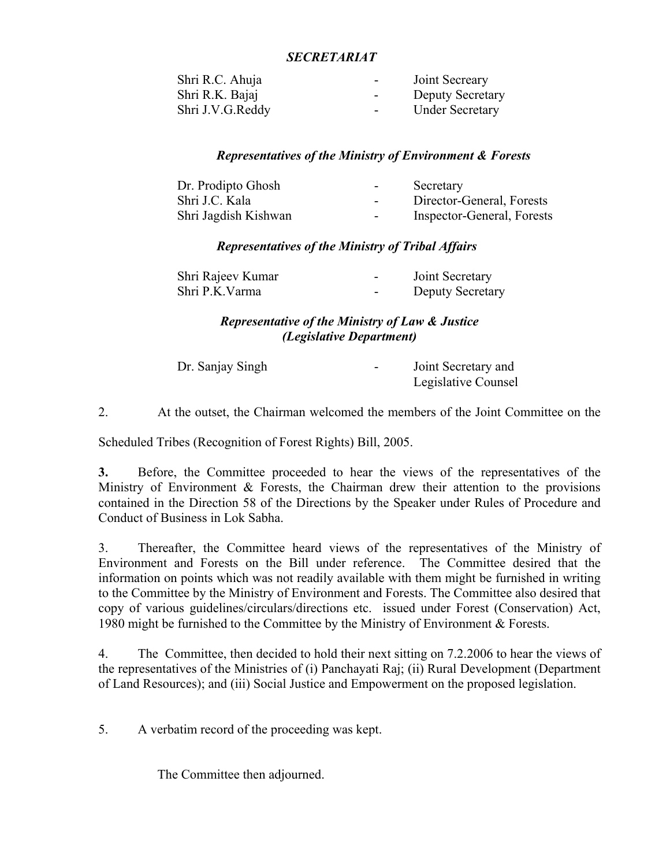## *SECRETARIAT*

| Shri R.C. Ahuja  | Joint Secreary<br>$\sim$ 100 $\mu$          |
|------------------|---------------------------------------------|
| Shri R.K. Bajaj  | <b>Deputy Secretary</b><br>$\sim$ 100 $\mu$ |
| Shri J.V.G.Reddy | <b>Under Secretary</b><br>$\sim$ 100 $\mu$  |

## *Representatives of the Ministry of Environment & Forests*

| Dr. Prodipto Ghosh   | $\sim$ | Secretary                  |
|----------------------|--------|----------------------------|
| Shri J.C. Kala       | $\sim$ | Director-General, Forests  |
| Shri Jagdish Kishwan | $\sim$ | Inspector-General, Forests |

## *Representatives of the Ministry of Tribal Affairs*

| Shri Rajeev Kumar | $\overline{\phantom{0}}$ | Joint Secretary  |
|-------------------|--------------------------|------------------|
| Shri P.K. Varma   | $\overline{\phantom{0}}$ | Deputy Secretary |

## *Representative of the Ministry of Law & Justice (Legislative Department)*

| Dr. Sanjay Singh | Joint Secretary and |
|------------------|---------------------|
|                  | Legislative Counsel |

2. At the outset, the Chairman welcomed the members of the Joint Committee on the

Scheduled Tribes (Recognition of Forest Rights) Bill, 2005.

**3.** Before, the Committee proceeded to hear the views of the representatives of the Ministry of Environment & Forests, the Chairman drew their attention to the provisions contained in the Direction 58 of the Directions by the Speaker under Rules of Procedure and Conduct of Business in Lok Sabha.

3. Thereafter, the Committee heard views of the representatives of the Ministry of Environment and Forests on the Bill under reference. The Committee desired that the information on points which was not readily available with them might be furnished in writing to the Committee by the Ministry of Environment and Forests. The Committee also desired that copy of various guidelines/circulars/directions etc. issued under Forest (Conservation) Act, 1980 might be furnished to the Committee by the Ministry of Environment & Forests.

4. The Committee, then decided to hold their next sitting on 7.2.2006 to hear the views of the representatives of the Ministries of (i) Panchayati Raj; (ii) Rural Development (Department of Land Resources); and (iii) Social Justice and Empowerment on the proposed legislation.

5. A verbatim record of the proceeding was kept.

The Committee then adjourned.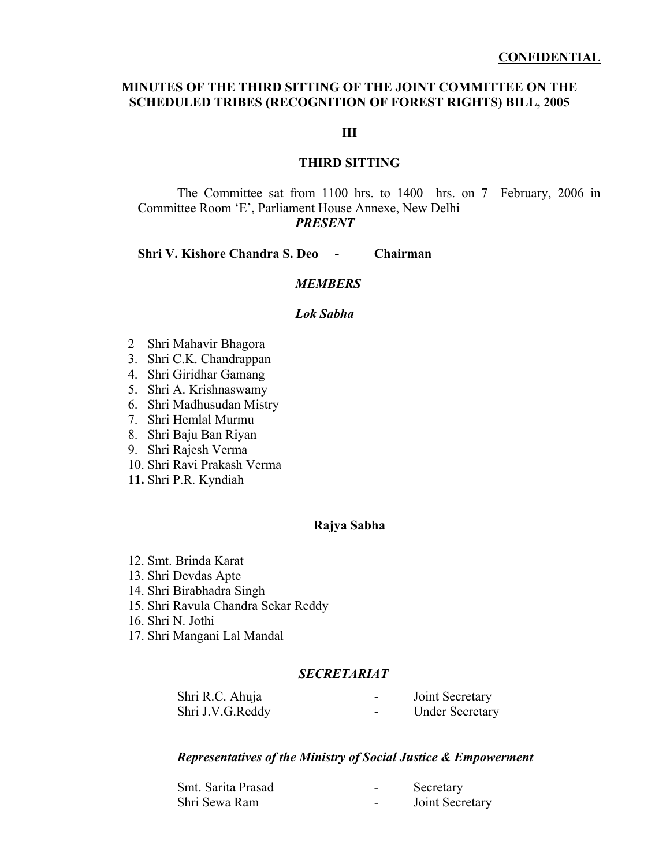## **MINUTES OF THE THIRD SITTING OF THE JOINT COMMITTEE ON THE SCHEDULED TRIBES (RECOGNITION OF FOREST RIGHTS) BILL, 2005**

**III** 

## **THIRD SITTING**

The Committee sat from 1100 hrs. to 1400 hrs. on 7 February, 2006 in Committee Room 'E', Parliament House Annexe, New Delhi *PRESENT* 

#### **Shri V. Kishore Chandra S. Deo - Chairman**

## *MEMBERS*

#### *Lok Sabha*

- 2 Shri Mahavir Bhagora
- 3. Shri C.K. Chandrappan
- 4. Shri Giridhar Gamang
- 5. Shri A. Krishnaswamy
- 6. Shri Madhusudan Mistry
- 7. Shri Hemlal Murmu
- 8. Shri Baju Ban Riyan
- 9. Shri Rajesh Verma
- 10. Shri Ravi Prakash Verma
- **11.** Shri P.R. Kyndiah

#### **Rajya Sabha**

- 12. Smt. Brinda Karat
- 13. Shri Devdas Apte
- 14. Shri Birabhadra Singh
- 15. Shri Ravula Chandra Sekar Reddy
- 16. Shri N. Jothi
- 17. Shri Mangani Lal Mandal

## *SECRETARIAT*

| Shri R.C. Ahuja  | $\overline{\phantom{0}}$ | Joint Secretary        |
|------------------|--------------------------|------------------------|
| Shri J.V.G.Reddy | $\overline{\phantom{0}}$ | <b>Under Secretary</b> |

#### *Representatives of the Ministry of Social Justice & Empowerment*

| Smt. Sarita Prasad | ۰ | Secretary       |
|--------------------|---|-----------------|
| Shri Sewa Ram      | ۰ | Joint Secretary |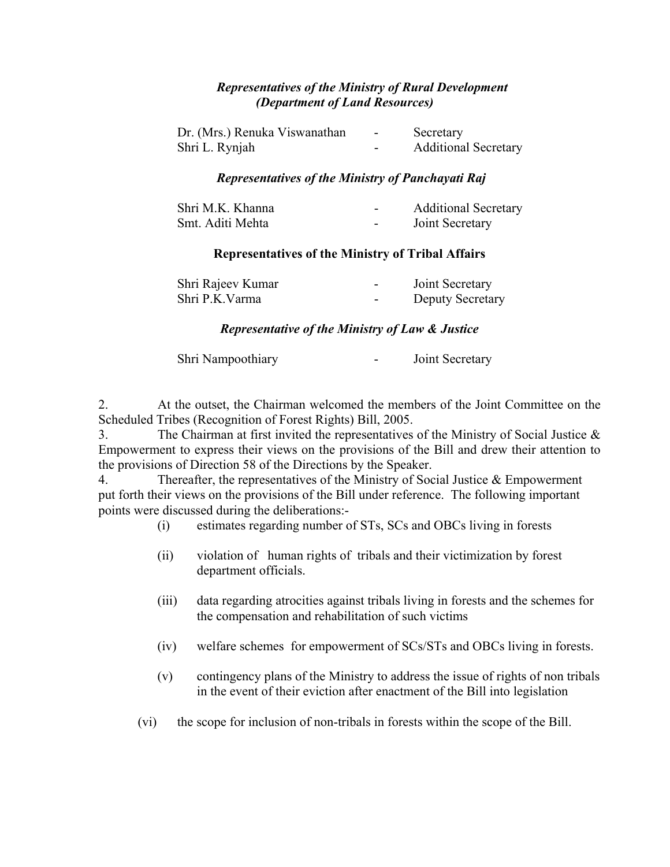## *Representatives of the Ministry of Rural Development (Department of Land Resources)*

| Dr. (Mrs.) Renuka Viswanathan | $\sim$                   | Secretary                   |
|-------------------------------|--------------------------|-----------------------------|
| Shri L. Rynjah                | $\overline{\phantom{a}}$ | <b>Additional Secretary</b> |

## *Representatives of the Ministry of Panchayati Raj*

| Shri M.K. Khanna | $\,$                     | <b>Additional Secretary</b> |
|------------------|--------------------------|-----------------------------|
| Smt. Aditi Mehta | $\overline{\phantom{0}}$ | Joint Secretary             |

## **Representatives of the Ministry of Tribal Affairs**

| Shri Rajeev Kumar | $\overline{\phantom{0}}$ | Joint Secretary  |
|-------------------|--------------------------|------------------|
| Shri P.K. Varma   | $\overline{\phantom{0}}$ | Deputy Secretary |

## *Representative of the Ministry of Law & Justice*

| Shri Nampoothiary |  | Joint Secretary |
|-------------------|--|-----------------|
|-------------------|--|-----------------|

2. At the outset, the Chairman welcomed the members of the Joint Committee on the Scheduled Tribes (Recognition of Forest Rights) Bill, 2005.

3. The Chairman at first invited the representatives of the Ministry of Social Justice & Empowerment to express their views on the provisions of the Bill and drew their attention to the provisions of Direction 58 of the Directions by the Speaker.

4. Thereafter, the representatives of the Ministry of Social Justice & Empowerment put forth their views on the provisions of the Bill under reference. The following important points were discussed during the deliberations:-

(i) estimates regarding number of STs, SCs and OBCs living in forests

- (ii) violation of human rights of tribals and their victimization by forest department officials.
- (iii) data regarding atrocities against tribals living in forests and the schemes for the compensation and rehabilitation of such victims
- (iv) welfare schemes for empowerment of SCs/STs and OBCs living in forests.
- (v) contingency plans of the Ministry to address the issue of rights of non tribals in the event of their eviction after enactment of the Bill into legislation
- (vi) the scope for inclusion of non-tribals in forests within the scope of the Bill.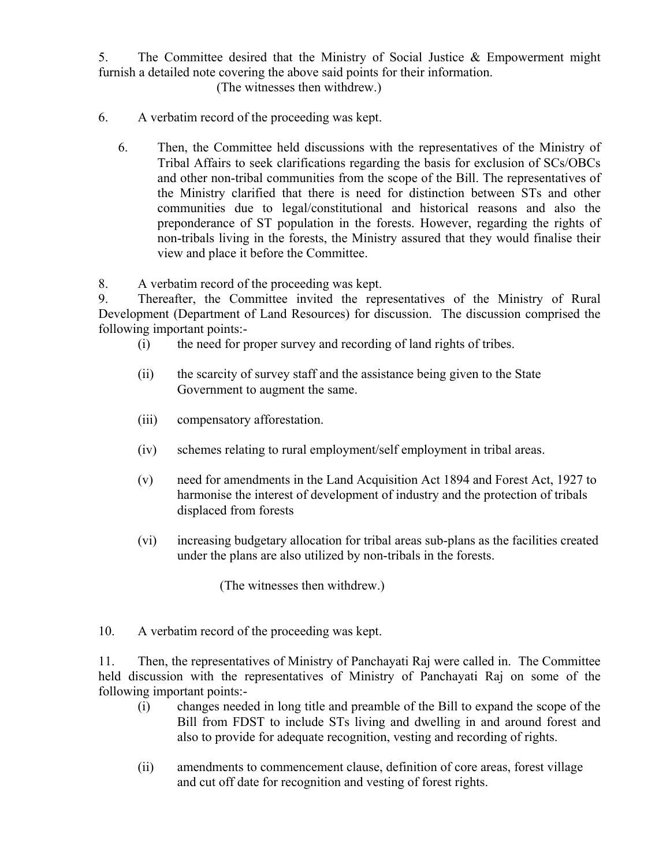5. The Committee desired that the Ministry of Social Justice & Empowerment might furnish a detailed note covering the above said points for their information.

(The witnesses then withdrew.)

- 6. A verbatim record of the proceeding was kept.
	- 6. Then, the Committee held discussions with the representatives of the Ministry of Tribal Affairs to seek clarifications regarding the basis for exclusion of SCs/OBCs and other non-tribal communities from the scope of the Bill. The representatives of the Ministry clarified that there is need for distinction between STs and other communities due to legal/constitutional and historical reasons and also the preponderance of ST population in the forests. However, regarding the rights of non-tribals living in the forests, the Ministry assured that they would finalise their view and place it before the Committee.

8. A verbatim record of the proceeding was kept.

9. Thereafter, the Committee invited the representatives of the Ministry of Rural Development (Department of Land Resources) for discussion. The discussion comprised the following important points:-

- (i) the need for proper survey and recording of land rights of tribes.
- (ii) the scarcity of survey staff and the assistance being given to the State Government to augment the same.
- (iii) compensatory afforestation.
- (iv) schemes relating to rural employment/self employment in tribal areas.
- (v) need for amendments in the Land Acquisition Act 1894 and Forest Act, 1927 to harmonise the interest of development of industry and the protection of tribals displaced from forests
- (vi) increasing budgetary allocation for tribal areas sub-plans as the facilities created under the plans are also utilized by non-tribals in the forests.

(The witnesses then withdrew.)

10. A verbatim record of the proceeding was kept.

11. Then, the representatives of Ministry of Panchayati Raj were called in. The Committee held discussion with the representatives of Ministry of Panchayati Raj on some of the following important points:-

- (i) changes needed in long title and preamble of the Bill to expand the scope of the Bill from FDST to include STs living and dwelling in and around forest and also to provide for adequate recognition, vesting and recording of rights.
- (ii) amendments to commencement clause, definition of core areas, forest village and cut off date for recognition and vesting of forest rights.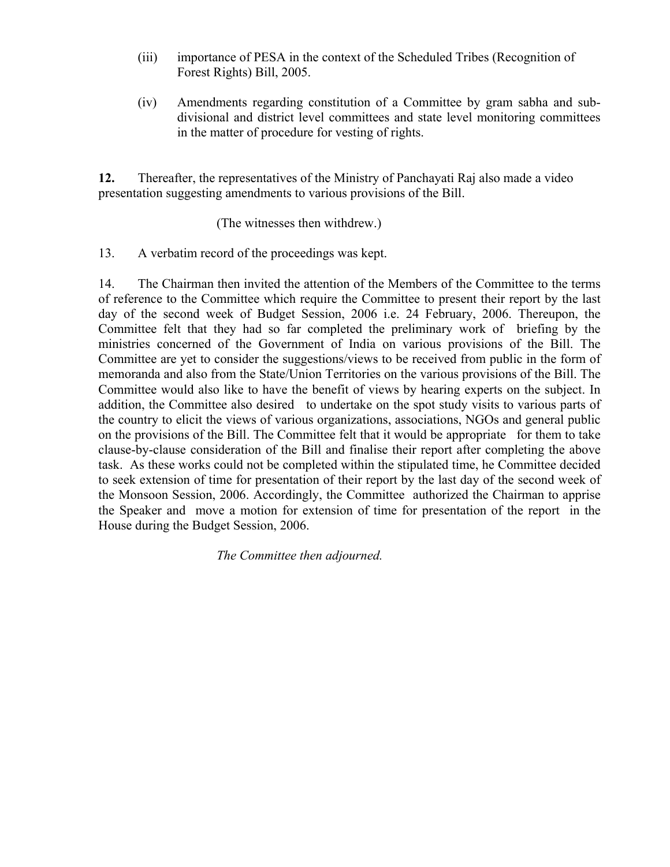- (iii) importance of PESA in the context of the Scheduled Tribes (Recognition of Forest Rights) Bill, 2005.
- (iv) Amendments regarding constitution of a Committee by gram sabha and subdivisional and district level committees and state level monitoring committees in the matter of procedure for vesting of rights.

**12.** Thereafter, the representatives of the Ministry of Panchayati Raj also made a video presentation suggesting amendments to various provisions of the Bill.

(The witnesses then withdrew.)

13. A verbatim record of the proceedings was kept.

14. The Chairman then invited the attention of the Members of the Committee to the terms of reference to the Committee which require the Committee to present their report by the last day of the second week of Budget Session, 2006 i.e. 24 February, 2006. Thereupon, the Committee felt that they had so far completed the preliminary work of briefing by the ministries concerned of the Government of India on various provisions of the Bill. The Committee are yet to consider the suggestions/views to be received from public in the form of memoranda and also from the State/Union Territories on the various provisions of the Bill. The Committee would also like to have the benefit of views by hearing experts on the subject. In addition, the Committee also desired to undertake on the spot study visits to various parts of the country to elicit the views of various organizations, associations, NGOs and general public on the provisions of the Bill. The Committee felt that it would be appropriate for them to take clause-by-clause consideration of the Bill and finalise their report after completing the above task. As these works could not be completed within the stipulated time, he Committee decided to seek extension of time for presentation of their report by the last day of the second week of the Monsoon Session, 2006. Accordingly, the Committee authorized the Chairman to apprise the Speaker and move a motion for extension of time for presentation of the report in the House during the Budget Session, 2006.

*The Committee then adjourned.*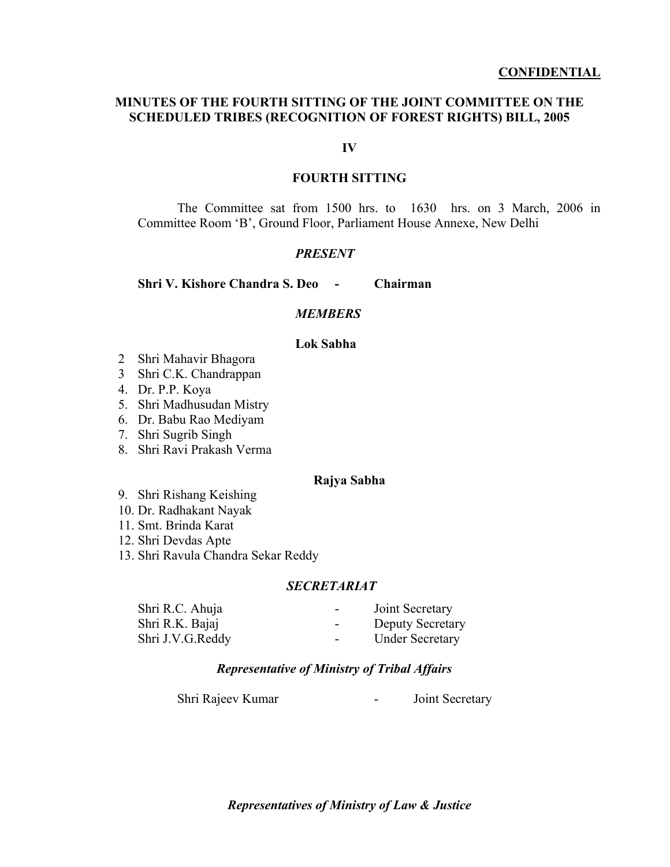## **MINUTES OF THE FOURTH SITTING OF THE JOINT COMMITTEE ON THE SCHEDULED TRIBES (RECOGNITION OF FOREST RIGHTS) BILL, 2005**

#### **IV**

## **FOURTH SITTING**

The Committee sat from 1500 hrs. to 1630 hrs. on 3 March, 2006 in Committee Room 'B', Ground Floor, Parliament House Annexe, New Delhi

#### *PRESENT*

**Shri V. Kishore Chandra S. Deo - Chairman** 

## *MEMBERS*

## **Lok Sabha**

- 2 Shri Mahavir Bhagora
- 3 Shri C.K. Chandrappan
- 4. Dr. P.P. Koya
- 5. Shri Madhusudan Mistry
- 6. Dr. Babu Rao Mediyam
- 7. Shri Sugrib Singh
- 8. Shri Ravi Prakash Verma

#### **Rajya Sabha**

- 9. Shri Rishang Keishing
- 10. Dr. Radhakant Nayak
- 11. Smt. Brinda Karat
- 12. Shri Devdas Apte
- 13. Shri Ravula Chandra Sekar Reddy

#### *SECRETARIAT*

| Shri R.C. Ahuja  | $\blacksquare$ | Joint Secretary         |
|------------------|----------------|-------------------------|
| Shri R.K. Bajaj  | $\blacksquare$ | <b>Deputy Secretary</b> |
| Shri J.V.G.Reddy | $\blacksquare$ | <b>Under Secretary</b>  |

## *Representative of Ministry of Tribal Affairs*

Shri Rajeev Kumar - Joint Secretary

*Representatives of Ministry of Law & Justice*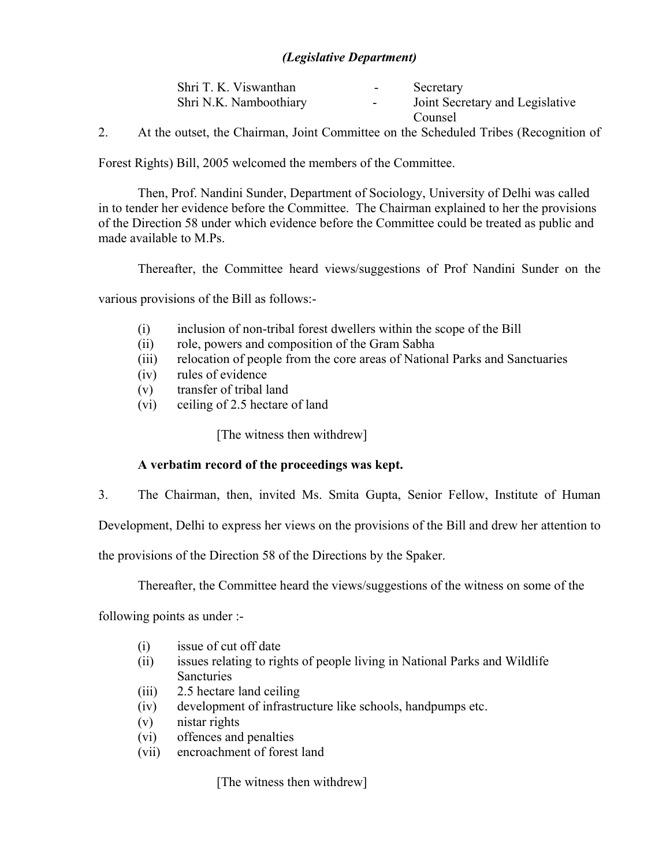## *(Legislative Department)*

| Shri T. K. Viswanthan  | $\sim$ | Secretary                       |
|------------------------|--------|---------------------------------|
| Shri N.K. Namboothiary |        | Joint Secretary and Legislative |
|                        |        | Counsel                         |

2. At the outset, the Chairman, Joint Committee on the Scheduled Tribes (Recognition of

Forest Rights) Bill, 2005 welcomed the members of the Committee.

Then, Prof. Nandini Sunder, Department of Sociology, University of Delhi was called in to tender her evidence before the Committee. The Chairman explained to her the provisions of the Direction 58 under which evidence before the Committee could be treated as public and made available to M.Ps.

Thereafter, the Committee heard views/suggestions of Prof Nandini Sunder on the

various provisions of the Bill as follows:-

- (i) inclusion of non-tribal forest dwellers within the scope of the Bill
- (ii) role, powers and composition of the Gram Sabha
- (iii) relocation of people from the core areas of National Parks and Sanctuaries
- (iv) rules of evidence
- (v) transfer of tribal land
- (vi) ceiling of 2.5 hectare of land

[The witness then withdrew]

## **A verbatim record of the proceedings was kept.**

3. The Chairman, then, invited Ms. Smita Gupta, Senior Fellow, Institute of Human

Development, Delhi to express her views on the provisions of the Bill and drew her attention to

the provisions of the Direction 58 of the Directions by the Spaker.

Thereafter, the Committee heard the views/suggestions of the witness on some of the

following points as under :-

- (i) issue of cut off date
- (ii) issues relating to rights of people living in National Parks and Wildlife **Sancturies**
- (iii) 2.5 hectare land ceiling
- (iv) development of infrastructure like schools, handpumps etc.
- (v) nistar rights
- (vi) offences and penalties
- (vii) encroachment of forest land

[The witness then withdrew]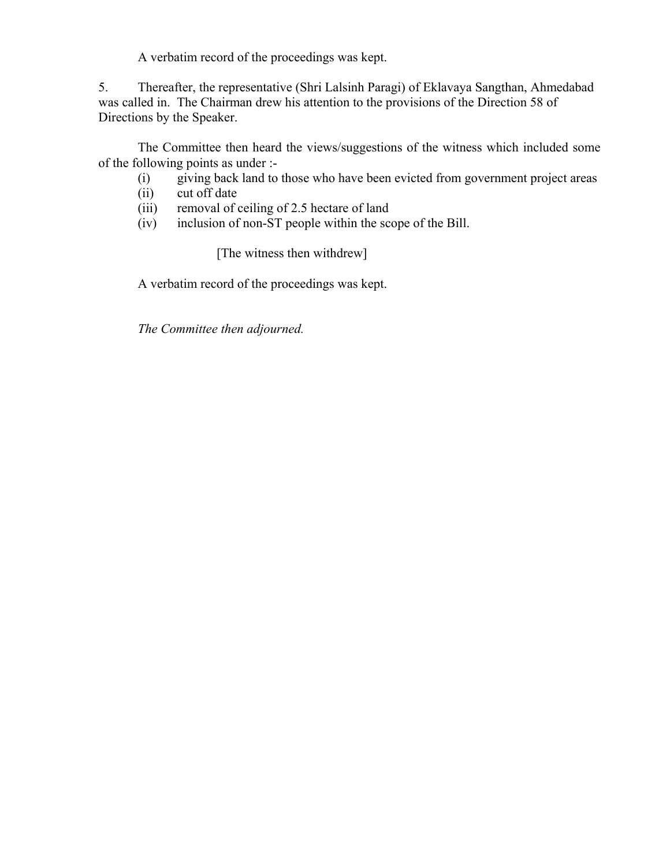A verbatim record of the proceedings was kept.

5. Thereafter, the representative (Shri Lalsinh Paragi) of Eklavaya Sangthan, Ahmedabad was called in. The Chairman drew his attention to the provisions of the Direction 58 of Directions by the Speaker.

 The Committee then heard the views/suggestions of the witness which included some of the following points as under :-

- (i) giving back land to those who have been evicted from government project areas
- (ii) cut off date
- (iii) removal of ceiling of 2.5 hectare of land
- (iv) inclusion of non-ST people within the scope of the Bill.

[The witness then withdrew]

A verbatim record of the proceedings was kept.

*The Committee then adjourned.*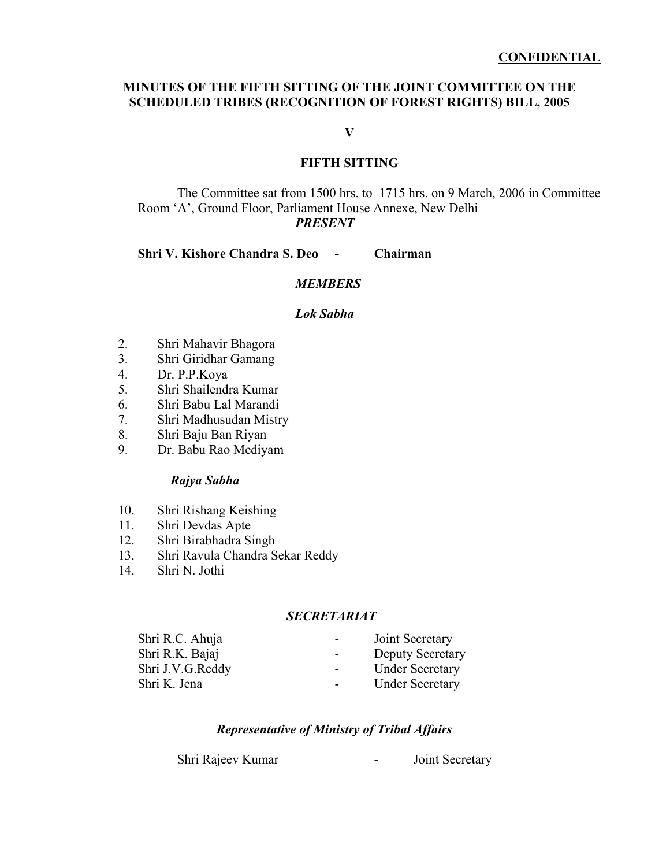## **MINUTES OF THE FIFTH SITTING OF THE JOINT COMMITTEE ON THE SCHEDULED TRIBES (RECOGNITION OF FOREST RIGHTS) BILL, 2005**

**V** 

## **FIFTH SITTING**

The Committee sat from 1500 hrs. to 1715 hrs. on 9 March, 2006 in Committee Room 'A', Ground Floor, Parliament House Annexe, New Delhi *PRESENT* 

#### **Shri V. Kishore Chandra S. Deo - Chairman**

## *MEMBERS*

#### *Lok Sabha*

- 2. Shri Mahavir Bhagora
- 3. Shri Giridhar Gamang
- 4. Dr. P.P.Koya
- 5. Shri Shailendra Kumar
- 6. Shri Babu Lal Marandi
- 7. Shri Madhusudan Mistry
- 8. Shri Baju Ban Riyan
- 9. Dr. Babu Rao Mediyam

#### *Rajya Sabha*

- 10. Shri Rishang Keishing
- 11. Shri Devdas Apte
- 12. Shri Birabhadra Singh
- 13. Shri Ravula Chandra Sekar Reddy
- 14. Shri N. Jothi

## *SECRETARIAT*

| Shri R.C. Ahuja  | $\overline{\phantom{a}}$ | Joint Secretary         |
|------------------|--------------------------|-------------------------|
| Shri R.K. Bajaj  | $\blacksquare$           | <b>Deputy Secretary</b> |
| Shri J.V.G.Reddy | $\sim$                   | <b>Under Secretary</b>  |
| Shri K. Jena     | $\sim$                   | <b>Under Secretary</b>  |
|                  |                          |                         |

## *Representative of Ministry of Tribal Affairs*

Shri Rajeev Kumar - Joint Secretary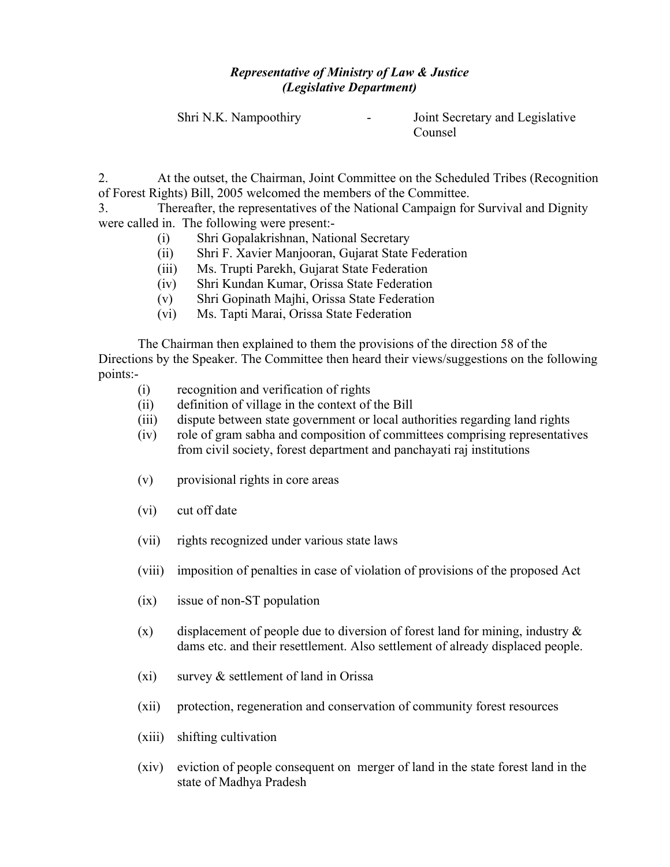# *Representative of Ministry of Law & Justice (Legislative Department)*

Shri N.K. Nampoothiry **-** Joint Secretary and Legislative Counsel

2. At the outset, the Chairman, Joint Committee on the Scheduled Tribes (Recognition of Forest Rights) Bill, 2005 welcomed the members of the Committee.

3. Thereafter, the representatives of the National Campaign for Survival and Dignity were called in. The following were present:-

- (i) Shri Gopalakrishnan, National Secretary
- (ii) Shri F. Xavier Manjooran, Gujarat State Federation
- (iii) Ms. Trupti Parekh, Gujarat State Federation
- (iv) Shri Kundan Kumar, Orissa State Federation
- (v) Shri Gopinath Majhi, Orissa State Federation
- (vi) Ms. Tapti Marai, Orissa State Federation

The Chairman then explained to them the provisions of the direction 58 of the Directions by the Speaker. The Committee then heard their views/suggestions on the following points:-

- (i) recognition and verification of rights
- (ii) definition of village in the context of the Bill
- (iii) dispute between state government or local authorities regarding land rights
- (iv) role of gram sabha and composition of committees comprising representatives from civil society, forest department and panchayati raj institutions
- (v) provisional rights in core areas
- (vi) cut off date
- (vii) rights recognized under various state laws
- (viii) imposition of penalties in case of violation of provisions of the proposed Act
- (ix) issue of non-ST population
- (x) displacement of people due to diversion of forest land for mining, industry  $\&$ dams etc. and their resettlement. Also settlement of already displaced people.
- $(xi)$  survey  $\&$  settlement of land in Orissa
- (xii) protection, regeneration and conservation of community forest resources
- (xiii) shifting cultivation
- (xiv) eviction of people consequent on merger of land in the state forest land in the state of Madhya Pradesh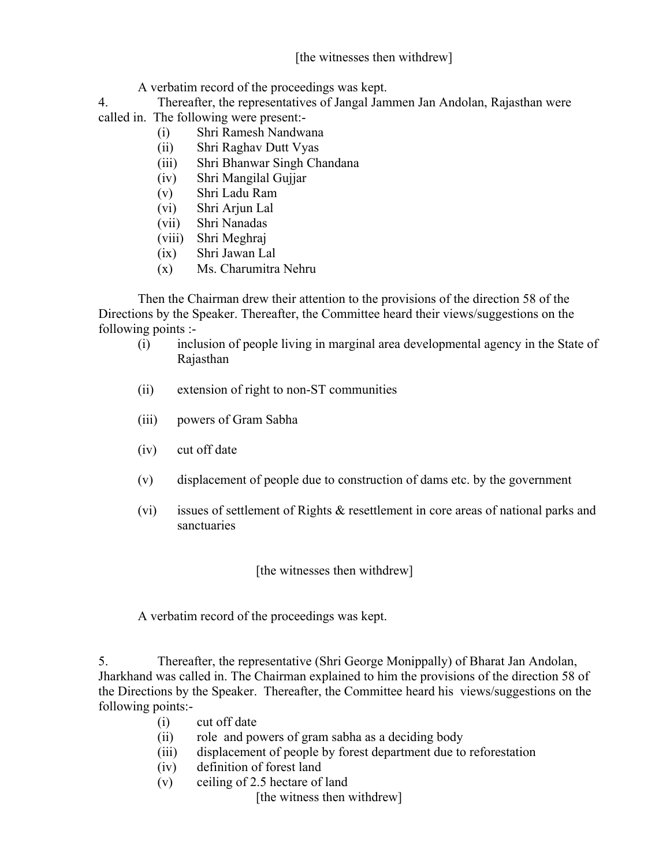# [the witnesses then withdrew]

A verbatim record of the proceedings was kept.

4. Thereafter, the representatives of Jangal Jammen Jan Andolan, Rajasthan were called in. The following were present:-

- (i) Shri Ramesh Nandwana
- (ii) Shri Raghav Dutt Vyas
- (iii) Shri Bhanwar Singh Chandana
- (iv) Shri Mangilal Gujjar
- (v) Shri Ladu Ram
- (vi) Shri Arjun Lal
- (vii) Shri Nanadas
- (viii) Shri Meghraj
- (ix) Shri Jawan Lal
- (x) Ms. Charumitra Nehru

Then the Chairman drew their attention to the provisions of the direction 58 of the Directions by the Speaker. Thereafter, the Committee heard their views/suggestions on the following points :-

- (i) inclusion of people living in marginal area developmental agency in the State of Rajasthan
- (ii) extension of right to non-ST communities
- (iii) powers of Gram Sabha
- (iv) cut off date
- (v) displacement of people due to construction of dams etc. by the government
- (vi) issues of settlement of Rights & resettlement in core areas of national parks and sanctuaries

[the witnesses then withdrew]

A verbatim record of the proceedings was kept.

5. Thereafter, the representative (Shri George Monippally) of Bharat Jan Andolan, Jharkhand was called in. The Chairman explained to him the provisions of the direction 58 of the Directions by the Speaker. Thereafter, the Committee heard his views/suggestions on the following points:-

- (i) cut off date
- (ii) role and powers of gram sabha as a deciding body
- (iii) displacement of people by forest department due to reforestation
- (iv) definition of forest land
- (v) ceiling of 2.5 hectare of land

[the witness then withdrew]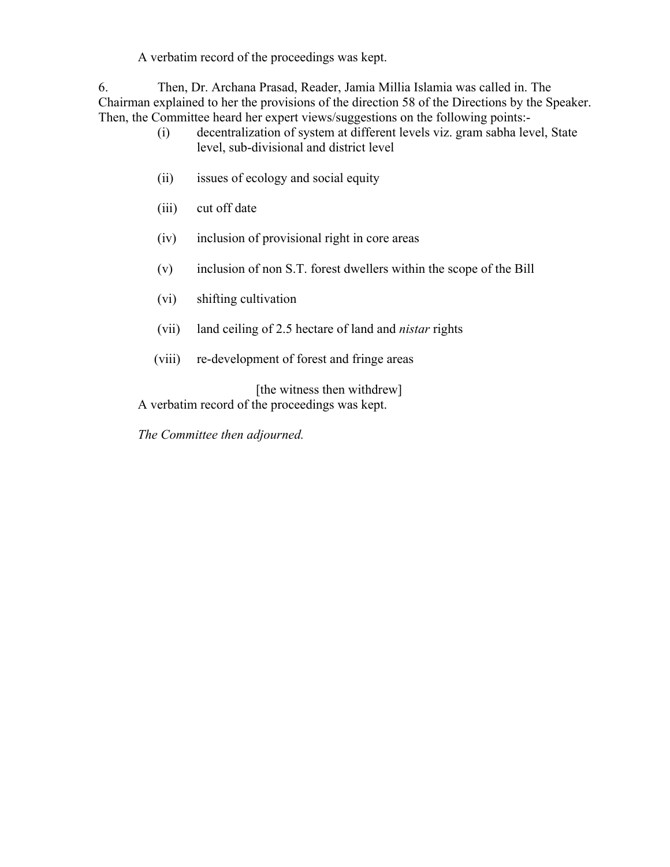A verbatim record of the proceedings was kept.

6. Then, Dr. Archana Prasad, Reader, Jamia Millia Islamia was called in. The Chairman explained to her the provisions of the direction 58 of the Directions by the Speaker. Then, the Committee heard her expert views/suggestions on the following points:-

- (i) decentralization of system at different levels viz. gram sabha level, State level, sub-divisional and district level
- (ii) issues of ecology and social equity
- (iii) cut off date
- (iv) inclusion of provisional right in core areas
- (v) inclusion of non S.T. forest dwellers within the scope of the Bill
- (vi) shifting cultivation
- (vii) land ceiling of 2.5 hectare of land and *nistar* rights
- (viii) re-development of forest and fringe areas

[the witness then withdrew]

A verbatim record of the proceedings was kept.

*The Committee then adjourned.*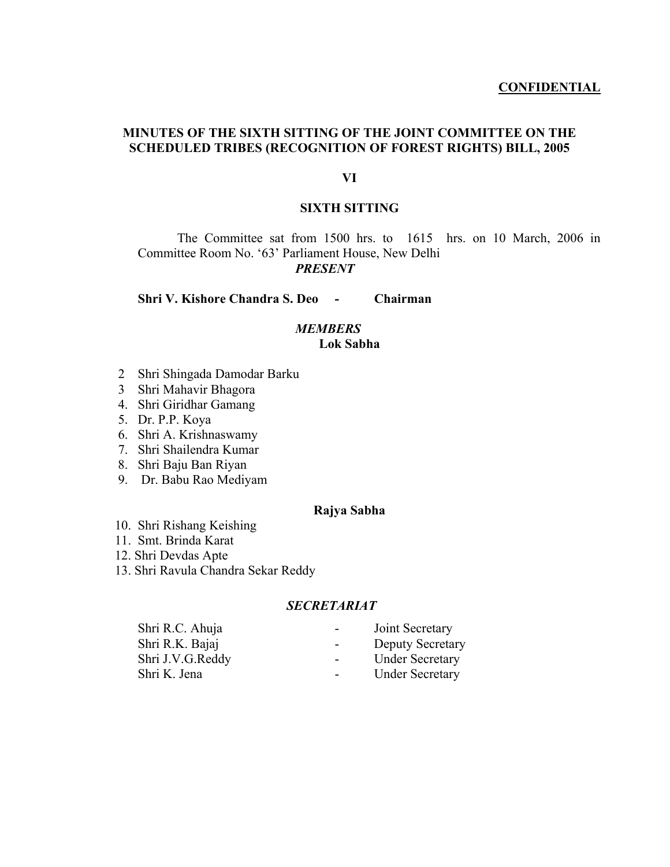# **MINUTES OF THE SIXTH SITTING OF THE JOINT COMMITTEE ON THE SCHEDULED TRIBES (RECOGNITION OF FOREST RIGHTS) BILL, 2005**

#### **VI**

## **SIXTH SITTING**

The Committee sat from 1500 hrs. to 1615 hrs. on 10 March, 2006 in Committee Room No. '63' Parliament House, New Delhi *PRESENT* 

**Shri V. Kishore Chandra S. Deo - Chairman** 

## *MEMBERS*  **Lok Sabha**

- 2 Shri Shingada Damodar Barku
- 3 Shri Mahavir Bhagora
- 4. Shri Giridhar Gamang
- 5. Dr. P.P. Koya
- 6. Shri A. Krishnaswamy
- 7. Shri Shailendra Kumar
- 8. Shri Baju Ban Riyan
- 9. Dr. Babu Rao Mediyam

## **Rajya Sabha**

- 10. Shri Rishang Keishing
- 11. Smt. Brinda Karat
- 12. Shri Devdas Apte
- 13. Shri Ravula Chandra Sekar Reddy

## *SECRETARIAT*

| Shri R.C. Ahuja  | Joint Secretary<br>$\sim$         |  |
|------------------|-----------------------------------|--|
| Shri R.K. Bajaj  | <b>Deputy Secretary</b><br>$\sim$ |  |
| Shri J.V.G.Reddy | <b>Under Secretary</b><br>$\sim$  |  |
| Shri K. Jena     | <b>Under Secretary</b>            |  |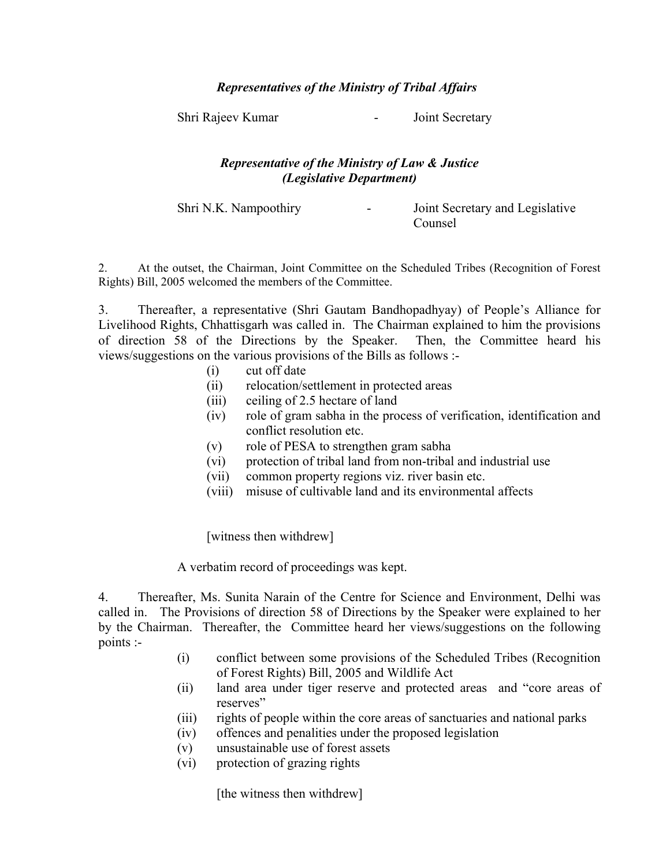## *Representatives of the Ministry of Tribal Affairs*

Shri Rajeev Kumar - Joint Secretary

## *Representative of the Ministry of Law & Justice (Legislative Department)*

Shri N.K. Nampoothiry **-** Joint Secretary and Legislative Counsel

2. At the outset, the Chairman, Joint Committee on the Scheduled Tribes (Recognition of Forest Rights) Bill, 2005 welcomed the members of the Committee.

3. Thereafter, a representative (Shri Gautam Bandhopadhyay) of People's Alliance for Livelihood Rights, Chhattisgarh was called in. The Chairman explained to him the provisions of direction 58 of the Directions by the Speaker. Then, the Committee heard his views/suggestions on the various provisions of the Bills as follows :-

- (i) cut off date
- (ii) relocation/settlement in protected areas
- (iii) ceiling of 2.5 hectare of land
- (iv) role of gram sabha in the process of verification, identification and conflict resolution etc.
- (v) role of PESA to strengthen gram sabha
- (vi) protection of tribal land from non-tribal and industrial use
- (vii) common property regions viz. river basin etc.
- (viii) misuse of cultivable land and its environmental affects

[witness then withdrew]

A verbatim record of proceedings was kept.

4. Thereafter, Ms. Sunita Narain of the Centre for Science and Environment, Delhi was called in. The Provisions of direction 58 of Directions by the Speaker were explained to her by the Chairman. Thereafter, the Committee heard her views/suggestions on the following points :-

- (i) conflict between some provisions of the Scheduled Tribes (Recognition of Forest Rights) Bill, 2005 and Wildlife Act
- (ii) land area under tiger reserve and protected areas and "core areas of reserves"
- (iii) rights of people within the core areas of sanctuaries and national parks
- (iv) offences and penalities under the proposed legislation
- (v) unsustainable use of forest assets
- (vi) protection of grazing rights

[the witness then withdrew]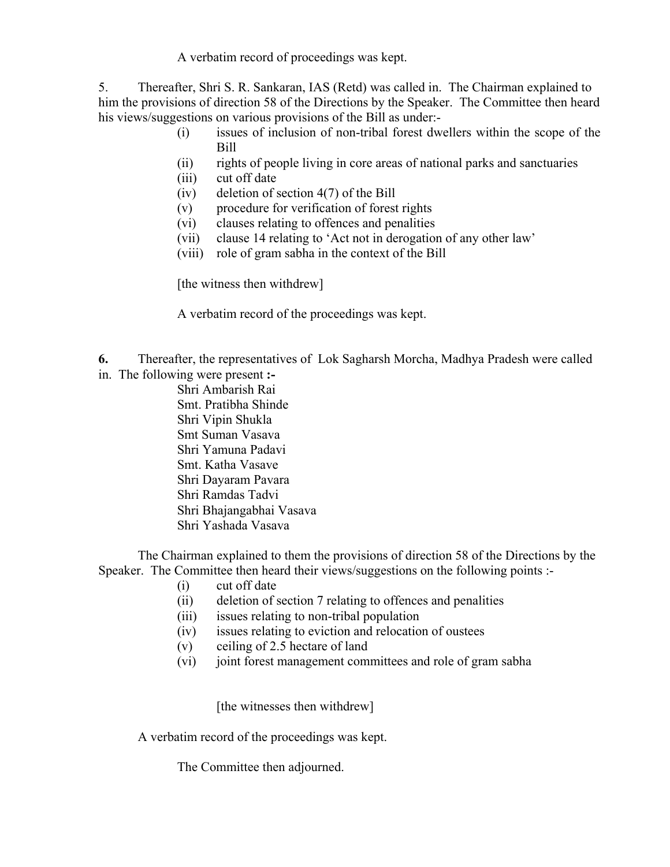A verbatim record of proceedings was kept.

5. Thereafter, Shri S. R. Sankaran, IAS (Retd) was called in. The Chairman explained to him the provisions of direction 58 of the Directions by the Speaker. The Committee then heard his views/suggestions on various provisions of the Bill as under:-

- (i) issues of inclusion of non-tribal forest dwellers within the scope of the Bill
- (ii) rights of people living in core areas of national parks and sanctuaries
- (iii) cut off date
- (iv) deletion of section 4(7) of the Bill
- (v) procedure for verification of forest rights
- (vi) clauses relating to offences and penalities
- (vii) clause 14 relating to 'Act not in derogation of any other law'
- (viii) role of gram sabha in the context of the Bill

[the witness then withdrew]

A verbatim record of the proceedings was kept.

- **6.** Thereafter, the representatives of Lok Sagharsh Morcha, Madhya Pradesh were called in. The following were present **:-** 
	- Shri Ambarish Rai
		- Smt. Pratibha Shinde Shri Vipin Shukla Smt Suman Vasava Shri Yamuna Padavi Smt. Katha Vasave Shri Dayaram Pavara Shri Ramdas Tadvi Shri Bhajangabhai Vasava Shri Yashada Vasava

The Chairman explained to them the provisions of direction 58 of the Directions by the Speaker. The Committee then heard their views/suggestions on the following points :-

- (i) cut off date
- (ii) deletion of section 7 relating to offences and penalities
- (iii) issues relating to non-tribal population
- (iv) issues relating to eviction and relocation of oustees
- (v) ceiling of 2.5 hectare of land
- (vi) joint forest management committees and role of gram sabha

[the witnesses then withdrew]

A verbatim record of the proceedings was kept.

The Committee then adjourned.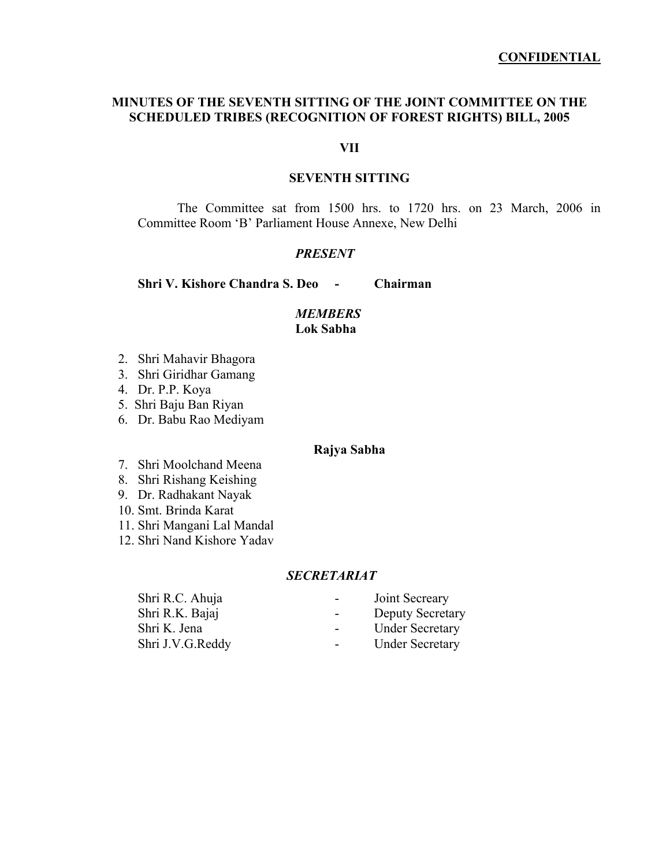#### **CONFIDENTIAL**

## **MINUTES OF THE SEVENTH SITTING OF THE JOINT COMMITTEE ON THE SCHEDULED TRIBES (RECOGNITION OF FOREST RIGHTS) BILL, 2005**

#### **VII**

## **SEVENTH SITTING**

The Committee sat from 1500 hrs. to 1720 hrs. on 23 March, 2006 in Committee Room 'B' Parliament House Annexe, New Delhi

#### *PRESENT*

**Shri V. Kishore Chandra S. Deo - Chairman** 

## *MEMBERS*  **Lok Sabha**

- 2. Shri Mahavir Bhagora
- 3. Shri Giridhar Gamang
- 4. Dr. P.P. Koya
- 5. Shri Baju Ban Riyan
- 6. Dr. Babu Rao Mediyam

#### **Rajya Sabha**

- 7. Shri Moolchand Meena
- 8. Shri Rishang Keishing
- 9. Dr. Radhakant Nayak
- 10. Smt. Brinda Karat
- 11. Shri Mangani Lal Mandal
- 12. Shri Nand Kishore Yadav

#### *SECRETARIAT*

Shri R.K. Bajaj - Deputy Secretary

- Shri R.C. Ahuja Joint Secreary
	-
- Shri K. Jena Under Secretary
- Shri J.V.G.Reddy Under Secretary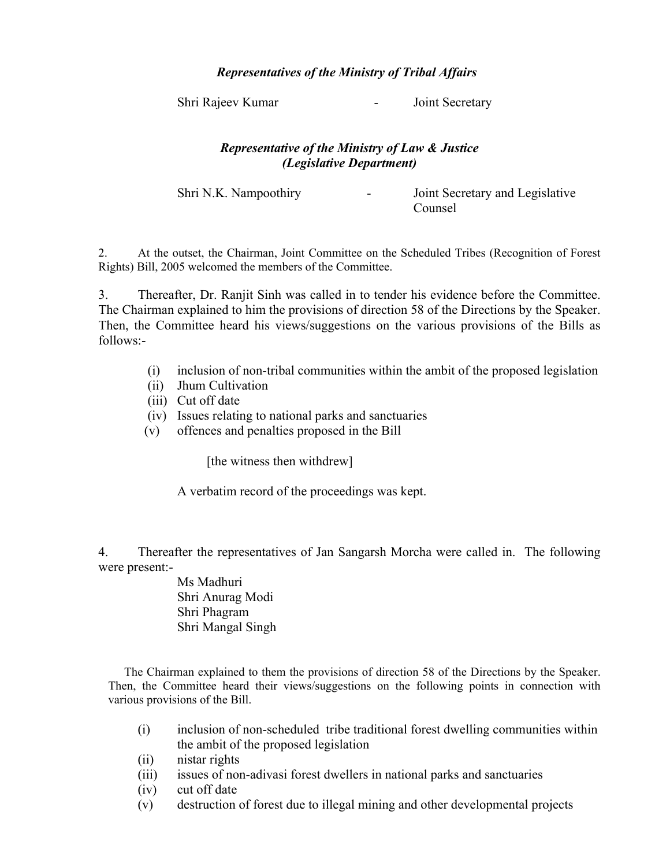# *Representatives of the Ministry of Tribal Affairs*

Shri Rajeev Kumar - Joint Secretary

# *Representative of the Ministry of Law & Justice (Legislative Department)*

Shri N.K. Nampoothiry **-** Joint Secretary and Legislative Counsel

2. At the outset, the Chairman, Joint Committee on the Scheduled Tribes (Recognition of Forest Rights) Bill, 2005 welcomed the members of the Committee.

3. Thereafter, Dr. Ranjit Sinh was called in to tender his evidence before the Committee. The Chairman explained to him the provisions of direction 58 of the Directions by the Speaker. Then, the Committee heard his views/suggestions on the various provisions of the Bills as follows:-

- (i) inclusion of non-tribal communities within the ambit of the proposed legislation
- (ii) Jhum Cultivation
- (iii) Cut off date
- (iv) Issues relating to national parks and sanctuaries
- (v) offences and penalties proposed in the Bill

[the witness then withdrew]

A verbatim record of the proceedings was kept.

4. Thereafter the representatives of Jan Sangarsh Morcha were called in. The following were present:-

> Ms Madhuri Shri Anurag Modi Shri Phagram Shri Mangal Singh

The Chairman explained to them the provisions of direction 58 of the Directions by the Speaker. Then, the Committee heard their views/suggestions on the following points in connection with various provisions of the Bill.

- (i) inclusion of non-scheduled tribe traditional forest dwelling communities within the ambit of the proposed legislation
- (ii) nistar rights
- (iii) issues of non-adivasi forest dwellers in national parks and sanctuaries
- (iv) cut off date
- (v) destruction of forest due to illegal mining and other developmental projects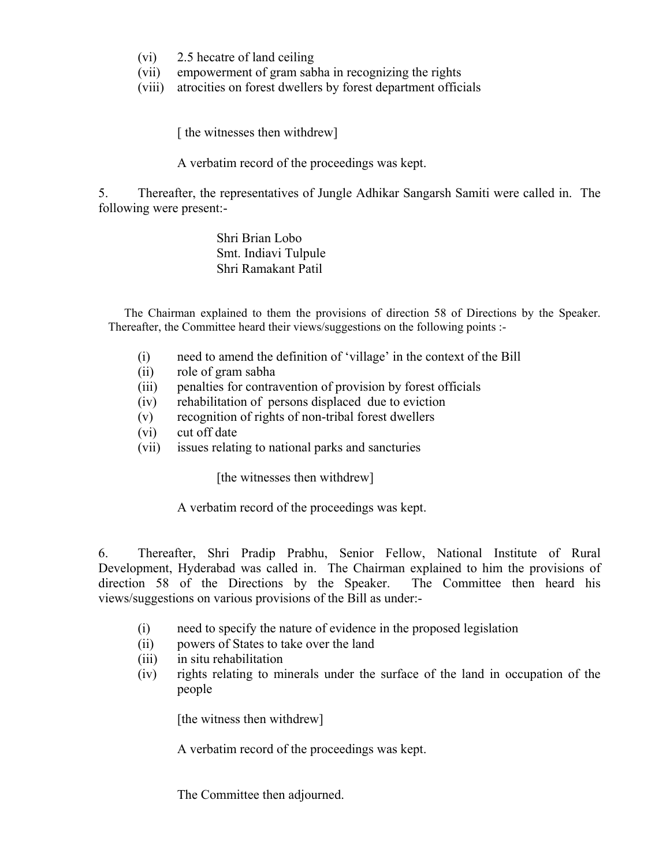- (vi) 2.5 hecatre of land ceiling
- (vii) empowerment of gram sabha in recognizing the rights
- (viii) atrocities on forest dwellers by forest department officials

[ the witnesses then withdrew]

A verbatim record of the proceedings was kept.

5. Thereafter, the representatives of Jungle Adhikar Sangarsh Samiti were called in. The following were present:-

> Shri Brian Lobo Smt. Indiavi Tulpule Shri Ramakant Patil

The Chairman explained to them the provisions of direction 58 of Directions by the Speaker. Thereafter, the Committee heard their views/suggestions on the following points :-

- (i) need to amend the definition of 'village' in the context of the Bill
- (ii) role of gram sabha
- (iii) penalties for contravention of provision by forest officials
- (iv) rehabilitation of persons displaced due to eviction
- (v) recognition of rights of non-tribal forest dwellers
- (vi) cut off date
- (vii) issues relating to national parks and sancturies

[the witnesses then withdrew]

A verbatim record of the proceedings was kept.

6. Thereafter, Shri Pradip Prabhu, Senior Fellow, National Institute of Rural Development, Hyderabad was called in. The Chairman explained to him the provisions of direction 58 of the Directions by the Speaker. The Committee then heard his views/suggestions on various provisions of the Bill as under:-

- (i) need to specify the nature of evidence in the proposed legislation
- (ii) powers of States to take over the land
- (iii) in situ rehabilitation
- (iv) rights relating to minerals under the surface of the land in occupation of the people

[the witness then withdrew]

A verbatim record of the proceedings was kept.

The Committee then adjourned.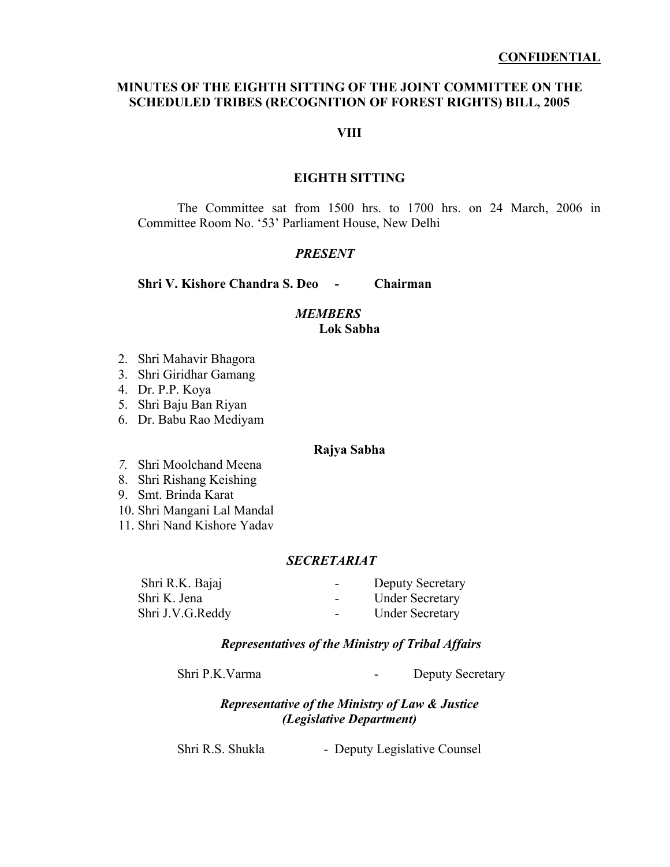## **MINUTES OF THE EIGHTH SITTING OF THE JOINT COMMITTEE ON THE SCHEDULED TRIBES (RECOGNITION OF FOREST RIGHTS) BILL, 2005**

## **VIII**

#### **EIGHTH SITTING**

The Committee sat from 1500 hrs. to 1700 hrs. on 24 March, 2006 in Committee Room No. '53' Parliament House, New Delhi

#### *PRESENT*

**Shri V. Kishore Chandra S. Deo - Chairman** 

## *MEMBERS*  **Lok Sabha**

- 2. Shri Mahavir Bhagora
- 3. Shri Giridhar Gamang
- 4. Dr. P.P. Koya
- 5. Shri Baju Ban Riyan
- 6. Dr. Babu Rao Mediyam

#### **Rajya Sabha**

- *7.* Shri Moolchand Meena
- 8. Shri Rishang Keishing
- 9. Smt. Brinda Karat
- 10. Shri Mangani Lal Mandal
- 11. Shri Nand Kishore Yadav

## *SECRETARIAT*

| Shri R.K. Bajaj  | <b>Deputy Secretary</b><br>$\overline{\phantom{a}}$ |  |
|------------------|-----------------------------------------------------|--|
| Shri K. Jena     | <b>Under Secretary</b>                              |  |
| Shri J.V.G.Reddy | <b>Under Secretary</b><br>$\blacksquare$            |  |

## *Representatives of the Ministry of Tribal Affairs*

Shri P.K. Varma - Deputy Secretary

## *Representative of the Ministry of Law & Justice (Legislative Department)*

Shri R.S. Shukla - Deputy Legislative Counsel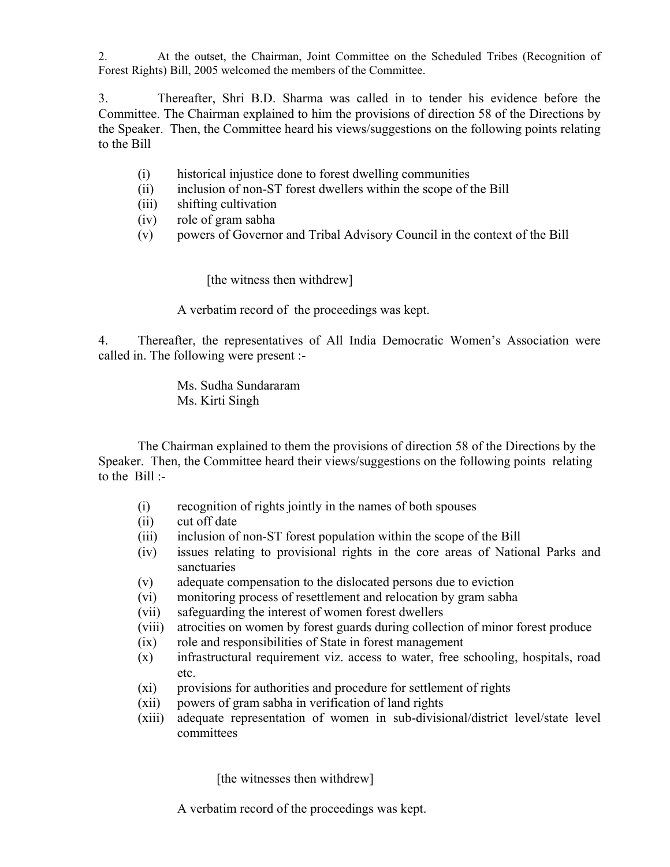2. At the outset, the Chairman, Joint Committee on the Scheduled Tribes (Recognition of Forest Rights) Bill, 2005 welcomed the members of the Committee.

3. Thereafter, Shri B.D. Sharma was called in to tender his evidence before the Committee. The Chairman explained to him the provisions of direction 58 of the Directions by the Speaker. Then, the Committee heard his views/suggestions on the following points relating to the Bill

- (i) historical injustice done to forest dwelling communities
- (ii) inclusion of non-ST forest dwellers within the scope of the Bill
- (iii) shifting cultivation
- (iv) role of gram sabha
- (v) powers of Governor and Tribal Advisory Council in the context of the Bill

[the witness then withdrew]

A verbatim record of the proceedings was kept.

4. Thereafter, the representatives of All India Democratic Women's Association were called in. The following were present :-

> Ms. Sudha Sundararam Ms. Kirti Singh

The Chairman explained to them the provisions of direction 58 of the Directions by the Speaker. Then, the Committee heard their views/suggestions on the following points relating to the  $Bill -$ 

- (i) recognition of rights jointly in the names of both spouses
- (ii) cut off date
- (iii) inclusion of non-ST forest population within the scope of the Bill
- (iv) issues relating to provisional rights in the core areas of National Parks and sanctuaries
- (v) adequate compensation to the dislocated persons due to eviction
- (vi) monitoring process of resettlement and relocation by gram sabha
- (vii) safeguarding the interest of women forest dwellers
- (viii) atrocities on women by forest guards during collection of minor forest produce
- (ix) role and responsibilities of State in forest management
- (x) infrastructural requirement viz. access to water, free schooling, hospitals, road etc.
- (xi) provisions for authorities and procedure for settlement of rights
- (xii) powers of gram sabha in verification of land rights
- (xiii) adequate representation of women in sub-divisional/district level/state level committees

[the witnesses then withdrew]

A verbatim record of the proceedings was kept.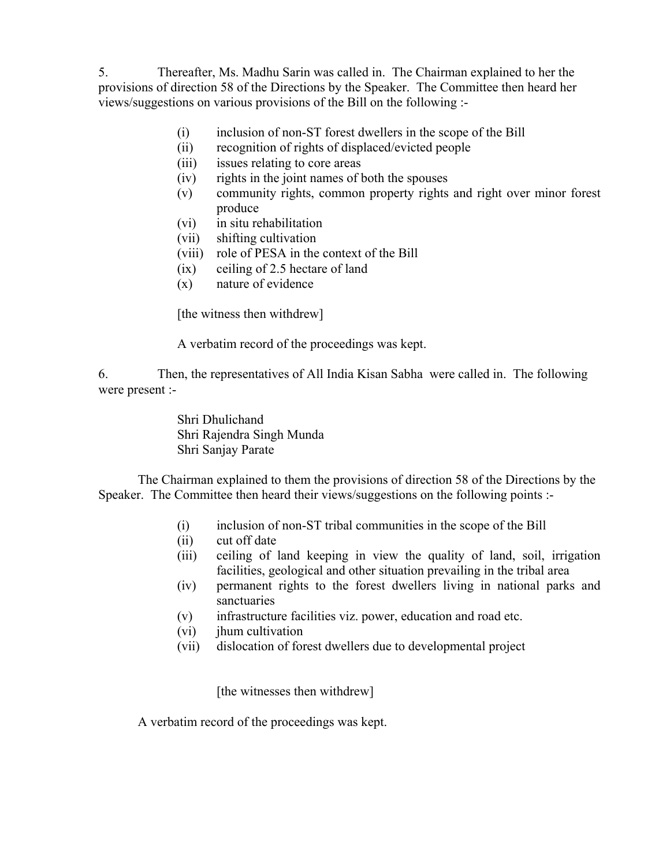5. Thereafter, Ms. Madhu Sarin was called in. The Chairman explained to her the provisions of direction 58 of the Directions by the Speaker. The Committee then heard her views/suggestions on various provisions of the Bill on the following :-

- (i) inclusion of non-ST forest dwellers in the scope of the Bill
- (ii) recognition of rights of displaced/evicted people
- (iii) issues relating to core areas
- (iv) rights in the joint names of both the spouses
- (v) community rights, common property rights and right over minor forest produce
- (vi) in situ rehabilitation
- (vii) shifting cultivation
- (viii) role of PESA in the context of the Bill
- (ix) ceiling of 2.5 hectare of land
- (x) nature of evidence

[the witness then withdrew]

A verbatim record of the proceedings was kept.

6. Then, the representatives of All India Kisan Sabha were called in. The following were present :-

> Shri Dhulichand Shri Rajendra Singh Munda Shri Sanjay Parate

 The Chairman explained to them the provisions of direction 58 of the Directions by the Speaker. The Committee then heard their views/suggestions on the following points :-

- (i) inclusion of non-ST tribal communities in the scope of the Bill
- (ii) cut off date
- (iii) ceiling of land keeping in view the quality of land, soil, irrigation facilities, geological and other situation prevailing in the tribal area
- (iv) permanent rights to the forest dwellers living in national parks and sanctuaries
- (v) infrastructure facilities viz. power, education and road etc.
- (vi) jhum cultivation
- (vii) dislocation of forest dwellers due to developmental project

[the witnesses then withdrew]

A verbatim record of the proceedings was kept.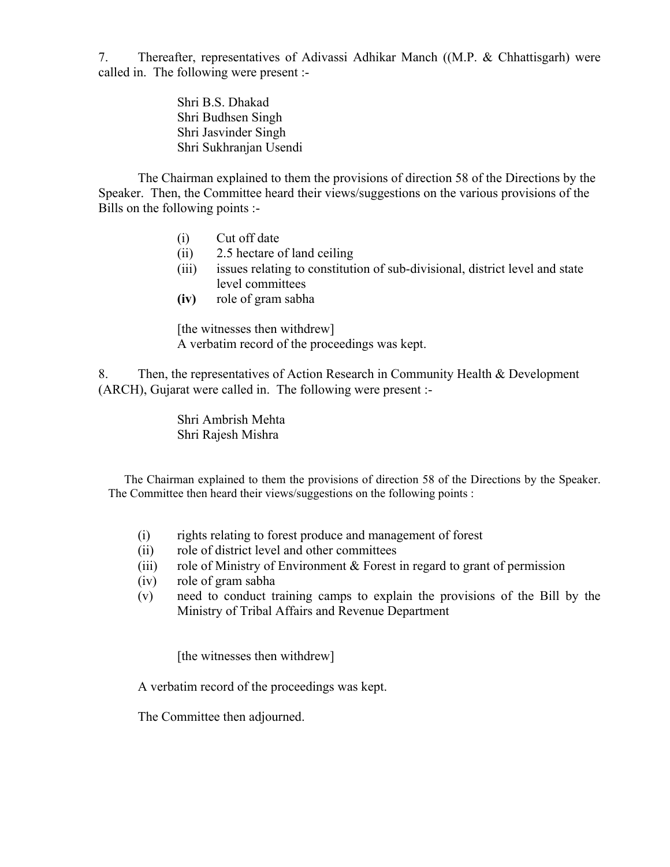7. Thereafter, representatives of Adivassi Adhikar Manch ((M.P. & Chhattisgarh) were called in. The following were present :-

> Shri B.S. Dhakad Shri Budhsen Singh Shri Jasvinder Singh Shri Sukhranjan Usendi

The Chairman explained to them the provisions of direction 58 of the Directions by the Speaker. Then, the Committee heard their views/suggestions on the various provisions of the Bills on the following points :-

- (i) Cut off date
- (ii) 2.5 hectare of land ceiling
- (iii) issues relating to constitution of sub-divisional, district level and state level committees
- **(iv)** role of gram sabha

[the witnesses then withdrew] A verbatim record of the proceedings was kept.

8. Then, the representatives of Action Research in Community Health & Development (ARCH), Gujarat were called in. The following were present :-

> Shri Ambrish Mehta Shri Rajesh Mishra

The Chairman explained to them the provisions of direction 58 of the Directions by the Speaker. The Committee then heard their views/suggestions on the following points :

- (i) rights relating to forest produce and management of forest
- (ii) role of district level and other committees
- (iii) role of Ministry of Environment & Forest in regard to grant of permission
- (iv) role of gram sabha
- (v) need to conduct training camps to explain the provisions of the Bill by the Ministry of Tribal Affairs and Revenue Department

[the witnesses then withdrew]

A verbatim record of the proceedings was kept.

The Committee then adjourned.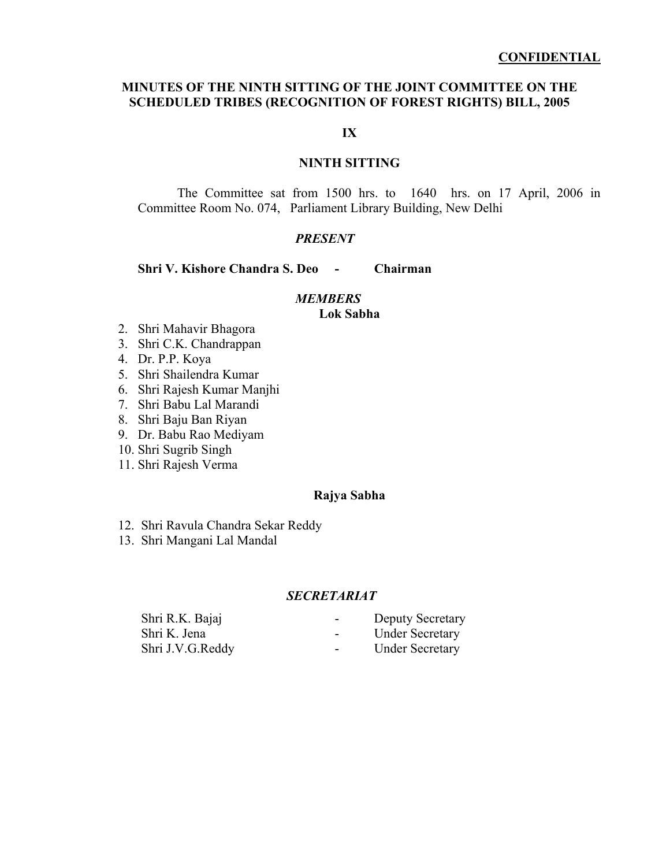## **MINUTES OF THE NINTH SITTING OF THE JOINT COMMITTEE ON THE SCHEDULED TRIBES (RECOGNITION OF FOREST RIGHTS) BILL, 2005**

**IX** 

## **NINTH SITTING**

The Committee sat from 1500 hrs. to 1640 hrs. on 17 April, 2006 in Committee Room No. 074, Parliament Library Building, New Delhi

## *PRESENT*

## **Shri V. Kishore Chandra S. Deo - Chairman**

#### *MEMBERS*

#### **Lok Sabha**

- 2. Shri Mahavir Bhagora
- 3. Shri C.K. Chandrappan
- 4. Dr. P.P. Koya
- 5. Shri Shailendra Kumar
- 6. Shri Rajesh Kumar Manjhi
- 7. Shri Babu Lal Marandi
- 8. Shri Baju Ban Riyan
- 9. Dr. Babu Rao Mediyam
- 10. Shri Sugrib Singh
- 11. Shri Rajesh Verma

## **Rajya Sabha**

- 12. Shri Ravula Chandra Sekar Reddy
- 13. Shri Mangani Lal Mandal

## *SECRETARIAT*

| Shri R.K. Bajaj  | <b>Deputy Secretary</b><br>$\sim$ |  |
|------------------|-----------------------------------|--|
| Shri K. Jena     | <b>Under Secretary</b>            |  |
| Shri J.V.G.Reddy | <b>Under Secretary</b>            |  |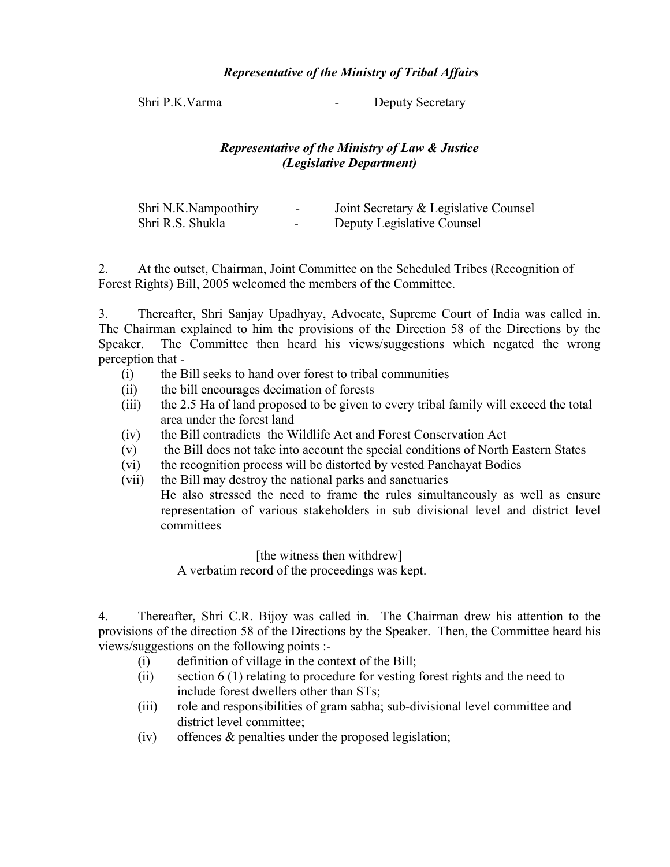# *Representative of the Ministry of Tribal Affairs*

Shri P.K. Varma - Deputy Secretary

# *Representative of the Ministry of Law & Justice (Legislative Department)*

| Shri N.K.Nampoothiry | -                        | Joint Secretary & Legislative Counsel |
|----------------------|--------------------------|---------------------------------------|
| Shri R.S. Shukla     | $\overline{\phantom{0}}$ | Deputy Legislative Counsel            |

2. At the outset, Chairman, Joint Committee on the Scheduled Tribes (Recognition of Forest Rights) Bill, 2005 welcomed the members of the Committee.

3. Thereafter, Shri Sanjay Upadhyay, Advocate, Supreme Court of India was called in. The Chairman explained to him the provisions of the Direction 58 of the Directions by the Speaker. The Committee then heard his views/suggestions which negated the wrong perception that -

- (i) the Bill seeks to hand over forest to tribal communities
- (ii) the bill encourages decimation of forests
- (iii) the 2.5 Ha of land proposed to be given to every tribal family will exceed the total area under the forest land
- (iv) the Bill contradicts the Wildlife Act and Forest Conservation Act
- (v) the Bill does not take into account the special conditions of North Eastern States
- (vi) the recognition process will be distorted by vested Panchayat Bodies
- (vii) the Bill may destroy the national parks and sanctuaries He also stressed the need to frame the rules simultaneously as well as ensure representation of various stakeholders in sub divisional level and district level committees

[the witness then withdrew] A verbatim record of the proceedings was kept.

4. Thereafter, Shri C.R. Bijoy was called in. The Chairman drew his attention to the provisions of the direction 58 of the Directions by the Speaker. Then, the Committee heard his views/suggestions on the following points :-

- (i) definition of village in the context of the Bill;
- (ii) section 6 (1) relating to procedure for vesting forest rights and the need to include forest dwellers other than STs;
- (iii) role and responsibilities of gram sabha; sub-divisional level committee and district level committee;
- (iv) offences & penalties under the proposed legislation;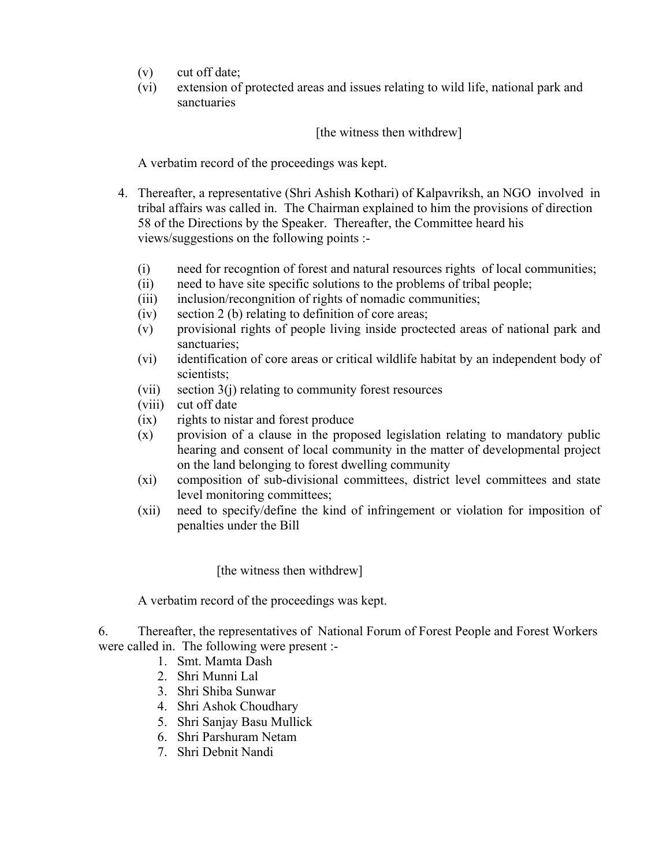- (v) cut off date;
- (vi) extension of protected areas and issues relating to wild life, national park and sanctuaries

# [the witness then withdrew]

A verbatim record of the proceedings was kept.

- 4. Thereafter, a representative (Shri Ashish Kothari) of Kalpavriksh, an NGO involved in tribal affairs was called in. The Chairman explained to him the provisions of direction 58 of the Directions by the Speaker. Thereafter, the Committee heard his views/suggestions on the following points :-
	- (i) need for recogntion of forest and natural resources rights of local communities;
	- (ii) need to have site specific solutions to the problems of tribal people;
	- (iii) inclusion/recongnition of rights of nomadic communities;
	- (iv) section 2 (b) relating to definition of core areas;
	- (v) provisional rights of people living inside proctected areas of national park and sanctuaries;
	- (vi) identification of core areas or critical wildlife habitat by an independent body of scientists;
	- (vii) section  $3(j)$  relating to community forest resources
	- (viii) cut off date
	- (ix) rights to nistar and forest produce
	- (x) provision of a clause in the proposed legislation relating to mandatory public hearing and consent of local community in the matter of developmental project on the land belonging to forest dwelling community
	- (xi) composition of sub-divisional committees, district level committees and state level monitoring committees;
	- (xii) need to specify/define the kind of infringement or violation for imposition of penalties under the Bill

[the witness then withdrew]

A verbatim record of the proceedings was kept.

6. Thereafter, the representatives of National Forum of Forest People and Forest Workers were called in. The following were present :-

- 1. Smt. Mamta Dash
	- 2. Shri Munni Lal
	- 3. Shri Shiba Sunwar
	- 4. Shri Ashok Choudhary
	- 5. Shri Sanjay Basu Mullick
	- 6. Shri Parshuram Netam
	- 7. Shri Debnit Nandi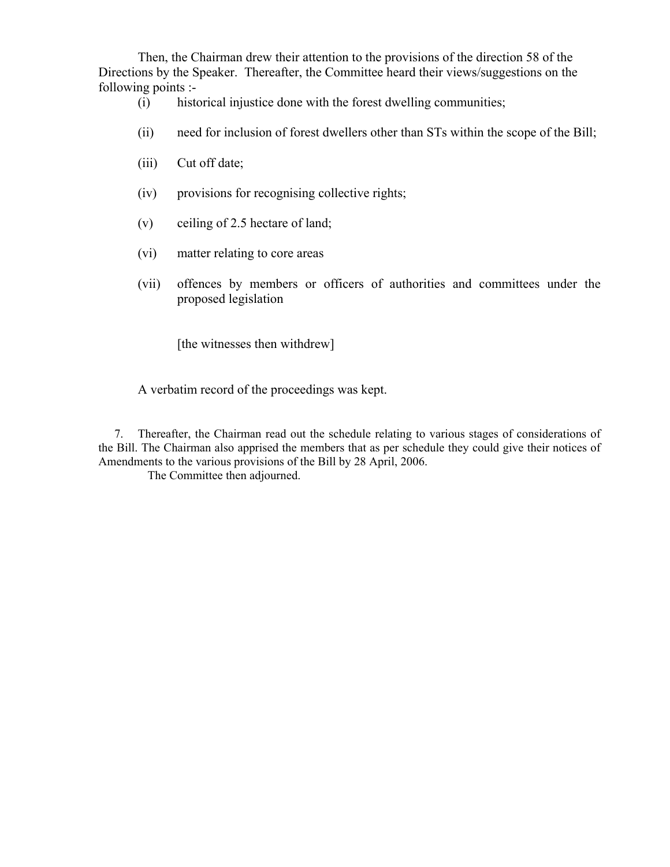Then, the Chairman drew their attention to the provisions of the direction 58 of the Directions by the Speaker. Thereafter, the Committee heard their views/suggestions on the following points :-

- (i) historical injustice done with the forest dwelling communities;
- (ii) need for inclusion of forest dwellers other than STs within the scope of the Bill;
- (iii) Cut off date;
- (iv) provisions for recognising collective rights;
- (v) ceiling of 2.5 hectare of land;
- (vi) matter relating to core areas
- (vii) offences by members or officers of authorities and committees under the proposed legislation

[the witnesses then withdrew]

A verbatim record of the proceedings was kept.

7. Thereafter, the Chairman read out the schedule relating to various stages of considerations of the Bill. The Chairman also apprised the members that as per schedule they could give their notices of Amendments to the various provisions of the Bill by 28 April, 2006.

The Committee then adjourned.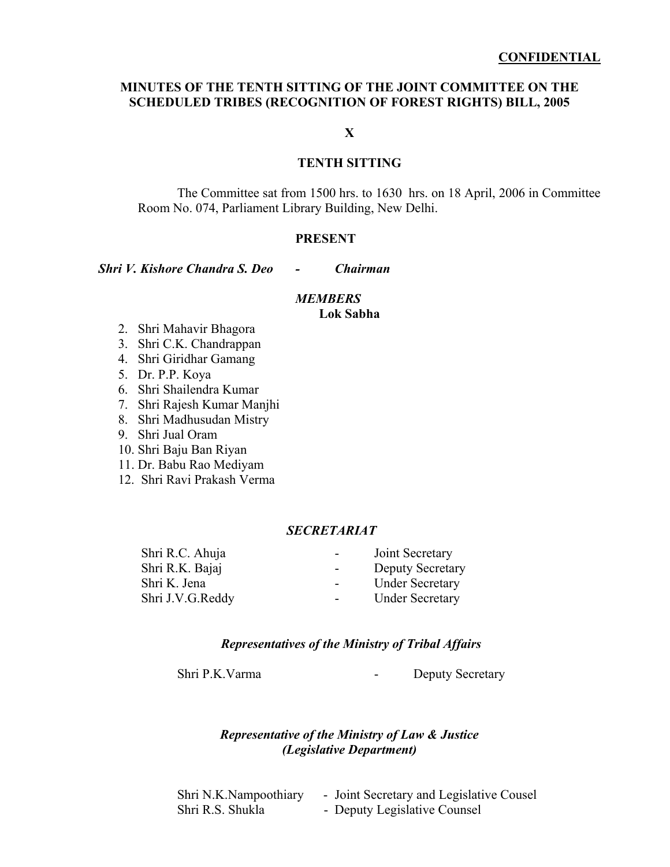## **MINUTES OF THE TENTH SITTING OF THE JOINT COMMITTEE ON THE SCHEDULED TRIBES (RECOGNITION OF FOREST RIGHTS) BILL, 2005**

**X** 

## **TENTH SITTING**

The Committee sat from 1500 hrs. to 1630 hrs. on 18 April, 2006 in Committee Room No. 074, Parliament Library Building, New Delhi.

#### **PRESENT**

*Shri V. Kishore Chandra S. Deo - Chairman* 

# *MEMBERS*

**Lok Sabha** 

- 2. Shri Mahavir Bhagora
- 3. Shri C.K. Chandrappan
- 4. Shri Giridhar Gamang
- 5. Dr. P.P. Koya
- 6. Shri Shailendra Kumar
- 7. Shri Rajesh Kumar Manjhi
- 8. Shri Madhusudan Mistry
- 9. Shri Jual Oram
- 10. Shri Baju Ban Riyan
- 11. Dr. Babu Rao Mediyam
- 12. Shri Ravi Prakash Verma

## *SECRETARIAT*

| Joint Secretary         |
|-------------------------|
| <b>Deputy Secretary</b> |
| <b>Under Secretary</b>  |
| <b>Under Secretary</b>  |
|                         |

#### *Representatives of the Ministry of Tribal Affairs*

Shri P.K. Varma - Deputy Secretary

## *Representative of the Ministry of Law & Justice (Legislative Department)*

Shri N.K.Nampoothiary - Joint Secretary and Legislative Cousel Shri R.S. Shukla - Deputy Legislative Counsel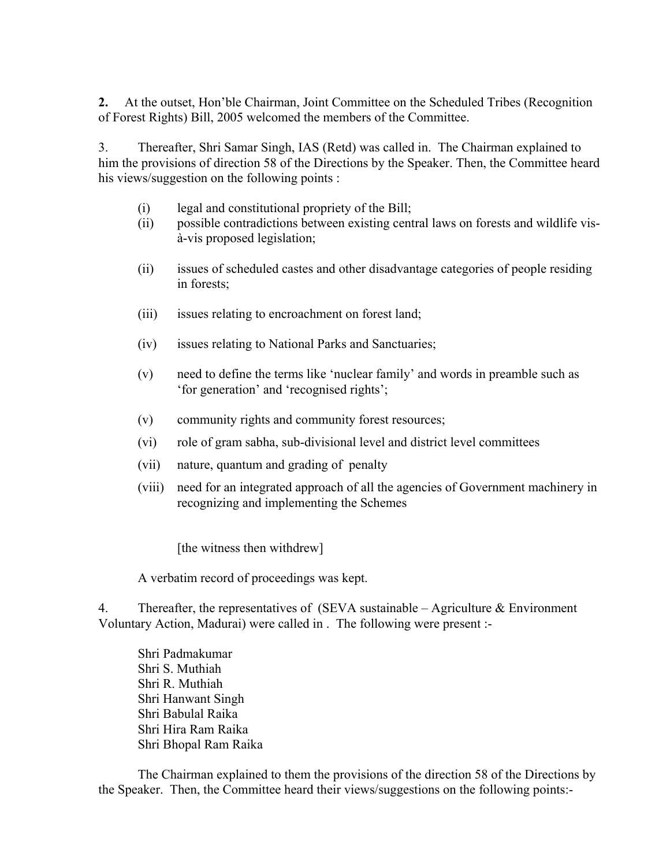**2.** At the outset, Hon'ble Chairman, Joint Committee on the Scheduled Tribes (Recognition of Forest Rights) Bill, 2005 welcomed the members of the Committee.

3. Thereafter, Shri Samar Singh, IAS (Retd) was called in. The Chairman explained to him the provisions of direction 58 of the Directions by the Speaker. Then, the Committee heard his views/suggestion on the following points :

- (i) legal and constitutional propriety of the Bill;
- (ii) possible contradictions between existing central laws on forests and wildlife visà-vis proposed legislation;
- (ii) issues of scheduled castes and other disadvantage categories of people residing in forests;
- (iii) issues relating to encroachment on forest land;
- (iv) issues relating to National Parks and Sanctuaries;
- (v) need to define the terms like 'nuclear family' and words in preamble such as 'for generation' and 'recognised rights';
- (v) community rights and community forest resources;
- (vi) role of gram sabha, sub-divisional level and district level committees
- (vii) nature, quantum and grading of penalty
- (viii) need for an integrated approach of all the agencies of Government machinery in recognizing and implementing the Schemes

[the witness then withdrew]

A verbatim record of proceedings was kept.

4. Thereafter, the representatives of (SEVA sustainable – Agriculture  $\&$  Environment Voluntary Action, Madurai) were called in . The following were present :-

Shri Padmakumar Shri S. Muthiah Shri R. Muthiah Shri Hanwant Singh Shri Babulal Raika Shri Hira Ram Raika Shri Bhopal Ram Raika

 The Chairman explained to them the provisions of the direction 58 of the Directions by the Speaker. Then, the Committee heard their views/suggestions on the following points:-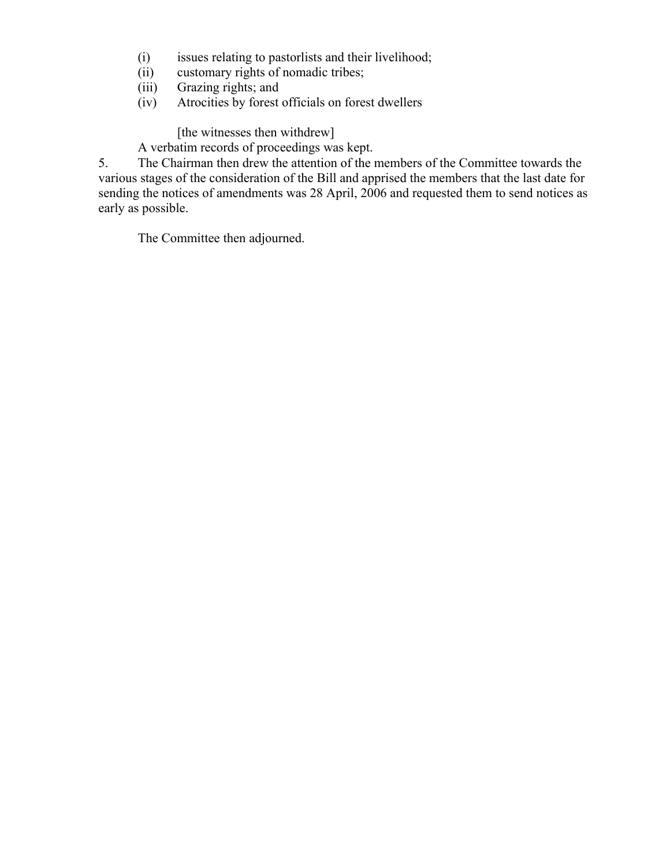- (i) issues relating to pastorlists and their livelihood;
- (ii) customary rights of nomadic tribes;
- (iii) Grazing rights; and
- (iv) Atrocities by forest officials on forest dwellers

[the witnesses then withdrew]

A verbatim records of proceedings was kept.

5. The Chairman then drew the attention of the members of the Committee towards the various stages of the consideration of the Bill and apprised the members that the last date for sending the notices of amendments was 28 April, 2006 and requested them to send notices as early as possible.

The Committee then adjourned.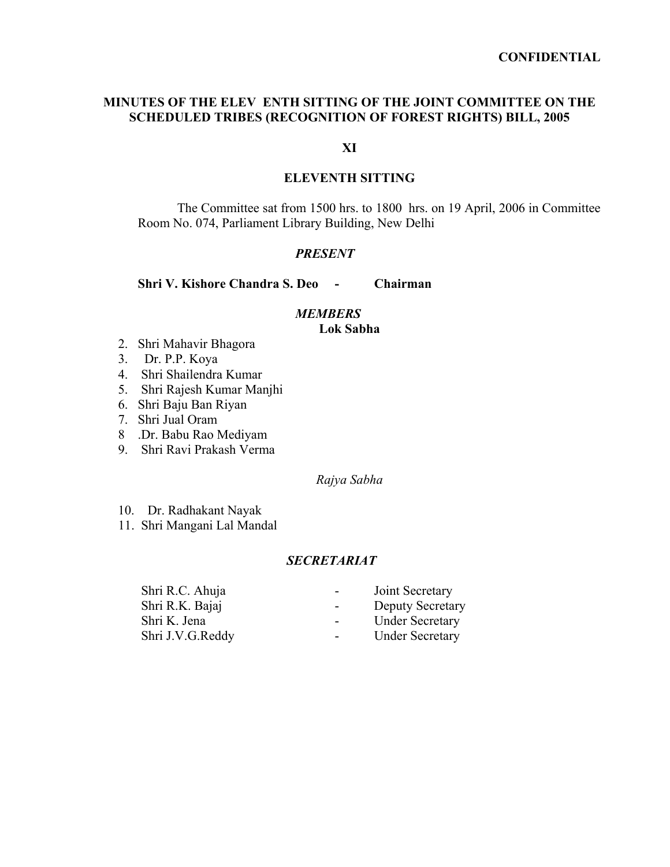## **MINUTES OF THE ELEV ENTH SITTING OF THE JOINT COMMITTEE ON THE SCHEDULED TRIBES (RECOGNITION OF FOREST RIGHTS) BILL, 2005**

# **XI**

## **ELEVENTH SITTING**

The Committee sat from 1500 hrs. to 1800 hrs. on 19 April, 2006 in Committee Room No. 074, Parliament Library Building, New Delhi

## *PRESENT*

**Shri V. Kishore Chandra S. Deo - Chairman** 

## *MEMBERS*

## **Lok Sabha**

- 2. Shri Mahavir Bhagora
- 3. Dr. P.P. Koya
- 4. Shri Shailendra Kumar
- 5. Shri Rajesh Kumar Manjhi
- 6. Shri Baju Ban Riyan
- 7. Shri Jual Oram
- 8 .Dr. Babu Rao Mediyam
- 9. Shri Ravi Prakash Verma

#### *Rajya Sabha*

- 10. Dr. Radhakant Nayak
- 11. Shri Mangani Lal Mandal

# *SECRETARIAT*

| Shri R.C. Ahuja  | Joint Secretary<br>$\blacksquare$           |
|------------------|---------------------------------------------|
| Shri R.K. Bajaj  | <b>Deputy Secretary</b><br>$\sim$ 100 $\mu$ |
| Shri K. Jena     | <b>Under Secretary</b><br>$\blacksquare$    |
| Shri J.V.G.Reddy | <b>Under Secretary</b><br>$\sim$            |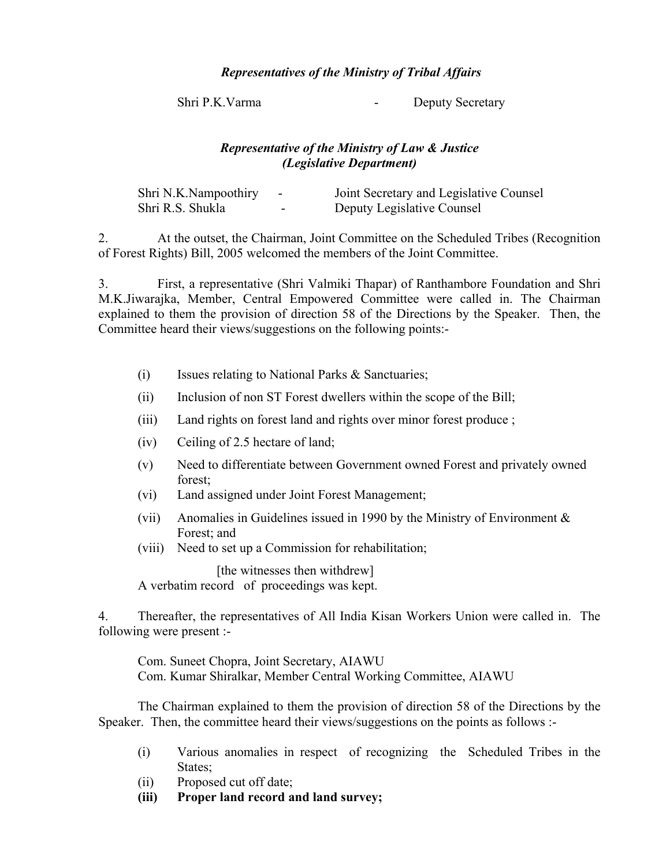## *Representatives of the Ministry of Tribal Affairs*

Shri P.K. Varma - Deputy Secretary

# *Representative of the Ministry of Law & Justice (Legislative Department)*

| Shri N.K.Nampoothiry |                          | Joint Secretary and Legislative Counsel |
|----------------------|--------------------------|-----------------------------------------|
| Shri R.S. Shukla     | $\overline{\phantom{0}}$ | Deputy Legislative Counsel              |

2. At the outset, the Chairman, Joint Committee on the Scheduled Tribes (Recognition of Forest Rights) Bill, 2005 welcomed the members of the Joint Committee.

3. First, a representative (Shri Valmiki Thapar) of Ranthambore Foundation and Shri M.K.Jiwarajka, Member, Central Empowered Committee were called in. The Chairman explained to them the provision of direction 58 of the Directions by the Speaker. Then, the Committee heard their views/suggestions on the following points:-

- (i) Issues relating to National Parks & Sanctuaries;
- (ii) Inclusion of non ST Forest dwellers within the scope of the Bill;
- (iii) Land rights on forest land and rights over minor forest produce ;
- (iv) Ceiling of 2.5 hectare of land;
- (v) Need to differentiate between Government owned Forest and privately owned forest;
- (vi) Land assigned under Joint Forest Management;
- (vii) Anomalies in Guidelines issued in 1990 by the Ministry of Environment & Forest; and
- (viii) Need to set up a Commission for rehabilitation;

[the witnesses then withdrew]

A verbatim record of proceedings was kept.

4. Thereafter, the representatives of All India Kisan Workers Union were called in. The following were present :-

Com. Suneet Chopra, Joint Secretary, AIAWU Com. Kumar Shiralkar, Member Central Working Committee, AIAWU

The Chairman explained to them the provision of direction 58 of the Directions by the Speaker. Then, the committee heard their views/suggestions on the points as follows :-

- (i) Various anomalies in respect of recognizing the Scheduled Tribes in the States:
- (ii) Proposed cut off date;
- **(iii) Proper land record and land survey;**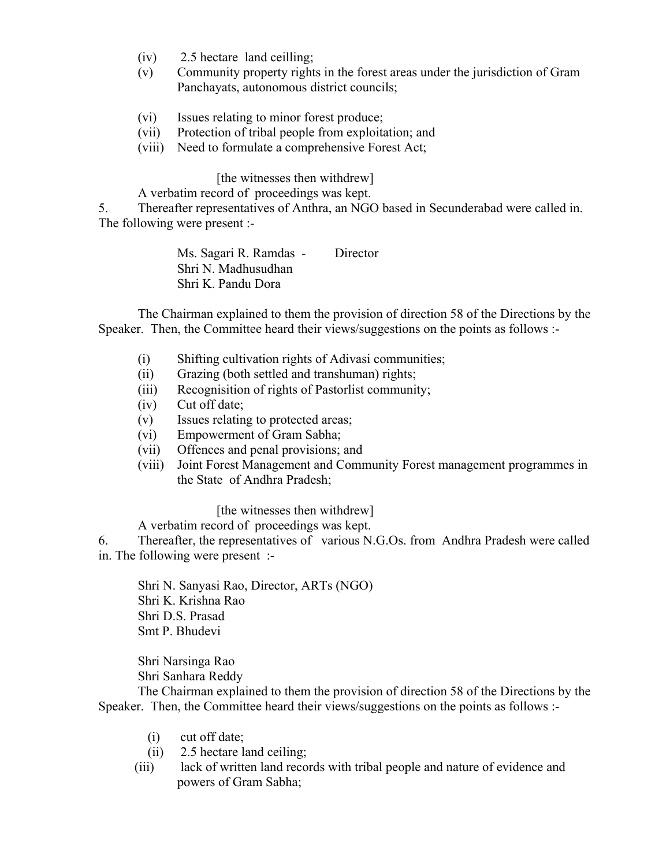- (iv) 2.5 hectare land ceilling;
- (v) Community property rights in the forest areas under the jurisdiction of Gram Panchayats, autonomous district councils;
- (vi) Issues relating to minor forest produce;
- (vii) Protection of tribal people from exploitation; and
- (viii) Need to formulate a comprehensive Forest Act;

[the witnesses then withdrew]

A verbatim record of proceedings was kept.

5. Thereafter representatives of Anthra, an NGO based in Secunderabad were called in. The following were present :-

> Ms. Sagari R. Ramdas - Director Shri N. Madhusudhan Shri K. Pandu Dora

The Chairman explained to them the provision of direction 58 of the Directions by the Speaker. Then, the Committee heard their views/suggestions on the points as follows :-

- (i) Shifting cultivation rights of Adivasi communities;
- (ii) Grazing (both settled and transhuman) rights;
- (iii) Recognisition of rights of Pastorlist community;
- (iv) Cut off date;
- (v) Issues relating to protected areas;
- (vi) Empowerment of Gram Sabha;
- (vii) Offences and penal provisions; and
- (viii) Joint Forest Management and Community Forest management programmes in the State of Andhra Pradesh;

## [the witnesses then withdrew]

A verbatim record of proceedings was kept.

6. Thereafter, the representatives of various N.G.Os. from Andhra Pradesh were called in. The following were present :-

Shri N. Sanyasi Rao, Director, ARTs (NGO) Shri K. Krishna Rao Shri D.S. Prasad Smt P. Bhudevi

 Shri Narsinga Rao Shri Sanhara Reddy

The Chairman explained to them the provision of direction 58 of the Directions by the Speaker. Then, the Committee heard their views/suggestions on the points as follows :-

- (i) cut off date;
- (ii) 2.5 hectare land ceiling;
- (iii) lack of written land records with tribal people and nature of evidence and powers of Gram Sabha;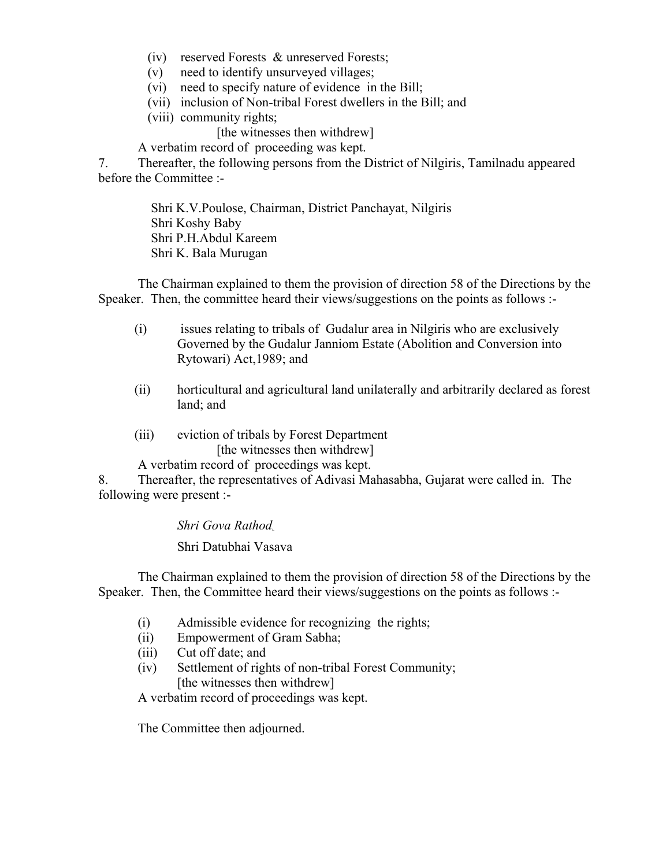- (iv) reserved Forests & unreserved Forests;
- (v) need to identify unsurveyed villages;
- (vi) need to specify nature of evidence in the Bill;
- (vii) inclusion of Non-tribal Forest dwellers in the Bill; and
- (viii) community rights;

[the witnesses then withdrew]

A verbatim record of proceeding was kept.

7. Thereafter, the following persons from the District of Nilgiris, Tamilnadu appeared before the Committee :-

> Shri K.V.Poulose, Chairman, District Panchayat, Nilgiris Shri Koshy Baby Shri P.H.Abdul Kareem Shri K. Bala Murugan

The Chairman explained to them the provision of direction 58 of the Directions by the Speaker. Then, the committee heard their views/suggestions on the points as follows :-

- (i) issues relating to tribals of Gudalur area in Nilgiris who are exclusively Governed by the Gudalur Janniom Estate (Abolition and Conversion into Rytowari) Act,1989; and
- (ii) horticultural and agricultural land unilaterally and arbitrarily declared as forest land; and
- (iii) eviction of tribals by Forest Department [the witnesses then withdrew]
- A verbatim record of proceedings was kept.

8. Thereafter, the representatives of Adivasi Mahasabha, Gujarat were called in. The following were present :-

*Shri Gova Rathod.* 

Shri Datubhai Vasava

The Chairman explained to them the provision of direction 58 of the Directions by the Speaker. Then, the Committee heard their views/suggestions on the points as follows :-

- (i) Admissible evidence for recognizing the rights;
- (ii) Empowerment of Gram Sabha;
- (iii) Cut off date; and
- (iv) Settlement of rights of non-tribal Forest Community; [the witnesses then withdrew]

A verbatim record of proceedings was kept.

The Committee then adjourned.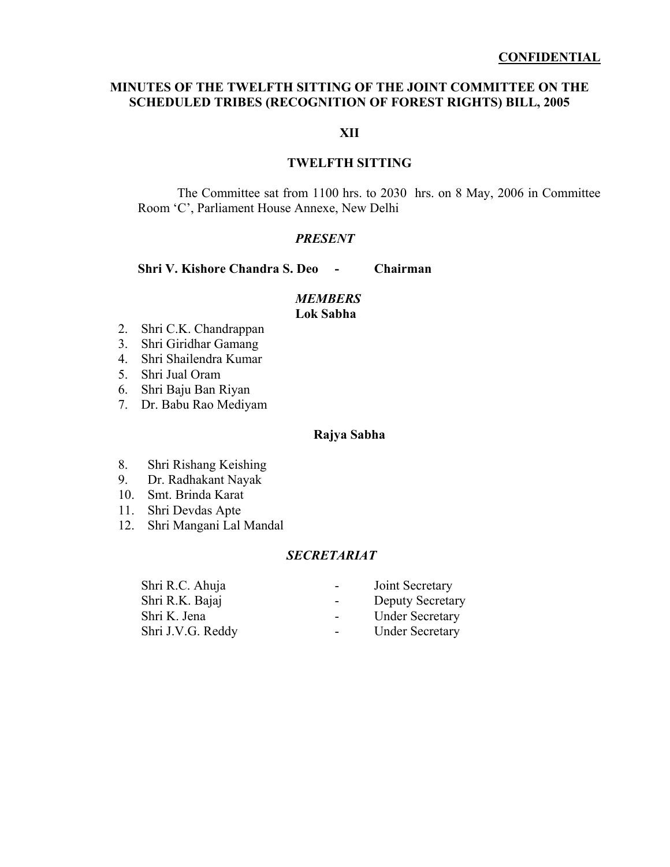## **MINUTES OF THE TWELFTH SITTING OF THE JOINT COMMITTEE ON THE SCHEDULED TRIBES (RECOGNITION OF FOREST RIGHTS) BILL, 2005**

## **XII**

## **TWELFTH SITTING**

The Committee sat from 1100 hrs. to 2030 hrs. on 8 May, 2006 in Committee Room 'C', Parliament House Annexe, New Delhi

## *PRESENT*

**Shri V. Kishore Chandra S. Deo - Chairman** 

#### *MEMBERS*

#### **Lok Sabha**

- 2. Shri C.K. Chandrappan
- 3. Shri Giridhar Gamang
- 4. Shri Shailendra Kumar
- 5. Shri Jual Oram
- 6. Shri Baju Ban Riyan
- 7. Dr. Babu Rao Mediyam

## **Rajya Sabha**

- 8. Shri Rishang Keishing
- 9. Dr. Radhakant Nayak
- 10. Smt. Brinda Karat
- 11. Shri Devdas Apte
- 12. Shri Mangani Lal Mandal

## *SECRETARIAT*

| Shri R.C. Ahuja   | Joint Secretary<br>$\sim$                           |
|-------------------|-----------------------------------------------------|
| Shri R.K. Bajaj   | <b>Deputy Secretary</b><br>$\overline{\phantom{0}}$ |
| Shri K. Jena      | <b>Under Secretary</b><br>$\sim$ 100 $\mu$          |
| Shri J.V.G. Reddy | <b>Under Secretary</b><br>$\sim$                    |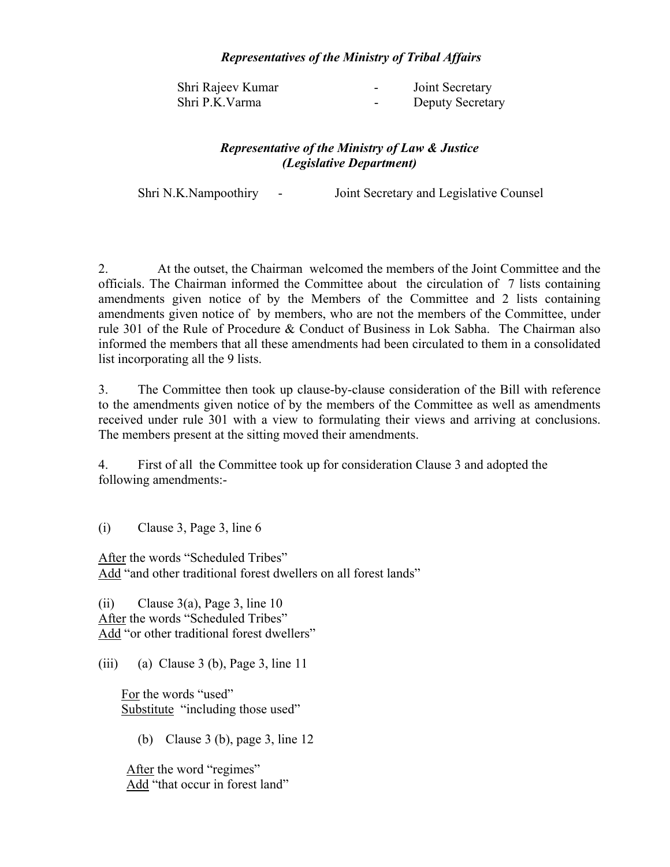## *Representatives of the Ministry of Tribal Affairs*

| Shri Rajeev Kumar | $\overline{\phantom{0}}$ | Joint Secretary  |
|-------------------|--------------------------|------------------|
| Shri P.K.Varma    | $\overline{\phantom{0}}$ | Deputy Secretary |

# *Representative of the Ministry of Law & Justice (Legislative Department)*

Shri N.K.Nampoothiry - Joint Secretary and Legislative Counsel

2. At the outset, the Chairman welcomed the members of the Joint Committee and the officials. The Chairman informed the Committee about the circulation of 7 lists containing amendments given notice of by the Members of the Committee and 2 lists containing amendments given notice of by members, who are not the members of the Committee, under rule 301 of the Rule of Procedure & Conduct of Business in Lok Sabha. The Chairman also informed the members that all these amendments had been circulated to them in a consolidated list incorporating all the 9 lists.

3. The Committee then took up clause-by-clause consideration of the Bill with reference to the amendments given notice of by the members of the Committee as well as amendments received under rule 301 with a view to formulating their views and arriving at conclusions. The members present at the sitting moved their amendments.

4. First of all the Committee took up for consideration Clause 3 and adopted the following amendments:-

(i) Clause 3, Page 3, line 6

After the words "Scheduled Tribes" Add "and other traditional forest dwellers on all forest lands"

(ii) Clause  $3(a)$ , Page 3, line 10 After the words "Scheduled Tribes" Add "or other traditional forest dwellers"

(iii) (a) Clause 3 (b), Page 3, line 11

 For the words "used" Substitute "including those used"

(b) Clause 3 (b), page 3, line 12

After the word "regimes" Add "that occur in forest land"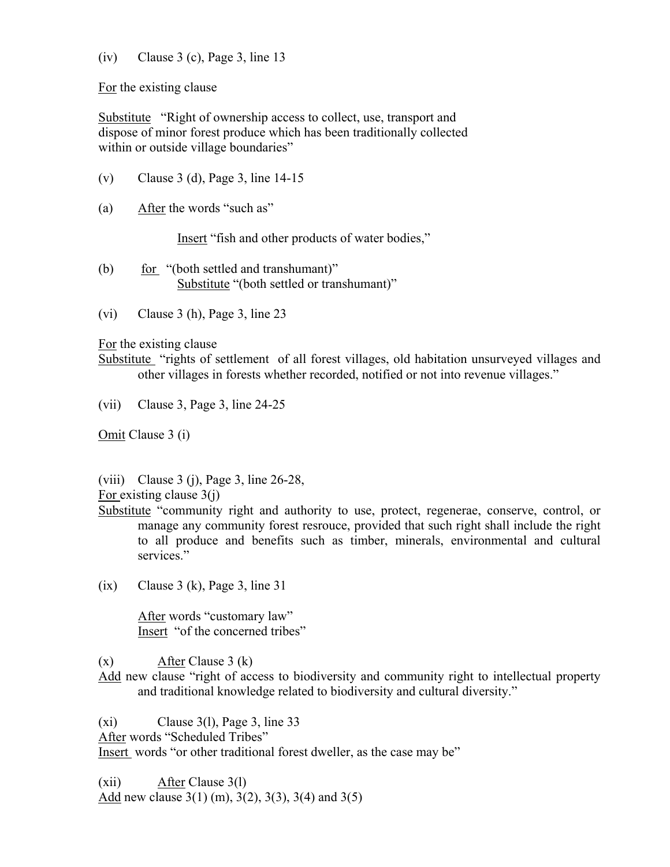# $(iv)$  Clause 3 (c), Page 3, line 13

For the existing clause

Substitute "Right of ownership access to collect, use, transport and dispose of minor forest produce which has been traditionally collected within or outside village boundaries"

- (v) Clause 3 (d), Page 3, line 14-15
- (a) After the words "such as"

Insert "fish and other products of water bodies,"

- (b) for "(both settled and transhumant)" Substitute "(both settled or transhumant)"
- (vi) Clause 3 (h), Page 3, line 23

For the existing clause

Substitute "rights of settlement of all forest villages, old habitation unsurveyed villages and other villages in forests whether recorded, notified or not into revenue villages."

(vii) Clause 3, Page 3, line 24-25

Omit Clause 3 (i)

(viii) Clause 3 (j), Page 3, line 26-28,

For existing clause 3(j)

- Substitute "community right and authority to use, protect, regenerae, conserve, control, or manage any community forest resrouce, provided that such right shall include the right to all produce and benefits such as timber, minerals, environmental and cultural services."
- $(ix)$  Clause 3  $(k)$ , Page 3, line 31

 After words "customary law" Insert "of the concerned tribes"

 $(x)$  After Clause 3  $(k)$ 

Add new clause "right of access to biodiversity and community right to intellectual property and traditional knowledge related to biodiversity and cultural diversity."

 $(xi)$  Clause 3(1), Page 3, line 33

After words "Scheduled Tribes"

Insert words "or other traditional forest dweller, as the case may be"

(xii) After Clause 3(l) Add new clause 3(1) (m), 3(2), 3(3), 3(4) and 3(5)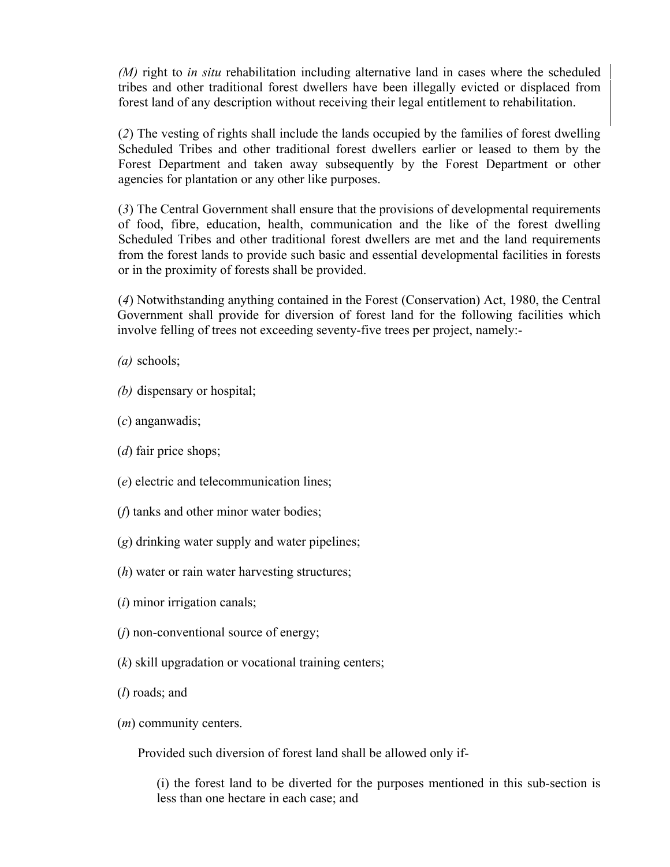*(M)* right to *in situ* rehabilitation including alternative land in cases where the scheduled tribes and other traditional forest dwellers have been illegally evicted or displaced from forest land of any description without receiving their legal entitlement to rehabilitation.

(*2*) The vesting of rights shall include the lands occupied by the families of forest dwelling Scheduled Tribes and other traditional forest dwellers earlier or leased to them by the Forest Department and taken away subsequently by the Forest Department or other agencies for plantation or any other like purposes.

(*3*) The Central Government shall ensure that the provisions of developmental requirements of food, fibre, education, health, communication and the like of the forest dwelling Scheduled Tribes and other traditional forest dwellers are met and the land requirements from the forest lands to provide such basic and essential developmental facilities in forests or in the proximity of forests shall be provided.

(*4*) Notwithstanding anything contained in the Forest (Conservation) Act, 1980, the Central Government shall provide for diversion of forest land for the following facilities which involve felling of trees not exceeding seventy-five trees per project, namely:-

- *(a)* schools;
- *(b)* dispensary or hospital;
- (*c*) anganwadis;
- (*d*) fair price shops;
- (*e*) electric and telecommunication lines;
- (*f*) tanks and other minor water bodies;
- (*g*) drinking water supply and water pipelines;
- (*h*) water or rain water harvesting structures;
- (*i*) minor irrigation canals;
- (*j*) non-conventional source of energy;
- (*k*) skill upgradation or vocational training centers;
- (*l*) roads; and
- (*m*) community centers.

Provided such diversion of forest land shall be allowed only if-

(i) the forest land to be diverted for the purposes mentioned in this sub-section is less than one hectare in each case; and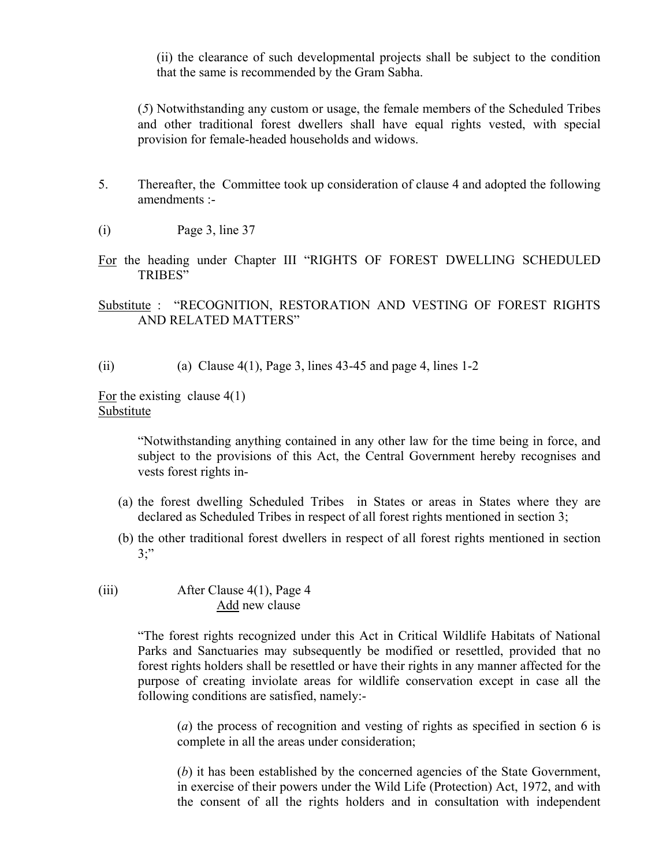(ii) the clearance of such developmental projects shall be subject to the condition that the same is recommended by the Gram Sabha.

(*5*) Notwithstanding any custom or usage, the female members of the Scheduled Tribes and other traditional forest dwellers shall have equal rights vested, with special provision for female-headed households and widows.

- 5. Thereafter, the Committee took up consideration of clause 4 and adopted the following amendments :-
- (i) Page 3, line 37
- For the heading under Chapter III "RIGHTS OF FOREST DWELLING SCHEDULED TRIBES"

# Substitute : "RECOGNITION, RESTORATION AND VESTING OF FOREST RIGHTS AND RELATED MATTERS"

(ii) (a) Clause  $4(1)$ , Page 3, lines 43-45 and page 4, lines 1-2

For the existing clause  $4(1)$ Substitute

> "Notwithstanding anything contained in any other law for the time being in force, and subject to the provisions of this Act, the Central Government hereby recognises and vests forest rights in-

- (a) the forest dwelling Scheduled Tribes in States or areas in States where they are declared as Scheduled Tribes in respect of all forest rights mentioned in section 3;
- (b) the other traditional forest dwellers in respect of all forest rights mentioned in section  $3$ ;"
- (iii) After Clause 4(1), Page 4 Add new clause

"The forest rights recognized under this Act in Critical Wildlife Habitats of National Parks and Sanctuaries may subsequently be modified or resettled, provided that no forest rights holders shall be resettled or have their rights in any manner affected for the purpose of creating inviolate areas for wildlife conservation except in case all the following conditions are satisfied, namely:-

(*a*) the process of recognition and vesting of rights as specified in section 6 is complete in all the areas under consideration;

(*b*) it has been established by the concerned agencies of the State Government, in exercise of their powers under the Wild Life (Protection) Act, 1972, and with the consent of all the rights holders and in consultation with independent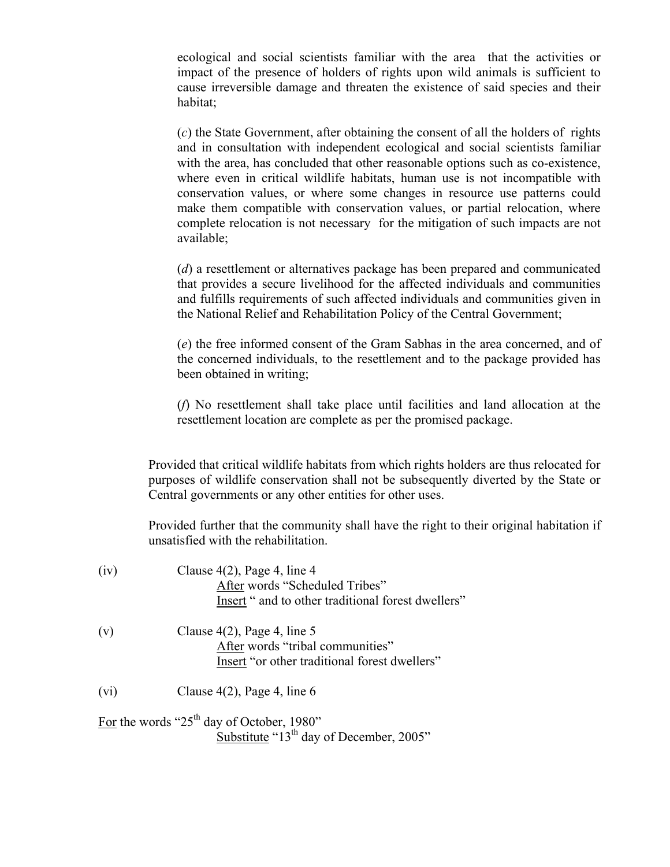ecological and social scientists familiar with the area that the activities or impact of the presence of holders of rights upon wild animals is sufficient to cause irreversible damage and threaten the existence of said species and their habitat;

(*c*) the State Government, after obtaining the consent of all the holders of rights and in consultation with independent ecological and social scientists familiar with the area, has concluded that other reasonable options such as co-existence, where even in critical wildlife habitats, human use is not incompatible with conservation values, or where some changes in resource use patterns could make them compatible with conservation values, or partial relocation, where complete relocation is not necessary for the mitigation of such impacts are not available;

(*d*) a resettlement or alternatives package has been prepared and communicated that provides a secure livelihood for the affected individuals and communities and fulfills requirements of such affected individuals and communities given in the National Relief and Rehabilitation Policy of the Central Government;

(*e*) the free informed consent of the Gram Sabhas in the area concerned, and of the concerned individuals, to the resettlement and to the package provided has been obtained in writing;

(*f*) No resettlement shall take place until facilities and land allocation at the resettlement location are complete as per the promised package.

Provided that critical wildlife habitats from which rights holders are thus relocated for purposes of wildlife conservation shall not be subsequently diverted by the State or Central governments or any other entities for other uses.

Provided further that the community shall have the right to their original habitation if unsatisfied with the rehabilitation.

| (iv) | Clause $4(2)$ , Page 4, line 4<br>After words "Scheduled Tribes"<br>Insert " and to other traditional forest dwellers" |
|------|------------------------------------------------------------------------------------------------------------------------|
| (v)  | Clause $4(2)$ , Page 4, line 5<br>After words "tribal communities"<br>Insert "or other traditional forest dwellers"    |
| (vi) | Clause $4(2)$ , Page 4, line 6                                                                                         |
|      | $\Gamma$ 1 1 $(0.7$ th 1 $0.011$ 1000?                                                                                 |

For the words " $25<sup>th</sup>$  day of October, 1980" Substitute " $13<sup>th</sup>$  day of December, 2005"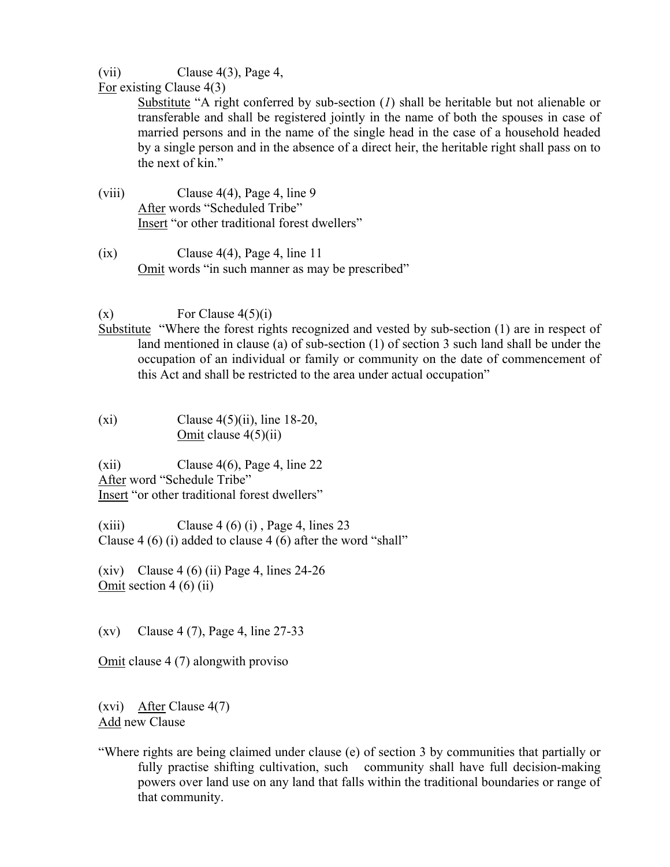# (vii) Clause 4(3), Page 4,

For existing Clause 4(3)

Substitute "A right conferred by sub-section (*1*) shall be heritable but not alienable or transferable and shall be registered jointly in the name of both the spouses in case of married persons and in the name of the single head in the case of a household headed by a single person and in the absence of a direct heir, the heritable right shall pass on to the next of kin."

- (viii) Clause 4(4), Page 4, line 9 After words "Scheduled Tribe" Insert "or other traditional forest dwellers"
- $(ix)$  Clause 4(4), Page 4, line 11 Omit words "in such manner as may be prescribed"

 $\text{(x)} \qquad \text{For Clause } 4(5)(i)$ 

- Substitute "Where the forest rights recognized and vested by sub-section (1) are in respect of land mentioned in clause (a) of sub-section (1) of section 3 such land shall be under the occupation of an individual or family or community on the date of commencement of this Act and shall be restricted to the area under actual occupation"
- (xi) Clause  $4(5)(ii)$ , line 18-20, Omit clause 4(5)(ii)

 $(xii)$  Clause 4(6), Page 4, line 22 After word "Schedule Tribe" Insert "or other traditional forest dwellers"

 $(xiii)$  Clause 4 (6) (i), Page 4, lines 23 Clause 4 (6) (i) added to clause 4 (6) after the word "shall"

(xiv) Clause 4 (6) (ii) Page 4, lines  $24-26$ Omit section  $4(6)(ii)$ 

(xv) Clause 4 (7), Page 4, line 27-33

Omit clause 4 (7) alongwith proviso

(xvi) After Clause 4(7) Add new Clause

"Where rights are being claimed under clause (e) of section 3 by communities that partially or fully practise shifting cultivation, such community shall have full decision-making powers over land use on any land that falls within the traditional boundaries or range of that community.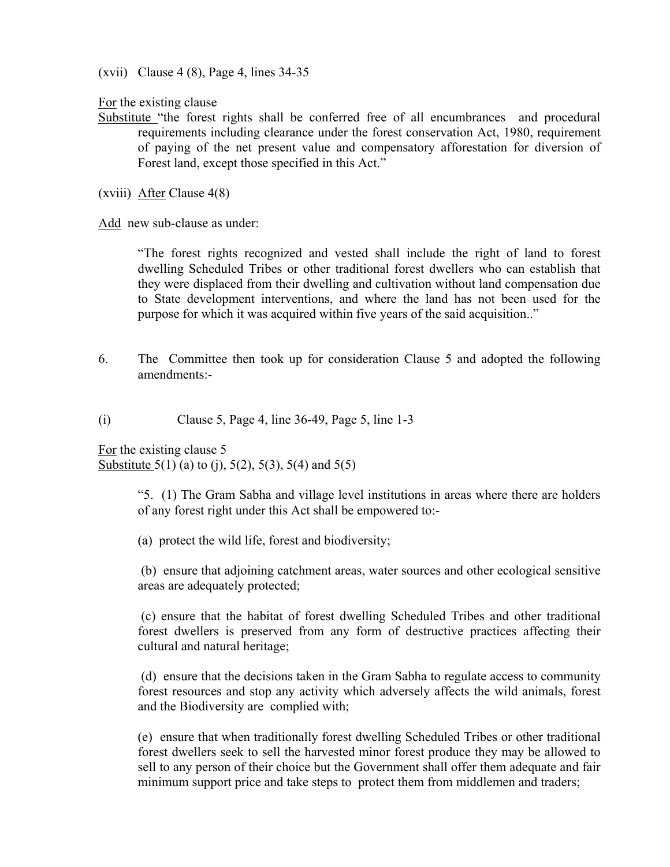(xvii) Clause 4 (8), Page 4, lines 34-35

For the existing clause

Substitute "the forest rights shall be conferred free of all encumbrances and procedural requirements including clearance under the forest conservation Act, 1980, requirement of paying of the net present value and compensatory afforestation for diversion of Forest land, except those specified in this Act."

(xviii) After Clause 4(8)

Add new sub-clause as under:

"The forest rights recognized and vested shall include the right of land to forest dwelling Scheduled Tribes or other traditional forest dwellers who can establish that they were displaced from their dwelling and cultivation without land compensation due to State development interventions, and where the land has not been used for the purpose for which it was acquired within five years of the said acquisition.."

6. The Committee then took up for consideration Clause 5 and adopted the following amendments:-

(i) Clause 5, Page 4, line 36-49, Page 5, line 1-3

For the existing clause 5 Substitute  $5(1)$  (a) to (j),  $5(2)$ ,  $5(3)$ ,  $5(4)$  and  $5(5)$ 

> "5. (1) The Gram Sabha and village level institutions in areas where there are holders of any forest right under this Act shall be empowered to:-

(a) protect the wild life, forest and biodiversity;

 (b) ensure that adjoining catchment areas, water sources and other ecological sensitive areas are adequately protected;

 (c) ensure that the habitat of forest dwelling Scheduled Tribes and other traditional forest dwellers is preserved from any form of destructive practices affecting their cultural and natural heritage;

 (d) ensure that the decisions taken in the Gram Sabha to regulate access to community forest resources and stop any activity which adversely affects the wild animals, forest and the Biodiversity are complied with;

(e) ensure that when traditionally forest dwelling Scheduled Tribes or other traditional forest dwellers seek to sell the harvested minor forest produce they may be allowed to sell to any person of their choice but the Government shall offer them adequate and fair minimum support price and take steps to protect them from middlemen and traders;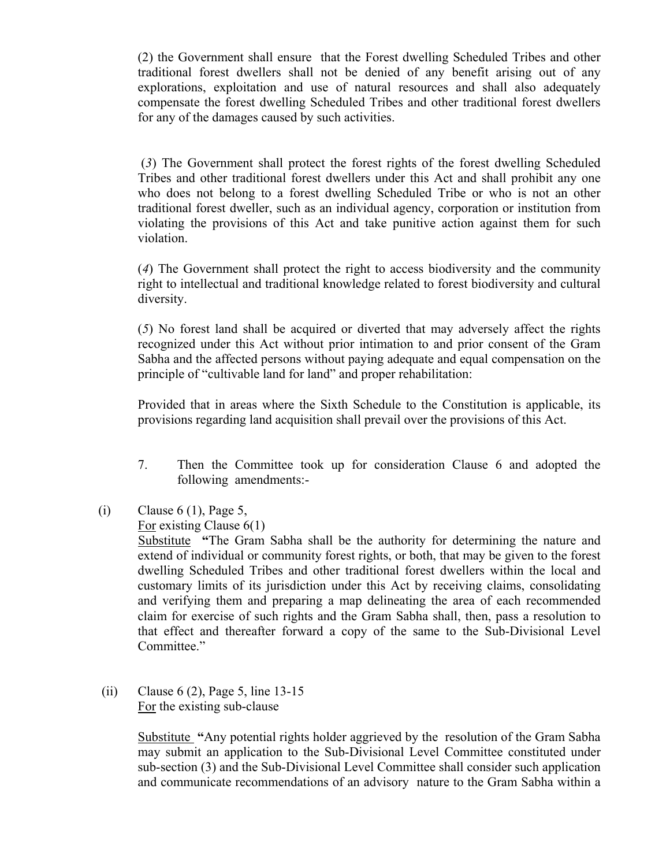(2) the Government shall ensure that the Forest dwelling Scheduled Tribes and other traditional forest dwellers shall not be denied of any benefit arising out of any explorations, exploitation and use of natural resources and shall also adequately compensate the forest dwelling Scheduled Tribes and other traditional forest dwellers for any of the damages caused by such activities.

(*3*) The Government shall protect the forest rights of the forest dwelling Scheduled Tribes and other traditional forest dwellers under this Act and shall prohibit any one who does not belong to a forest dwelling Scheduled Tribe or who is not an other traditional forest dweller, such as an individual agency, corporation or institution from violating the provisions of this Act and take punitive action against them for such violation.

(*4*) The Government shall protect the right to access biodiversity and the community right to intellectual and traditional knowledge related to forest biodiversity and cultural diversity.

(*5*) No forest land shall be acquired or diverted that may adversely affect the rights recognized under this Act without prior intimation to and prior consent of the Gram Sabha and the affected persons without paying adequate and equal compensation on the principle of "cultivable land for land" and proper rehabilitation:

Provided that in areas where the Sixth Schedule to the Constitution is applicable, its provisions regarding land acquisition shall prevail over the provisions of this Act.

- 7. Then the Committee took up for consideration Clause 6 and adopted the following amendments:-
- (i) Clause  $6(1)$ , Page 5,

For existing Clause 6(1)

Substitute **"**The Gram Sabha shall be the authority for determining the nature and extend of individual or community forest rights, or both, that may be given to the forest dwelling Scheduled Tribes and other traditional forest dwellers within the local and customary limits of its jurisdiction under this Act by receiving claims, consolidating and verifying them and preparing a map delineating the area of each recommended claim for exercise of such rights and the Gram Sabha shall, then, pass a resolution to that effect and thereafter forward a copy of the same to the Sub-Divisional Level Committee."

 (ii) Clause 6 (2), Page 5, line 13-15 For the existing sub-clause

> Substitute **"**Any potential rights holder aggrieved by the resolution of the Gram Sabha may submit an application to the Sub-Divisional Level Committee constituted under sub-section (3) and the Sub-Divisional Level Committee shall consider such application and communicate recommendations of an advisory nature to the Gram Sabha within a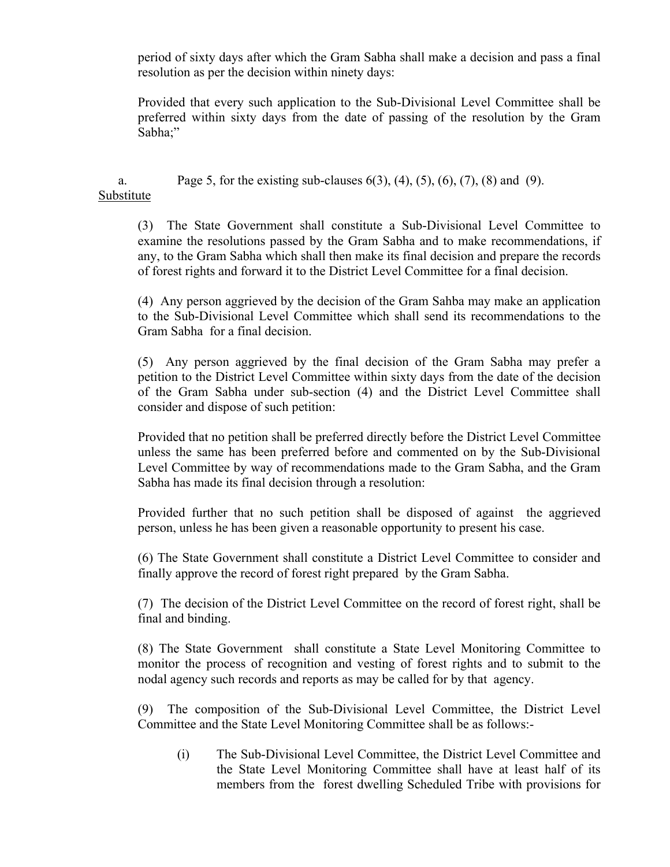period of sixty days after which the Gram Sabha shall make a decision and pass a final resolution as per the decision within ninety days:

Provided that every such application to the Sub-Divisional Level Committee shall be preferred within sixty days from the date of passing of the resolution by the Gram Sabha;"

a. Page 5, for the existing sub-clauses  $6(3)$ ,  $(4)$ ,  $(5)$ ,  $(6)$ ,  $(7)$ ,  $(8)$  and  $(9)$ . Substitute

(3) The State Government shall constitute a Sub-Divisional Level Committee to examine the resolutions passed by the Gram Sabha and to make recommendations, if any, to the Gram Sabha which shall then make its final decision and prepare the records of forest rights and forward it to the District Level Committee for a final decision.

(4) Any person aggrieved by the decision of the Gram Sahba may make an application to the Sub-Divisional Level Committee which shall send its recommendations to the Gram Sabha for a final decision.

(5) Any person aggrieved by the final decision of the Gram Sabha may prefer a petition to the District Level Committee within sixty days from the date of the decision of the Gram Sabha under sub-section (4) and the District Level Committee shall consider and dispose of such petition:

Provided that no petition shall be preferred directly before the District Level Committee unless the same has been preferred before and commented on by the Sub-Divisional Level Committee by way of recommendations made to the Gram Sabha, and the Gram Sabha has made its final decision through a resolution:

Provided further that no such petition shall be disposed of against the aggrieved person, unless he has been given a reasonable opportunity to present his case.

(6) The State Government shall constitute a District Level Committee to consider and finally approve the record of forest right prepared by the Gram Sabha.

(7) The decision of the District Level Committee on the record of forest right, shall be final and binding.

(8) The State Government shall constitute a State Level Monitoring Committee to monitor the process of recognition and vesting of forest rights and to submit to the nodal agency such records and reports as may be called for by that agency.

(9) The composition of the Sub-Divisional Level Committee, the District Level Committee and the State Level Monitoring Committee shall be as follows:-

(i) The Sub-Divisional Level Committee, the District Level Committee and the State Level Monitoring Committee shall have at least half of its members from the forest dwelling Scheduled Tribe with provisions for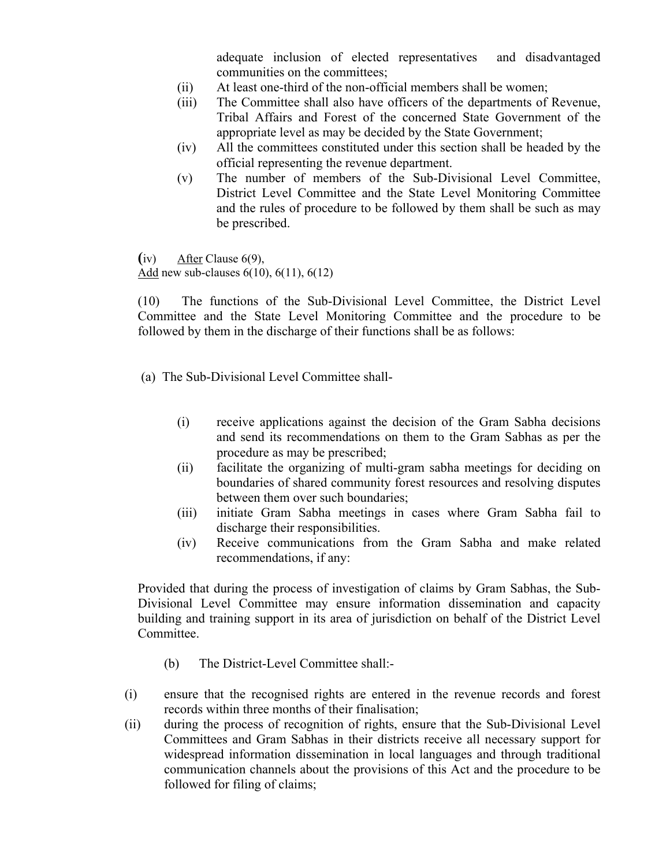adequate inclusion of elected representatives and disadvantaged communities on the committees;

- (ii) At least one-third of the non-official members shall be women;
- (iii) The Committee shall also have officers of the departments of Revenue, Tribal Affairs and Forest of the concerned State Government of the appropriate level as may be decided by the State Government;
- (iv) All the committees constituted under this section shall be headed by the official representing the revenue department.
- (v) The number of members of the Sub-Divisional Level Committee, District Level Committee and the State Level Monitoring Committee and the rules of procedure to be followed by them shall be such as may be prescribed.

**(**iv) After Clause 6(9), Add new sub-clauses 6(10), 6(11), 6(12)

(10) The functions of the Sub-Divisional Level Committee, the District Level Committee and the State Level Monitoring Committee and the procedure to be followed by them in the discharge of their functions shall be as follows:

- (a) The Sub-Divisional Level Committee shall-
	- (i) receive applications against the decision of the Gram Sabha decisions and send its recommendations on them to the Gram Sabhas as per the procedure as may be prescribed;
	- (ii) facilitate the organizing of multi-gram sabha meetings for deciding on boundaries of shared community forest resources and resolving disputes between them over such boundaries;
	- (iii) initiate Gram Sabha meetings in cases where Gram Sabha fail to discharge their responsibilities.
	- (iv) Receive communications from the Gram Sabha and make related recommendations, if any:

Provided that during the process of investigation of claims by Gram Sabhas, the Sub-Divisional Level Committee may ensure information dissemination and capacity building and training support in its area of jurisdiction on behalf of the District Level Committee.

- (b) The District-Level Committee shall:-
- (i) ensure that the recognised rights are entered in the revenue records and forest records within three months of their finalisation;
- (ii) during the process of recognition of rights, ensure that the Sub-Divisional Level Committees and Gram Sabhas in their districts receive all necessary support for widespread information dissemination in local languages and through traditional communication channels about the provisions of this Act and the procedure to be followed for filing of claims;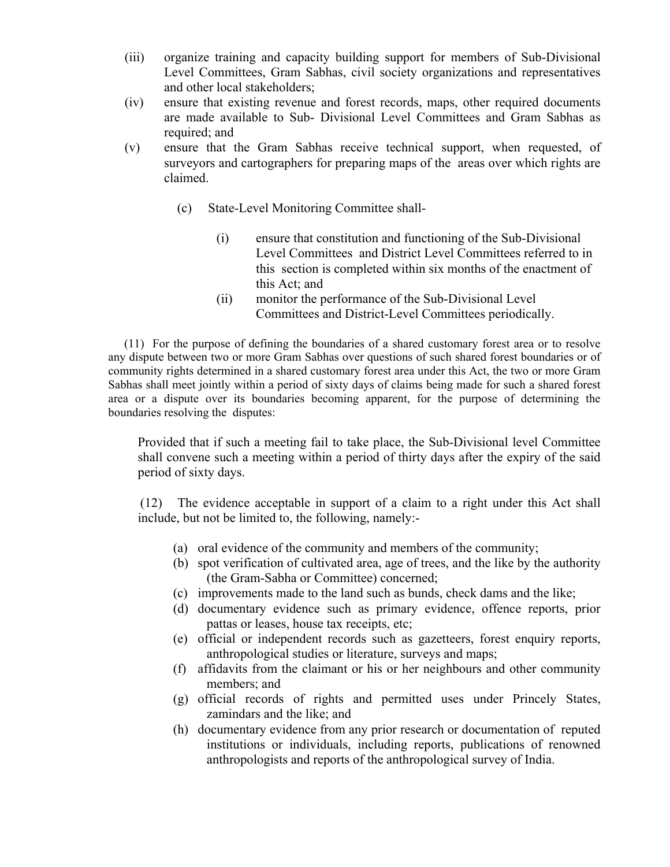- (iii) organize training and capacity building support for members of Sub-Divisional Level Committees, Gram Sabhas, civil society organizations and representatives and other local stakeholders;
- (iv) ensure that existing revenue and forest records, maps, other required documents are made available to Sub- Divisional Level Committees and Gram Sabhas as required; and
- (v) ensure that the Gram Sabhas receive technical support, when requested, of surveyors and cartographers for preparing maps of the areas over which rights are claimed.
	- (c) State-Level Monitoring Committee shall-
		- (i) ensure that constitution and functioning of the Sub-Divisional Level Committees and District Level Committees referred to in this section is completed within six months of the enactment of this Act; and
		- (ii) monitor the performance of the Sub-Divisional Level Committees and District-Level Committees periodically.

(11) For the purpose of defining the boundaries of a shared customary forest area or to resolve any dispute between two or more Gram Sabhas over questions of such shared forest boundaries or of community rights determined in a shared customary forest area under this Act, the two or more Gram Sabhas shall meet jointly within a period of sixty days of claims being made for such a shared forest area or a dispute over its boundaries becoming apparent, for the purpose of determining the boundaries resolving the disputes:

Provided that if such a meeting fail to take place, the Sub-Divisional level Committee shall convene such a meeting within a period of thirty days after the expiry of the said period of sixty days.

(12) The evidence acceptable in support of a claim to a right under this Act shall include, but not be limited to, the following, namely:-

- (a) oral evidence of the community and members of the community;
- (b) spot verification of cultivated area, age of trees, and the like by the authority (the Gram-Sabha or Committee) concerned;
- (c) improvements made to the land such as bunds, check dams and the like;
- (d) documentary evidence such as primary evidence, offence reports, prior pattas or leases, house tax receipts, etc;
- (e) official or independent records such as gazetteers, forest enquiry reports, anthropological studies or literature, surveys and maps;
- (f) affidavits from the claimant or his or her neighbours and other community members; and
- (g) official records of rights and permitted uses under Princely States, zamindars and the like; and
- (h) documentary evidence from any prior research or documentation of reputed institutions or individuals, including reports, publications of renowned anthropologists and reports of the anthropological survey of India.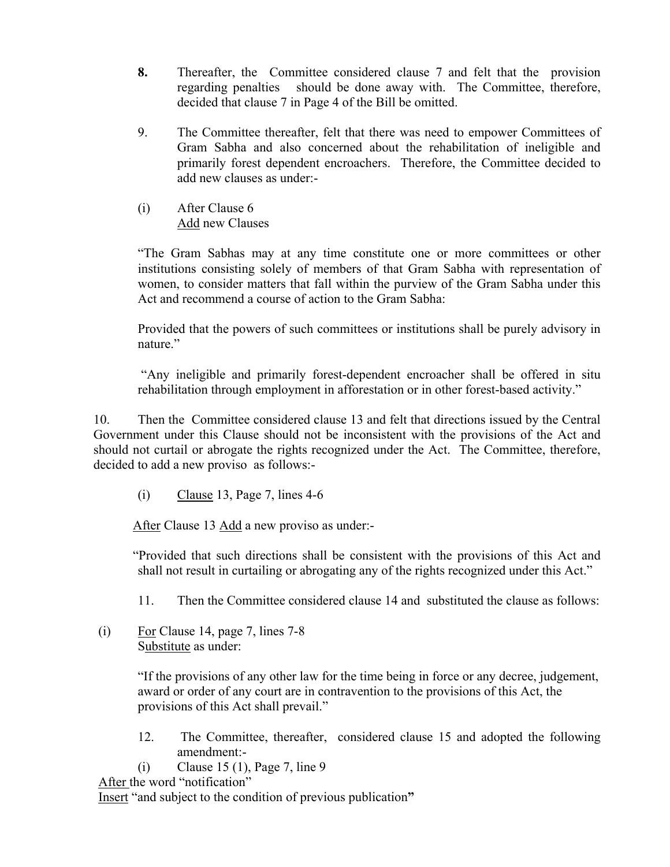- **8.** Thereafter, the Committee considered clause 7 and felt that the provision regarding penalties should be done away with. The Committee, therefore, decided that clause 7 in Page 4 of the Bill be omitted.
- 9. The Committee thereafter, felt that there was need to empower Committees of Gram Sabha and also concerned about the rehabilitation of ineligible and primarily forest dependent encroachers. Therefore, the Committee decided to add new clauses as under:-
- (i) After Clause 6 Add new Clauses

"The Gram Sabhas may at any time constitute one or more committees or other institutions consisting solely of members of that Gram Sabha with representation of women, to consider matters that fall within the purview of the Gram Sabha under this Act and recommend a course of action to the Gram Sabha:

Provided that the powers of such committees or institutions shall be purely advisory in nature."

"Any ineligible and primarily forest-dependent encroacher shall be offered in situ rehabilitation through employment in afforestation or in other forest-based activity."

 10. Then the Committee considered clause 13 and felt that directions issued by the Central Government under this Clause should not be inconsistent with the provisions of the Act and should not curtail or abrogate the rights recognized under the Act. The Committee, therefore, decided to add a new proviso as follows:-

 $(i)$  Clause 13, Page 7, lines 4-6

After Clause 13 Add a new proviso as under:-

"Provided that such directions shall be consistent with the provisions of this Act and shall not result in curtailing or abrogating any of the rights recognized under this Act."

11. Then the Committee considered clause 14 and substituted the clause as follows:

(i) For Clause 14, page 7, lines  $7-8$ Substitute as under:

> "If the provisions of any other law for the time being in force or any decree, judgement, award or order of any court are in contravention to the provisions of this Act, the provisions of this Act shall prevail."

- 12. The Committee, thereafter, considered clause 15 and adopted the following amendment:-
- (i) Clause 15 (1), Page 7, line 9

After the word "notification"

Insert "and subject to the condition of previous publication**"**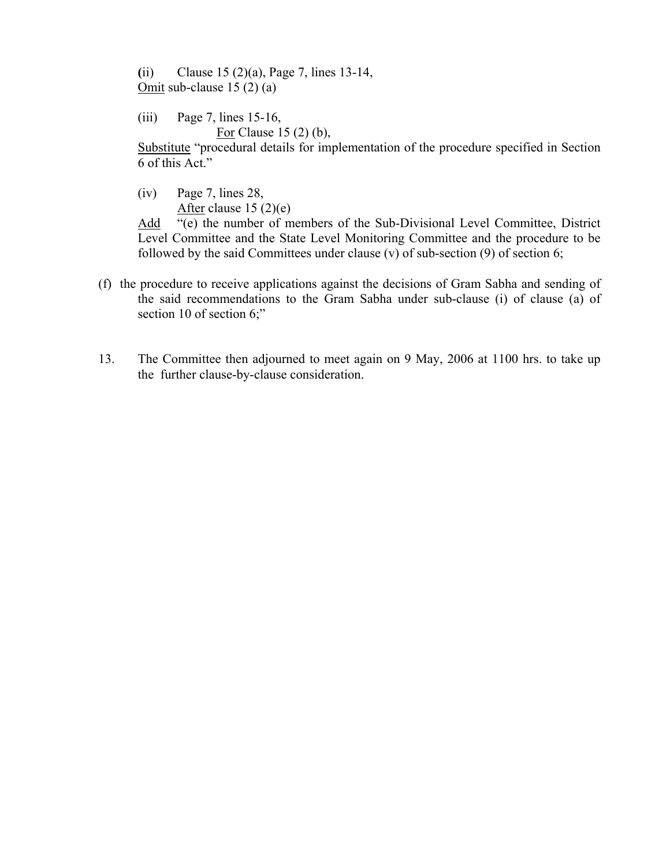**(**ii) Clause 15 (2)(a), Page 7, lines 13-14, Omit sub-clause 15 (2) (a)

(iii) Page 7, lines 15-16, For Clause 15 (2) (b),

Substitute "procedural details for implementation of the procedure specified in Section 6 of this Act."

(iv) Page 7, lines 28, After clause  $15(2)(e)$ 

Add "(e) the number of members of the Sub-Divisional Level Committee, District Level Committee and the State Level Monitoring Committee and the procedure to be followed by the said Committees under clause (v) of sub-section (9) of section 6;

- (f) the procedure to receive applications against the decisions of Gram Sabha and sending of the said recommendations to the Gram Sabha under sub-clause (i) of clause (a) of section 10 of section 6;"
- 13. The Committee then adjourned to meet again on 9 May, 2006 at 1100 hrs. to take up the further clause-by-clause consideration.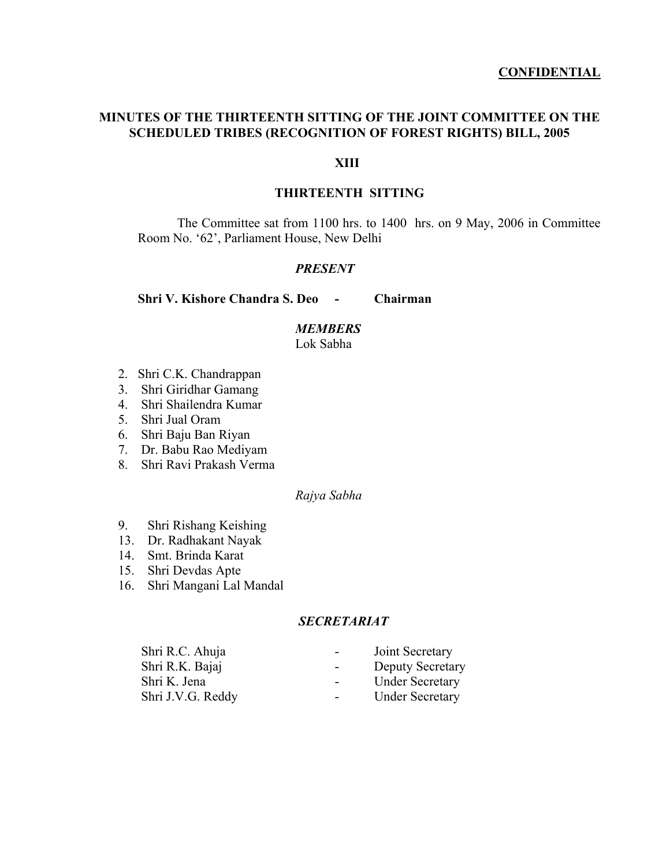## **CONFIDENTIAL**

## **MINUTES OF THE THIRTEENTH SITTING OF THE JOINT COMMITTEE ON THE SCHEDULED TRIBES (RECOGNITION OF FOREST RIGHTS) BILL, 2005**

## **XIII**

## **THIRTEENTH SITTING**

The Committee sat from 1100 hrs. to 1400 hrs. on 9 May, 2006 in Committee Room No. '62', Parliament House, New Delhi

## *PRESENT*

**Shri V. Kishore Chandra S. Deo - Chairman** 

#### *MEMBERS*

Lok Sabha

- 2. Shri C.K. Chandrappan
- 3. Shri Giridhar Gamang
- 4. Shri Shailendra Kumar
- 5. Shri Jual Oram
- 6. Shri Baju Ban Riyan
- 7. Dr. Babu Rao Mediyam
- 8. Shri Ravi Prakash Verma

## *Rajya Sabha*

- 9. Shri Rishang Keishing
- 13. Dr. Radhakant Nayak
- 14. Smt. Brinda Karat
- 15. Shri Devdas Apte
- 16. Shri Mangani Lal Mandal

## *SECRETARIAT*

| Shri R.C. Ahuja   | $\sim 100$       | Joint Secretary         |
|-------------------|------------------|-------------------------|
| Shri R.K. Bajaj   | $\sim$ 100 $\mu$ | <b>Deputy Secretary</b> |
| Shri K. Jena      | $\sim$ 10 $\pm$  | <b>Under Secretary</b>  |
| Shri J.V.G. Reddy | $\sim$ 100 $\mu$ | <b>Under Secretary</b>  |
|                   |                  |                         |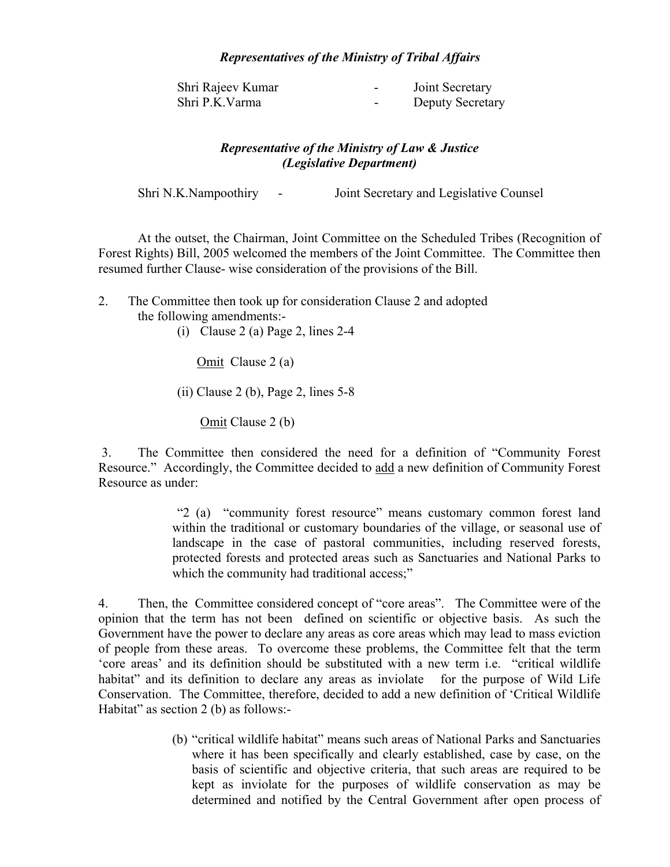## *Representatives of the Ministry of Tribal Affairs*

| Shri Rajeev Kumar | $\overline{\phantom{0}}$ | Joint Secretary  |
|-------------------|--------------------------|------------------|
| Shri P.K.Varma    | $\overline{\phantom{a}}$ | Deputy Secretary |

## *Representative of the Ministry of Law & Justice (Legislative Department)*

Shri N.K.Nampoothiry - Joint Secretary and Legislative Counsel

At the outset, the Chairman, Joint Committee on the Scheduled Tribes (Recognition of Forest Rights) Bill, 2005 welcomed the members of the Joint Committee. The Committee then resumed further Clause- wise consideration of the provisions of the Bill.

- 2. The Committee then took up for consideration Clause 2 and adopted the following amendments:-
	- (i) Clause 2 (a) Page 2, lines 2-4

Omit Clause 2 (a)

 $(ii)$  Clause 2 (b), Page 2, lines 5-8

Omit Clause 2 (b)

 3. The Committee then considered the need for a definition of "Community Forest Resource." Accordingly, the Committee decided to add a new definition of Community Forest Resource as under:

> "2 (a) "community forest resource" means customary common forest land within the traditional or customary boundaries of the village, or seasonal use of landscape in the case of pastoral communities, including reserved forests, protected forests and protected areas such as Sanctuaries and National Parks to which the community had traditional access;"

4. Then, the Committee considered concept of "core areas". The Committee were of the opinion that the term has not been defined on scientific or objective basis. As such the Government have the power to declare any areas as core areas which may lead to mass eviction of people from these areas. To overcome these problems, the Committee felt that the term 'core areas' and its definition should be substituted with a new term i.e. "critical wildlife habitat" and its definition to declare any areas as inviolate for the purpose of Wild Life Conservation. The Committee, therefore, decided to add a new definition of 'Critical Wildlife Habitat" as section 2 (b) as follows:-

> (b) "critical wildlife habitat" means such areas of National Parks and Sanctuaries where it has been specifically and clearly established, case by case, on the basis of scientific and objective criteria, that such areas are required to be kept as inviolate for the purposes of wildlife conservation as may be determined and notified by the Central Government after open process of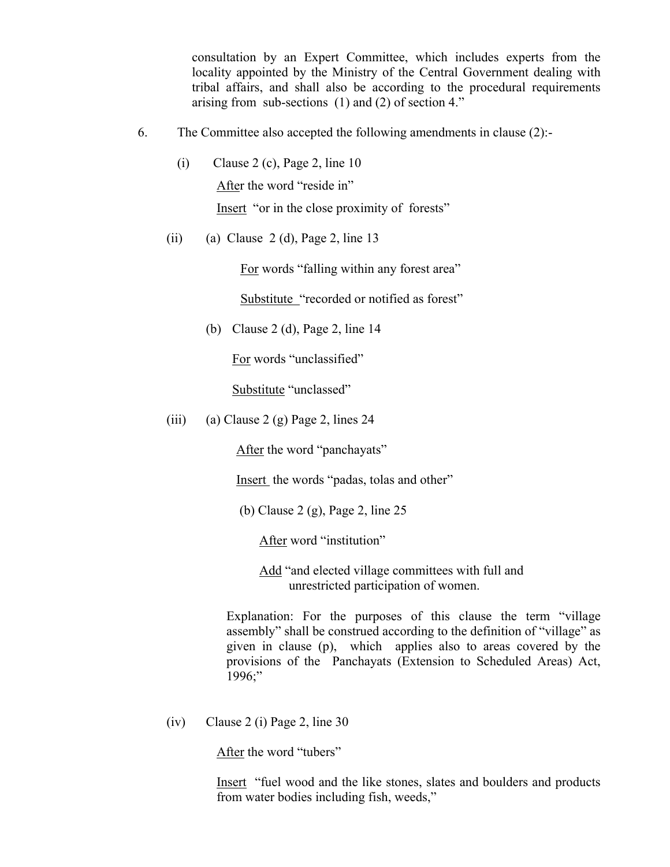consultation by an Expert Committee, which includes experts from the locality appointed by the Ministry of the Central Government dealing with tribal affairs, and shall also be according to the procedural requirements arising from sub-sections (1) and (2) of section 4."

- 6. The Committee also accepted the following amendments in clause (2):-
	- (i) Clause 2 (c), Page 2, line  $10$ After the word "reside in" Insert "or in the close proximity of forests"
	- (ii) (a) Clause 2 (d), Page 2, line 13

For words "falling within any forest area"

Substitute "recorded or notified as forest"

(b) Clause 2 (d), Page 2, line 14

For words "unclassified"

Substitute "unclassed"

(iii) (a) Clause 2 (g) Page 2, lines 24

After the word "panchayats"

Insert the words "padas, tolas and other"

(b) Clause 2 (g), Page 2, line 25

After word "institution"

 Add "and elected village committees with full and unrestricted participation of women.

 Explanation: For the purposes of this clause the term "village assembly" shall be construed according to the definition of "village" as given in clause (p), which applies also to areas covered by the provisions of the Panchayats (Extension to Scheduled Areas) Act, 1996;"

(iv) Clause 2 (i) Page 2, line 30

After the word "tubers"

Insert "fuel wood and the like stones, slates and boulders and products from water bodies including fish, weeds,"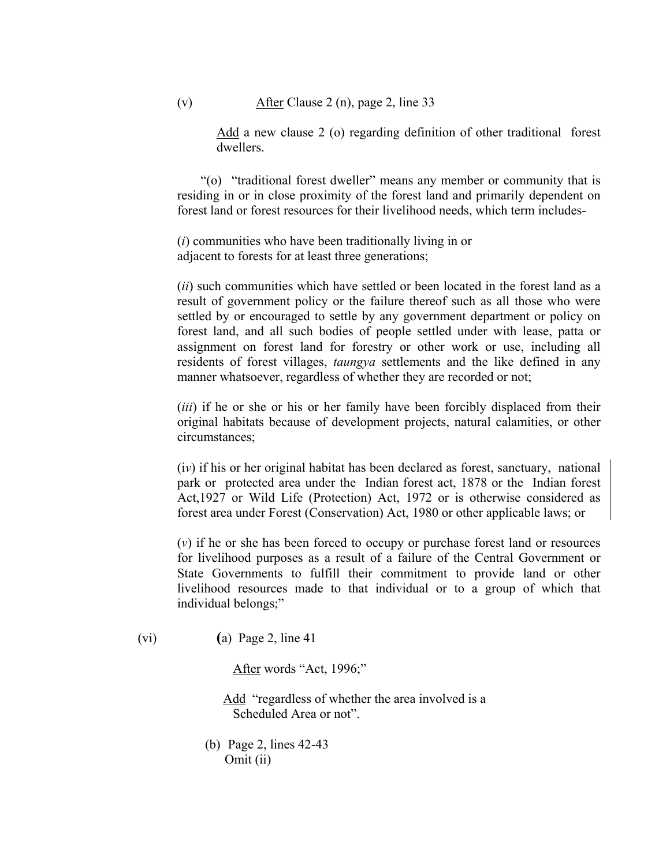Add a new clause 2 (o) regarding definition of other traditional forest dwellers.

"(o) "traditional forest dweller" means any member or community that is residing in or in close proximity of the forest land and primarily dependent on forest land or forest resources for their livelihood needs, which term includes-

(*i*) communities who have been traditionally living in or adjacent to forests for at least three generations;

(*ii*) such communities which have settled or been located in the forest land as a result of government policy or the failure thereof such as all those who were settled by or encouraged to settle by any government department or policy on forest land, and all such bodies of people settled under with lease, patta or assignment on forest land for forestry or other work or use, including all residents of forest villages, *taungya* settlements and the like defined in any manner whatsoever, regardless of whether they are recorded or not;

(*iii*) if he or she or his or her family have been forcibly displaced from their original habitats because of development projects, natural calamities, or other circumstances;

(i*v*) if his or her original habitat has been declared as forest, sanctuary, national park or protected area under the Indian forest act, 1878 or the Indian forest Act,1927 or Wild Life (Protection) Act, 1972 or is otherwise considered as forest area under Forest (Conservation) Act, 1980 or other applicable laws; or

(*v*) if he or she has been forced to occupy or purchase forest land or resources for livelihood purposes as a result of a failure of the Central Government or State Governments to fulfill their commitment to provide land or other livelihood resources made to that individual or to a group of which that individual belongs;"

(vi) **(**a) Page 2, line 41

After words "Act, 1996;"

 Add "regardless of whether the area involved is a Scheduled Area or not".

(b) Page 2, lines 42-43 Omit (ii)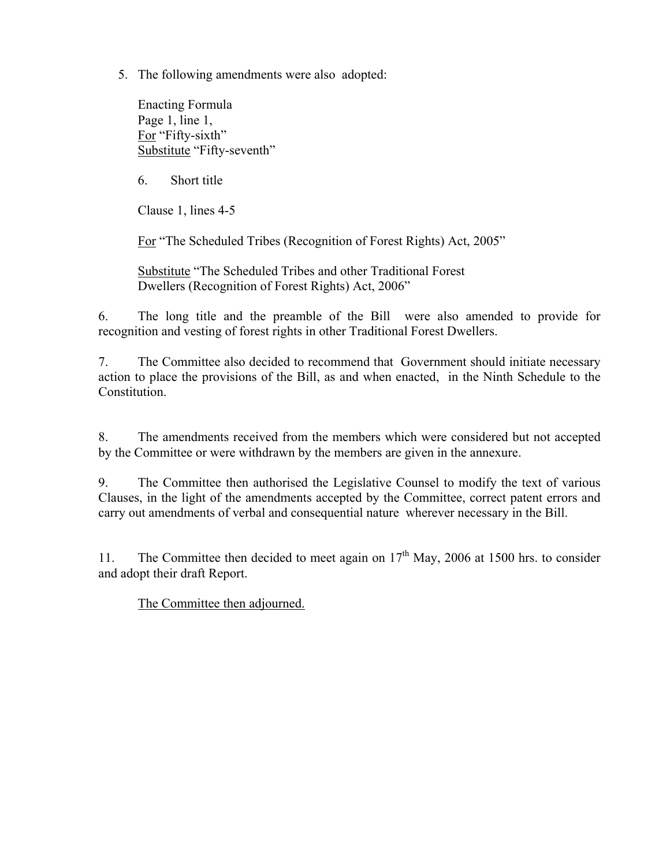5. The following amendments were also adopted:

Enacting Formula Page 1, line 1, For "Fifty-sixth" Substitute "Fifty-seventh"

6. Short title

Clause 1, lines 4-5

For "The Scheduled Tribes (Recognition of Forest Rights) Act, 2005"

Substitute "The Scheduled Tribes and other Traditional Forest Dwellers (Recognition of Forest Rights) Act, 2006"

6. The long title and the preamble of the Bill were also amended to provide for recognition and vesting of forest rights in other Traditional Forest Dwellers.

7. The Committee also decided to recommend that Government should initiate necessary action to place the provisions of the Bill, as and when enacted, in the Ninth Schedule to the Constitution.

8. The amendments received from the members which were considered but not accepted by the Committee or were withdrawn by the members are given in the annexure.

9. The Committee then authorised the Legislative Counsel to modify the text of various Clauses, in the light of the amendments accepted by the Committee, correct patent errors and carry out amendments of verbal and consequential nature wherever necessary in the Bill.

11. The Committee then decided to meet again on  $17<sup>th</sup>$  May, 2006 at 1500 hrs. to consider and adopt their draft Report.

The Committee then adjourned.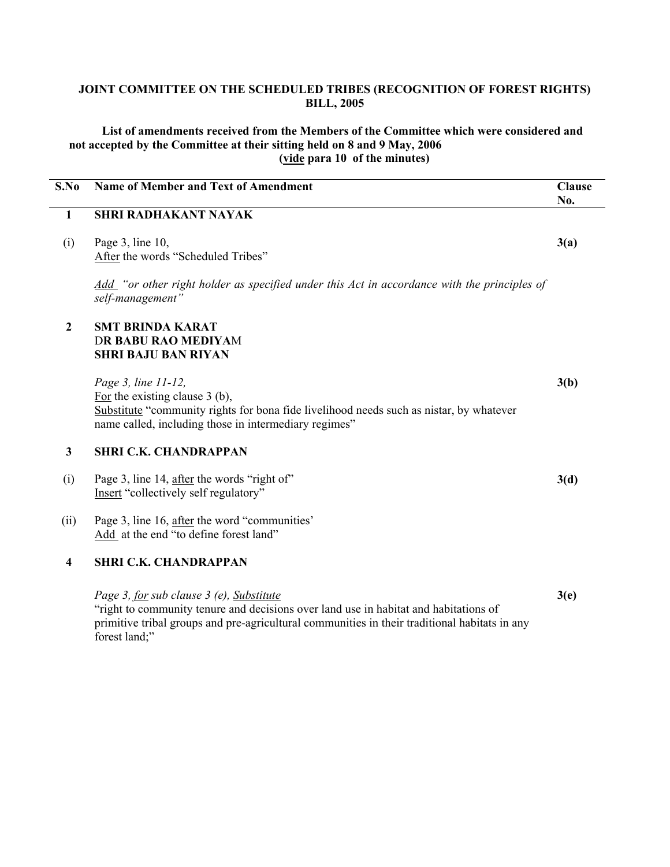## **JOINT COMMITTEE ON THE SCHEDULED TRIBES (RECOGNITION OF FOREST RIGHTS) BILL, 2005**

 **List of amendments received from the Members of the Committee which were considered and not accepted by the Committee at their sitting held on 8 and 9 May, 2006 (vide para 10 of the minutes)** 

| S.No                    | <b>Name of Member and Text of Amendment</b>                                                                                                                                                                 | <b>Clause</b><br>No. |
|-------------------------|-------------------------------------------------------------------------------------------------------------------------------------------------------------------------------------------------------------|----------------------|
| $\mathbf{1}$            | <b>SHRI RADHAKANT NAYAK</b>                                                                                                                                                                                 |                      |
| (i)                     | Page $3$ , line $10$ ,<br>After the words "Scheduled Tribes"                                                                                                                                                | 3(a)                 |
|                         | Add "or other right holder as specified under this Act in accordance with the principles of<br>self-management"                                                                                             |                      |
| $\mathbf{2}$            | <b>SMT BRINDA KARAT</b><br><b>DR BABU RAO MEDIYAM</b><br><b>SHRI BAJU BAN RIYAN</b>                                                                                                                         |                      |
|                         | Page 3, line 11-12,<br>For the existing clause $3$ (b),<br>Substitute "community rights for bona fide livelihood needs such as nistar, by whatever<br>name called, including those in intermediary regimes" | 3(b)                 |
| $\mathbf{3}$            | <b>SHRI C.K. CHANDRAPPAN</b>                                                                                                                                                                                |                      |
| (i)                     | Page 3, line 14, after the words "right of"<br>Insert "collectively self regulatory"                                                                                                                        | 3(d)                 |
| (ii)                    | Page 3, line 16, after the word "communities"<br>Add at the end "to define forest land"                                                                                                                     |                      |
| $\overline{\mathbf{4}}$ | <b>SHRI C.K. CHANDRAPPAN</b>                                                                                                                                                                                |                      |
|                         | Page 3, for sub clause 3 (e), Substitute<br>"right to community tenure and decisions over land use in habitat and habitations of                                                                            | 3(e)                 |

primitive tribal groups and pre-agricultural communities in their traditional habitats in any forest land;"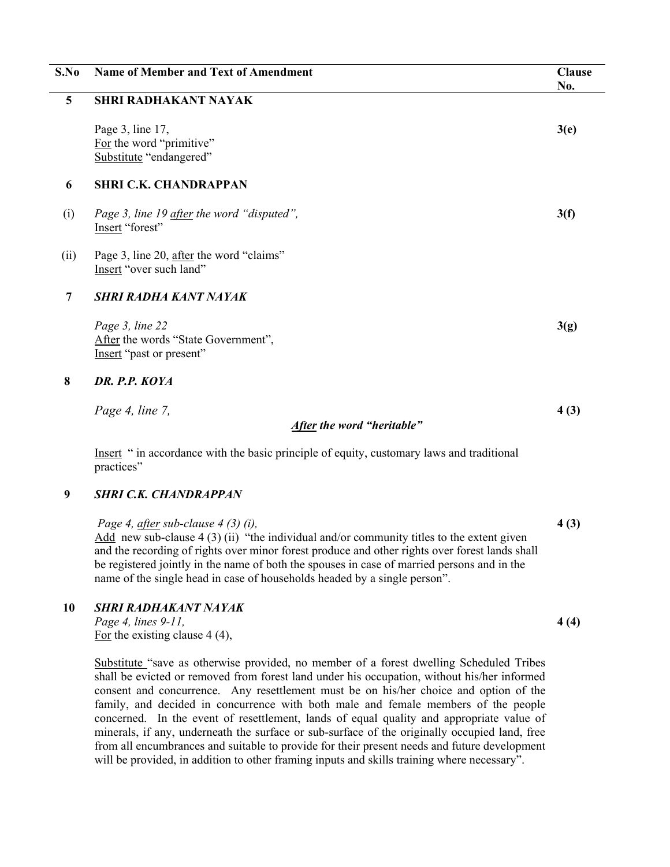| S.No            | <b>Name of Member and Text of Amendment</b>                                               | <b>Clause</b><br>No. |
|-----------------|-------------------------------------------------------------------------------------------|----------------------|
| $5\phantom{.0}$ | <b>SHRI RADHAKANT NAYAK</b>                                                               |                      |
|                 | Page 3, line 17,<br>For the word "primitive"<br>Substitute "endangered"                   | 3(e)                 |
| 6               | <b>SHRI C.K. CHANDRAPPAN</b>                                                              |                      |
| (i)             | Page 3, line 19 after the word "disputed",<br>Insert "forest"                             | 3(f)                 |
| (ii)            | Page 3, line 20, after the word "claims"<br>Insert "over such land"                       |                      |
| $\overline{7}$  | <b>SHRI RADHA KANT NAYAK</b>                                                              |                      |
|                 | Page 3, line 22<br>After the words "State Government",<br>Insert "past or present"        | 3(g)                 |
| 8               | DR. P.P. KOYA                                                                             |                      |
|                 | Page 4, line 7,<br>After the word "heritable"                                             | 4(3)                 |
|                 | Insert " in accordance with the basic principle of equity, customary laws and traditional |                      |
|                 | practices"                                                                                |                      |
| 9               | <b>SHRI C.K. CHANDRAPPAN</b>                                                              |                      |

 *Page 4, after sub-clause 4 (3) (i),*  Add new sub-clause  $4(3)(ii)$  "the individual and/or community titles to the extent given and the recording of rights over minor forest produce and other rights over forest lands shall be registered jointly in the name of both the spouses in case of married persons and in the name of the single head in case of households headed by a single person". **4 (3)** 

## **10** *SHRI RADHAKANT NAYAK*

*Page 4, lines 9-11,*  For the existing clause 4 (4),

Substitute "save as otherwise provided, no member of a forest dwelling Scheduled Tribes shall be evicted or removed from forest land under his occupation, without his/her informed consent and concurrence. Any resettlement must be on his/her choice and option of the family, and decided in concurrence with both male and female members of the people concerned. In the event of resettlement, lands of equal quality and appropriate value of minerals, if any, underneath the surface or sub-surface of the originally occupied land, free from all encumbrances and suitable to provide for their present needs and future development will be provided, in addition to other framing inputs and skills training where necessary".

**4 (4)**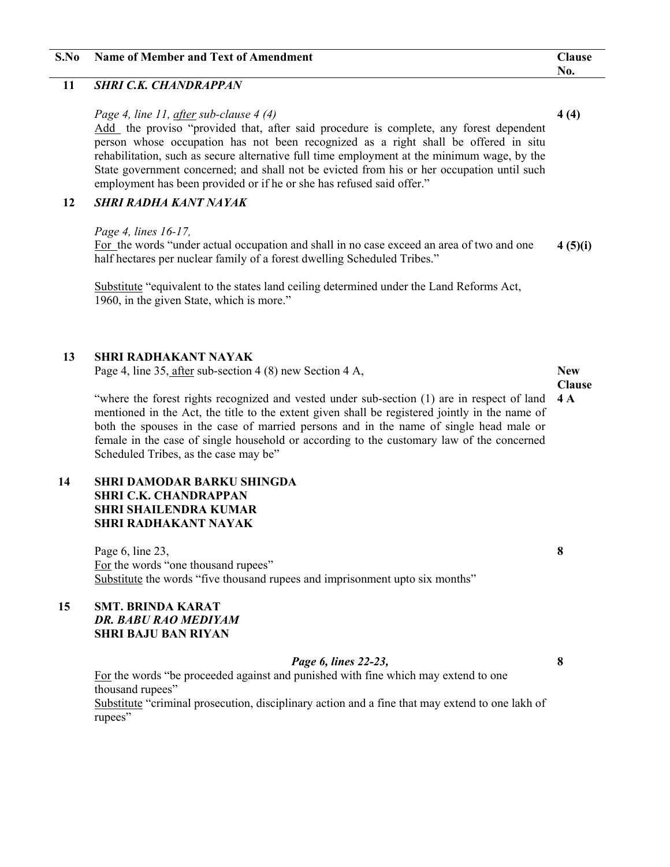| S.No | Name of Member and Text of Amendment | <b>Clause</b>            |
|------|--------------------------------------|--------------------------|
|      |                                      | $\mathbf{N}\mathbf{0}$ . |

## **11** *SHRI C.K. CHANDRAPPAN*

#### *Page 4, line 11, after sub-clause 4 (4)*

Add the proviso "provided that, after said procedure is complete, any forest dependent person whose occupation has not been recognized as a right shall be offered in situ rehabilitation, such as secure alternative full time employment at the minimum wage, by the State government concerned; and shall not be evicted from his or her occupation until such employment has been provided or if he or she has refused said offer."

## **12** *SHRI RADHA KANT NAYAK*

#### *Page 4, lines 16-17,*

For the words "under actual occupation and shall in no case exceed an area of two and one half hectares per nuclear family of a forest dwelling Scheduled Tribes." **4 (5)(i)** 

Substitute "equivalent to the states land ceiling determined under the Land Reforms Act, 1960, in the given State, which is more."

## **13 SHRI RADHAKANT NAYAK**

Page 4, line 35, after sub-section 4 (8) new Section 4 A,

"where the forest rights recognized and vested under sub-section (1) are in respect of land **4 A**  mentioned in the Act, the title to the extent given shall be registered jointly in the name of both the spouses in the case of married persons and in the name of single head male or female in the case of single household or according to the customary law of the concerned Scheduled Tribes, as the case may be"

### **14 SHRI DAMODAR BARKU SHINGDA SHRI C.K. CHANDRAPPAN SHRI SHAILENDRA KUMAR SHRI RADHAKANT NAYAK**

Page 6, line 23, For the words "one thousand rupees" Substitute the words "five thousand rupees and imprisonment upto six months"

### **15 SMT. BRINDA KARAT**  *DR. BABU RAO MEDIYAM*  **SHRI BAJU BAN RIYAN**

## *Page 6, lines 22-23,*

For the words "be proceeded against and punished with fine which may extend to one thousand rupees" Substitute "criminal prosecution, disciplinary action and a fine that may extend to one lakh of rupees"

**4 (4)** 

**New Clause** 

**8** 

**8**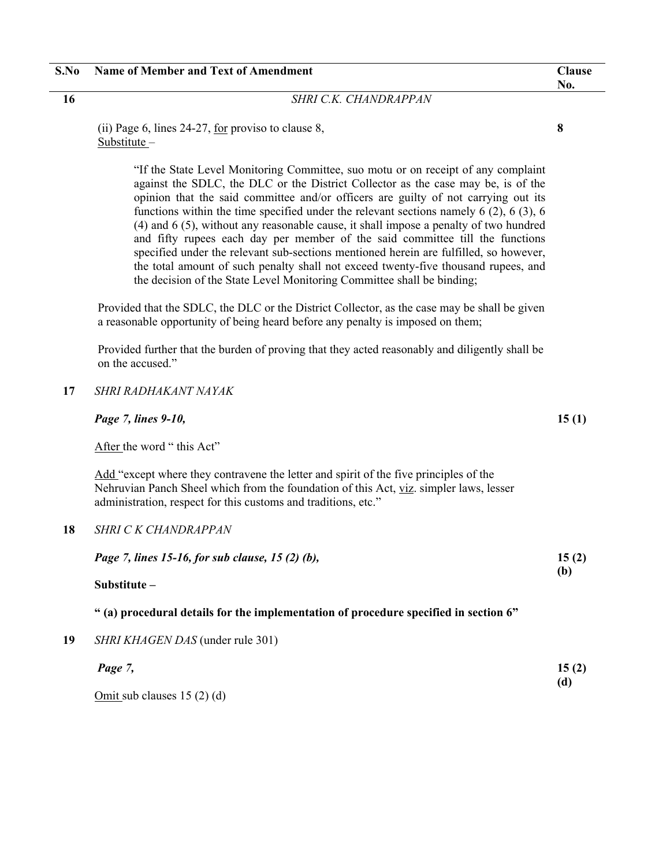#### **16** *SHRI C.K. CHANDRAPPAN*

(ii) Page 6, lines 24-27, for proviso to clause 8, Substitute –

> "If the State Level Monitoring Committee, suo motu or on receipt of any complaint against the SDLC, the DLC or the District Collector as the case may be, is of the opinion that the said committee and/or officers are guilty of not carrying out its functions within the time specified under the relevant sections namely 6 (2), 6 (3), 6 (4) and 6 (5), without any reasonable cause, it shall impose a penalty of two hundred and fifty rupees each day per member of the said committee till the functions specified under the relevant sub-sections mentioned herein are fulfilled, so however, the total amount of such penalty shall not exceed twenty-five thousand rupees, and the decision of the State Level Monitoring Committee shall be binding;

Provided that the SDLC, the DLC or the District Collector, as the case may be shall be given a reasonable opportunity of being heard before any penalty is imposed on them;

Provided further that the burden of proving that they acted reasonably and diligently shall be on the accused."

### **17** *SHRI RADHAKANT NAYAK*

*Page 7, lines 9-10,* 

After the word " this Act"

Add "except where they contravene the letter and spirit of the five principles of the Nehruvian Panch Sheel which from the foundation of this Act, viz. simpler laws, lesser administration, respect for this customs and traditions, etc."

### **18** *SHRI C K CHANDRAPPAN*

*Page 7, lines 15-16, for sub clause, 15 (2) (b),* 

**Substitute –** 

#### **" (a) procedural details for the implementation of procedure specified in section 6"**

**19** *SHRI KHAGEN DAS* (under rule 301)

| Page 7,                       | 15(2) |
|-------------------------------|-------|
|                               | (d)   |
| $Omit$ sub clauses 15 (2) (d) |       |

**No.** 

**15 (1)** 

**15 (2) (b)**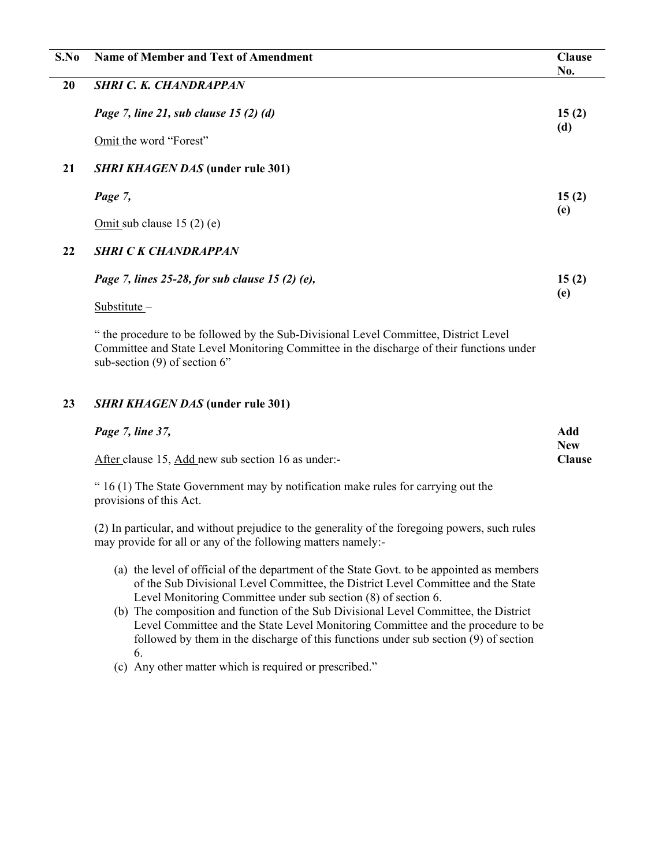| S.No | <b>Name of Member and Text of Amendment</b>     | <b>Clause</b><br>No. |
|------|-------------------------------------------------|----------------------|
| 20   | <b>SHRI C. K. CHANDRAPPAN</b>                   |                      |
|      | Page 7, line 21, sub clause 15 (2) (d)          | 15(2)<br>(d)         |
|      | Omit the word "Forest"                          |                      |
| 21   | <b>SHRI KHAGEN DAS</b> (under rule 301)         |                      |
|      | Page 7,                                         | 15(2)                |
|      | Omit sub clause $15(2)$ (e)                     | (e)                  |
| 22   | <b>SHRI CK CHANDRAPPAN</b>                      |                      |
|      | Page 7, lines 25-28, for sub clause 15 (2) (e), | 15(2)                |
|      | Substitute $-$                                  | (e)                  |
|      |                                                 |                      |

" the procedure to be followed by the Sub-Divisional Level Committee, District Level Committee and State Level Monitoring Committee in the discharge of their functions under sub-section (9) of section 6"

## **23** *SHRI KHAGEN DAS* **(under rule 301)**

| Page 7, line 37,                                   | Add                  |
|----------------------------------------------------|----------------------|
| After clause 15, Add new sub section 16 as under:- | <b>New</b><br>Clause |

" 16 (1) The State Government may by notification make rules for carrying out the provisions of this Act.

(2) In particular, and without prejudice to the generality of the foregoing powers, such rules may provide for all or any of the following matters namely:-

- (a) the level of official of the department of the State Govt. to be appointed as members of the Sub Divisional Level Committee, the District Level Committee and the State Level Monitoring Committee under sub section (8) of section 6.
- (b) The composition and function of the Sub Divisional Level Committee, the District Level Committee and the State Level Monitoring Committee and the procedure to be followed by them in the discharge of this functions under sub section  $(9)$  of section 6.
- (c) Any other matter which is required or prescribed."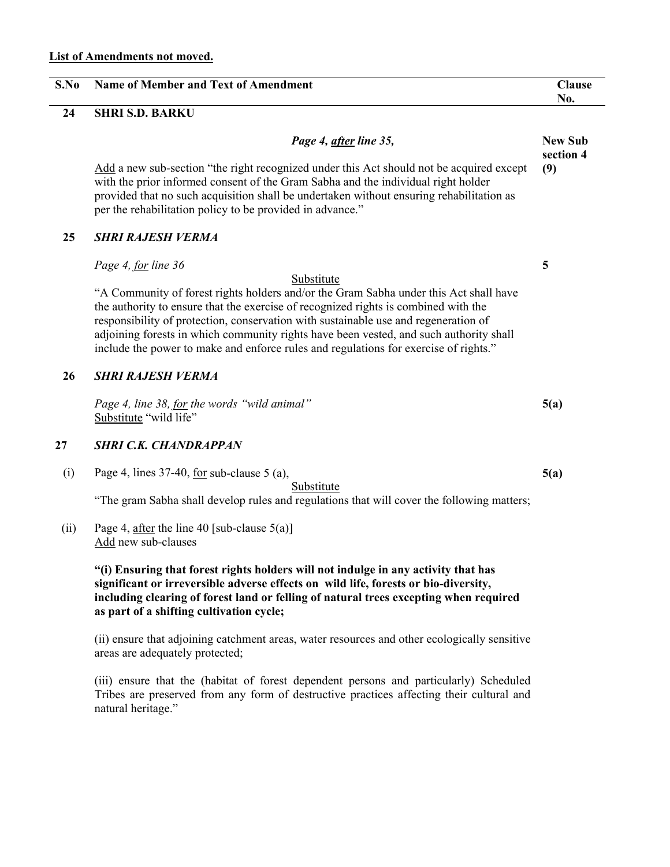| S.No | <b>Name of Member and Text of Amendment</b>                                                                                                                                                                                                                                                                                                                                                                                                           | <b>Clause</b><br>No.        |
|------|-------------------------------------------------------------------------------------------------------------------------------------------------------------------------------------------------------------------------------------------------------------------------------------------------------------------------------------------------------------------------------------------------------------------------------------------------------|-----------------------------|
| 24   | <b>SHRI S.D. BARKU</b>                                                                                                                                                                                                                                                                                                                                                                                                                                |                             |
|      | Page 4, after line 35,                                                                                                                                                                                                                                                                                                                                                                                                                                | <b>New Sub</b><br>section 4 |
|      | Add a new sub-section "the right recognized under this Act should not be acquired except<br>with the prior informed consent of the Gram Sabha and the individual right holder<br>provided that no such acquisition shall be undertaken without ensuring rehabilitation as<br>per the rehabilitation policy to be provided in advance."                                                                                                                | (9)                         |
| 25   | <b>SHRI RAJESH VERMA</b>                                                                                                                                                                                                                                                                                                                                                                                                                              |                             |
|      | Page 4, for line 36<br>Substitute                                                                                                                                                                                                                                                                                                                                                                                                                     | 5                           |
|      | "A Community of forest rights holders and/or the Gram Sabha under this Act shall have<br>the authority to ensure that the exercise of recognized rights is combined with the<br>responsibility of protection, conservation with sustainable use and regeneration of<br>adjoining forests in which community rights have been vested, and such authority shall<br>include the power to make and enforce rules and regulations for exercise of rights." |                             |
| 26   | <b>SHRI RAJESH VERMA</b>                                                                                                                                                                                                                                                                                                                                                                                                                              |                             |
|      | Page 4, line 38, for the words "wild animal"<br>Substitute "wild life"                                                                                                                                                                                                                                                                                                                                                                                | 5(a)                        |
| 27   | <b>SHRI C.K. CHANDRAPPAN</b>                                                                                                                                                                                                                                                                                                                                                                                                                          |                             |
| (i)  | Page 4, lines $37-40$ , <u>for</u> sub-clause $5$ (a),<br>Substitute                                                                                                                                                                                                                                                                                                                                                                                  | 5(a)                        |
|      | "The gram Sabha shall develop rules and regulations that will cover the following matters;                                                                                                                                                                                                                                                                                                                                                            |                             |
| (ii) | Page 4, after the line 40 [sub-clause $5(a)$ ]<br>Add new sub-clauses                                                                                                                                                                                                                                                                                                                                                                                 |                             |
|      | "(i) Ensuring that forest rights holders will not indulge in any activity that has<br>significant or irreversible adverse effects on wild life, forests or bio-diversity,<br>including clearing of forest land or felling of natural trees excepting when required<br>as part of a shifting cultivation cycle;                                                                                                                                        |                             |
|      | (ii) ensure that adjoining catchment areas, water resources and other ecologically sensitive<br>areas are adequately protected;                                                                                                                                                                                                                                                                                                                       |                             |
|      | (iii) ensure that the (habitat of forest dependent persons and particularly) Scheduled<br>Tribes are preserved from any form of destructive practices affecting their cultural and<br>natural heritage."                                                                                                                                                                                                                                              |                             |
|      |                                                                                                                                                                                                                                                                                                                                                                                                                                                       |                             |

 $\overline{\phantom{0}}$ 

 $\overline{\phantom{0}}$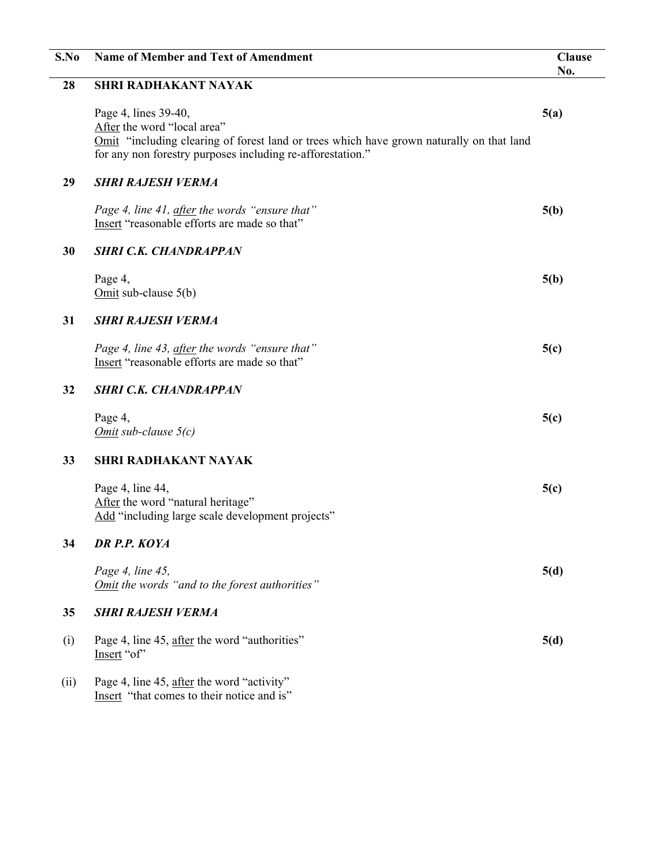| S.No | <b>Name of Member and Text of Amendment</b>                                                                                                                                                                   | <b>Clause</b><br>No. |
|------|---------------------------------------------------------------------------------------------------------------------------------------------------------------------------------------------------------------|----------------------|
| 28   | <b>SHRI RADHAKANT NAYAK</b>                                                                                                                                                                                   |                      |
|      | Page 4, lines 39-40,<br>After the word "local area"<br>Omit "including clearing of forest land or trees which have grown naturally on that land<br>for any non forestry purposes including re-afforestation." | 5(a)                 |
| 29   | <b>SHRI RAJESH VERMA</b>                                                                                                                                                                                      |                      |
|      | Page 4, line 41, after the words "ensure that"<br>Insert "reasonable efforts are made so that"                                                                                                                | 5(b)                 |
| 30   | <b>SHRI C.K. CHANDRAPPAN</b>                                                                                                                                                                                  |                      |
|      | Page 4,<br>Omit sub-clause $5(b)$                                                                                                                                                                             | 5(b)                 |
| 31   | <b>SHRI RAJESH VERMA</b>                                                                                                                                                                                      |                      |
|      | Page 4, line 43, after the words "ensure that"<br>Insert "reasonable efforts are made so that"                                                                                                                | 5(c)                 |
| 32   | <b>SHRI C.K. CHANDRAPPAN</b>                                                                                                                                                                                  |                      |
|      | Page 4,<br>Omit sub-clause $5(c)$                                                                                                                                                                             | 5(c)                 |
| 33   | <b>SHRI RADHAKANT NAYAK</b>                                                                                                                                                                                   |                      |
|      | Page 4, line 44,<br>After the word "natural heritage"<br>Add "including large scale development projects"                                                                                                     | 5(c)                 |
| 34   | DR P.P. KOYA                                                                                                                                                                                                  |                      |
|      | Page 4, line 45,<br>Omit the words "and to the forest authorities"                                                                                                                                            | 5(d)                 |
| 35   | <b>SHRI RAJESH VERMA</b>                                                                                                                                                                                      |                      |
| (i)  | Page 4, line 45, after the word "authorities"<br>Insert "of"                                                                                                                                                  | 5(d)                 |
| (ii) | Page 4, line 45, after the word "activity"<br>Insert "that comes to their notice and is"                                                                                                                      |                      |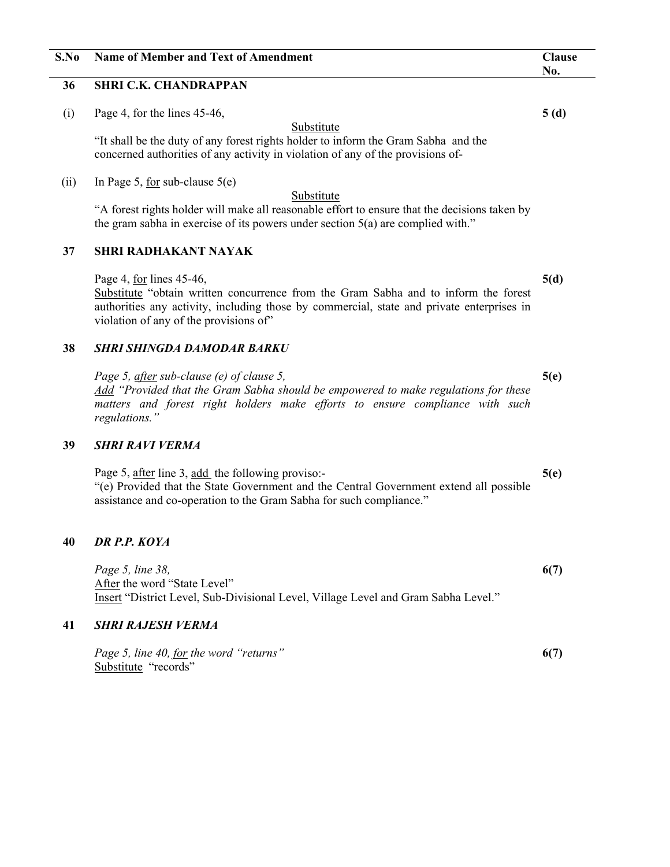## **S.No Name of Member and Text of Amendment Clause**

### **36 SHRI C.K. CHANDRAPPAN**

(i) Page 4, for the lines 45-46,

Substitute

"It shall be the duty of any forest rights holder to inform the Gram Sabha and the concerned authorities of any activity in violation of any of the provisions of-

(ii) In Page 5, for sub-clause  $5(e)$ 

#### Substitute

"A forest rights holder will make all reasonable effort to ensure that the decisions taken by the gram sabha in exercise of its powers under section 5(a) are complied with."

#### **37 SHRI RADHAKANT NAYAK**

Page 4, for lines 45-46, Substitute "obtain written concurrence from the Gram Sabha and to inform the forest authorities any activity, including those by commercial, state and private enterprises in violation of any of the provisions of"

#### **38** *SHRI SHINGDA DAMODAR BARKU*

*Page 5, after sub-clause (e) of clause 5, Add "Provided that the Gram Sabha should be empowered to make regulations for these matters and forest right holders make efforts to ensure compliance with such regulations."* 

#### **39** *SHRI RAVI VERMA*

Page 5, after line 3, add the following proviso:-"(e) Provided that the State Government and the Central Government extend all possible assistance and co-operation to the Gram Sabha for such compliance."

## **40** *DR P.P. KOYA*

*Page 5, line 38,*  After the word "State Level" Insert "District Level, Sub-Divisional Level, Village Level and Gram Sabha Level."

#### **41** *SHRI RAJESH VERMA*

*Page 5, line 40, for the word "returns"*  Substitute "records" **6(7)** 

**5(d)** 

**5(e)** 

**5(e)** 

**6(7)** 

**5 (d)**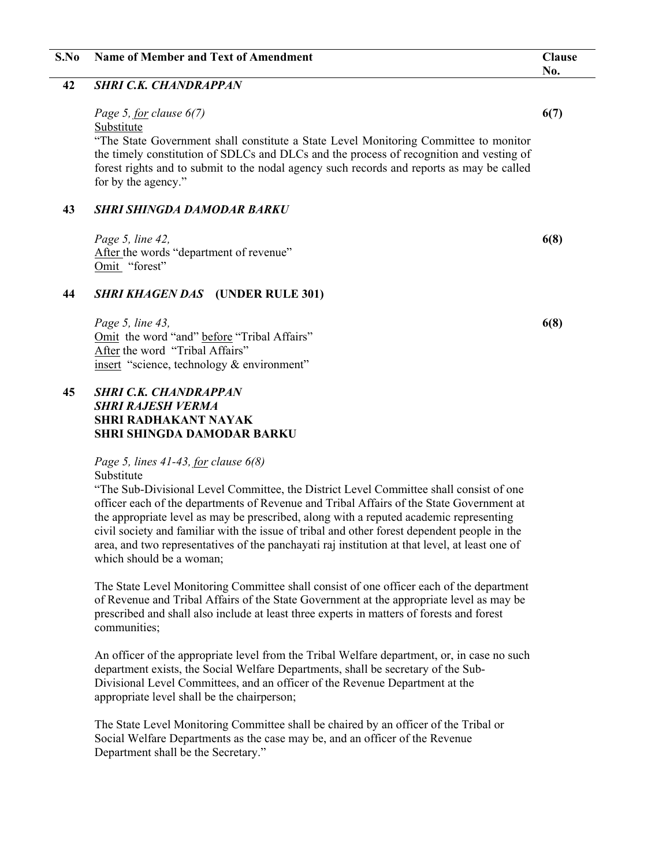# **S.No Name of Member and Text of Amendment Clause**

## **42** *SHRI C.K. CHANDRAPPAN*

## *Page 5, for clause 6(7)*

## Substitute

"The State Government shall constitute a State Level Monitoring Committee to monitor the timely constitution of SDLCs and DLCs and the process of recognition and vesting of forest rights and to submit to the nodal agency such records and reports as may be called for by the agency."

## **43** *SHRI SHINGDA DAMODAR BARKU*

*Page 5, line 42,*  After the words "department of revenue" Omit "forest"

## **44** *SHRI KHAGEN DAS* **(UNDER RULE 301)**

*Page 5, line 43,*  Omit the word "and" before "Tribal Affairs" After the word "Tribal Affairs" insert "science, technology & environment"

## **45** *SHRI C.K. CHANDRAPPAN SHRI RAJESH VERMA*  **SHRI RADHAKANT NAYAK SHRI SHINGDA DAMODAR BARKU**

## *Page 5, lines 41-43, for clause 6(8)*  Substitute

"The Sub-Divisional Level Committee, the District Level Committee shall consist of one officer each of the departments of Revenue and Tribal Affairs of the State Government at the appropriate level as may be prescribed, along with a reputed academic representing civil society and familiar with the issue of tribal and other forest dependent people in the area, and two representatives of the panchayati raj institution at that level, at least one of which should be a woman;

The State Level Monitoring Committee shall consist of one officer each of the department of Revenue and Tribal Affairs of the State Government at the appropriate level as may be prescribed and shall also include at least three experts in matters of forests and forest communities;

An officer of the appropriate level from the Tribal Welfare department, or, in case no such department exists, the Social Welfare Departments, shall be secretary of the Sub-Divisional Level Committees, and an officer of the Revenue Department at the appropriate level shall be the chairperson;

The State Level Monitoring Committee shall be chaired by an officer of the Tribal or Social Welfare Departments as the case may be, and an officer of the Revenue Department shall be the Secretary."

## **6(7)**

**No.** 

**6(8)**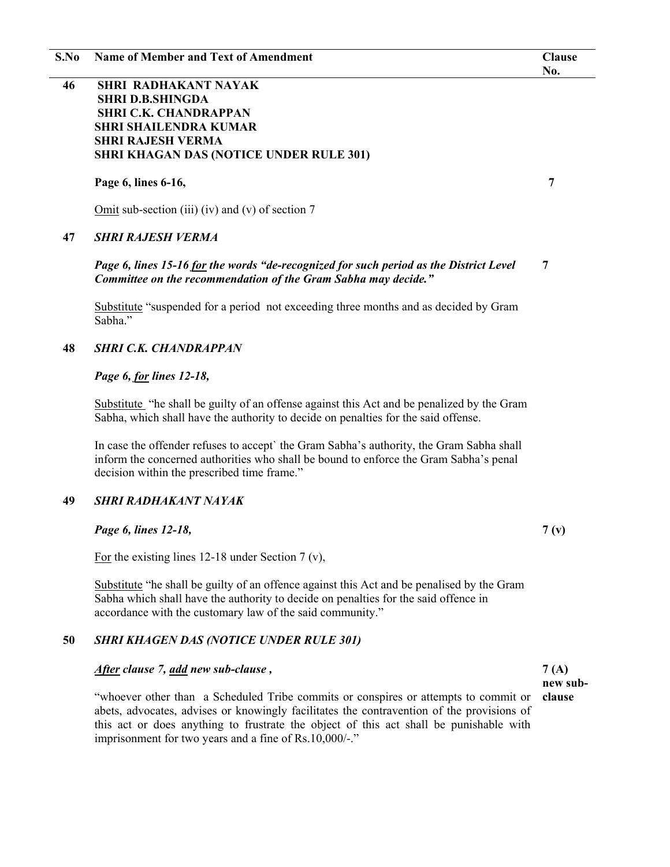**S.No Name of Member and Text of Amendment Clause** 

## **46 SHRI RADHAKANT NAYAK SHRI D.B.SHINGDA SHRI C.K. CHANDRAPPAN SHRI SHAILENDRA KUMAR SHRI RAJESH VERMA SHRI KHAGAN DAS (NOTICE UNDER RULE 301)**

 **Page 6, lines 6-16,** 

Omit sub-section (iii) (iv) and (v) of section 7

### **47** *SHRI RAJESH VERMA*

#### *Page 6, lines 15-16 for the words "de-recognized for such period as the District Level Committee on the recommendation of the Gram Sabha may decide."*  **7**

Substitute "suspended for a period not exceeding three months and as decided by Gram Sabha."

### **48** *SHRI C.K. CHANDRAPPAN*

#### *Page 6, for lines 12-18,*

Substitute "he shall be guilty of an offense against this Act and be penalized by the Gram Sabha, which shall have the authority to decide on penalties for the said offense.

In case the offender refuses to accept` the Gram Sabha's authority, the Gram Sabha shall inform the concerned authorities who shall be bound to enforce the Gram Sabha's penal decision within the prescribed time frame."

### **49** *SHRI RADHAKANT NAYAK*

*Page 6, lines 12-18,* 

For the existing lines 12-18 under Section 7 (v),

Substitute "he shall be guilty of an offence against this Act and be penalised by the Gram Sabha which shall have the authority to decide on penalties for the said offence in accordance with the customary law of the said community."

### **50** *SHRI KHAGEN DAS (NOTICE UNDER RULE 301)*

#### *After clause 7, add new sub-clause ,*

"whoever other than a Scheduled Tribe commits or conspires or attempts to commit or abets, advocates, advises or knowingly facilitates the contravention of the provisions of this act or does anything to frustrate the object of this act shall be punishable with imprisonment for two years and a fine of Rs.10,000/-."

**7 (A) new subclause** 

 **7** 

**7 (v)**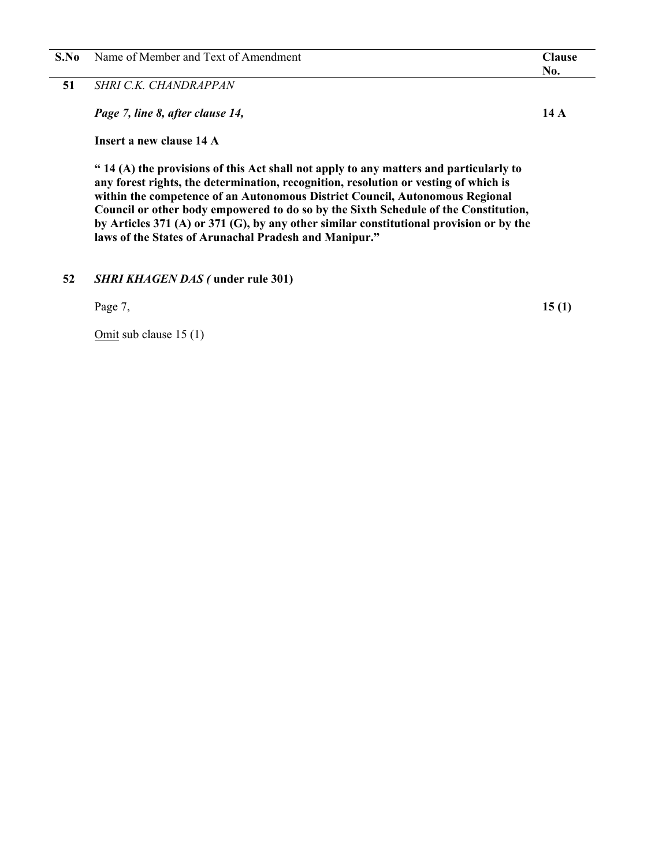| S.No | Name of Member and Text of Amendment | <b>Tlause</b> |
|------|--------------------------------------|---------------|
|      |                                      | 'NO.          |
| $ -$ |                                      |               |

**51** *SHRI C.K. CHANDRAPPAN* 

*Page 7, line 8, after clause 14,* 

**Insert a new clause 14 A** 

**" 14 (A) the provisions of this Act shall not apply to any matters and particularly to any forest rights, the determination, recognition, resolution or vesting of which is within the competence of an Autonomous District Council, Autonomous Regional Council or other body empowered to do so by the Sixth Schedule of the Constitution, by Articles 371 (A) or 371 (G), by any other similar constitutional provision or by the laws of the States of Arunachal Pradesh and Manipur."** 

**52** *SHRI KHAGEN DAS (* **under rule 301)** 

Page 7,

Omit sub clause 15 (1)

**14 A** 

**15 (1)**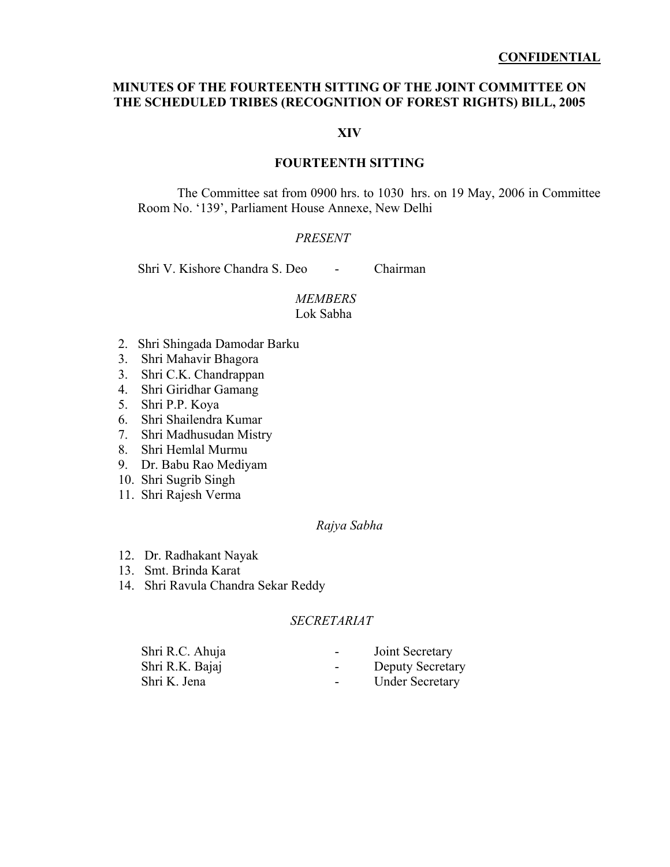## **MINUTES OF THE FOURTEENTH SITTING OF THE JOINT COMMITTEE ON THE SCHEDULED TRIBES (RECOGNITION OF FOREST RIGHTS) BILL, 2005**

## **XIV**

## **FOURTEENTH SITTING**

The Committee sat from 0900 hrs. to 1030 hrs. on 19 May, 2006 in Committee Room No. '139', Parliament House Annexe, New Delhi

#### *PRESENT*

Shri V. Kishore Chandra S. Deo - Chairman

## *MEMBERS*

## Lok Sabha

- 2. Shri Shingada Damodar Barku
- 3. Shri Mahavir Bhagora
- 3. Shri C.K. Chandrappan
- 4. Shri Giridhar Gamang
- 5. Shri P.P. Koya
- 6. Shri Shailendra Kumar
- 7. Shri Madhusudan Mistry
- 8. Shri Hemlal Murmu
- 9. Dr. Babu Rao Mediyam
- 10. Shri Sugrib Singh
- 11. Shri Rajesh Verma

## *Rajya Sabha*

- 12. Dr. Radhakant Nayak
- 13. Smt. Brinda Karat
- 14. Shri Ravula Chandra Sekar Reddy

## *SECRETARIAT*

| Shri R.C. Ahuja | Joint Secretary<br>$\sim$ 100 $\mu$ |  |
|-----------------|-------------------------------------|--|
| Shri R.K. Bajaj | <b>Deputy Secretary</b><br>$\sim$   |  |
| Shri K. Jena    | <b>Under Secretary</b><br>$\sim$    |  |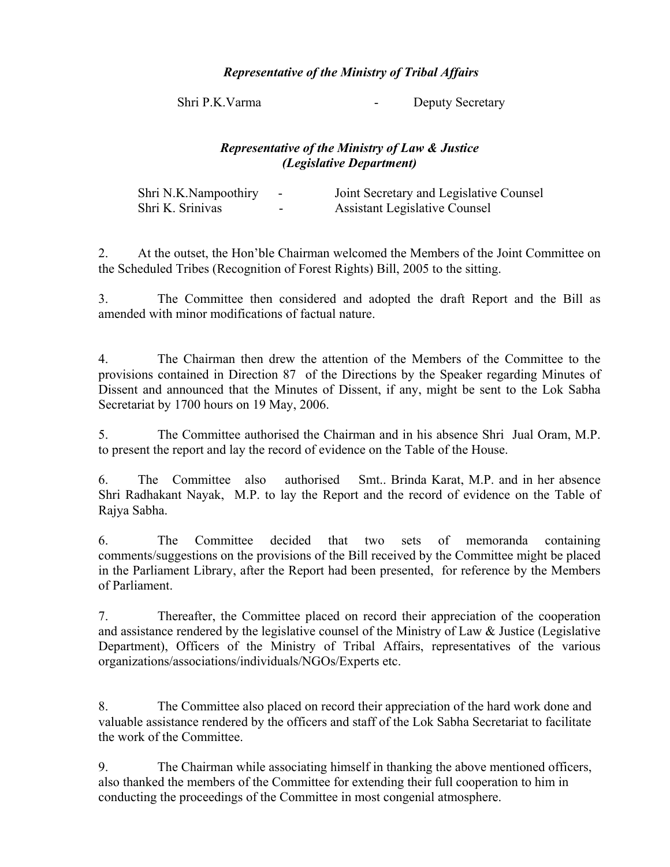## *Representative of the Ministry of Tribal Affairs*

Shri P.K. Varma - Deputy Secretary

## *Representative of the Ministry of Law & Justice (Legislative Department)*

| Shri N.K.Nampoothiry | $\sim$                   | Joint Secretary and Legislative Counsel |
|----------------------|--------------------------|-----------------------------------------|
| Shri K. Srinivas     | $\overline{\phantom{0}}$ | <b>Assistant Legislative Counsel</b>    |

2. At the outset, the Hon'ble Chairman welcomed the Members of the Joint Committee on the Scheduled Tribes (Recognition of Forest Rights) Bill, 2005 to the sitting.

3. The Committee then considered and adopted the draft Report and the Bill as amended with minor modifications of factual nature.

4. The Chairman then drew the attention of the Members of the Committee to the provisions contained in Direction 87 of the Directions by the Speaker regarding Minutes of Dissent and announced that the Minutes of Dissent, if any, might be sent to the Lok Sabha Secretariat by 1700 hours on 19 May, 2006.

5. The Committee authorised the Chairman and in his absence Shri Jual Oram, M.P. to present the report and lay the record of evidence on the Table of the House.

6. The Committee also authorised Smt.. Brinda Karat, M.P. and in her absence Shri Radhakant Nayak, M.P. to lay the Report and the record of evidence on the Table of Rajya Sabha.

6. The Committee decided that two sets of memoranda containing comments/suggestions on the provisions of the Bill received by the Committee might be placed in the Parliament Library, after the Report had been presented, for reference by the Members of Parliament.

7. Thereafter, the Committee placed on record their appreciation of the cooperation and assistance rendered by the legislative counsel of the Ministry of Law & Justice (Legislative Department), Officers of the Ministry of Tribal Affairs, representatives of the various organizations/associations/individuals/NGOs/Experts etc.

8. The Committee also placed on record their appreciation of the hard work done and valuable assistance rendered by the officers and staff of the Lok Sabha Secretariat to facilitate the work of the Committee.

9. The Chairman while associating himself in thanking the above mentioned officers, also thanked the members of the Committee for extending their full cooperation to him in conducting the proceedings of the Committee in most congenial atmosphere.